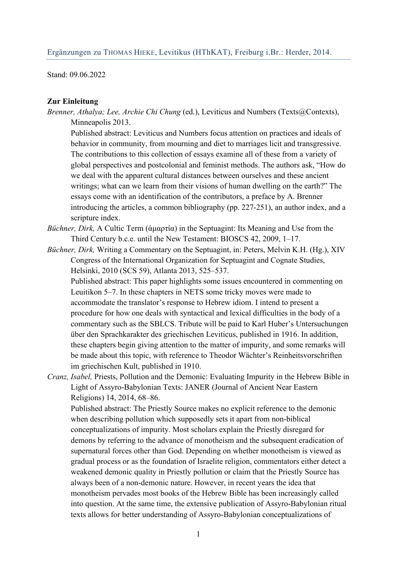Stand: 09.06.2022

## **Zur Einleitung**

*Brenner, Athalya; Lee, Archie Chi Chung* (ed.), Leviticus and Numbers (Texts@Contexts), Minneapolis 2013.

Published abstract: Leviticus and Numbers focus attention on practices and ideals of behavior in community, from mourning and diet to marriages licit and transgressive. The contributions to this collection of essays examine all of these from a variety of global perspectives and postcolonial and feminist methods. The authors ask, "How do we deal with the apparent cultural distances between ourselves and these ancient writings; what can we learn from their visions of human dwelling on the earth?" The essays come with an identification of the contributors, a preface by A. Brenner introducing the articles, a common bibliography (pp. 227-251), an author index, and a scripture index.

- *Büchner, Dirk,* A Cultic Term (ἁμαρτία) in the Septuagint: Its Meaning and Use from the Third Century b.c.e. until the New Testament: BIOSCS 42, 2009, 1–17.
- *Büchner, Dirk,* Writing a Commentary on the Septuagint, in: Peters, Melvin K.H. (Hg.), XIV Congress of the International Organization for Septuagint and Cognate Studies, Helsinki, 2010 (SCS 59), Atlanta 2013, 525–537.

Published abstract: This paper highlights some issues encountered in commenting on Leuitikon 5–7. In these chapters in NETS some tricky moves were made to accommodate the translator's response to Hebrew idiom. I intend to present a procedure for how one deals with syntactical and lexical difficulties in the body of a commentary such as the SBLCS. Tribute will be paid to Karl Huber's Untersuchungen über den Sprachkarakter des griechischen Leviticus, published in 1916. In addition, these chapters begin giving attention to the matter of impurity, and some remarks will be made about this topic, with reference to Theodor Wächter's Reinheitsvorschriften im griechischen Kult, published in 1910.

*Cranz, Isabel,* Priests, Pollution and the Demonic: Evaluating Impurity in the Hebrew Bible in Light of Assyro-Babylonian Texts: JANER (Journal of Ancient Near Eastern Religions) 14, 2014, 68–86.

 Published abstract: The Priestly Source makes no explicit reference to the demonic when describing pollution which supposedly sets it apart from non-biblical conceptualizations of impurity. Most scholars explain the Priestly disregard for demons by referring to the advance of monotheism and the subsequent eradication of supernatural forces other than God. Depending on whether monotheism is viewed as gradual process or as the foundation of Israelite religion, commentators either detect a weakened demonic quality in Priestly pollution or claim that the Priestly Source has always been of a non-demonic nature. However, in recent years the idea that monotheism pervades most books of the Hebrew Bible has been increasingly called into question. At the same time, the extensive publication of Assyro-Babylonian ritual texts allows for better understanding of Assyro-Babylonian conceptualizations of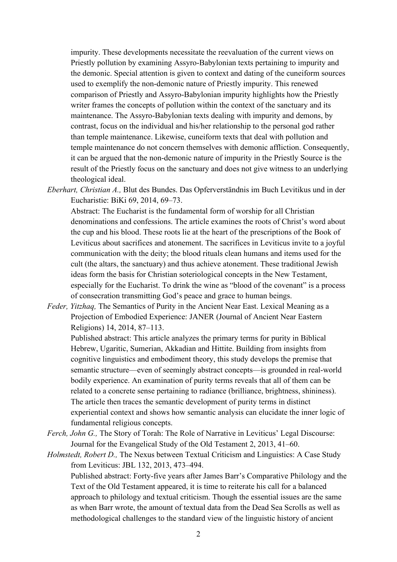impurity. These developments necessitate the reevaluation of the current views on Priestly pollution by examining Assyro-Babylonian texts pertaining to impurity and the demonic. Special attention is given to context and dating of the cuneiform sources used to exemplify the non-demonic nature of Priestly impurity. This renewed comparison of Priestly and Assyro-Babylonian impurity highlights how the Priestly writer frames the concepts of pollution within the context of the sanctuary and its maintenance. The Assyro-Babylonian texts dealing with impurity and demons, by contrast, focus on the individual and his/her relationship to the personal god rather than temple maintenance. Likewise, cuneiform texts that deal with pollution and temple maintenance do not concern themselves with demonic affliction. Consequently, it can be argued that the non-demonic nature of impurity in the Priestly Source is the result of the Priestly focus on the sanctuary and does not give witness to an underlying theological ideal.

*Eberhart, Christian A.,* Blut des Bundes. Das Opferverständnis im Buch Levitikus und in der Eucharistie: BiKi 69, 2014, 69–73.

Abstract: The Eucharist is the fundamental form of worship for all Christian denominations and confessions. The article examines the roots of Christ's word about the cup and his blood. These roots lie at the heart of the prescriptions of the Book of Leviticus about sacrifices and atonement. The sacrifices in Leviticus invite to a joyful communication with the deity; the blood rituals clean humans and items used for the cult (the altars, the sanctuary) and thus achieve atonement. These traditional Jewish ideas form the basis for Christian soteriological concepts in the New Testament, especially for the Eucharist. To drink the wine as "blood of the covenant" is a process of consecration transmitting God's peace and grace to human beings.

*Feder, Yitzhaq,* The Semantics of Purity in the Ancient Near East. Lexical Meaning as a Projection of Embodied Experience: JANER (Journal of Ancient Near Eastern Religions) 14, 2014, 87–113.

Published abstract: This article analyzes the primary terms for purity in Biblical Hebrew, Ugaritic, Sumerian, Akkadian and Hittite. Building from insights from cognitive linguistics and embodiment theory, this study develops the premise that semantic structure—even of seemingly abstract concepts—is grounded in real-world bodily experience. An examination of purity terms reveals that all of them can be related to a concrete sense pertaining to radiance (brilliance, brightness, shininess). The article then traces the semantic development of purity terms in distinct experiential context and shows how semantic analysis can elucidate the inner logic of fundamental religious concepts.

- *Ferch, John G.,* The Story of Torah: The Role of Narrative in Leviticus' Legal Discourse: Journal for the Evangelical Study of the Old Testament 2, 2013, 41–60.
- *Holmstedt, Robert D.,* The Nexus between Textual Criticism and Linguistics: A Case Study from Leviticus: JBL 132, 2013, 473–494. Published abstract: Forty-five years after James Barr's Comparative Philology and the Text of the Old Testament appeared, it is time to reiterate his call for a balanced approach to philology and textual criticism. Though the essential issues are the same as when Barr wrote, the amount of textual data from the Dead Sea Scrolls as well as methodological challenges to the standard view of the linguistic history of ancient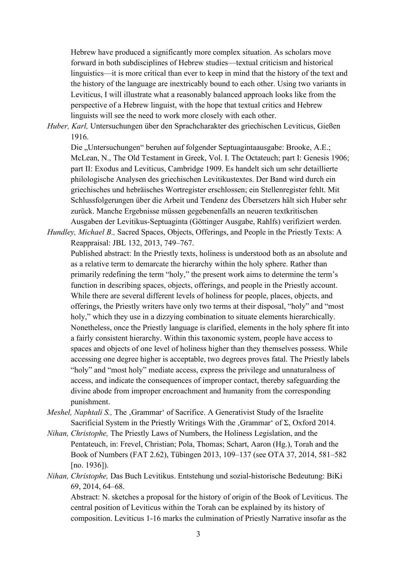Hebrew have produced a significantly more complex situation. As scholars move forward in both subdisciplines of Hebrew studies—textual criticism and historical linguistics—it is more critical than ever to keep in mind that the history of the text and the history of the language are inextricably bound to each other. Using two variants in Leviticus, I will illustrate what a reasonably balanced approach looks like from the perspective of a Hebrew linguist, with the hope that textual critics and Hebrew linguists will see the need to work more closely with each other.

*Huber, Karl,* Untersuchungen über den Sprachcharakter des griechischen Leviticus, Gießen 1916.

Die "Untersuchungen" beruhen auf folgender Septuagintaausgabe: Brooke, A.E.; McLean, N., The Old Testament in Greek, Vol. I. The Octateuch; part I: Genesis 1906; part II: Exodus and Leviticus, Cambridge 1909. Es handelt sich um sehr detaillierte philologische Analysen des griechischen Levitikustextes. Der Band wird durch ein griechisches und hebräisches Wortregister erschlossen; ein Stellenregister fehlt. Mit Schlussfolgerungen über die Arbeit und Tendenz des Übersetzers hält sich Huber sehr zurück. Manche Ergebnisse müssen gegebenenfalls an neueren textkritischen Ausgaben der Levitikus-Septuaginta (Göttinger Ausgabe, Rahlfs) verifiziert werden.

*Hundley, Michael B.,* Sacred Spaces, Objects, Offerings, and People in the Priestly Texts: A Reappraisal: JBL 132, 2013, 749–767.

Published abstract: In the Priestly texts, holiness is understood both as an absolute and as a relative term to demarcate the hierarchy within the holy sphere. Rather than primarily redefining the term "holy," the present work aims to determine the term's function in describing spaces, objects, offerings, and people in the Priestly account. While there are several different levels of holiness for people, places, objects, and offerings, the Priestly writers have only two terms at their disposal, "holy" and "most holy," which they use in a dizzying combination to situate elements hierarchically. Nonetheless, once the Priestly language is clarified, elements in the holy sphere fit into a fairly consistent hierarchy. Within this taxonomic system, people have access to spaces and objects of one level of holiness higher than they themselves possess. While accessing one degree higher is acceptable, two degrees proves fatal. The Priestly labels "holy" and "most holy" mediate access, express the privilege and unnaturalness of access, and indicate the consequences of improper contact, thereby safeguarding the divine abode from improper encroachment and humanity from the corresponding punishment.

- *Meshel, Naphtali S., The , Grammar' of Sacrifice. A Generativist Study of the Israelite* Sacrificial System in the Priestly Writings With the  $Grammar'$  of  $\Sigma$ , Oxford 2014.
- *Nihan, Christophe,* The Priestly Laws of Numbers, the Holiness Legislation, and the Pentateuch, in: Frevel, Christian; Pola, Thomas; Schart, Aaron (Hg.), Torah and the Book of Numbers (FAT 2.62), Tübingen 2013, 109–137 (see OTA 37, 2014, 581–582 [no. 1936]).
- *Nihan, Christophe,* Das Buch Levitikus. Entstehung und sozial-historische Bedeutung: BiKi 69, 2014, 64–68.

Abstract: N. sketches a proposal for the history of origin of the Book of Leviticus. The central position of Leviticus within the Torah can be explained by its history of composition. Leviticus 1-16 marks the culmination of Priestly Narrative insofar as the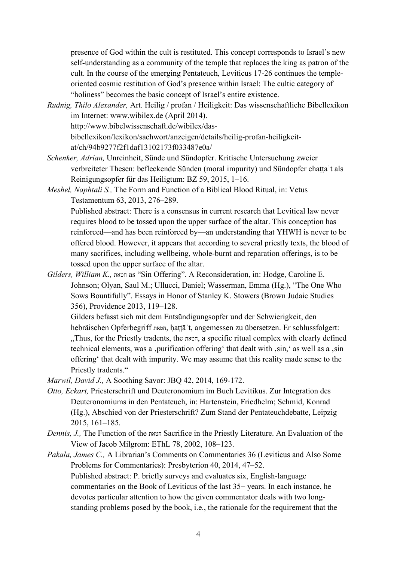presence of God within the cult is restituted. This concept corresponds to Israel's new self-understanding as a community of the temple that replaces the king as patron of the cult. In the course of the emerging Pentateuch, Leviticus 17-26 continues the templeoriented cosmic restitution of God's presence within Israel: The cultic category of "holiness" becomes the basic concept of Israel's entire existence.

*Rudnig, Thilo Alexander,* Art. Heilig / profan / Heiligkeit: Das wissenschaftliche Bibellexikon im Internet: www.wibilex.de (April 2014). http://www.bibelwissenschaft.de/wibilex/das-

bibellexikon/lexikon/sachwort/anzeigen/details/heilig-profan-heiligkeitat/ch/94b9277f2f1daf13102173f033487e0a/

- 
- *Schenker, Adrian,* Unreinheit, Sünde und Sündopfer. Kritische Untersuchung zweier verbreiteter Thesen: befleckende Sünden (moral impurity) und Sündopfer chaṭṭaʾt als Reinigungsopfer für das Heiligtum: BZ 59, 2015, 1–16.
- *Meshel, Naphtali S.,* The Form and Function of a Biblical Blood Ritual, in: Vetus Testamentum 63, 2013, 276–289.

Published abstract: There is a consensus in current research that Levitical law never requires blood to be tossed upon the upper surface of the altar. This conception has reinforced—and has been reinforced by—an understanding that YHWH is never to be offered blood. However, it appears that according to several priestly texts, the blood of many sacrifices, including wellbeing, whole-burnt and reparation offerings, is to be tossed upon the upper surface of the altar.

*Gilders, William K.,* חטאת as "Sin Offering". A Reconsideration, in: Hodge, Caroline E. Johnson; Olyan, Saul M.; Ullucci, Daniel; Wasserman, Emma (Hg.), "The One Who Sows Bountifully". Essays in Honor of Stanley K. Stowers (Brown Judaic Studies 356), Providence 2013, 119–128.

Gilders befasst sich mit dem Entsündigungsopfer und der Schwierigkeit, den hebräischen Opferbegriff חטאת, ḥaṭṭāʾt, angemessen zu übersetzen. Er schlussfolgert: "Thus, for the Priestly tradents, the חטאת, a specific ritual complex with clearly defined technical elements, was a ,purification offering' that dealt with ,sin,' as well as a ,sin offering' that dealt with impurity. We may assume that this reality made sense to the Priestly tradents."

*Marwil, David J.,* A Soothing Savor: JBQ 42, 2014, 169-172.

- *Otto, Eckart,* Priesterschrift und Deuteronomium im Buch Levitikus. Zur Integration des Deuteronomiums in den Pentateuch, in: Hartenstein, Friedhelm; Schmid, Konrad (Hg.), Abschied von der Priesterschrift? Zum Stand der Pentateuchdebatte, Leipzig 2015, 161–185.
- *Dennis, J.,* The Function of the חטאת Sacrifice in the Priestly Literature. An Evaluation of the View of Jacob Milgrom: EThL 78, 2002, 108–123.

*Pakala, James C.,* A Librarian's Comments on Commentaries 36 (Leviticus and Also Some Problems for Commentaries): Presbyterion 40, 2014, 47–52. Published abstract: P. briefly surveys and evaluates six, English-language commentaries on the Book of Leviticus of the last 35+ years. In each instance, he devotes particular attention to how the given commentator deals with two longstanding problems posed by the book, i.e., the rationale for the requirement that the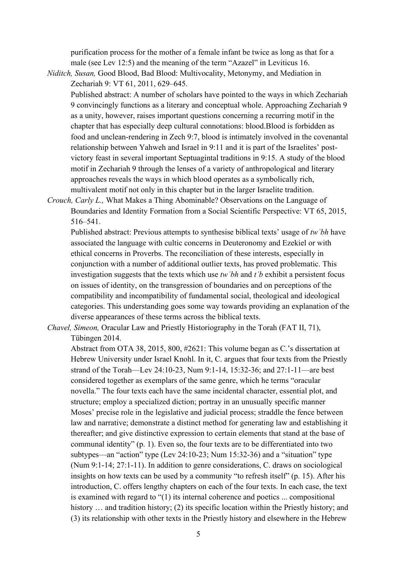purification process for the mother of a female infant be twice as long as that for a male (see Lev 12:5) and the meaning of the term "Azazel" in Leviticus 16.

*Niditch, Susan,* Good Blood, Bad Blood: Multivocality, Metonymy, and Mediation in Zechariah 9: VT 61, 2011, 629–645.

Published abstract: A number of scholars have pointed to the ways in which Zechariah 9 convincingly functions as a literary and conceptual whole. Approaching Zechariah 9 as a unity, however, raises important questions concerning a recurring motif in the chapter that has especially deep cultural connotations: blood.Blood is forbidden as food and unclean-rendering in Zech 9:7, blood is intimately involved in the covenantal relationship between Yahweh and Israel in 9:11 and it is part of the Israelites' postvictory feast in several important Septuagintal traditions in 9:15. A study of the blood motif in Zechariah 9 through the lenses of a variety of anthropological and literary approaches reveals the ways in which blood operates as a symbolically rich, multivalent motif not only in this chapter but in the larger Israelite tradition.

*Crouch, Carly L.,* What Makes a Thing Abominable? Observations on the Language of Boundaries and Identity Formation from a Social Scientific Perspective: VT 65, 2015, 516–541.

Published abstract: Previous attempts to synthesise biblical texts' usage of *twʿbh* have associated the language with cultic concerns in Deuteronomy and Ezekiel or with ethical concerns in Proverbs. The reconciliation of these interests, especially in conjunction with a number of additional outlier texts, has proved problematic. This investigation suggests that the texts which use *twʿbh* and *tʿb* exhibit a persistent focus on issues of identity, on the transgression of boundaries and on perceptions of the compatibility and incompatibility of fundamental social, theological and ideological categories. This understanding goes some way towards providing an explanation of the diverse appearances of these terms across the biblical texts.

*Chavel, Simeon,* Oracular Law and Priestly Historiography in the Torah (FAT II, 71), Tübingen 2014.

Abstract from OTA 38, 2015, 800, #2621: This volume began as C.'s dissertation at Hebrew University under Israel Knohl. In it, C. argues that four texts from the Priestly strand of the Torah—Lev 24:10-23, Num 9:1-14, 15:32-36; and 27:1-11—are best considered together as exemplars of the same genre, which he terms "oracular novella." The four texts each have the same incidental character, essential plot, and structure; employ a specialized diction; portray in an unusually specific manner Moses' precise role in the legislative and judicial process; straddle the fence between law and narrative; demonstrate a distinct method for generating law and establishing it thereafter; and give distinctive expression to certain elements that stand at the base of communal identity" (p. 1). Even so, the four texts are to be differentiated into two subtypes—an "action" type (Lev 24:10-23; Num 15:32-36) and a "situation" type (Num 9:1-14; 27:1-11). In addition to genre considerations, C. draws on sociological insights on how texts can be used by a community "to refresh itself" (p. 15). After his introduction, C. offers lengthy chapters on each of the four texts. In each case, the text is examined with regard to "(1) its internal coherence and poetics ... compositional history ... and tradition history; (2) its specific location within the Priestly history; and (3) its relationship with other texts in the Priestly history and elsewhere in the Hebrew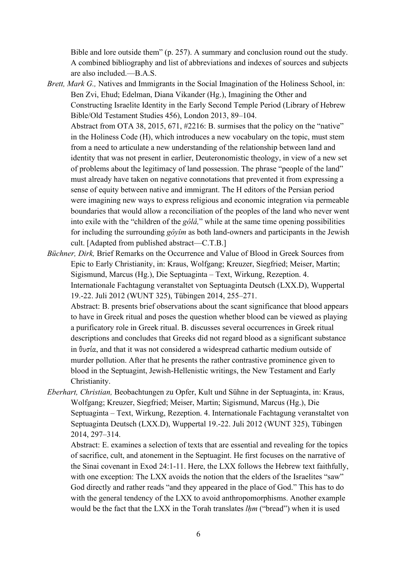Bible and lore outside them" (p. 257). A summary and conclusion round out the study. A combined bibliography and list of abbreviations and indexes of sources and subjects are also included.—B.A.S.

- *Brett, Mark G.,* Natives and Immigrants in the Social Imagination of the Holiness School, in: Ben Zvi, Ehud; Edelman, Diana Vikander (Hg.), Imagining the Other and Constructing Israelite Identity in the Early Second Temple Period (Library of Hebrew Bible/Old Testament Studies 456), London 2013, 89–104. Abstract from OTA 38, 2015, 671, #2216: B. surmises that the policy on the "native" in the Holiness Code (H), which introduces a new vocabulary on the topic, must stem from a need to articulate a new understanding of the relationship between land and identity that was not present in earlier, Deuteronomistic theology, in view of a new set of problems about the legitimacy of land possession. The phrase "people of the land" must already have taken on negative connotations that prevented it from expressing a sense of equity between native and immigrant. The H editors of the Persian period were imagining new ways to express religious and economic integration via permeable boundaries that would allow a reconciliation of the peoples of the land who never went into exile with the "children of the *gôlâ,*" while at the same time opening possibilities for including the surrounding *gôyîm* as both land-owners and participants in the Jewish cult. [Adapted from published abstract—C.T.B.]
- *Büchner, Dirk,* Brief Remarks on the Occurrence and Value of Blood in Greek Sources from Epic to Early Christianity, in: Kraus, Wolfgang; Kreuzer, Siegfried; Meiser, Martin; Sigismund, Marcus (Hg.), Die Septuaginta – Text, Wirkung, Rezeption. 4. Internationale Fachtagung veranstaltet von Septuaginta Deutsch (LXX.D), Wuppertal 19.-22. Juli 2012 (WUNT 325), Tübingen 2014, 255–271.

Abstract: B. presents brief observations about the scant significance that blood appears to have in Greek ritual and poses the question whether blood can be viewed as playing a purificatory role in Greek ritual. B. discusses several occurrences in Greek ritual descriptions and concludes that Greeks did not regard blood as a significant substance in θυσία, and that it was not considered a widespread cathartic medium outside of murder pollution. After that he presents the rather contrastive prominence given to blood in the Septuagint, Jewish-Hellenistic writings, the New Testament and Early Christianity.

*Eberhart, Christian,* Beobachtungen zu Opfer, Kult und Sühne in der Septuaginta, in: Kraus, Wolfgang; Kreuzer, Siegfried; Meiser, Martin; Sigismund, Marcus (Hg.), Die Septuaginta – Text, Wirkung, Rezeption. 4. Internationale Fachtagung veranstaltet von Septuaginta Deutsch (LXX.D), Wuppertal 19.-22. Juli 2012 (WUNT 325), Tübingen 2014, 297–314.

Abstract: E. examines a selection of texts that are essential and revealing for the topics of sacrifice, cult, and atonement in the Septuagint. He first focuses on the narrative of the Sinai covenant in Exod 24:1-11. Here, the LXX follows the Hebrew text faithfully, with one exception: The LXX avoids the notion that the elders of the Israelites "saw" God directly and rather reads "and they appeared in the place of God." This has to do with the general tendency of the LXX to avoid anthropomorphisms. Another example would be the fact that the LXX in the Torah translates *lhm* ("bread") when it is used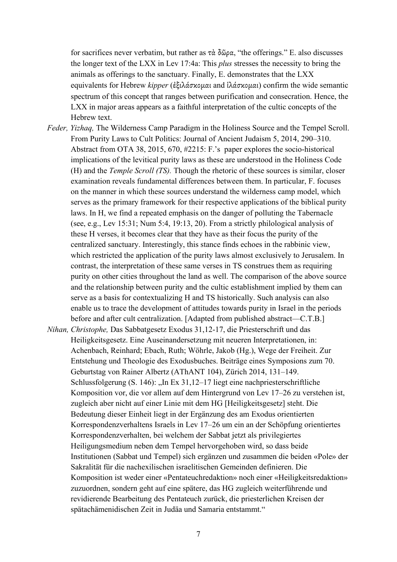for sacrifices never verbatim, but rather as τὰ δῶρα, "the offerings." E. also discusses the longer text of the LXX in Lev 17:4a: This *plus* stresses the necessity to bring the animals as offerings to the sanctuary. Finally, E. demonstrates that the LXX equivalents for Hebrew *kipper* (ἐξιλάσκομαι and ἱλάσκομαι) confirm the wide semantic spectrum of this concept that ranges between purification and consecration. Hence, the LXX in major areas appears as a faithful interpretation of the cultic concepts of the Hebrew text.

- *Feder, Yizhaq,* The Wilderness Camp Paradigm in the Holiness Source and the Tempel Scroll. From Purity Laws to Cult Politics: Journal of Ancient Judaism 5, 2014, 290–310. Abstract from OTA 38, 2015, 670, #2215: F.'s paper explores the socio-historical implications of the levitical purity laws as these are understood in the Holiness Code (H) and the *Temple Scroll (TS).* Though the rhetoric of these sources is similar, closer examination reveals fundamental differences between them. In particular, F. focuses on the manner in which these sources understand the wilderness camp model, which serves as the primary framework for their respective applications of the biblical purity laws. In H, we find a repeated emphasis on the danger of polluting the Tabernacle (see, e.g., Lev 15:31; Num 5:4, 19:13, 20). From a strictly philological analysis of these H verses, it becomes clear that they have as their focus the purity of the centralized sanctuary. Interestingly, this stance finds echoes in the rabbinic view, which restricted the application of the purity laws almost exclusively to Jerusalem. In contrast, the interpretation of these same verses in TS construes them as requiring purity on other cities throughout the land as well. The comparison of the above source and the relationship between purity and the cultic establishment implied by them can serve as a basis for contextualizing H and TS historically. Such analysis can also enable us to trace the development of attitudes towards purity in Israel in the periods before and after cult centralization. [Adapted from published abstract—C.T.B.]
- *Nihan, Christophe,* Das Sabbatgesetz Exodus 31,12-17, die Priesterschrift und das Heiligkeitsgesetz. Eine Auseinandersetzung mit neueren Interpretationen, in: Achenbach, Reinhard; Ebach, Ruth; Wöhrle, Jakob (Hg.), Wege der Freiheit. Zur Entstehung und Theologie des Exodusbuches. Beiträge eines Symposions zum 70. Geburtstag von Rainer Albertz (AThANT 104), Zürich 2014, 131–149. Schlussfolgerung (S. 146): "In Ex 31,12–17 liegt eine nachpriesterschriftliche Komposition vor, die vor allem auf dem Hintergrund von Lev 17–26 zu verstehen ist, zugleich aber nicht auf einer Linie mit dem HG [Heiligkeitsgesetz] steht. Die Bedeutung dieser Einheit liegt in der Ergänzung des am Exodus orientierten Korrespondenzverhaltens Israels in Lev 17–26 um ein an der Schöpfung orientiertes Korrespondenzverhalten, bei welchem der Sabbat jetzt als privilegiertes Heiligungsmedium neben dem Tempel hervorgehoben wird, so dass beide Institutionen (Sabbat und Tempel) sich ergänzen und zusammen die beiden «Pole» der Sakralität für die nachexilischen israelitischen Gemeinden definieren. Die Komposition ist weder einer «Pentateuchredaktion» noch einer «Heiligkeitsredaktion» zuzuordnen, sondern geht auf eine spätere, das HG zugleich weiterführende und revidierende Bearbeitung des Pentateuch zurück, die priesterlichen Kreisen der spätachämenidischen Zeit in Judäa und Samaria entstammt."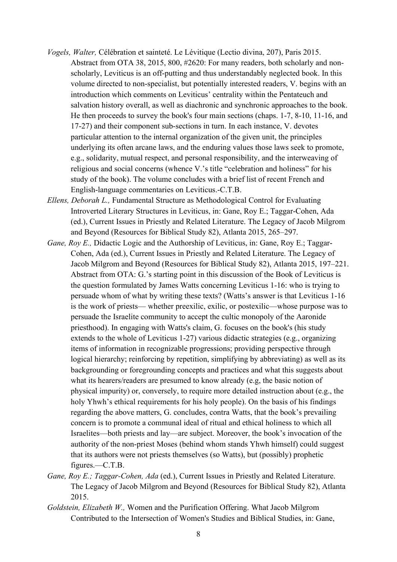- *Vogels, Walter,* Célébration et sainteté. Le Lévitique (Lectio divina, 207), Paris 2015. Abstract from OTA 38, 2015, 800, #2620: For many readers, both scholarly and nonscholarly, Leviticus is an off-putting and thus understandably neglected book. In this volume directed to non-specialist, but potentially interested readers, V. begins with an introduction which comments on Leviticus' centrality within the Pentateuch and salvation history overall, as well as diachronic and synchronic approaches to the book. He then proceeds to survey the book's four main sections (chaps. 1-7, 8-10, 11-16, and 17-27) and their component sub-sections in turn. In each instance, V. devotes particular attention to the internal organization of the given unit, the principles underlying its often arcane laws, and the enduring values those laws seek to promote, e.g., solidarity, mutual respect, and personal responsibility, and the interweaving of religious and social concerns (whence V.'s title "celebration and holiness" for his study of the book). The volume concludes with a brief list of recent French and English-language commentaries on Leviticus.-C.T.B.
- *Ellens, Deborah L.,* Fundamental Structure as Methodological Control for Evaluating Introverted Literary Structures in Leviticus, in: Gane, Roy E.; Taggar-Cohen, Ada (ed.), Current Issues in Priestly and Related Literature. The Legacy of Jacob Milgrom and Beyond (Resources for Biblical Study 82), Atlanta 2015, 265–297.
- *Gane, Roy E., Didactic Logic and the Authorship of Leviticus, in: Gane, Roy E.; Taggar-*Cohen, Ada (ed.), Current Issues in Priestly and Related Literature. The Legacy of Jacob Milgrom and Beyond (Resources for Biblical Study 82), Atlanta 2015, 197–221. Abstract from OTA: G.'s starting point in this discussion of the Book of Leviticus is the question formulated by James Watts concerning Leviticus 1-16: who is trying to persuade whom of what by writing these texts? (Watts's answer is that Leviticus 1-16 is the work of priests— whether preexilic, exilic, or postexilic—whose purpose was to persuade the Israelite community to accept the cultic monopoly of the Aaronide priesthood). In engaging with Watts's claim, G. focuses on the book's (his study extends to the whole of Leviticus 1-27) various didactic strategies (e.g., organizing items of information in recognizable progressions; providing perspective through logical hierarchy; reinforcing by repetition, simplifying by abbreviating) as well as its backgrounding or foregrounding concepts and practices and what this suggests about what its hearers/readers are presumed to know already (e.g, the basic notion of physical impurity) or, conversely, to require more detailed instruction about (e.g., the holy Yhwh's ethical requirements for his holy people). On the basis of his findings regarding the above matters, G. concludes, contra Watts, that the book's prevailing concern is to promote a communal ideal of ritual and ethical holiness to which all Israelites—both priests and lay—are subject. Moreover, the book's invocation of the authority of the non-priest Moses (behind whom stands Yhwh himself) could suggest that its authors were not priests themselves (so Watts), but (possibly) prophetic figures.—C.T.B.
- *Gane, Roy E.; Taggar-Cohen, Ada* (ed.), Current Issues in Priestly and Related Literature. The Legacy of Jacob Milgrom and Beyond (Resources for Biblical Study 82), Atlanta 2015.
- *Goldstein, Elizabeth W.,* Women and the Purification Offering. What Jacob Milgrom Contributed to the Intersection of Women's Studies and Biblical Studies, in: Gane,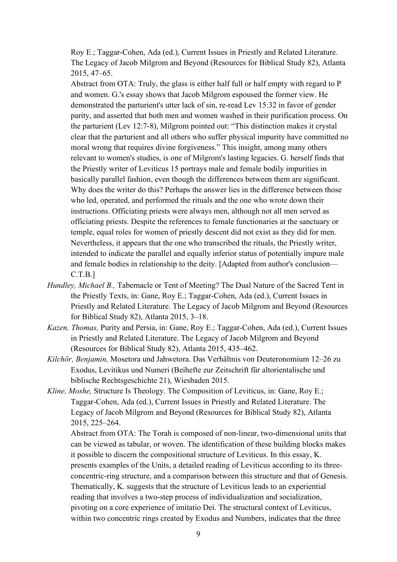Roy E.; Taggar-Cohen, Ada (ed.), Current Issues in Priestly and Related Literature. The Legacy of Jacob Milgrom and Beyond (Resources for Biblical Study 82), Atlanta 2015, 47–65.

Abstract from OTA: Truly, the glass is either half full or half empty with regard to P and women. G.'s essay shows that Jacob Milgrom espoused the former view. He demonstrated the parturient's utter lack of sin, re-read Lev 15:32 in favor of gender parity, and asserted that both men and women washed in their purification process. On the parturient (Lev 12:7-8), Milgrom pointed out: "This distinction makes it crystal clear that the parturient and all others who suffer physical impurity have committed no moral wrong that requires divine forgiveness." This insight, among many others relevant to women's studies, is one of Milgrom's lasting legacies. G. herself finds that the Priestly writer of Leviticus 15 portrays male and female bodily impurities in basically parallel fashion, even though the differences between them are significant. Why does the writer do this? Perhaps the answer lies in the difference between those who led, operated, and performed the rituals and the one who wrote down their instructions. Officiating priests were always men, although not all men served as officiating priests. Despite the references to female functionaries at the sanctuary or temple, equal roles for women of priestly descent did not exist as they did for men. Nevertheless, it appears that the one who transcribed the rituals, the Priestly writer, intended to indicate the parallel and equally inferior status of potentially impure male and female bodies in relationship to the deity. [Adapted from author's conclusion— C.T.B.]

- *Hundley, Michael B., Tabernacle or Tent of Meeting? The Dual Nature of the Sacred Tent in* the Priestly Texts, in: Gane, Roy E.; Taggar-Cohen, Ada (ed.), Current Issues in Priestly and Related Literature. The Legacy of Jacob Milgrom and Beyond (Resources for Biblical Study 82), Atlanta 2015, 3–18.
- *Kazen, Thomas,* Purity and Persia, in: Gane, Roy E.; Taggar-Cohen, Ada (ed.), Current Issues in Priestly and Related Literature. The Legacy of Jacob Milgrom and Beyond (Resources for Biblical Study 82), Atlanta 2015, 435–462.
- *Kilchör, Benjamin,* Mosetora und Jahwetora. Das Verhältnis von Deuteronomium 12–26 zu Exodus, Levitikus und Numeri (Beihefte zur Zeitschrift für altorientalische und biblische Rechtsgeschichte 21), Wiesbaden 2015.
- *Kline, Moshe,* Structure Is Theology. The Composition of Leviticus, in: Gane, Roy E.; Taggar-Cohen, Ada (ed.), Current Issues in Priestly and Related Literature. The Legacy of Jacob Milgrom and Beyond (Resources for Biblical Study 82), Atlanta 2015, 225–264.

Abstract from OTA: The Torah is composed of non-linear, two-dimensional units that can be viewed as tabular, or woven. The identification of these building blocks makes it possible to discern the compositional structure of Leviticus. In this essay, K. presents examples of the Units, a detailed reading of Leviticus according to its threeconcentric-ring structure, and a comparison between this structure and that of Genesis. Thematically, K. suggests that the structure of Leviticus leads to an experiential reading that involves a two-step process of individualization and socialization, pivoting on a core experience of imitatio Dei. The structural context of Leviticus, within two concentric rings created by Exodus and Numbers, indicates that the three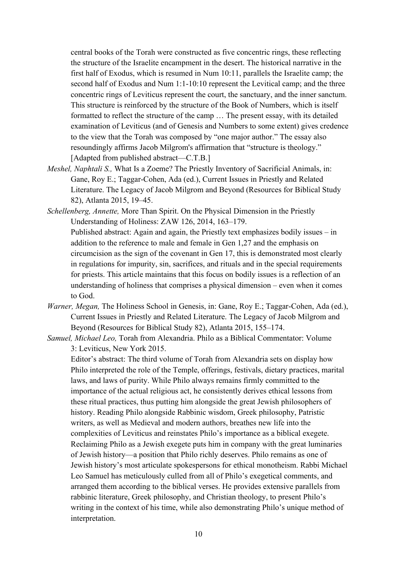central books of the Torah were constructed as five concentric rings, these reflecting the structure of the Israelite encampment in the desert. The historical narrative in the first half of Exodus, which is resumed in Num 10:11, parallels the Israelite camp; the second half of Exodus and Num 1:1-10:10 represent the Levitical camp; and the three concentric rings of Leviticus represent the court, the sanctuary, and the inner sanctum. This structure is reinforced by the structure of the Book of Numbers, which is itself formatted to reflect the structure of the camp … The present essay, with its detailed examination of Leviticus (and of Genesis and Numbers to some extent) gives credence to the view that the Torah was composed by "one major author." The essay also resoundingly affirms Jacob Milgrom's affirmation that "structure is theology." [Adapted from published abstract—C.T.B.]

- *Meshel, Naphtali S.,* What Is a Zoeme? The Priestly Inventory of Sacrificial Animals, in: Gane, Roy E.; Taggar-Cohen, Ada (ed.), Current Issues in Priestly and Related Literature. The Legacy of Jacob Milgrom and Beyond (Resources for Biblical Study 82), Atlanta 2015, 19–45.
- *Schellenberg, Annette,* More Than Spirit. On the Physical Dimension in the Priestly Understanding of Holiness: ZAW 126, 2014, 163–179. Published abstract: Again and again, the Priestly text emphasizes bodily issues – in addition to the reference to male and female in Gen 1,27 and the emphasis on circumcision as the sign of the covenant in Gen 17, this is demonstrated most clearly in regulations for impurity, sin, sacrifices, and rituals and in the special requirements

for priests. This article maintains that this focus on bodily issues is a reflection of an understanding of holiness that comprises a physical dimension – even when it comes to God.

*Warner, Megan,* The Holiness School in Genesis, in: Gane, Roy E.; Taggar-Cohen, Ada (ed.), Current Issues in Priestly and Related Literature. The Legacy of Jacob Milgrom and Beyond (Resources for Biblical Study 82), Atlanta 2015, 155–174.

*Samuel, Michael Leo,* Torah from Alexandria. Philo as a Biblical Commentator: Volume 3: Leviticus, New York 2015.

Editor's abstract: The third volume of Torah from Alexandria sets on display how Philo interpreted the role of the Temple, offerings, festivals, dietary practices, marital laws, and laws of purity. While Philo always remains firmly committed to the importance of the actual religious act, he consistently derives ethical lessons from these ritual practices, thus putting him alongside the great Jewish philosophers of history. Reading Philo alongside Rabbinic wisdom, Greek philosophy, Patristic writers, as well as Medieval and modern authors, breathes new life into the complexities of Leviticus and reinstates Philo's importance as a biblical exegete. Reclaiming Philo as a Jewish exegete puts him in company with the great luminaries of Jewish history—a position that Philo richly deserves. Philo remains as one of Jewish history's most articulate spokespersons for ethical monotheism. Rabbi Michael Leo Samuel has meticulously culled from all of Philo's exegetical comments, and arranged them according to the biblical verses. He provides extensive parallels from rabbinic literature, Greek philosophy, and Christian theology, to present Philo's writing in the context of his time, while also demonstrating Philo's unique method of interpretation.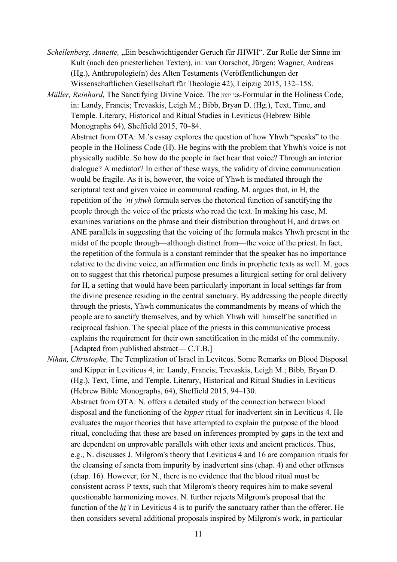- *Schellenberg, Annette, "Ein beschwichtigender Geruch für JHWH". Zur Rolle der Sinne im* Kult (nach den priesterlichen Texten), in: van Oorschot, Jürgen; Wagner, Andreas (Hg.), Anthropologie(n) des Alten Testaments (Veröffentlichungen der Wissenschaftlichen Gesellschaft für Theologie 42), Leipzig 2015, 132–158.
- *Müller, Reinhard,* The Sanctifying Divine Voice. The יהוה אני-Formular in the Holiness Code, in: Landy, Francis; Trevaskis, Leigh M.; Bibb, Bryan D. (Hg.), Text, Time, and Temple. Literary, Historical and Ritual Studies in Leviticus (Hebrew Bible Monographs 64), Sheffield 2015, 70–84.

Abstract from OTA: M.'s essay explores the question of how Yhwh "speaks" to the people in the Holiness Code (H). He begins with the problem that Yhwh's voice is not physically audible. So how do the people in fact hear that voice? Through an interior dialogue? A mediator? In either of these ways, the validity of divine communication would be fragile. As it is, however, the voice of Yhwh is mediated through the scriptural text and given voice in communal reading. M. argues that, in H, the repetition of the *ʾni yhwh* formula serves the rhetorical function of sanctifying the people through the voice of the priests who read the text. In making his case, M. examines variations on the phrase and their distribution throughout H, and draws on ANE parallels in suggesting that the voicing of the formula makes Yhwh present in the midst of the people through—although distinct from—the voice of the priest. In fact, the repetition of the formula is a constant reminder that the speaker has no importance relative to the divine voice, an affirmation one finds in prophetic texts as well. M. goes on to suggest that this rhetorical purpose presumes a liturgical setting for oral delivery for H, a setting that would have been particularly important in local settings far from the divine presence residing in the central sanctuary. By addressing the people directly through the priests, Yhwh communicates the commandments by means of which the people are to sanctify themselves, and by which Yhwh will himself be sanctified in reciprocal fashion. The special place of the priests in this communicative process explains the requirement for their own sanctification in the midst of the community. [Adapted from published abstract— C.T.B.]

*Nihan, Christophe,* The Templization of Israel in Levitcus. Some Remarks on Blood Disposal and Kipper in Leviticus 4, in: Landy, Francis; Trevaskis, Leigh M.; Bibb, Bryan D. (Hg.), Text, Time, and Temple. Literary, Historical and Ritual Studies in Leviticus (Hebrew Bible Monographs, 64), Sheffield 2015, 94–130. Abstract from OTA: N. offers a detailed study of the connection between blood disposal and the functioning of the *kipper* ritual for inadvertent sin in Leviticus 4. He evaluates the major theories that have attempted to explain the purpose of the blood ritual, concluding that these are based on inferences prompted by gaps in the text and are dependent on unprovable parallels with other texts and ancient practices. Thus, e.g., N. discusses J. Milgrom's theory that Leviticus 4 and 16 are companion rituals for the cleansing of sancta from impurity by inadvertent sins (chap. 4) and other offenses (chap. 16). However, for N., there is no evidence that the blood ritual must be consistent across P texts, such that Milgrom's theory requires him to make several questionable harmonizing moves. N. further rejects Milgrom's proposal that the function of the *ht*'*t* in Leviticus 4 is to purify the sanctuary rather than the offerer. He then considers several additional proposals inspired by Milgrom's work, in particular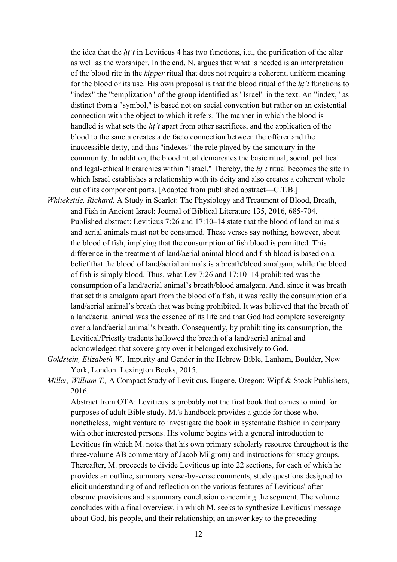the idea that the *ḥṭʾt* in Leviticus 4 has two functions, i.e., the purification of the altar as well as the worshiper. In the end, N. argues that what is needed is an interpretation of the blood rite in the *kipper* ritual that does not require a coherent, uniform meaning for the blood or its use. His own proposal is that the blood ritual of the *ḥṭʾt* functions to "index" the "templization" of the group identified as "Israel" in the text. An "index," as distinct from a "symbol," is based not on social convention but rather on an existential connection with the object to which it refers. The manner in which the blood is handled is what sets the *ḥṭʾt* apart from other sacrifices, and the application of the blood to the sancta creates a de facto connection between the offerer and the inaccessible deity, and thus "indexes" the role played by the sanctuary in the community. In addition, the blood ritual demarcates the basic ritual, social, political and legal-ethical hierarchies within "Israel." Thereby, the *ḥṭʾt* ritual becomes the site in which Israel establishes a relationship with its deity and also creates a coherent whole out of its component parts. [Adapted from published abstract—C.T.B.]

- *Whitekettle, Richard,* A Study in Scarlet: The Physiology and Treatment of Blood, Breath, and Fish in Ancient Israel: Journal of Biblical Literature 135, 2016, 685-704. Published abstract: Leviticus 7:26 and 17:10–14 state that the blood of land animals and aerial animals must not be consumed. These verses say nothing, however, about the blood of fish, implying that the consumption of fish blood is permitted. This difference in the treatment of land/aerial animal blood and fish blood is based on a belief that the blood of land/aerial animals is a breath/blood amalgam, while the blood of fish is simply blood. Thus, what Lev 7:26 and 17:10–14 prohibited was the consumption of a land/aerial animal's breath/blood amalgam. And, since it was breath that set this amalgam apart from the blood of a fish, it was really the consumption of a land/aerial animal's breath that was being prohibited. It was believed that the breath of a land/aerial animal was the essence of its life and that God had complete sovereignty over a land/aerial animal's breath. Consequently, by prohibiting its consumption, the Levitical/Priestly tradents hallowed the breath of a land/aerial animal and acknowledged that sovereignty over it belonged exclusively to God.
- *Goldstein, Elizabeth W.,* Impurity and Gender in the Hebrew Bible, Lanham, Boulder, New York, London: Lexington Books, 2015.
- *Miller, William T.,* A Compact Study of Leviticus, Eugene, Oregon: Wipf & Stock Publishers, 2016.

Abstract from OTA: Leviticus is probably not the first book that comes to mind for purposes of adult Bible study. M.'s handbook provides a guide for those who, nonetheless, might venture to investigate the book in systematic fashion in company with other interested persons. His volume begins with a general introduction to Leviticus (in which M. notes that his own primary scholarly resource throughout is the three-volume AB commentary of Jacob Milgrom) and instructions for study groups. Thereafter, M. proceeds to divide Leviticus up into 22 sections, for each of which he provides an outline, summary verse-by-verse comments, study questions designed to elicit understanding of and reflection on the various features of Leviticus' often obscure provisions and a summary conclusion concerning the segment. The volume concludes with a final overview, in which M. seeks to synthesize Leviticus' message about God, his people, and their relationship; an answer key to the preceding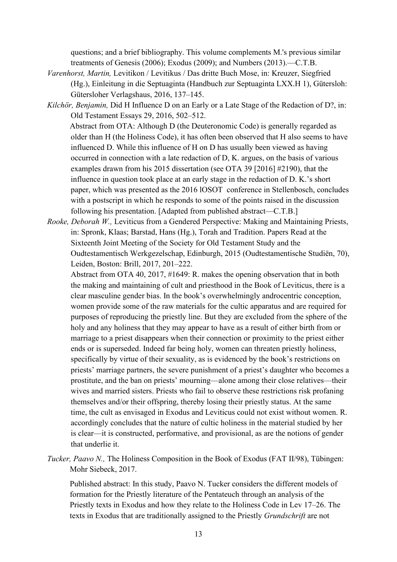questions; and a brief bibliography. This volume complements M.'s previous similar treatments of Genesis (2006); Exodus (2009); and Numbers (2013).—C.T.B.

- *Varenhorst, Martin,* Levitikon / Levitikus / Das dritte Buch Mose, in: Kreuzer, Siegfried (Hg.), Einleitung in die Septuaginta (Handbuch zur Septuaginta LXX.H 1), Gütersloh: Gütersloher Verlagshaus, 2016, 137–145.
- *Kilchör, Benjamin,* Did H Influence D on an Early or a Late Stage of the Redaction of D?, in: Old Testament Essays 29, 2016, 502–512.

Abstract from OTA: Although D (the Deuteronomic Code) is generally regarded as older than H (the Holiness Code), it has often been observed that H also seems to have influenced D. While this influence of H on D has usually been viewed as having occurred in connection with a late redaction of D, K. argues, on the basis of various examples drawn from his 2015 dissertation (see OTA 39 [2016] #2190), that the influence in question took place at an early stage in the redaction of D. K.'s short paper, which was presented as the 2016 lOSOT conference in Stellenbosch, concludes with a postscript in which he responds to some of the points raised in the discussion following his presentation. [Adapted from published abstract—C.T.B.]

*Rooke, Deborah W.,* Leviticus from a Gendered Perspective: Making and Maintaining Priests, in: Spronk, Klaas; Barstad, Hans (Hg.), Torah and Tradition. Papers Read at the Sixteenth Joint Meeting of the Society for Old Testament Study and the Oudtestamentisch Werkgezelschap, Edinburgh, 2015 (Oudtestamentische Studiën, 70), Leiden, Boston: Brill, 2017, 201–222.

Abstract from OTA 40, 2017, #1649: R. makes the opening observation that in both the making and maintaining of cult and priesthood in the Book of Leviticus, there is a clear masculine gender bias. In the book's overwhelmingly androcentric conception, women provide some of the raw materials for the cultic apparatus and are required for purposes of reproducing the priestly line. But they are excluded from the sphere of the holy and any holiness that they may appear to have as a result of either birth from or marriage to a priest disappears when their connection or proximity to the priest either ends or is superseded. Indeed far being holy, women can threaten priestly holiness, specifically by virtue of their sexuality, as is evidenced by the book's restrictions on priests' marriage partners, the severe punishment of a priest's daughter who becomes a prostitute, and the ban on priests' mourning—alone among their close relatives—their wives and married sisters. Priests who fail to observe these restrictions risk profaning themselves and/or their offspring, thereby losing their priestly status. At the same time, the cult as envisaged in Exodus and Leviticus could not exist without women. R. accordingly concludes that the nature of cultic holiness in the material studied by her is clear—it is constructed, performative, and provisional, as are the notions of gender that underlie it.

*Tucker, Paavo N.,* The Holiness Composition in the Book of Exodus (FAT II/98), Tübingen: Mohr Siebeck, 2017.

Published abstract: In this study, Paavo N. Tucker considers the different models of formation for the Priestly literature of the Pentateuch through an analysis of the Priestly texts in Exodus and how they relate to the Holiness Code in Lev 17–26. The texts in Exodus that are traditionally assigned to the Priestly *Grundschrift* are not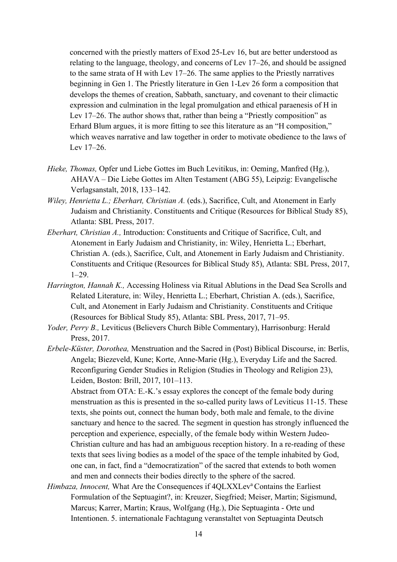concerned with the priestly matters of Exod 25-Lev 16, but are better understood as relating to the language, theology, and concerns of Lev 17–26, and should be assigned to the same strata of H with Lev 17–26. The same applies to the Priestly narratives beginning in Gen 1. The Priestly literature in Gen 1-Lev 26 form a composition that develops the themes of creation, Sabbath, sanctuary, and covenant to their climactic expression and culmination in the legal promulgation and ethical paraenesis of H in Lev 17–26. The author shows that, rather than being a "Priestly composition" as Erhard Blum argues, it is more fitting to see this literature as an "H composition," which weaves narrative and law together in order to motivate obedience to the laws of Lev 17–26.

- *Hieke, Thomas,* Opfer und Liebe Gottes im Buch Levitikus, in: Oeming, Manfred (Hg.), AHAVA – Die Liebe Gottes im Alten Testament (ABG 55), Leipzig: Evangelische Verlagsanstalt, 2018, 133–142.
- *Wiley, Henrietta L.; Eberhart, Christian A.* (eds.), Sacrifice, Cult, and Atonement in Early Judaism and Christianity. Constituents and Critique (Resources for Biblical Study 85), Atlanta: SBL Press, 2017.
- *Eberhart, Christian A.,* Introduction: Constituents and Critique of Sacrifice, Cult, and Atonement in Early Judaism and Christianity, in: Wiley, Henrietta L.; Eberhart, Christian A. (eds.), Sacrifice, Cult, and Atonement in Early Judaism and Christianity. Constituents and Critique (Resources for Biblical Study 85), Atlanta: SBL Press, 2017, 1–29.
- *Harrington, Hannah K., Accessing Holiness via Ritual Ablutions in the Dead Sea Scrolls and* Related Literature, in: Wiley, Henrietta L.; Eberhart, Christian A. (eds.), Sacrifice, Cult, and Atonement in Early Judaism and Christianity. Constituents and Critique (Resources for Biblical Study 85), Atlanta: SBL Press, 2017, 71–95.
- *Yoder, Perry B.,* Leviticus (Believers Church Bible Commentary), Harrisonburg: Herald Press, 2017.
- *Erbele-Küster, Dorothea,* Menstruation and the Sacred in (Post) Biblical Discourse, in: Berlis, Angela; Biezeveld, Kune; Korte, Anne-Marie (Hg.), Everyday Life and the Sacred. Reconfiguring Gender Studies in Religion (Studies in Theology and Religion 23), Leiden, Boston: Brill, 2017, 101–113.

Abstract from OTA: E.-K.'s essay explores the concept of the female body during menstruation as this is presented in the so-called purity laws of Leviticus 11-15. These texts, she points out, connect the human body, both male and female, to the divine sanctuary and hence to the sacred. The segment in question has strongly influenced the perception and experience, especially, of the female body within Western Judeo-Christian culture and has had an ambiguous reception history. In a re-reading of these texts that sees living bodies as a model of the space of the temple inhabited by God, one can, in fact, find a "democratization" of the sacred that extends to both women and men and connects their bodies directly to the sphere of the sacred.

*Himbaza, Innocent,* What Are the Consequences if 4QLXXLev<sup>a</sup> Contains the Earliest Formulation of the Septuagint?, in: Kreuzer, Siegfried; Meiser, Martin; Sigismund, Marcus; Karrer, Martin; Kraus, Wolfgang (Hg.), Die Septuaginta - Orte und Intentionen. 5. internationale Fachtagung veranstaltet von Septuaginta Deutsch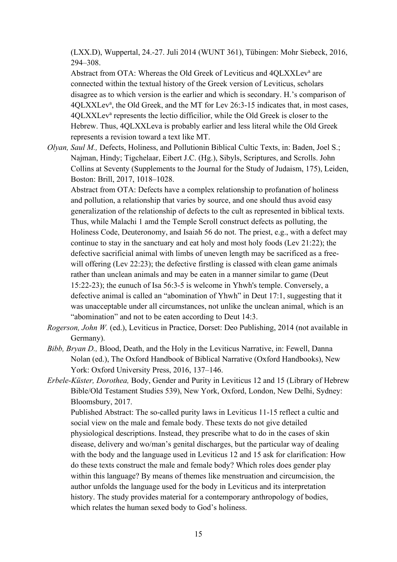(LXX.D), Wuppertal, 24.-27. Juli 2014 (WUNT 361), Tübingen: Mohr Siebeck, 2016, 294–308.

Abstract from OTA: Whereas the Old Greek of Leviticus and 4QLXXLev<sup>a</sup> are connected within the textual history of the Greek version of Leviticus, scholars disagree as to which version is the earlier and which is secondary. H.'s comparison of 4QLXXLev<sup>a</sup>, the Old Greek, and the MT for Lev 26:3-15 indicates that, in most cases, 4QLXXLev<sup>a</sup> represents the lectio difficilior, while the Old Greek is closer to the Hebrew. Thus, 4QLXXLeva is probably earlier and less literal while the Old Greek represents a revision toward a text like MT.

*Olyan, Saul M.,* Defects, Holiness, and Pollutionin Biblical Cultic Texts, in: Baden, Joel S.; Najman, Hindy; Tigchelaar, Eibert J.C. (Hg.), Sibyls, Scriptures, and Scrolls. John Collins at Seventy (Supplements to the Journal for the Study of Judaism, 175), Leiden, Boston: Brill, 2017, 1018–1028.

Abstract from OTA: Defects have a complex relationship to profanation of holiness and pollution, a relationship that varies by source, and one should thus avoid easy generalization of the relationship of defects to the cult as represented in biblical texts. Thus, while Malachi 1 amd the Temple Scroll construct defects as polluting, the Holiness Code, Deuteronomy, and Isaiah 56 do not. The priest, e.g., with a defect may continue to stay in the sanctuary and eat holy and most holy foods (Lev 21:22); the defective sacrificial animal with limbs of uneven length may be sacrificed as a freewill offering (Lev 22:23); the defective firstling is classed with clean game animals rather than unclean animals and may be eaten in a manner similar to game (Deut 15:22-23); the eunuch of Isa 56:3-5 is welcome in Yhwh's temple. Conversely, a defective animal is called an "abomination of Yhwh" in Deut 17:1, suggesting that it was unacceptable under all circumstances, not unlike the unclean animal, which is an "abomination" and not to be eaten according to Deut 14:3.

- *Rogerson, John W.* (ed.), Leviticus in Practice, Dorset: Deo Publishing, 2014 (not available in Germany).
- *Bibb, Bryan D.,* Blood, Death, and the Holy in the Leviticus Narrative, in: Fewell, Danna Nolan (ed.), The Oxford Handbook of Biblical Narrative (Oxford Handbooks), New York: Oxford University Press, 2016, 137–146.
- *Erbele-Küster, Dorothea,* Body, Gender and Purity in Leviticus 12 and 15 (Library of Hebrew Bible/Old Testament Studies 539), New York, Oxford, London, New Delhi, Sydney: Bloomsbury, 2017.

Published Abstract: The so-called purity laws in Leviticus 11-15 reflect a cultic and social view on the male and female body. These texts do not give detailed physiological descriptions. Instead, they prescribe what to do in the cases of skin disease, delivery and wo/man's genital discharges, but the particular way of dealing with the body and the language used in Leviticus 12 and 15 ask for clarification: How do these texts construct the male and female body? Which roles does gender play within this language? By means of themes like menstruation and circumcision, the author unfolds the language used for the body in Leviticus and its interpretation history. The study provides material for a contemporary anthropology of bodies, which relates the human sexed body to God's holiness.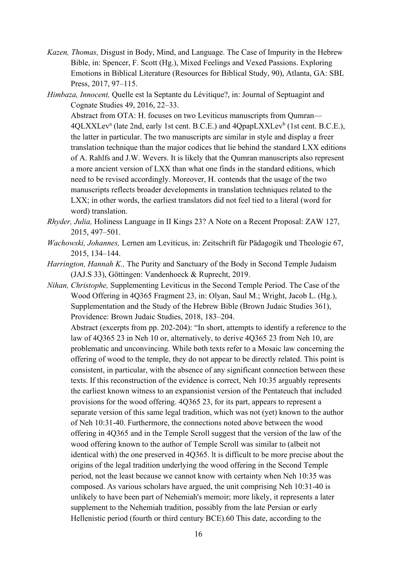- *Kazen, Thomas,* Disgust in Body, Mind, and Language. The Case of Impurity in the Hebrew Bible, in: Spencer, F. Scott (Hg.), Mixed Feelings and Vexed Passions. Exploring Emotions in Biblical Literature (Resources for Biblical Study, 90), Atlanta, GA: SBL Press, 2017, 97–115.
- *Himbaza, Innocent,* Quelle est la Septante du Lévitique?, in: Journal of Septuagint and Cognate Studies 49, 2016, 22–33.

Abstract from OTA: H. focuses on two Leviticus manuscripts from Qumran—  $4QLXXLev^a$  (late 2nd, early 1st cent. B.C.E.) and  $4QpapLXXLev^b$  (1st cent. B.C.E.), the latter in particular. The two manuscripts are similar in style and display a freer translation technique than the major codices that lie behind the standard LXX editions of A. Rahlfs and J.W. Wevers. It is likely that the Qumran manuscripts also represent a more ancient version of LXX than what one finds in the standard editions, which need to be revised accordingly. Moreover, H. contends that the usage of the two manuscripts reflects broader developments in translation techniques related to the LXX; in other words, the earliest translators did not feel tied to a literal (word for word) translation.

- *Rhyder, Julia,* Holiness Language in II Kings 23? A Note on a Recent Proposal: ZAW 127, 2015, 497–501.
- *Wachowski, Johannes,* Lernen am Leviticus, in: Zeitschrift für Pädagogik und Theologie 67, 2015, 134–144.
- *Harrington, Hannah K.,* The Purity and Sanctuary of the Body in Second Temple Judaism (JAJ.S 33), Göttingen: Vandenhoeck & Ruprecht, 2019.
- *Nihan, Christophe,* Supplementing Leviticus in the Second Temple Period. The Case of the Wood Offering in 4Q365 Fragment 23, in: Olyan, Saul M.; Wright, Jacob L. (Hg.), Supplementation and the Study of the Hebrew Bible (Brown Judaic Studies 361), Providence: Brown Judaic Studies, 2018, 183–204.

Abstract (excerpts from pp. 202-204): "In short, attempts to identify a reference to the law of 4Q365 23 in Neh 10 or, alternatively, to derive 4Q365 23 from Neh 10, are problematic and unconvincing. While both texts refer to a Mosaic law concerning the offering of wood to the temple, they do not appear to be directly related. This point is consistent, in particular, with the absence of any significant connection between these texts. If this reconstruction of the evidence is correct, Neh 10:35 arguably represents the earliest known witness to an expansionist version of the Pentateuch that included provisions for the wood offering. 4Q365 23, for its part, appears to represent a separate version of this same legal tradition, which was not (yet) known to the author of Neh 10:31-40. Furthermore, the connections noted above between the wood offering in 4Q365 and in the Temple Scroll suggest that the version of the law of the wood offering known to the author of Temple Scroll was similar to (albeit not identical with) the one preserved in 4Q365. lt is difficult to be more precise about the origins of the legal tradition underlying the wood offering in the Second Temple period, not the least because we cannot know with certainty when Neh 10:35 was composed. As various scholars have argued, the unit comprising Neh 10:31-40 is unlikely to have been part of Nehemiah's memoir; more likely, it represents a later supplement to the Nehemiah tradition, possibly from the late Persian or early Hellenistic period (fourth or third century BCE).60 This date, according to the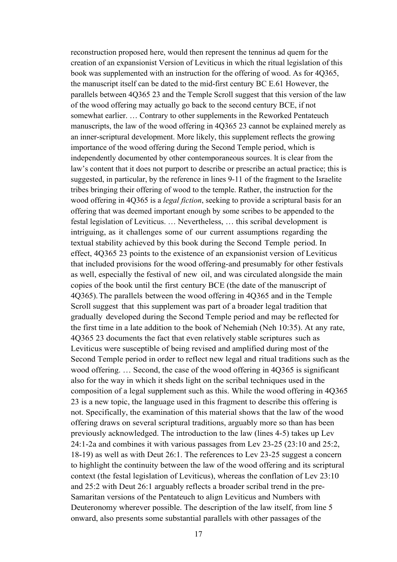reconstruction proposed here, would then represent the tenninus ad quem for the creation of an expansionist Version of Leviticus in which the ritual legislation of this book was supplemented with an instruction for the offering of wood. As for 4Q365, the manuscript itself can be dated to the mid-first century BC E.61 However, the parallels between 4Q365 23 and the Temple Scroll suggest that this version of the law of the wood offering may actually go back to the second century BCE, if not somewhat earlier. … Contrary to other supplements in the Reworked Pentateuch manuscripts, the law of the wood offering in 4Q365 23 cannot be explained merely as an inner-scriptural development. More likely, this supplement reflects the growing importance of the wood offering during the Second Temple period, which is independently documented by other contemporaneous sources. lt is clear from the law's content that it does not purport to describe or prescribe an actual practice; this is suggested, in particular, by the reference in lines 9-11 of the fragment to the Israelite tribes bringing their offering of wood to the temple. Rather, the instruction for the wood offering in 4Q365 is a *legal fiction*, seeking to provide a scriptural basis for an offering that was deemed important enough by some scribes to be appended to the festal legislation of Leviticus. … Nevertheless, … this scribal development is intriguing, as it challenges some of our current assumptions regarding the textual stability achieved by this book during the Second Temple period. In effect, 4Q365 23 points to the existence of an expansionist version of Leviticus that included provisions for the wood offering-and presumably for other festivals as well, especially the festival of new oil, and was circulated alongside the main copies of the book until the first century BCE (the date of the manuscript of 4Q365).The parallels between the wood offering in 4Q365 and in the Temple Scroll suggest that this supplement was part of a broader legal tradition that gradually developed during the Second Temple period and may be reflected for the first time in a late addition to the book of Nehemiah (Neh 10:35). At any rate, 4Q365 23 documents the fact that even relatively stable scriptures such as Leviticus were susceptible of being revised and amplified during most of the Second Temple period in order to reflect new legal and ritual traditions such as the wood offering. … Second, the case of the wood offering in 4Q365 is significant also for the way in which it sheds light on the scribal techniques used in the composition of a legal supplement such as this. While the wood offering in 4Q365 23 is a new topic, the language used in this fragment to describe this offering is not. Specifically, the examination of this material shows that the law of the wood offering draws on several scriptural traditions, arguably more so than has been previously acknowledged. The introduction to the law (lines 4-5) takes up Lev 24:1-2a and combines it with various passages from Lev 23-25 (23:10 and 25:2, 18-19) as well as with Deut 26:1. The references to Lev 23-25 suggest a concern to highlight the continuity between the law of the wood offering and its scriptural context (the festal legislation of Leviticus), whereas the conflation of Lev 23:10 and 25:2 with Deut 26:1 arguably reflects a broader scribal trend in the pre-Samaritan versions of the Pentateuch to align Leviticus and Numbers with Deuteronomy wherever possible. The description of the law itself, from line 5 onward, also presents some substantial parallels with other passages of the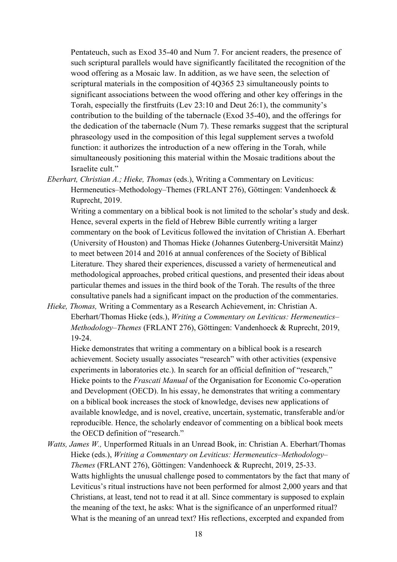Pentateuch, such as Exod 35-40 and Num 7. For ancient readers, the presence of such scriptural parallels would have significantly facilitated the recognition of the wood offering as a Mosaic law. In addition, as we have seen, the selection of scriptural materials in the composition of 4Q365 23 simultaneously points to significant associations between the wood offering and other key offerings in the Torah, especially the firstfruits (Lev 23:10 and Deut 26:1), the community's contribution to the building of the tabernacle (Exod 35-40), and the offerings for the dedication of the tabernacle (Num 7). These remarks suggest that the scriptural phraseology used in the composition of this legal supplement serves a twofold function: it authorizes the introduction of a new offering in the Torah, while simultaneously positioning this material within the Mosaic traditions about the Israelite cult."

*Eberhart, Christian A.; Hieke, Thomas* (eds.), Writing a Commentary on Leviticus: Hermeneutics–Methodology–Themes (FRLANT 276), Göttingen: Vandenhoeck & Ruprecht, 2019.

Writing a commentary on a biblical book is not limited to the scholar's study and desk. Hence, several experts in the field of Hebrew Bible currently writing a larger commentary on the book of Leviticus followed the invitation of Christian A. Eberhart (University of Houston) and Thomas Hieke (Johannes Gutenberg-Universität Mainz) to meet between 2014 and 2016 at annual conferences of the Society of Biblical Literature. They shared their experiences, discussed a variety of hermeneutical and methodological approaches, probed critical questions, and presented their ideas about particular themes and issues in the third book of the Torah. The results of the three consultative panels had a significant impact on the production of the commentaries.

*Hieke, Thomas,* Writing a Commentary as a Research Achievement, in: Christian A. Eberhart/Thomas Hieke (eds.), *Writing a Commentary on Leviticus: Hermeneutics– Methodology–Themes* (FRLANT 276), Göttingen: Vandenhoeck & Ruprecht, 2019, 19-24.

Hieke demonstrates that writing a commentary on a biblical book is a research achievement. Society usually associates "research" with other activities (expensive experiments in laboratories etc.). In search for an official definition of "research," Hieke points to the *Frascati Manual* of the Organisation for Economic Co-operation and Development (OECD). In his essay, he demonstrates that writing a commentary on a biblical book increases the stock of knowledge, devises new applications of available knowledge, and is novel, creative, uncertain, systematic, transferable and/or reproducible. Hence, the scholarly endeavor of commenting on a biblical book meets the OECD definition of "research."

*Watts, James W.,* Unperformed Rituals in an Unread Book, in: Christian A. Eberhart/Thomas Hieke (eds.), *Writing a Commentary on Leviticus: Hermeneutics–Methodology– Themes* (FRLANT 276), Göttingen: Vandenhoeck & Ruprecht, 2019, 25-33. Watts highlights the unusual challenge posed to commentators by the fact that many of Leviticus's ritual instructions have not been performed for almost 2,000 years and that Christians, at least, tend not to read it at all. Since commentary is supposed to explain the meaning of the text, he asks: What is the significance of an unperformed ritual? What is the meaning of an unread text? His reflections, excerpted and expanded from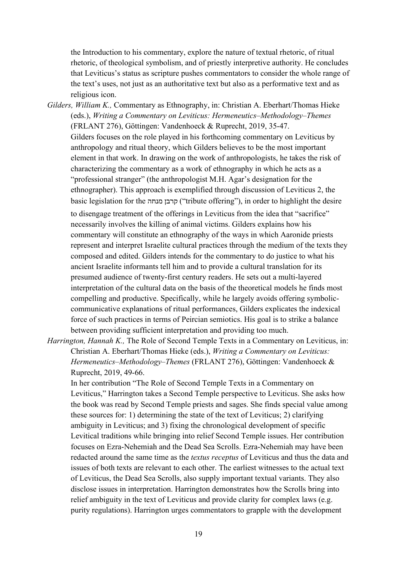the Introduction to his commentary, explore the nature of textual rhetoric, of ritual rhetoric, of theological symbolism, and of priestly interpretive authority. He concludes that Leviticus's status as scripture pushes commentators to consider the whole range of the text's uses, not just as an authoritative text but also as a performative text and as religious icon.

*Gilders, William K.,* Commentary as Ethnography, in: Christian A. Eberhart/Thomas Hieke (eds.), *Writing a Commentary on Leviticus: Hermeneutics–Methodology–Themes*  (FRLANT 276), Göttingen: Vandenhoeck & Ruprecht, 2019, 35-47. Gilders focuses on the role played in his forthcoming commentary on Leviticus by anthropology and ritual theory, which Gilders believes to be the most important element in that work. In drawing on the work of anthropologists, he takes the risk of characterizing the commentary as a work of ethnography in which he acts as a "professional stranger" (the anthropologist M.H. Agar's designation for the ethnographer). This approach is exemplified through discussion of Leviticus 2, the basic legislation for the מנחה קרבן") tribute offering"), in order to highlight the desire to disengage treatment of the offerings in Leviticus from the idea that "sacrifice" necessarily involves the killing of animal victims. Gilders explains how his commentary will constitute an ethnography of the ways in which Aaronide priests represent and interpret Israelite cultural practices through the medium of the texts they composed and edited. Gilders intends for the commentary to do justice to what his ancient Israelite informants tell him and to provide a cultural translation for its presumed audience of twenty-first century readers. He sets out a multi-layered interpretation of the cultural data on the basis of the theoretical models he finds most compelling and productive. Specifically, while he largely avoids offering symboliccommunicative explanations of ritual performances, Gilders explicates the indexical force of such practices in terms of Peircian semiotics. His goal is to strike a balance between providing sufficient interpretation and providing too much.

*Harrington, Hannah K.,* The Role of Second Temple Texts in a Commentary on Leviticus, in: Christian A. Eberhart/Thomas Hieke (eds.), *Writing a Commentary on Leviticus: Hermeneutics–Methodology–Themes* (FRLANT 276), Göttingen: Vandenhoeck & Ruprecht, 2019, 49-66.

In her contribution "The Role of Second Temple Texts in a Commentary on Leviticus," Harrington takes a Second Temple perspective to Leviticus. She asks how the book was read by Second Temple priests and sages. She finds special value among these sources for: 1) determining the state of the text of Leviticus; 2) clarifying ambiguity in Leviticus; and 3) fixing the chronological development of specific Levitical traditions while bringing into relief Second Temple issues. Her contribution focuses on Ezra-Nehemiah and the Dead Sea Scrolls. Ezra-Nehemiah may have been redacted around the same time as the *textus receptus* of Leviticus and thus the data and issues of both texts are relevant to each other. The earliest witnesses to the actual text of Leviticus, the Dead Sea Scrolls, also supply important textual variants. They also disclose issues in interpretation. Harrington demonstrates how the Scrolls bring into relief ambiguity in the text of Leviticus and provide clarity for complex laws (e.g. purity regulations). Harrington urges commentators to grapple with the development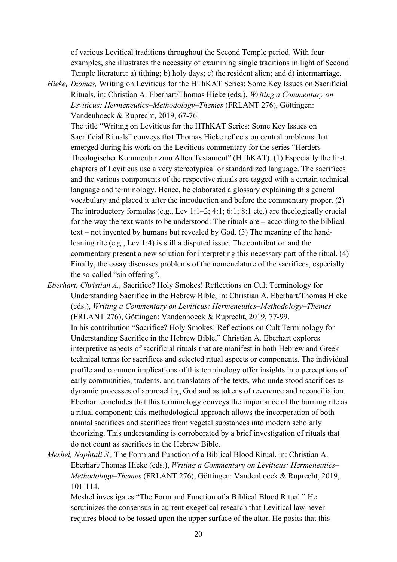of various Levitical traditions throughout the Second Temple period. With four examples, she illustrates the necessity of examining single traditions in light of Second Temple literature: a) tithing; b) holy days; c) the resident alien; and d) intermarriage.

*Hieke, Thomas,* Writing on Leviticus for the HThKAT Series: Some Key Issues on Sacrificial Rituals, in: Christian A. Eberhart/Thomas Hieke (eds.), *Writing a Commentary on Leviticus: Hermeneutics–Methodology–Themes* (FRLANT 276), Göttingen: Vandenhoeck & Ruprecht, 2019, 67-76.

The title "Writing on Leviticus for the HThKAT Series: Some Key Issues on Sacrificial Rituals" conveys that Thomas Hieke reflects on central problems that emerged during his work on the Leviticus commentary for the series "Herders Theologischer Kommentar zum Alten Testament" (HThKAT). (1) Especially the first chapters of Leviticus use a very stereotypical or standardized language. The sacrifices and the various components of the respective rituals are tagged with a certain technical language and terminology. Hence, he elaborated a glossary explaining this general vocabulary and placed it after the introduction and before the commentary proper. (2) The introductory formulas (e.g., Lev 1:1–2; 4:1; 6:1; 8:1 etc.) are theologically crucial for the way the text wants to be understood: The rituals are – according to the biblical text – not invented by humans but revealed by God. (3) The meaning of the handleaning rite (e.g., Lev 1:4) is still a disputed issue. The contribution and the commentary present a new solution for interpreting this necessary part of the ritual. (4) Finally, the essay discusses problems of the nomenclature of the sacrifices, especially the so-called "sin offering".

- *Eberhart, Christian A.,* Sacrifice? Holy Smokes! Reflections on Cult Terminology for Understanding Sacrifice in the Hebrew Bible, in: Christian A. Eberhart/Thomas Hieke (eds.), *Writing a Commentary on Leviticus: Hermeneutics–Methodology–Themes*  (FRLANT 276), Göttingen: Vandenhoeck & Ruprecht, 2019, 77-99. In his contribution "Sacrifice? Holy Smokes! Reflections on Cult Terminology for Understanding Sacrifice in the Hebrew Bible," Christian A. Eberhart explores interpretive aspects of sacrificial rituals that are manifest in both Hebrew and Greek technical terms for sacrifices and selected ritual aspects or components. The individual profile and common implications of this terminology offer insights into perceptions of early communities, tradents, and translators of the texts, who understood sacrifices as dynamic processes of approaching God and as tokens of reverence and reconciliation. Eberhart concludes that this terminology conveys the importance of the burning rite as a ritual component; this methodological approach allows the incorporation of both animal sacrifices and sacrifices from vegetal substances into modern scholarly theorizing. This understanding is corroborated by a brief investigation of rituals that do not count as sacrifices in the Hebrew Bible.
- *Meshel, Naphtali S.,* The Form and Function of a Biblical Blood Ritual, in: Christian A. Eberhart/Thomas Hieke (eds.), *Writing a Commentary on Leviticus: Hermeneutics– Methodology–Themes* (FRLANT 276), Göttingen: Vandenhoeck & Ruprecht, 2019, 101-114.

Meshel investigates "The Form and Function of a Biblical Blood Ritual." He scrutinizes the consensus in current exegetical research that Levitical law never requires blood to be tossed upon the upper surface of the altar. He posits that this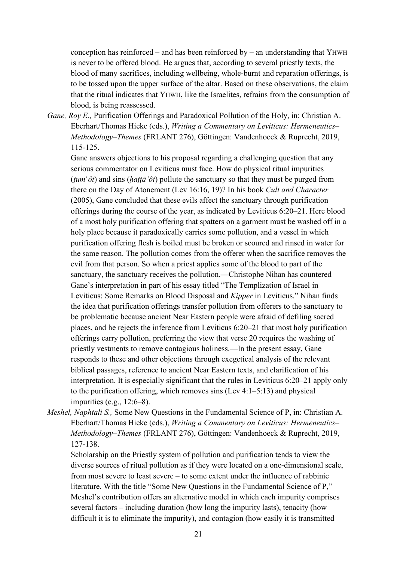conception has reinforced – and has been reinforced by – an understanding that YHWH is never to be offered blood. He argues that, according to several priestly texts, the blood of many sacrifices, including wellbeing, whole-burnt and reparation offerings, is to be tossed upon the upper surface of the altar. Based on these observations, the claim that the ritual indicates that YHWH, like the Israelites, refrains from the consumption of blood, is being reassessed.

*Gane, Roy E.,* Purification Offerings and Paradoxical Pollution of the Holy, in: Christian A. Eberhart/Thomas Hieke (eds.), *Writing a Commentary on Leviticus: Hermeneutics– Methodology–Themes* (FRLANT 276), Göttingen: Vandenhoeck & Ruprecht, 2019, 115-125.

Gane answers objections to his proposal regarding a challenging question that any serious commentator on Leviticus must face. How do physical ritual impurities (*ṭum*ʾ*ôt*) and sins (*ḥaṭṭāʾôt*) pollute the sanctuary so that they must be purged from there on the Day of Atonement (Lev 16:16, 19)? In his book *Cult and Character*  (2005), Gane concluded that these evils affect the sanctuary through purification offerings during the course of the year, as indicated by Leviticus 6:20–21. Here blood of a most holy purification offering that spatters on a garment must be washed off in a holy place because it paradoxically carries some pollution, and a vessel in which purification offering flesh is boiled must be broken or scoured and rinsed in water for the same reason. The pollution comes from the offerer when the sacrifice removes the evil from that person. So when a priest applies some of the blood to part of the sanctuary, the sanctuary receives the pollution.—Christophe Nihan has countered Gane's interpretation in part of his essay titled "The Templization of Israel in Leviticus: Some Remarks on Blood Disposal and *Kipper* in Leviticus." Nihan finds the idea that purification offerings transfer pollution from offerers to the sanctuary to be problematic because ancient Near Eastern people were afraid of defiling sacred places, and he rejects the inference from Leviticus 6:20–21 that most holy purification offerings carry pollution, preferring the view that verse 20 requires the washing of priestly vestments to remove contagious holiness.—In the present essay, Gane responds to these and other objections through exegetical analysis of the relevant biblical passages, reference to ancient Near Eastern texts, and clarification of his interpretation. It is especially significant that the rules in Leviticus 6:20–21 apply only to the purification offering, which removes sins (Lev 4:1–5:13) and physical impurities (e.g., 12:6–8).

*Meshel, Naphtali S.,* Some New Questions in the Fundamental Science of P, in: Christian A. Eberhart/Thomas Hieke (eds.), *Writing a Commentary on Leviticus: Hermeneutics– Methodology–Themes* (FRLANT 276), Göttingen: Vandenhoeck & Ruprecht, 2019, 127-138.

Scholarship on the Priestly system of pollution and purification tends to view the diverse sources of ritual pollution as if they were located on a one-dimensional scale, from most severe to least severe – to some extent under the influence of rabbinic literature. With the title "Some New Questions in the Fundamental Science of P," Meshel's contribution offers an alternative model in which each impurity comprises several factors – including duration (how long the impurity lasts), tenacity (how difficult it is to eliminate the impurity), and contagion (how easily it is transmitted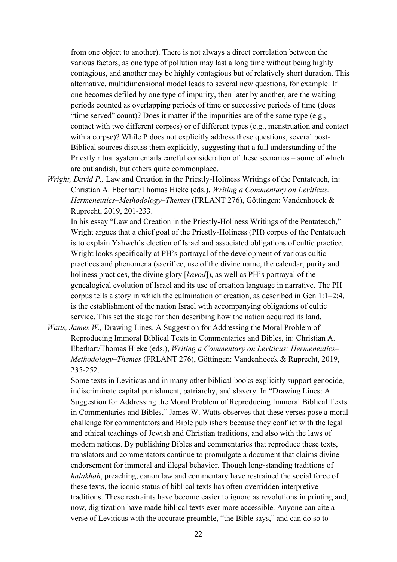from one object to another). There is not always a direct correlation between the various factors, as one type of pollution may last a long time without being highly contagious, and another may be highly contagious but of relatively short duration. This alternative, multidimensional model leads to several new questions, for example: If one becomes defiled by one type of impurity, then later by another, are the waiting periods counted as overlapping periods of time or successive periods of time (does "time served" count)? Does it matter if the impurities are of the same type (e.g., contact with two different corpses) or of different types (e.g., menstruation and contact with a corpse)? While P does not explicitly address these questions, several post-Biblical sources discuss them explicitly, suggesting that a full understanding of the Priestly ritual system entails careful consideration of these scenarios – some of which are outlandish, but others quite commonplace.

*Wright, David P., Law and Creation in the Priestly-Holiness Writings of the Pentateuch, in:* Christian A. Eberhart/Thomas Hieke (eds.), *Writing a Commentary on Leviticus: Hermeneutics–Methodology–Themes* (FRLANT 276), Göttingen: Vandenhoeck & Ruprecht, 2019, 201-233.

In his essay "Law and Creation in the Priestly-Holiness Writings of the Pentateuch," Wright argues that a chief goal of the Priestly-Holiness (PH) corpus of the Pentateuch is to explain Yahweh's election of Israel and associated obligations of cultic practice. Wright looks specifically at PH's portrayal of the development of various cultic practices and phenomena (sacrifice, use of the divine name, the calendar, purity and holiness practices, the divine glory [*kavod*]), as well as PH's portrayal of the genealogical evolution of Israel and its use of creation language in narrative. The PH corpus tells a story in which the culmination of creation, as described in Gen 1:1–2:4, is the establishment of the nation Israel with accompanying obligations of cultic service. This set the stage for then describing how the nation acquired its land.

*Watts, James W., Drawing Lines. A Suggestion for Addressing the Moral Problem of* Reproducing Immoral Biblical Texts in Commentaries and Bibles, in: Christian A. Eberhart/Thomas Hieke (eds.), *Writing a Commentary on Leviticus: Hermeneutics– Methodology–Themes* (FRLANT 276), Göttingen: Vandenhoeck & Ruprecht, 2019, 235-252.

Some texts in Leviticus and in many other biblical books explicitly support genocide, indiscriminate capital punishment, patriarchy, and slavery. In "Drawing Lines: A Suggestion for Addressing the Moral Problem of Reproducing Immoral Biblical Texts in Commentaries and Bibles," James W. Watts observes that these verses pose a moral challenge for commentators and Bible publishers because they conflict with the legal and ethical teachings of Jewish and Christian traditions, and also with the laws of modern nations. By publishing Bibles and commentaries that reproduce these texts, translators and commentators continue to promulgate a document that claims divine endorsement for immoral and illegal behavior. Though long-standing traditions of *halakhah*, preaching, canon law and commentary have restrained the social force of these texts, the iconic status of biblical texts has often overridden interpretive traditions. These restraints have become easier to ignore as revolutions in printing and, now, digitization have made biblical texts ever more accessible. Anyone can cite a verse of Leviticus with the accurate preamble, "the Bible says," and can do so to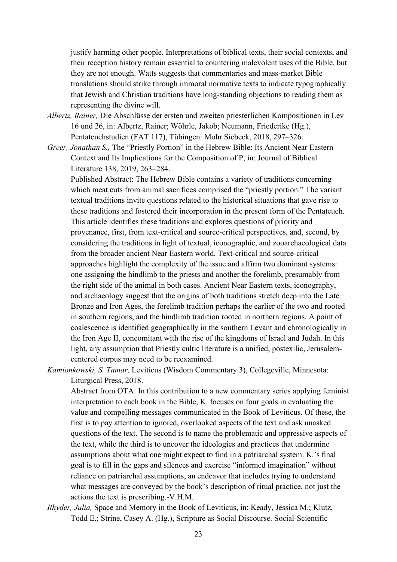justify harming other people. Interpretations of biblical texts, their social contexts, and their reception history remain essential to countering malevolent uses of the Bible, but they are not enough. Watts suggests that commentaries and mass-market Bible translations should strike through immoral normative texts to indicate typographically that Jewish and Christian traditions have long-standing objections to reading them as representing the divine will.

- *Albertz, Rainer,* Die Abschlüsse der ersten und zweiten priesterlichen Kompositionen in Lev 16 und 26, in: Albertz, Rainer; Wöhrle, Jakob; Neumann, Friederike (Hg.), Pentateuchstudien (FAT 117), Tübingen: Mohr Siebeck, 2018, 297–326.
- *Greer, Jonathan S.,* The "Priestly Portion" in the Hebrew Bible: Its Ancient Near Eastern Context and Its Implications for the Composition of P, in: Journal of Biblical Literature 138, 2019, 263–284.

Published Abstract: The Hebrew Bible contains a variety of traditions concerning which meat cuts from animal sacrifices comprised the "priestly portion." The variant textual traditions invite questions related to the historical situations that gave rise to these traditions and fostered their incorporation in the present form of the Pentateuch. This article identifies these traditions and explores questions of priority and provenance, first, from text-critical and source-critical perspectives, and, second, by considering the traditions in light of textual, iconographic, and zooarchaeological data from the broader ancient Near Eastern world. Text-critical and source-critical approaches highlight the complexity of the issue and affirm two dominant systems: one assigning the hindlimb to the priests and another the forelimb, presumably from the right side of the animal in both cases. Ancient Near Eastern texts, iconography, and archaeology suggest that the origins of both traditions stretch deep into the Late Bronze and Iron Ages, the forelimb tradition perhaps the earlier of the two and rooted in southern regions, and the hindlimb tradition rooted in northern regions. A point of coalescence is identified geographically in the southern Levant and chronologically in the Iron Age II, concomitant with the rise of the kingdoms of Israel and Judah. In this light, any assumption that Priestly cultic literature is a unified, postexilic, Jerusalemcentered corpus may need to be reexamined.

*Kamionkowski, S. Tamar,* Leviticus (Wisdom Commentary 3), Collegeville, Minnesota: Liturgical Press, 2018.

Abstract from OTA: In this contribution to a new commentary series applying feminist interpretation to each book in the Bible, K. focuses on four goals in evaluating the value and compelling messages communicated in the Book of Leviticus. Of these, the first is to pay attention to ignored, overlooked aspects of the text and ask unasked questions of the text. The second is to name the problematic and oppressive aspects of the text, while the third is to uncover the ideologies and practices that undermine assumptions about what one might expect to find in a patriarchal system. K.'s final goal is to fill in the gaps and silences and exercise "informed imagination" without reliance on patriarchal assumptions, an endeavor that includes trying to understand what messages are conveyed by the book's description of ritual practice, not just the actions the text is prescribing.-V.H.M.

*Rhyder, Julia,* Space and Memory in the Book of Leviticus, in: Keady, Jessica M.; Klutz, Todd E.; Strine, Casey A. (Hg.), Scripture as Social Discourse. Social-Scientific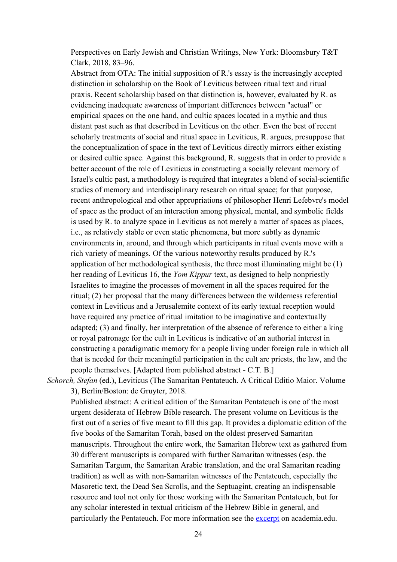Perspectives on Early Jewish and Christian Writings, New York: Bloomsbury T&T Clark, 2018, 83–96.

Abstract from OTA: The initial supposition of R.'s essay is the increasingly accepted distinction in scholarship on the Book of Leviticus between ritual text and ritual praxis. Recent scholarship based on that distinction is, however, evaluated by R. as evidencing inadequate awareness of important differences between "actual" or empirical spaces on the one hand, and cultic spaces located in a mythic and thus distant past such as that described in Leviticus on the other. Even the best of recent scholarly treatments of social and ritual space in Leviticus, R. argues, presuppose that the conceptualization of space in the text of Leviticus directly mirrors either existing or desired cultic space. Against this background, R. suggests that in order to provide a better account of the role of Leviticus in constructing a socially relevant memory of Israel's cultic past, a methodology is required that integrates a blend of social-scientific studies of memory and interdisciplinary research on ritual space; for that purpose, recent anthropological and other appropriations of philosopher Henri Lefebvre's model of space as the product of an interaction among physical, mental, and symbolic fields is used by R. to analyze space in Leviticus as not merely a matter of spaces as places, i.e., as relatively stable or even static phenomena, but more subtly as dynamic environments in, around, and through which participants in ritual events move with a rich variety of meanings. Of the various noteworthy results produced by R.'s application of her methodological synthesis, the three most illuminating might be (1) her reading of Leviticus 16, the *Yom Kippur* text, as designed to help nonpriestly Israelites to imagine the processes of movement in all the spaces required for the ritual; (2) her proposal that the many differences between the wilderness referential context in Leviticus and a Jerusalemite context of its early textual reception would have required any practice of ritual imitation to be imaginative and contextually adapted; (3) and finally, her interpretation of the absence of reference to either a king or royal patronage for the cult in Leviticus is indicative of an authorial interest in constructing a paradigmatic memory for a people living under foreign rule in which all that is needed for their meaningful participation in the cult are priests, the law, and the people themselves. [Adapted from published abstract - C.T. B.]

*Schorch, Stefan* (ed.), Leviticus (The Samaritan Pentateuch. A Critical Editio Maior. Volume 3), Berlin/Boston: de Gruyter, 2018.

Published abstract: A critical edition of the Samaritan Pentateuch is one of the most urgent desiderata of Hebrew Bible research. The present volume on Leviticus is the first out of a series of five meant to fill this gap. It provides a diplomatic edition of the five books of the Samaritan Torah, based on the oldest preserved Samaritan manuscripts. Throughout the entire work, the Samaritan Hebrew text as gathered from 30 different manuscripts is compared with further Samaritan witnesses (esp. the Samaritan Targum, the Samaritan Arabic translation, and the oral Samaritan reading tradition) as well as with non-Samaritan witnesses of the Pentateuch, especially the Masoretic text, the Dead Sea Scrolls, and the Septuagint, creating an indispensable resource and tool not only for those working with the Samaritan Pentateuch, but for any scholar interested in textual criticism of the Hebrew Bible in general, and particularly the Pentateuch. For more information see the [excerpt](https://www.academia.edu/37257453/Samaritan_Pentateuch_editio_maior_III_-_Leviticus) on academia.edu.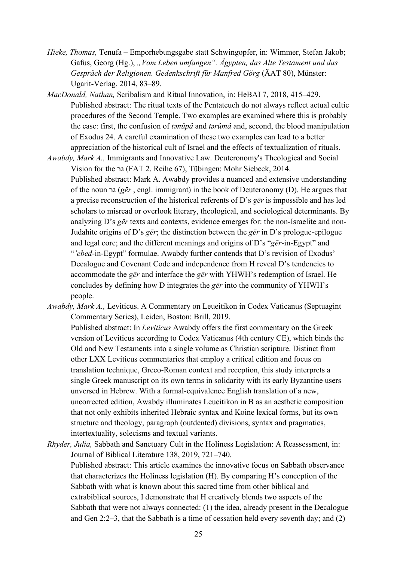- *Hieke, Thomas,* Tenufa Emporhebungsgabe statt Schwingopfer, in: Wimmer, Stefan Jakob; Gafus, Georg (Hg.), *"Vom Leben umfangen". Ägypten, das Alte Testament und das Gespräch der Religionen. Gedenkschrift für Manfred Görg* (ÄAT 80), Münster: Ugarit-Verlag, 2014, 83–89.
- *MacDonald, Nathan,* Scribalism and Ritual Innovation, in: HeBAI 7, 2018, 415–429. Published abstract: The ritual texts of the Pentateuch do not always reflect actual cultic procedures of the Second Temple. Two examples are examined where this is probably the case: first, the confusion of *tanûpâ* and *tarûmâ* and, second, the blood manipulation of Exodus 24. A careful examination of these two examples can lead to a better appreciation of the historical cult of Israel and the effects of textualization of rituals.
- *Awabdy, Mark A.,* Immigrants and Innovative Law. Deuteronomy's Theological and Social Vision for the גר) FAT 2. Reihe 67), Tübingen: Mohr Siebeck, 2014. Published abstract: Mark A. Awabdy provides a nuanced and extensive understanding of the noun גר) *gēr* , engl. immigrant) in the book of Deuteronomy (D). He argues that a precise reconstruction of the historical referents of D's *gēr* is impossible and has led scholars to misread or overlook literary, theological, and sociological determinants. By analyzing D's *gēr* texts and contexts, evidence emerges for: the non-Israelite and non-Judahite origins of D's *gēr*; the distinction between the *gēr* in D's prologue-epilogue and legal core; and the different meanings and origins of D's "*gēr*-in-Egypt" and "*ʿebed*-in-Egypt" formulae. Awabdy further contends that D's revision of Exodus' Decalogue and Covenant Code and independence from H reveal D's tendencies to accommodate the *gēr* and interface the *gēr* with YHWH's redemption of Israel. He concludes by defining how D integrates the *gēr* into the community of YHWH's people.
- *Awabdy, Mark A.,* Leviticus. A Commentary on Leueitikon in Codex Vaticanus (Septuagint Commentary Series), Leiden, Boston: Brill, 2019. Published abstract: In *Leviticus* Awabdy offers the first commentary on the Greek version of Leviticus according to Codex Vaticanus (4th century CE), which binds the Old and New Testaments into a single volume as Christian scripture. Distinct from other LXX Leviticus commentaries that employ a critical edition and focus on translation technique, Greco-Roman context and reception, this study interprets a single Greek manuscript on its own terms in solidarity with its early Byzantine users unversed in Hebrew. With a formal-equivalence English translation of a new, uncorrected edition, Awabdy illuminates Leueitikon in B as an aesthetic composition that not only exhibits inherited Hebraic syntax and Koine lexical forms, but its own structure and theology, paragraph (outdented) divisions, syntax and pragmatics, intertextuality, solecisms and textual variants.
- *Rhyder, Julia,* Sabbath and Sanctuary Cult in the Holiness Legislation: A Reassessment, in: Journal of Biblical Literature 138, 2019, 721–740. Published abstract: This article examines the innovative focus on Sabbath observance that characterizes the Holiness legislation (H). By comparing H's conception of the Sabbath with what is known about this sacred time from other biblical and extrabiblical sources, I demonstrate that H creatively blends two aspects of the Sabbath that were not always connected: (1) the idea, already present in the Decalogue and Gen 2:2–3, that the Sabbath is a time of cessation held every seventh day; and (2)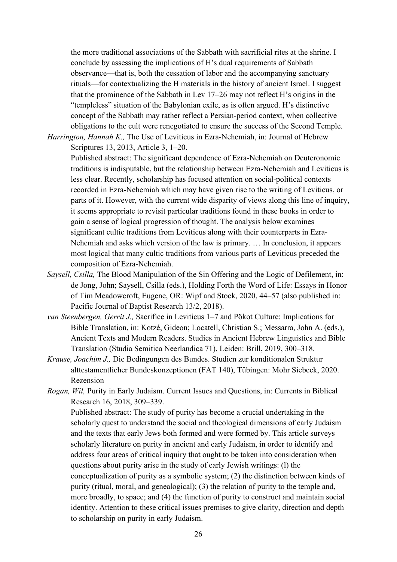the more traditional associations of the Sabbath with sacrificial rites at the shrine. I conclude by assessing the implications of H's dual requirements of Sabbath observance—that is, both the cessation of labor and the accompanying sanctuary rituals—for contextualizing the H materials in the history of ancient Israel. I suggest that the prominence of the Sabbath in Lev 17–26 may not reflect H's origins in the "templeless" situation of the Babylonian exile, as is often argued. H's distinctive concept of the Sabbath may rather reflect a Persian-period context, when collective obligations to the cult were renegotiated to ensure the success of the Second Temple.

*Harrington, Hannah K.,* The Use of Leviticus in Ezra-Nehemiah, in: Journal of Hebrew Scriptures 13, 2013, Article 3, 1–20.

Published abstract: The significant dependence of Ezra-Nehemiah on Deuteronomic traditions is indisputable, but the relationship between Ezra-Nehemiah and Leviticus is less clear. Recently, scholarship has focused attention on social-political contexts recorded in Ezra-Nehemiah which may have given rise to the writing of Leviticus, or parts of it. However, with the current wide disparity of views along this line of inquiry, it seems appropriate to revisit particular traditions found in these books in order to gain a sense of logical progression of thought. The analysis below examines significant cultic traditions from Leviticus along with their counterparts in Ezra-Nehemiah and asks which version of the law is primary. … In conclusion, it appears most logical that many cultic traditions from various parts of Leviticus preceded the composition of Ezra-Nehemiah.

- *Saysell, Csilla,* The Blood Manipulation of the Sin Offering and the Logic of Defilement, in: de Jong, John; Saysell, Csilla (eds.), Holding Forth the Word of Life: Essays in Honor of Tim Meadowcroft, Eugene, OR: Wipf and Stock, 2020, 44–57 (also published in: Pacific Journal of Baptist Research 13/2, 2018).
- *van Steenbergen, Gerrit J.,* Sacrifice in Leviticus 1–7 and Pökot Culture: Implications for Bible Translation, in: Kotzé, Gideon; Locatell, Christian S.; Messarra, John A. (eds.), Ancient Texts and Modern Readers. Studies in Ancient Hebrew Linguistics and Bible Translation (Studia Semitica Neerlandica 71), Leiden: Brill, 2019, 300–318.
- *Krause, Joachim J.,* Die Bedingungen des Bundes. Studien zur konditionalen Struktur alttestamentlicher Bundeskonzeptionen (FAT 140), Tübingen: Mohr Siebeck, 2020. Rezension
- *Rogan, Wil,* Purity in Early Judaism. Current Issues and Questions, in: Currents in Biblical Research 16, 2018, 309–339.
	- Published abstract: The study of purity has become a crucial undertaking in the scholarly quest to understand the social and theological dimensions of early Judaism and the texts that early Jews both formed and were formed by. This article surveys scholarly literature on purity in ancient and early Judaism, in order to identify and address four areas of critical inquiry that ought to be taken into consideration when questions about purity arise in the study of early Jewish writings: (l) the conceptualization of purity as a symbolic system; (2) the distinction between kinds of purity (ritual, moral, and genealogical); (3) the relation of purity to the temple and, more broadly, to space; and (4) the function of purity to construct and maintain social identity. Attention to these critical issues premises to give clarity, direction and depth to scholarship on purity in early Judaism.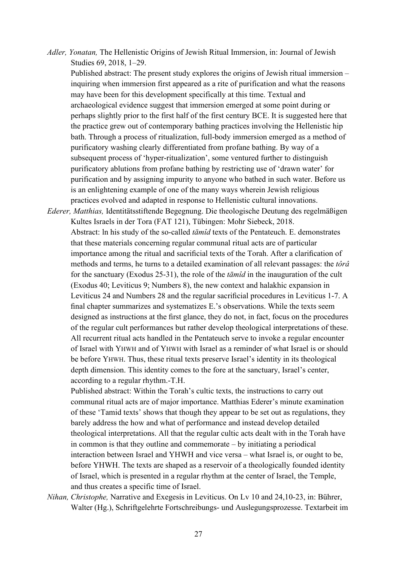*Adler, Yonatan,* The Hellenistic Origins of Jewish Ritual Immersion, in: Journal of Jewish Studies 69, 2018, 1–29.

Published abstract: The present study explores the origins of Jewish ritual immersion – inquiring when immersion first appeared as a rite of purification and what the reasons may have been for this development specifically at this time. Textual and archaeological evidence suggest that immersion emerged at some point during or perhaps slightly prior to the first half of the first century BCE. It is suggested here that the practice grew out of contemporary bathing practices involving the Hellenistic hip bath. Through a process of ritualization, full-body immersion emerged as a method of purificatory washing clearly differentiated from profane bathing. By way of a subsequent process of 'hyper-ritualization', some ventured further to distinguish purificatory ablutions from profane bathing by restricting use of 'drawn water' for purification and by assigning impurity to anyone who bathed in such water. Before us is an enlightening example of one of the many ways wherein Jewish religious practices evolved and adapted in response to Hellenistic cultural innovations.

*Ederer, Matthias,* Identitätsstiftende Begegnung. Die theologische Deutung des regelmäßigen Kultes Israels in der Tora (FAT 121), Tübingen: Mohr Siebeck, 2018. Abstract: ln his study of the so-called *tāmîd* texts of the Pentateuch. E. demonstrates that these materials concerning regular communal ritual acts are of particular importance among the ritual and sacrificial texts of the Torah. After a clarification of methods and terms, he turns to a detailed examination of all relevant passages: the *tôrâ* for the sanctuary (Exodus 25-31), the role of the *tāmîd* in the inauguration of the cult (Exodus 40; Leviticus 9; Numbers 8), the new context and halakhic expansion in Leviticus 24 and Numbers 28 and the regular sacrificial procedures in Leviticus 1-7. A final chapter summarizes and systematizes E.'s observations. While the texts seem designed as instructions at the first glance, they do not, in fact, focus on the procedures of the regular cult performances but rather develop theological interpretations of these. All recurrent ritual acts handled in the Pentateuch serve to invoke a regular encounter of Israel with YHWH and of YHWH with Israel as a reminder of what Israel is or should be before YHWH. Thus, these ritual texts preserve Israel's identity in its theological depth dimension. This identity comes to the fore at the sanctuary, Israel's center, according to a regular rhythm.-T.H.

Published abstract: Within the Torah's cultic texts, the instructions to carry out communal ritual acts are of major importance. Matthias Ederer's minute examination of these 'Tamid texts' shows that though they appear to be set out as regulations, they barely address the how and what of performance and instead develop detailed theological interpretations. All that the regular cultic acts dealt with in the Torah have in common is that they outline and commemorate – by initiating a periodical interaction between Israel and YHWH and vice versa – what Israel is, or ought to be, before YHWH. The texts are shaped as a reservoir of a theologically founded identity of Israel, which is presented in a regular rhythm at the center of Israel, the Temple, and thus creates a specific time of Israel.

*Nihan, Christophe,* Narrative and Exegesis in Leviticus. On Lv 10 and 24,10-23, in: Bührer, Walter (Hg.), Schriftgelehrte Fortschreibungs- und Auslegungsprozesse. Textarbeit im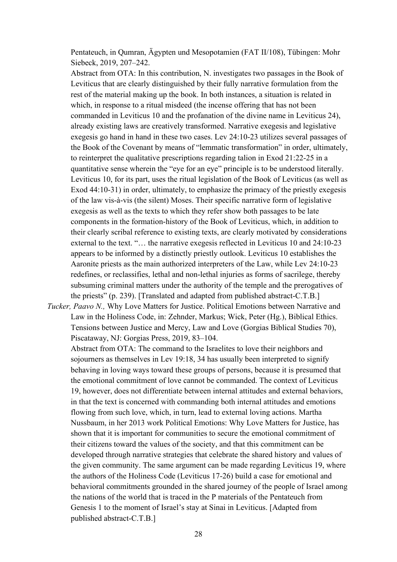Pentateuch, in Qumran, Ägypten und Mesopotamien (FAT II/108), Tübingen: Mohr Siebeck, 2019, 207–242.

Abstract from OTA: In this contribution, N. investigates two passages in the Book of Leviticus that are clearly distinguished by their fully narrative formulation from the rest of the material making up the book. In both instances, a situation is related in which, in response to a ritual misdeed (the incense offering that has not been commanded in Leviticus 10 and the profanation of the divine name in Leviticus 24), already existing laws are creatively transformed. Narrative exegesis and legislative exegesis go hand in hand in these two cases. Lev 24:10-23 utilizes several passages of the Book of the Covenant by means of "lemmatic transformation" in order, ultimately, to reinterpret the qualitative prescriptions regarding talion in Exod 21:22-25 in a quantitative sense wherein the "eye for an eye" principle is to be understood literally. Leviticus 10, for its part, uses the ritual legislation of the Book of Leviticus (as well as Exod 44:10-31) in order, ultimately, to emphasize the primacy of the priestly exegesis of the law vis-à-vis (the silent) Moses. Their specific narrative form of legislative exegesis as well as the texts to which they refer show both passages to be late components in the formation-history of the Book of Leviticus, which, in addition to their clearly scribal reference to existing texts, are clearly motivated by considerations external to the text. "… the narrative exegesis reflected in Leviticus 10 and 24:10-23 appears to be informed by a distinctly priestly outlook. Leviticus 10 establishes the Aaronite priests as the main authorized interpreters of the Law, while Lev 24:10-23 redefines, or reclassifies, lethal and non-lethal injuries as forms of sacrilege, thereby subsuming criminal matters under the authority of the temple and the prerogatives of the priests" (p. 239). [Translated and adapted from published abstract-C.T.B.]

*Tucker, Paavo N.,* Why Love Matters for Justice. Political Emotions between Narrative and Law in the Holiness Code, in: Zehnder, Markus; Wick, Peter (Hg.), Biblical Ethics. Tensions between Justice and Mercy, Law and Love (Gorgias Biblical Studies 70), Piscataway, NJ: Gorgias Press, 2019, 83–104.

Abstract from OTA: The command to the Israelites to love their neighbors and sojourners as themselves in Lev 19:18, 34 has usually been interpreted to signify behaving in loving ways toward these groups of persons, because it is presumed that the emotional commitment of love cannot be commanded. The context of Leviticus 19, however, does not differentiate between internal attitudes and external behaviors, in that the text is concerned with commanding both internal attitudes and emotions flowing from such love, which, in turn, lead to external loving actions. Martha Nussbaum, in her 2013 work Political Emotions: Why Love Matters for Justice, has shown that it is important for communities to secure the emotional commitment of their citizens toward the values of the society, and that this commitment can be developed through narrative strategies that celebrate the shared history and values of the given community. The same argument can be made regarding Leviticus 19, where the authors of the Holiness Code (Leviticus 17-26) build a case for emotional and behavioral commitments grounded in the shared journey of the people of Israel among the nations of the world that is traced in the P materials of the Pentateuch from Genesis 1 to the moment of Israel's stay at Sinai in Leviticus. [Adapted from published abstract-C.T.B.]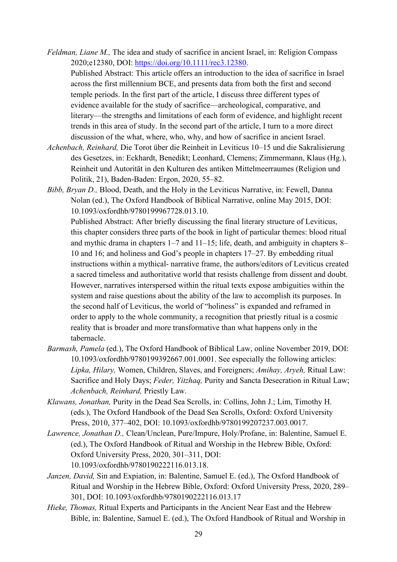*Feldman, Liane M.,* The idea and study of sacrifice in ancient Israel, in: Religion Compass 2020;e12380, DOI: [https://doi.org/10.1111/rec3.12380.](https://doi.org/10.1111/rec3.12380)

Published Abstract: This article offers an introduction to the idea of sacrifice in Israel across the first millennium BCE, and presents data from both the first and second temple periods. In the first part of the article, I discuss three different types of evidence available for the study of sacrifice—archeological, comparative, and literary—the strengths and limitations of each form of evidence, and highlight recent trends in this area of study. In the second part of the article, I turn to a more direct discussion of the what, where, who, why, and how of sacrifice in ancient Israel.

- *Achenbach, Reinhard,* Die Torot über die Reinheit in Leviticus 10–15 und die Sakralisierung des Gesetzes, in: Eckhardt, Benedikt; Leonhard, Clemens; Zimmermann, Klaus (Hg.), Reinheit und Autorität in den Kulturen des antiken Mittelmeerraumes (Religion und Politik, 21), Baden-Baden: Ergon, 2020, 55–82.
- *Bibb, Bryan D.,* Blood, Death, and the Holy in the Leviticus Narrative, in: Fewell, Danna Nolan (ed.), The Oxford Handbook of Biblical Narrative, online May 2015, DOI: 10.1093/oxfordhb/9780199967728.013.10.

Published Abstract: After briefly discussing the final literary structure of Leviticus, this chapter considers three parts of the book in light of particular themes: blood ritual and mythic drama in chapters 1–7 and 11–15; life, death, and ambiguity in chapters 8– 10 and 16; and holiness and God's people in chapters 17–27. By embedding ritual instructions within a mythical- narrative frame, the authors/editors of Leviticus created a sacred timeless and authoritative world that resists challenge from dissent and doubt. However, narratives interspersed within the ritual texts expose ambiguities within the system and raise questions about the ability of the law to accomplish its purposes. In the second half of Leviticus, the world of "holiness" is expanded and reframed in order to apply to the whole community, a recognition that priestly ritual is a cosmic reality that is broader and more transformative than what happens only in the tabernacle.

- *Barmash, Pamela* (ed.), The Oxford Handbook of Biblical Law, online November 2019, DOI: 10.1093/oxfordhb/9780199392667.001.0001. See especially the following articles: *Lipka, Hilary,* Women, Children, Slaves, and Foreigners; *Amihay, Aryeh,* Ritual Law: Sacrifice and Holy Days; *Feder, Yitzhaq,* Purity and Sancta Desecration in Ritual Law; *Achenbach, Reinhard,* Priestly Law.
- *Klawans, Jonathan,* Purity in the Dead Sea Scrolls, in: Collins, John J.; Lim, Timothy H. (eds.), The Oxford Handbook of the Dead Sea Scrolls, Oxford: Oxford University Press, 2010, 377–402, DOI: 10.1093/oxfordhb/9780199207237.003.0017.
- *Lawrence, Jonathan D.,* Clean/Unclean, Pure/Impure, Holy/Profane, in: Balentine, Samuel E. (ed.), The Oxford Handbook of Ritual and Worship in the Hebrew Bible, Oxford: Oxford University Press, 2020, 301–311, DOI: 10.1093/oxfordhb/9780190222116.013.18.
- *Janzen, David,* Sin and Expiation, in: Balentine, Samuel E. (ed.), The Oxford Handbook of Ritual and Worship in the Hebrew Bible, Oxford: Oxford University Press, 2020, 289– 301, DOI: 10.1093/oxfordhb/9780190222116.013.17
- *Hieke, Thomas,* Ritual Experts and Participants in the Ancient Near East and the Hebrew Bible, in: Balentine, Samuel E. (ed.), The Oxford Handbook of Ritual and Worship in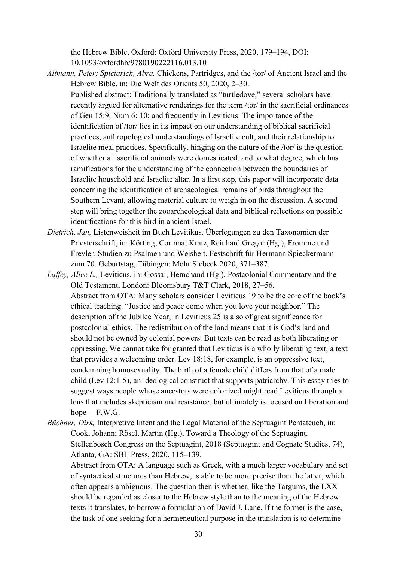the Hebrew Bible, Oxford: Oxford University Press, 2020, 179–194, DOI:

- 10.1093/oxfordhb/9780190222116.013.10
- *Altmann, Peter; Spiciarich, Abra,* Chickens, Partridges, and the /tor/ of Ancient Israel and the Hebrew Bible, in: Die Welt des Orients 50, 2020, 2–30.

Published abstract: Traditionally translated as "turtledove," several scholars have recently argued for alternative renderings for the term /tor/ in the sacrificial ordinances of Gen 15:9; Num 6: 10; and frequently in Leviticus. The importance of the identification of /tor/ lies in its impact on our understanding of biblical sacrificial practices, anthropological understandings of lsraelite cult, and their relationship to Israelite meal practices. Specifically, hinging on the nature of the /tor/ is the question of whether all sacrificial animals were domesticated, and to what degree, which has ramifications for the understanding of the connection between the boundaries of Israelite household and Israelite altar. In a first step, this paper will incorporate data concerning the identification of archaeological remains of birds throughout the Southern Levant, allowing material culture to weigh in on the discussion. A second step will bring together the zooarcheological data and biblical reflections on possible identifications for this bird in ancient Israel.

- *Dietrich, Jan,* Listenweisheit im Buch Levitikus. Überlegungen zu den Taxonomien der Priesterschrift, in: Körting, Corinna; Kratz, Reinhard Gregor (Hg.), Fromme und Frevler. Studien zu Psalmen und Weisheit. Festschrift für Hermann Spieckermann zum 70. Geburtstag, Tübingen: Mohr Siebeck 2020, 371–387.
- *Laffey, Alice L.,* Leviticus, in: Gossai, Hemchand (Hg.), Postcolonial Commentary and the Old Testament, London: Bloomsbury T&T Clark, 2018, 27–56. Abstract from OTA: Many scholars consider Leviticus 19 to be the core of the book's ethical teaching. "Justice and peace come when you love your neighbor." The description of the Jubilee Year, in Leviticus 25 is also of great significance for postcolonial ethics. The redistribution of the land means that it is God's land and should not be owned by colonial powers. But texts can be read as both liberating or oppressing. We cannot take for granted that Leviticus is a wholly liberating text, a text that provides a welcoming order. Lev 18:18, for example, is an oppressive text, condemning homosexuality. The birth of a female child differs from that of a male child (Lev 12:1-5), an ideological construct that supports patriarchy. This essay tries to suggest ways people whose ancestors were colonized might read Leviticus through a lens that includes skepticism and resistance, but ultimately is focused on liberation and hope —F.W.G.
- *Büchner, Dirk,* Interpretive Intent and the Legal Material of the Septuagint Pentateuch, in: Cook, Johann; Rösel, Martin (Hg.), Toward a Theology of the Septuagint. Stellenbosch Congress on the Septuagint, 2018 (Septuagint and Cognate Studies, 74), Atlanta, GA: SBL Press, 2020, 115–139.

Abstract from OTA: A language such as Greek, with a much larger vocabulary and set of syntactical structures than Hebrew, is able to be more precise than the latter, which often appears ambiguous. The question then is whether, like the Targums, the LXX should be regarded as closer to the Hebrew style than to the meaning of the Hebrew texts it translates, to borrow a formulation of David J. Lane. If the former is the case, the task of one seeking for a hermeneutical purpose in the translation is to determine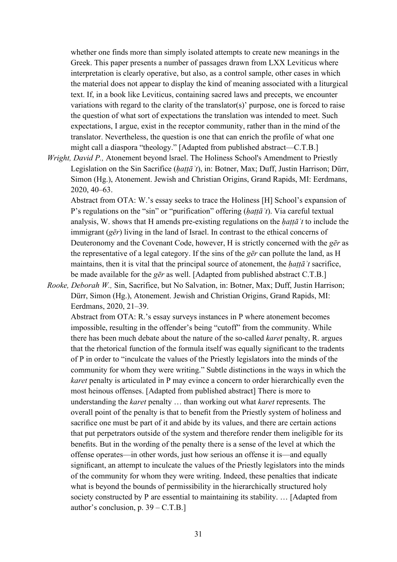whether one finds more than simply isolated attempts to create new meanings in the Greek. This paper presents a number of passages drawn from LXX Leviticus where interpretation is clearly operative, but also, as a control sample, other cases in which the material does not appear to display the kind of meaning associated with a liturgical text. If, in a book like Leviticus, containing sacred laws and precepts, we encounter variations with regard to the clarity of the translator(s)' purpose, one is forced to raise the question of what sort of expectations the translation was intended to meet. Such expectations, I argue, exist in the receptor community, rather than in the mind of the translator. Nevertheless, the question is one that can enrich the profile of what one might call a diaspora "theology." [Adapted from published abstract—C.T.B.]

*Wright, David P., Atonement beyond Israel. The Holiness School's Amendment to Priestly* Legislation on the Sin Sacrifice (*ḥaṭṭāʾt*), in: Botner, Max; Duff, Justin Harrison; Dürr, Simon (Hg.), Atonement. Jewish and Christian Origins, Grand Rapids, MI: Eerdmans, 2020, 40–63.

Abstract from OTA: W.'s essay seeks to trace the Holiness [H] School's expansion of P's regulations on the "sin" or "purification" offering (*ḥaṭṭāʾt*). Via careful textual analysis, W. shows that H amends pre-existing regulations on the *ḥaṭṭāʾt* to include the immigrant (*gēr*) living in the land of Israel. In contrast to the ethical concerns of Deuteronomy and the Covenant Code, however, H is strictly concerned with the *gēr* as the representative of a legal category. If the sins of the *gēr* can pollute the land, as H maintains, then it is vital that the principal source of atonement, the *ḥaṭṭāʾt* sacrifice, be made available for the *gēr* as well. [Adapted from published abstract C.T.B.]

*Rooke, Deborah W.,* Sin, Sacrifice, but No Salvation, in: Botner, Max; Duff, Justin Harrison; Dürr, Simon (Hg.), Atonement. Jewish and Christian Origins, Grand Rapids, MI: Eerdmans, 2020, 21–39.

Abstract from OTA: R.'s essay surveys instances in P where atonement becomes impossible, resulting in the offender's being "cutoff" from the community. While there has been much debate about the nature of the so-called *karet* penalty, R. argues that the rhetorical function of the formula itself was equally significant to the tradents of P in order to "inculcate the values of the Priestly legislators into the minds of the community for whom they were writing." Subtle distinctions in the ways in which the *karet* penalty is articulated in P may evince a concern to order hierarchically even the most heinous offenses. [Adapted from published abstract] There is more to understanding the *karet* penalty … than working out what *karet* represents. The overall point of the penalty is that to benefit from the Priestly system of holiness and sacrifice one must be part of it and abide by its values, and there are certain actions that put perpetrators outside of the system and therefore render them ineligible for its benefits. But in the wording of the penalty there is a sense of the level at which the offense operates—in other words, just how serious an offense it is—and equally significant, an attempt to inculcate the values of the Priestly legislators into the minds of the community for whom they were writing. Indeed, these penalties that indicate what is beyond the bounds of permissibility in the hierarchically structured holy society constructed by P are essential to maintaining its stability. … [Adapted from author's conclusion, p. 39 – C.T.B.]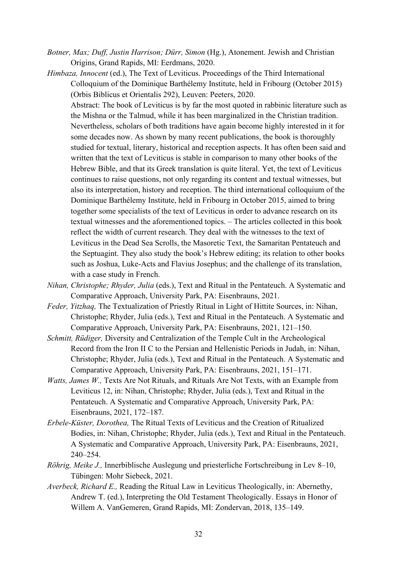- *Botner, Max; Duff, Justin Harrison; Dürr, Simon* (Hg.), Atonement. Jewish and Christian Origins, Grand Rapids, MI: Eerdmans, 2020.
- *Himbaza, Innocent* (ed.), The Text of Leviticus. Proceedings of the Third International Colloquium of the Dominique Barthélemy Institute, held in Fribourg (October 2015) (Orbis Biblicus et Orientalis 292), Leuven: Peeters, 2020.

Abstract: The book of Leviticus is by far the most quoted in rabbinic literature such as the Mishna or the Talmud, while it has been marginalized in the Christian tradition. Nevertheless, scholars of both traditions have again become highly interested in it for some decades now. As shown by many recent publications, the book is thoroughly studied for textual, literary, historical and reception aspects. It has often been said and written that the text of Leviticus is stable in comparison to many other books of the Hebrew Bible, and that its Greek translation is quite literal. Yet, the text of Leviticus continues to raise questions, not only regarding its content and textual witnesses, but also its interpretation, history and reception. The third international colloquium of the Dominique Barthélemy Institute, held in Fribourg in October 2015, aimed to bring together some specialists of the text of Leviticus in order to advance research on its textual witnesses and the aforementioned topics. – The articles collected in this book reflect the width of current research. They deal with the witnesses to the text of Leviticus in the Dead Sea Scrolls, the Masoretic Text, the Samaritan Pentateuch and the Septuagint. They also study the book's Hebrew editing; its relation to other books such as Joshua, Luke-Acts and Flavius Josephus; and the challenge of its translation, with a case study in French.

- *Nihan, Christophe; Rhyder, Julia* (eds.), Text and Ritual in the Pentateuch. A Systematic and Comparative Approach, University Park, PA: Eisenbrauns, 2021.
- *Feder, Yitzhaq,* The Textualization of Priestly Ritual in Light of Hittite Sources, in: Nihan, Christophe; Rhyder, Julia (eds.), Text and Ritual in the Pentateuch. A Systematic and Comparative Approach, University Park, PA: Eisenbrauns, 2021, 121–150.
- *Schmitt, Rüdiger,* Diversity and Centralization of the Temple Cult in the Archeological Record from the Iron II C to the Persian and Hellenistic Periods in Judah, in: Nihan, Christophe; Rhyder, Julia (eds.), Text and Ritual in the Pentateuch. A Systematic and Comparative Approach, University Park, PA: Eisenbrauns, 2021, 151–171.
- *Watts, James W.,* Texts Are Not Rituals, and Rituals Are Not Texts, with an Example from Leviticus 12, in: Nihan, Christophe; Rhyder, Julia (eds.), Text and Ritual in the Pentateuch. A Systematic and Comparative Approach, University Park, PA: Eisenbrauns, 2021, 172–187.
- *Erbele-Küster, Dorothea,* The Ritual Texts of Leviticus and the Creation of Ritualized Bodies, in: Nihan, Christophe; Rhyder, Julia (eds.), Text and Ritual in the Pentateuch. A Systematic and Comparative Approach, University Park, PA: Eisenbrauns, 2021, 240–254.
- *Röhrig, Meike J.,* Innerbiblische Auslegung und priesterliche Fortschreibung in Lev 8–10, Tübingen: Mohr Siebeck, 2021.
- *Averbeck, Richard E.,* Reading the Ritual Law in Leviticus Theologically, in: Abernethy, Andrew T. (ed.), Interpreting the Old Testament Theologically. Essays in Honor of Willem A. VanGemeren, Grand Rapids, MI: Zondervan, 2018, 135–149.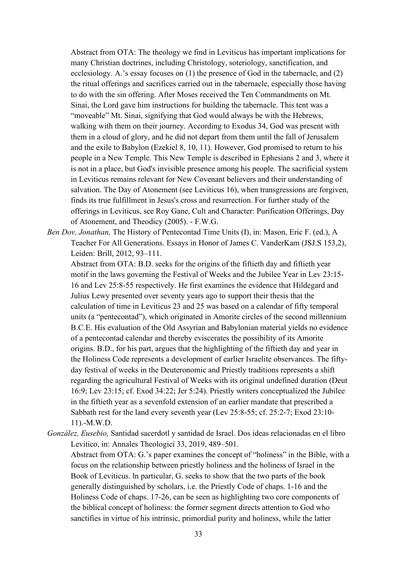Abstract from OTA: The theology we find in Leviticus has important implications for many Christian doctrines, including Christology, soteriology, sanctification, and ecclesiology. A.'s essay focuses on (1) the presence of God in the tabernacle, and (2) the ritual offerings and sacrifices carried out in the tabernacle, especially those having to do with the sin offering. After Moses received the Ten Commandments on Mt. Sinai, the Lord gave him instructions for building the tabernacle. This tent was a "moveable" Mt. Sinai, signifying that God would always be with the Hebrews, walking with them on their journey. According to Exodus 34, God was present with them in a cloud of glory, and he did not depart from them until the fall of Jerusalem and the exile to Babylon (Ezekiel 8, 10, 11). However, God promised to return to his people in a New Temple. This New Temple is described in Ephesians 2 and 3, where it is not in a place, but God's invisible presence among his people. The sacrificial system in Leviticus remains relevant for New Covenant believers and their understanding of salvation. The Day of Atonement (see Leviticus 16), when transgressions are forgiven, finds its true fulfillment in Jesus's cross and resurrection. For further study of the offerings in Leviticus, see Roy Gane, Cult and Character: Purification Offerings, Day of Atonement, and Theodicy (2005). - F.W.G.

*Ben Dov, Jonathan,* The History of Pentecontad Time Units (I), in: Mason, Eric F. (ed.), A Teacher For All Generations. Essays in Honor of James C. VanderKam (JSJ.S 153,2), Leiden: Brill, 2012, 93–111.

Abstract from OTA: B.D. seeks for the origins of the fiftieth day and fiftieth year motif in the laws governing the Festival of Weeks and the Jubilee Year in Lev 23:15- 16 and Lev 25:8-55 respectively. He first examines the evidence that Hildegard and Julius Lewy presented over seventy years ago to support their thesis that the calculation of time in Leviticus 23 and 25 was based on a calendar of fifty temporal units (a "pentecontad"), which originated in Amorite circles of the second millennium B.C.E. His evaluation of the Old Assyrian and Babylonian material yields no evidence of a pentecontad calendar and thereby eviscerates the possibility of its Amorite origins. B.D., for his part, argues that the highlighting of the fiftieth day and year in the Holiness Code represents a development of earlier Israelite observances. The fiftyday festival of weeks in the Deuteronomic and Priestly traditions represents a shift regarding the agricultural Festival of Weeks with its original undefined duration (Deut 16:9; Lev 23:15; cf. Exod 34:22; Jer 5:24). Priestly writers conceptualized the Jubilee in the fiftieth year as a sevenfold extension of an earlier mandate that prescribed a Sabbath rest for the land every seventh year (Lev 25:8-55; cf. 25:2-7; Exod 23:10- 11).-M.W.D.

*González, Eusebio,* Santidad sacerdotl y santidad de Israel. Dos ideas relacionadas en el libro Levitico, in: Annales Theologici 33, 2019, 489–501.

Abstract from OTA: G.'s paper examines the concept of "holiness" in the Bible, with a focus on the relationship between priestly holiness and the holiness of Israel in the Book of Leviticus. ln particular, G. seeks to show that the two parts of the book generally distinguished by scholars, i.e. the Priestly Code of chaps. 1-16 and the Holiness Code of chaps. 17-26, can be seen as highlighting two core components of the biblical concept of holiness: the former segment directs attention to God who sanctifies in virtue of his intrinsic, primordial purity and holiness, while the latter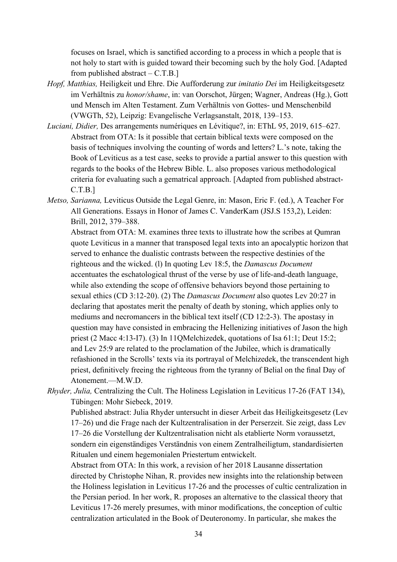focuses on Israel, which is sanctified according to a process in which a people that is not holy to start with is guided toward their becoming such by the holy God. [Adapted from published abstract  $- C.T.B.]$ 

- *Hopf, Matthias,* Heiligkeit und Ehre. Die Aufforderung zur *imitatio Dei* im Heiligkeitsgesetz im Verhältnis zu *honor/shame*, in: van Oorschot, Jürgen; Wagner, Andreas (Hg.), Gott und Mensch im Alten Testament. Zum Verhältnis von Gottes- und Menschenbild (VWGTh, 52), Leipzig: Evangelische Verlagsanstalt, 2018, 139–153.
- *Luciani, Didier,* Des arrangements numériques en Lévitique?, in: EThL 95, 2019, 615–627. Abstract from OTA: Is it possible that certain biblical texts were composed on the basis of techniques involving the counting of words and letters? L.'s note, taking the Book of Leviticus as a test case, seeks to provide a partial answer to this question with regards to the books of the Hebrew Bible. L. also proposes various methodological criteria for evaluating such a gematrical approach. [Adapted from published abstract-C.T.B.]
- *Metso, Sarianna,* Leviticus Outside the Legal Genre, in: Mason, Eric F. (ed.), A Teacher For All Generations. Essays in Honor of James C. VanderKam (JSJ.S 153,2), Leiden: Brill, 2012, 379–388.

Abstract from OTA: M. examines three texts to illustrate how the scribes at Qumran quote Leviticus in a manner that transposed legal texts into an apocalyptic horizon that served to enhance the dualistic contrasts between the respective destinies of the righteous and the wicked. (l) In quoting Lev 18:5, the *Damascus Document* accentuates the eschatological thrust of the verse by use of life-and-death language, while also extending the scope of offensive behaviors beyond those pertaining to sexual ethics (CD 3:12-20). (2) The *Damascus Document* also quotes Lev 20:27 in declaring that apostates merit the penalty of death by stoning, which applies only to mediums and necromancers in the biblical text itself (CD 12:2-3). The apostasy in question may have consisted in embracing the Hellenizing initiatives of Jason the high priest (2 Macc 4:13-I7). (3) In 11QMelchizedek, quotations of Isa 61:1; Deut 15:2; and Lev 25:9 are related to the proclamation of the Jubilee, which is dramatically refashioned in the Scrolls' texts via its portrayal of Melchizedek, the transcendent high priest, definitively freeing the righteous from the tyranny of Belial on the final Day of Atonement.—M.W.D.

*Rhyder, Julia,* Centralizing the Cult. The Holiness Legislation in Leviticus 17-26 (FAT 134), Tübingen: Mohr Siebeck, 2019.

Published abstract: Julia Rhyder untersucht in dieser Arbeit das Heiligkeitsgesetz (Lev 17–26) und die Frage nach der Kultzentralisation in der Perserzeit. Sie zeigt, dass Lev 17–26 die Vorstellung der Kultzentralisation nicht als etablierte Norm voraussetzt, sondern ein eigenständiges Verständnis von einem Zentralheiligtum, standardisierten Ritualen und einem hegemonialen Priestertum entwickelt.

Abstract from OTA: In this work, a revision of her 2018 Lausanne dissertation directed by Christophe Nihan, R. provides new insights into the relationship between the Holiness legislation in Leviticus 17-26 and the processes of cultic centralization in the Persian period. In her work, R. proposes an alternative to the classical theory that Leviticus 17-26 merely presumes, with minor modifications, the conception of cultic centralization articulated in the Book of Deuteronomy. In particular, she makes the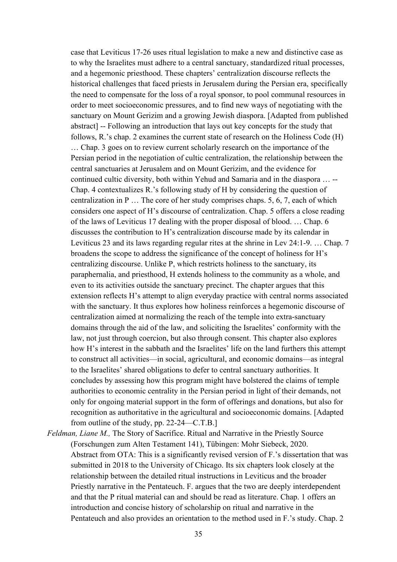case that Leviticus 17-26 uses ritual legislation to make a new and distinctive case as to why the Israelites must adhere to a central sanctuary, standardized ritual processes, and a hegemonic priesthood. These chapters' centralization discourse reflects the historical challenges that faced priests in Jerusalem during the Persian era, specifically the need to compensate for the loss of a royal sponsor, to pool communal resources in order to meet socioeconomic pressures, and to find new ways of negotiating with the sanctuary on Mount Gerizim and a growing Jewish diaspora. [Adapted from published abstract] -- Following an introduction that lays out key concepts for the study that follows, R.'s chap. 2 examines the current state of research on the Holiness Code (H) … Chap. 3 goes on to review current scholarly research on the importance of the Persian period in the negotiation of cultic centralization, the relationship between the central sanctuaries at Jerusalem and on Mount Gerizim, and the evidence for continued cultic diversity, both within Yehud and Samaria and in the diaspora … -- Chap. 4 contextualizes R.'s following study of H by considering the question of centralization in P … The core of her study comprises chaps. 5, 6, 7, each of which considers one aspect of H's discourse of centralization. Chap. 5 offers a close reading of the laws of Leviticus 17 dealing with the proper disposal of blood. … Chap. 6 discusses the contribution to H's centralization discourse made by its calendar in Leviticus 23 and its laws regarding regular rites at the shrine in Lev 24:1-9. … Chap. 7 broadens the scope to address the significance of the concept of holiness for H's centralizing discourse. Unlike P, which restricts holiness to the sanctuary, its paraphernalia, and priesthood, H extends holiness to the community as a whole, and even to its activities outside the sanctuary precinct. The chapter argues that this extension reflects H's attempt to align everyday practice with central norms associated with the sanctuary. It thus explores how holiness reinforces a hegemonic discourse of centralization aimed at normalizing the reach of the temple into extra-sanctuary domains through the aid of the law, and soliciting the Israelites' conformity with the law, not just through coercion, but also through consent. This chapter also explores how H's interest in the sabbath and the Israelites' life on the land furthers this attempt to construct all activities—in social, agricultural, and economic domains—as integral to the Israelites' shared obligations to defer to central sanctuary authorities. It concludes by assessing how this program might have bolstered the claims of temple authorities to economic centrality in the Persian period in light of their demands, not only for ongoing material support in the form of offerings and donations, but also for recognition as authoritative in the agricultural and socioeconomic domains. [Adapted from outline of the study, pp. 22-24—C.T.B.]

*Feldman, Liane M.,* The Story of Sacrifice. Ritual and Narrative in the Priestly Source (Forschungen zum Alten Testament 141), Tübingen: Mohr Siebeck, 2020. Abstract from OTA: This is a significantly revised version of F.'s dissertation that was submitted in 2018 to the University of Chicago. Its six chapters look closely at the relationship between the detailed ritual instructions in Leviticus and the broader Priestly narrative in the Pentateuch. F. argues that the two are deeply interdependent and that the P ritual material can and should be read as literature. Chap. 1 offers an introduction and concise history of scholarship on ritual and narrative in the Pentateuch and also provides an orientation to the method used in F.'s study. Chap. 2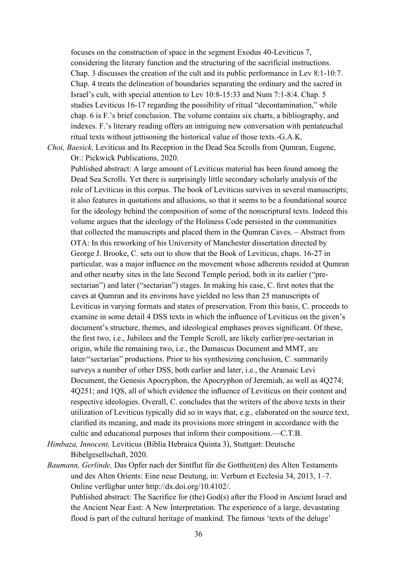focuses on the construction of space in the segment Exodus 40-Leviticus 7, considering the literary function and the structuring of the sacrificial instructions. Chap. 3 discusses the creation of the cult and its public performance in Lev 8:1-10:7. Chap. 4 treats the delineation of boundaries separating the ordinary and the sacred in Israel's cult, with special attention to Lev 10:8-15:33 and Num 7:1-8:4. Chap. 5 studies Leviticus 16-17 regarding the possibility of ritual "decontamination," while chap. 6 is F.'s brief conclusion. The volume contains six charts, a bibliography, and indexes. F.'s literary reading offers an intriguing new conversation with pentateuchal ritual texts without jettisoning the historical value of those texts.-G.A.K.

*Choi, Baesick,* Leviticus and Its Reception in the Dead Sea Scrolls from Qumran, Eugene, Or.: Pickwick Publications, 2020.

Published abstract: A large amount of Leviticus material has been found among the Dead Sea Scrolls. Yet there is surprisingly little secondary scholarly analysis of the role of Leviticus in this corpus. The book of Leviticus survives in several manuscripts; it also features in quotations and allusions, so that it seems to be a foundational source for the ideology behind the composition of some of the nonscriptural texts. Indeed this volume argues that the ideology of the Holiness Code persisted in the communities that collected the manuscripts and placed them in the Qumran Caves. – Abstract from OTA: In this reworking of his University of Manchester dissertation directed by George J. Brooke, C. sets out to show that the Book of Leviticus, chaps. 16-27 in particular, was a major influence on the movement whose adherents resided at Qumran and other nearby sites in the late Second Temple period, both in its earlier ("presectarian") and later ("sectarian") stages. In making his case, C. first notes that the caves at Qumran and its environs have yielded no less than 25 manuscripts of Leviticus in varying formats and states of preservation. From this basis, C. proceeds to examine in some detail 4 DSS texts in which the influence of Leviticus on the given's document's structure, themes, and ideological emphases proves significant. Of these, the first two, i.e., Jubilees and the Temple Scroll, are likely earlier/pre-sectarian in origin, while the remaining two, i.e., the Damascus Document and MMT, are later/"sectarian" productions. Prior to his synthesizing conclusion, C. summarily surveys a number of other DSS, both earlier and later, i.e., the Aramaic Levi Document, the Genesis Apocryphon, the Apocryphon of Jeremiah, as well as 4Q274; 4Q251; and 1QS, all of which evidence the influence of Leviticus on their content and respective ideologies. Overall, C. concludes that the writers of the above texts in their utilization of Leviticus typically did so in ways that, e.g., elaborated on the source text, clarified its meaning, and made its provisions more stringent in accordance with the cultic and educational purposes that inform their compositions.—C.T.B.

*Himbaza, Innocent,* Leviticus (Biblia Hebraica Quinta 3), Stuttgart: Deutsche Bibelgesellschaft, 2020.

*Baumann, Gerlinde,* Das Opfer nach der Sintflut für die Gottheit(en) des Alten Testaments und des Alten Orients: Eine neue Deutung, in: Verbum et Ecclesia 34, 2013, 1–7. Online verfügbar unter http://dx.doi.org/10.4102/. Published abstract: The Sacrifice for (the) God(s) after the Flood in Ancient Israel and the Ancient Near East: A New Interpretation. The experience of a large, devastating flood is part of the cultural heritage of mankind. The famous 'texts of the deluge'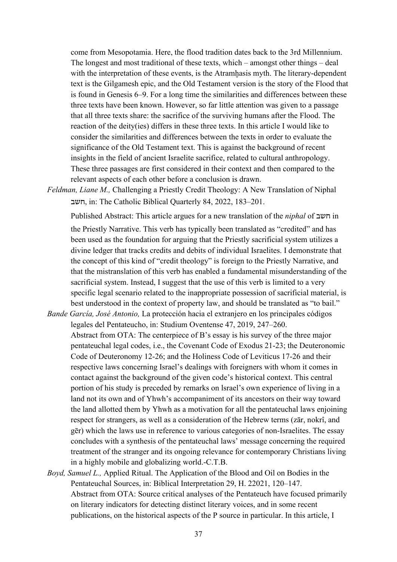come from Mesopotamia. Here, the flood tradition dates back to the 3rd Millennium. The longest and most traditional of these texts, which – amongst other things – deal with the interpretation of these events, is the Atramḫasis myth. The literary-dependent text is the Gilgamesh epic, and the Old Testament version is the story of the Flood that is found in Genesis 6–9. For a long time the similarities and differences between these three texts have been known. However, so far little attention was given to a passage that all three texts share: the sacrifice of the surviving humans after the Flood. The reaction of the deity(ies) differs in these three texts. In this article I would like to consider the similarities and differences between the texts in order to evaluate the significance of the Old Testament text. This is against the background of recent insights in the field of ancient Israelite sacrifice, related to cultural anthropology. These three passages are first considered in their context and then compared to the relevant aspects of each other before a conclusion is drawn.

*Feldman, Liane M.,* Challenging a Priestly Credit Theology: A New Translation of Niphal חשב, in: The Catholic Biblical Quarterly 84, 2022, 183–201.

Published Abstract: This article argues for a new translation of the *niphal* of חשב in

the Priestly Narrative. This verb has typically been translated as "credited" and has been used as the foundation for arguing that the Priestly sacrificial system utilizes a divine ledger that tracks credits and debits of individual Israelites. I demonstrate that the concept of this kind of "credit theology" is foreign to the Priestly Narrative, and that the mistranslation of this verb has enabled a fundamental misunderstanding of the sacrificial system. Instead, I suggest that the use of this verb is limited to a very specific legal scenario related to the inappropriate possession of sacrificial material, is best understood in the context of property law, and should be translated as "to bail."

- *Bande García, José Antonio,* La protección hacia el extranjero en los principales códigos legales del Pentateucho, in: Studium Oventense 47, 2019, 247–260. Abstract from OTA: The centerpiece of B's essay is his survey of the three major pentateuchal legal codes, i.e., the Covenant Code of Exodus 21-23; the Deuteronomic Code of Deuteronomy 12-26; and the Holiness Code of Leviticus 17-26 and their respective laws concerning Israel's dealings with foreigners with whom it comes in contact against the background of the given code's historical context. This central portion of his study is preceded by remarks on lsrael's own experience of living in a land not its own and of Yhwh's accompaniment of its ancestors on their way toward the land allotted them by Yhwh as a motivation for all the pentateuchal laws enjoining respect for strangers, as well as a consideration of the Hebrew terms (zār, nokrî, and gēr) which the laws use in reference to various categories of non-Israelites. The essay concludes with a synthesis of the pentateuchal laws' message concerning the required treatment of the stranger and its ongoing relevance for contemporary Christians living in a highly mobile and globalizing world.-C.T.B.
- *Boyd, Samuel L.,* Applied Ritual. The Application of the Blood and Oil on Bodies in the Pentateuchal Sources, in: Biblical Interpretation 29, H. 22021, 120–147. Abstract from OTA: Source critical analyses of the Pentateuch have focused primarily on literary indicators for detecting distinct literary voices, and in some recent publications, on the historical aspects of the P source in particular. In this article, I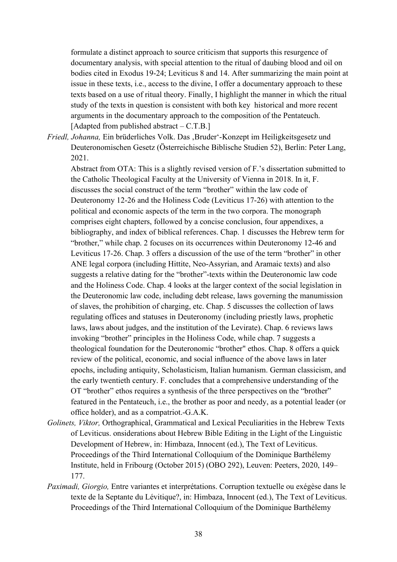formulate a distinct approach to source criticism that supports this resurgence of documentary analysis, with special attention to the ritual of daubing blood and oil on bodies cited in Exodus 19-24; Leviticus 8 and 14. After summarizing the main point at issue in these texts, i.e., access to the divine, I offer a documentary approach to these texts based on a use of ritual theory. Finally, I highlight the manner in which the ritual study of the texts in question is consistent with both key historical and more recent arguments in the documentary approach to the composition of the Pentateuch. [Adapted from published abstract – C.T.B.]

*Friedl, Johanna, Ein brüderliches Volk. Das , Bruder'-Konzept im Heiligkeitsgesetz und* Deuteronomischen Gesetz (Österreichische Biblische Studien 52), Berlin: Peter Lang, 2021.

Abstract from OTA: This is a slightly revised version of F.'s dissertation submitted to the Catholic Theological Faculty at the University of Vienna in 2018. In it, F. discusses the social construct of the term "brother" within the law code of Deuteronomy 12-26 and the Holiness Code (Leviticus 17-26) with attention to the political and economic aspects of the term in the two corpora. The monograph comprises eight chapters, followed by a concise conclusion, four appendixes, a bibliography, and index of biblical references. Chap. 1 discusses the Hebrew term for "brother," while chap. 2 focuses on its occurrences within Deuteronomy 12-46 and Leviticus 17-26. Chap. 3 offers a discussion of the use of the term "brother" in other ANE legal corpora (including Hittite, Neo-Assyrian, and Aramaic texts) and also suggests a relative dating for the "brother"-texts within the Deuteronomic law code and the Holiness Code. Chap. 4 looks at the larger context of the social legislation in the Deuteronomic law code, including debt release, laws governing the manumission of slaves, the prohibition of charging, etc. Chap. 5 discusses the collection of laws regulating offices and statuses in Deuteronomy (including priestly laws, prophetic laws, laws about judges, and the institution of the Levirate). Chap. 6 reviews laws invoking "brother" principles in the Holiness Code, while chap. 7 suggests a theological foundation for the Deuteronomic "brother" ethos. Chap. 8 offers a quick review of the political, economic, and social influence of the above laws in later epochs, including antiquity, Scholasticism, Italian humanism. German classicism, and the early twentieth century. F. concludes that a comprehensive understanding of the OT "brother" ethos requires a synthesis of the three perspectives on the "brother" featured in the Pentateuch, i.e., the brother as poor and needy, as a potential leader (or office holder), and as a compatriot.-G.A.K.

- *Golinets, Viktor,* Orthographical, Grammatical and Lexical Peculiarities in the Hebrew Texts of Leviticus. onsiderations about Hebrew Bible Editing in the Light of the Linguistic Development of Hebrew, in: Himbaza, Innocent (ed.), The Text of Leviticus. Proceedings of the Third International Colloquium of the Dominique Barthélemy Institute, held in Fribourg (October 2015) (OBO 292), Leuven: Peeters, 2020, 149– 177.
- *Paximadi, Giorgio,* Entre variantes et interprétations. Corruption textuelle ou exégèse dans le texte de la Septante du Lévitique?, in: Himbaza, Innocent (ed.), The Text of Leviticus. Proceedings of the Third International Colloquium of the Dominique Barthélemy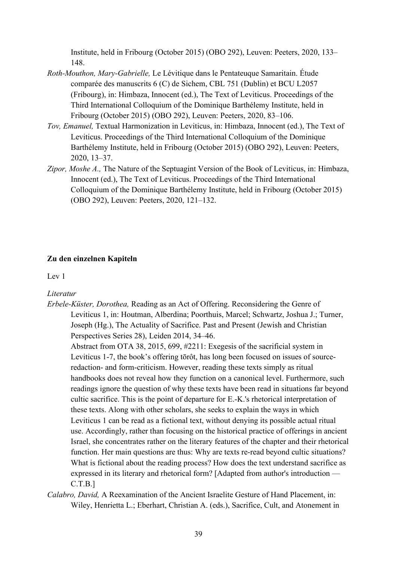Institute, held in Fribourg (October 2015) (OBO 292), Leuven: Peeters, 2020, 133– 148.

- *Roth-Mouthon, Mary-Gabrielle,* Le Lévitique dans le Pentateuque Samaritain. Étude comparée des manuscrits 6 (C) de Sichem, CBL 751 (Dublin) et BCU L2057 (Fribourg), in: Himbaza, Innocent (ed.), The Text of Leviticus. Proceedings of the Third International Colloquium of the Dominique Barthélemy Institute, held in Fribourg (October 2015) (OBO 292), Leuven: Peeters, 2020, 83–106.
- *Tov, Emanuel,* Textual Harmonization in Leviticus, in: Himbaza, Innocent (ed.), The Text of Leviticus. Proceedings of the Third International Colloquium of the Dominique Barthélemy Institute, held in Fribourg (October 2015) (OBO 292), Leuven: Peeters, 2020, 13–37.
- *Zipor, Moshe A.,* The Nature of the Septuagint Version of the Book of Leviticus, in: Himbaza, Innocent (ed.), The Text of Leviticus. Proceedings of the Third International Colloquium of the Dominique Barthélemy Institute, held in Fribourg (October 2015) (OBO 292), Leuven: Peeters, 2020, 121–132.

# **Zu den einzelnen Kapiteln**

Lev 1

# *Literatur*

*Erbele-Küster, Dorothea,* Reading as an Act of Offering. Reconsidering the Genre of Leviticus 1, in: Houtman, Alberdina; Poorthuis, Marcel; Schwartz, Joshua J.; Turner, Joseph (Hg.), The Actuality of Sacrifice. Past and Present (Jewish and Christian Perspectives Series 28), Leiden 2014, 34–46.

Abstract from OTA 38, 2015, 699, #2211: Exegesis of the sacrificial system in Leviticus 1-7, the book's offering tōrôt, has long been focused on issues of sourceredaction- and form-criticism. However, reading these texts simply as ritual handbooks does not reveal how they function on a canonical level. Furthermore, such readings ignore the question of why these texts have been read in situations far beyond cultic sacrifice. This is the point of departure for E.-K.'s rhetorical interpretation of these texts. Along with other scholars, she seeks to explain the ways in which Leviticus 1 can be read as a fictional text, without denying its possible actual ritual use. Accordingly, rather than focusing on the historical practice of offerings in ancient Israel, she concentrates rather on the literary features of the chapter and their rhetorical function. Her main questions are thus: Why are texts re-read beyond cultic situations? What is fictional about the reading process? How does the text understand sacrifice as expressed in its literary and rhetorical form? [Adapted from author's introduction — C.T.B.]

*Calabro, David,* A Reexamination of the Ancient Israelite Gesture of Hand Placement, in: Wiley, Henrietta L.; Eberhart, Christian A. (eds.), Sacrifice, Cult, and Atonement in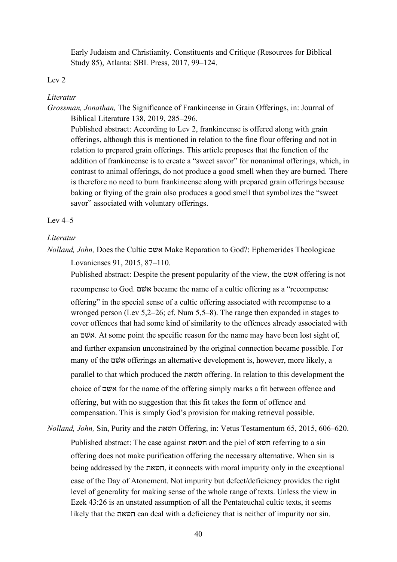Early Judaism and Christianity. Constituents and Critique (Resources for Biblical Study 85), Atlanta: SBL Press, 2017, 99–124.

# Lev 2

## *Literatur*

*Grossman, Jonathan,* The Significance of Frankincense in Grain Offerings, in: Journal of Biblical Literature 138, 2019, 285–296.

Published abstract: According to Lev 2, frankincense is offered along with grain offerings, although this is mentioned in relation to the fine flour offering and not in relation to prepared grain offerings. This article proposes that the function of the addition of frankincense is to create a "sweet savor" for nonanimal offerings, which, in contrast to animal offerings, do not produce a good smell when they are burned. There is therefore no need to burn frankincense along with prepared grain offerings because baking or frying of the grain also produces a good smell that symbolizes the "sweet savor" associated with voluntary offerings.

## Lev 4–5

## *Literatur*

*Nolland, John,* Does the Cultic אשׁם Make Reparation to God?: Ephemerides Theologicae Lovanienses 91, 2015, 87–110.

Published abstract: Despite the present popularity of the view, the אשׁם offering is not recompense to God. אשׁם became the name of a cultic offering as a "recompense

offering" in the special sense of a cultic offering associated with recompense to a wronged person (Lev 5,2–26; cf. Num 5,5–8). The range then expanded in stages to cover offences that had some kind of similarity to the offences already associated with an אשׁם. At some point the specific reason for the name may have been lost sight of, and further expansion unconstrained by the original connection became possible. For many of the אשׁם offerings an alternative development is, however, more likely, a parallel to that which produced the חטאת offering. In relation to this development the choice of אשׁם for the name of the offering simply marks a fit between offence and offering, but with no suggestion that this fit takes the form of offence and compensation. This is simply God's provision for making retrieval possible.

*Nolland, John,* Sin, Purity and the חטּאת Offering, in: Vetus Testamentum 65, 2015, 606–620.

Published abstract: The case against חטּאת and the piel of חטא referring to a sin offering does not make purification offering the necessary alternative. When sin is being addressed by the חטּאת, it connects with moral impurity only in the exceptional case of the Day of Atonement. Not impurity but defect/deficiency provides the right level of generality for making sense of the whole range of texts. Unless the view in Ezek 43:26 is an unstated assumption of all the Pentateuchal cultic texts, it seems likely that the חטּאת can deal with a deficiency that is neither of impurity nor sin.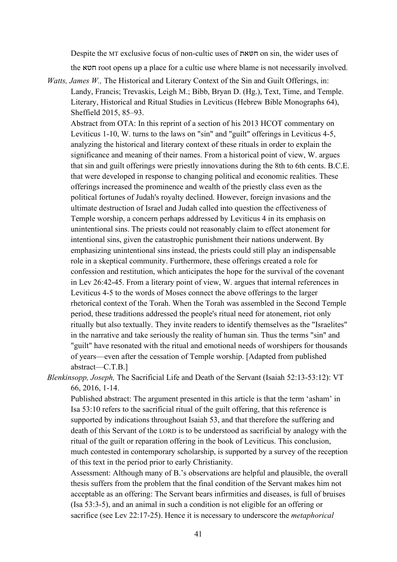Despite the MT exclusive focus of non-cultic uses of חטּאת on sin, the wider uses of

the חטא root opens up a place for a cultic use where blame is not necessarily involved.

*Watts, James W.,* The Historical and Literary Context of the Sin and Guilt Offerings, in: Landy, Francis; Trevaskis, Leigh M.; Bibb, Bryan D. (Hg.), Text, Time, and Temple. Literary, Historical and Ritual Studies in Leviticus (Hebrew Bible Monographs 64), Sheffield 2015, 85–93.

Abstract from OTA: In this reprint of a section of his 2013 HCOT commentary on Leviticus 1-10, W. turns to the laws on "sin" and "guilt" offerings in Leviticus 4-5, analyzing the historical and literary context of these rituals in order to explain the significance and meaning of their names. From a historical point of view, W. argues that sin and guilt offerings were priestly innovations during the 8th to 6th cents. B.C.E. that were developed in response to changing political and economic realities. These offerings increased the prominence and wealth of the priestly class even as the political fortunes of Judah's royalty declined. However, foreign invasions and the ultimate destruction of Israel and Judah called into question the effectiveness of Temple worship, a concern perhaps addressed by Leviticus 4 in its emphasis on unintentional sins. The priests could not reasonably claim to effect atonement for intentional sins, given the catastrophic punishment their nations underwent. By emphasizing unintentional sins instead, the priests could still play an indispensable role in a skeptical community. Furthermore, these offerings created a role for confession and restitution, which anticipates the hope for the survival of the covenant in Lev 26:42-45. From a literary point of view, W. argues that internal references in Leviticus 4-5 to the words of Moses connect the above offerings to the larger rhetorical context of the Torah. When the Torah was assembled in the Second Temple period, these traditions addressed the people's ritual need for atonement, riot only ritually but also textually. They invite readers to identify themselves as the "Israelites" in the narrative and take seriously the reality of human sin. Thus the terms "sin" and "guilt" have resonated with the ritual and emotional needs of worshipers for thousands of years—even after the cessation of Temple worship. [Adapted from published abstract—C.T.B.]

*Blenkinsopp, Joseph,* The Sacrificial Life and Death of the Servant (Isaiah 52:13-53:12): VT 66, 2016, 1-14.

Published abstract: The argument presented in this article is that the term 'asham' in Isa 53:10 refers to the sacrificial ritual of the guilt offering, that this reference is supported by indications throughout Isaiah 53, and that therefore the suffering and death of this Servant of the LORD is to be understood as sacrificial by analogy with the ritual of the guilt or reparation offering in the book of Leviticus. This conclusion, much contested in contemporary scholarship, is supported by a survey of the reception of this text in the period prior to early Christianity.

Assessment: Although many of B.'s observations are helpful and plausible, the overall thesis suffers from the problem that the final condition of the Servant makes him not acceptable as an offering: The Servant bears infirmities and diseases, is full of bruises (Isa 53:3-5), and an animal in such a condition is not eligible for an offering or sacrifice (see Lev 22:17-25). Hence it is necessary to underscore the *metaphorical*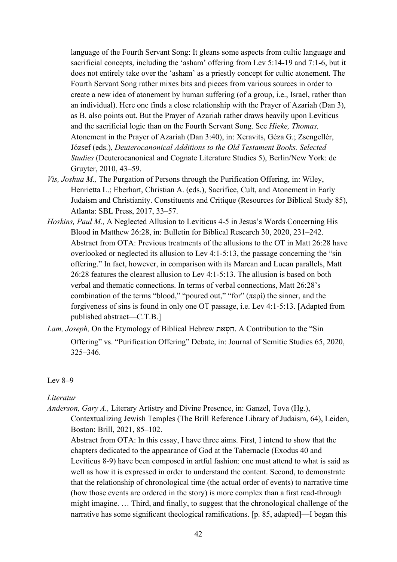language of the Fourth Servant Song: It gleans some aspects from cultic language and sacrificial concepts, including the 'asham' offering from Lev 5:14-19 and 7:1-6, but it does not entirely take over the 'asham' as a priestly concept for cultic atonement. The Fourth Servant Song rather mixes bits and pieces from various sources in order to create a new idea of atonement by human suffering (of a group, i.e., Israel, rather than an individual). Here one finds a close relationship with the Prayer of Azariah (Dan 3), as B. also points out. But the Prayer of Azariah rather draws heavily upon Leviticus and the sacrificial logic than on the Fourth Servant Song. See *Hieke, Thomas,*  Atonement in the Prayer of Azariah (Dan 3:40), in: Xeravits, Géza G.; Zsengellér, József (eds.), *Deuterocanonical Additions to the Old Testament Books. Selected Studies* (Deuterocanonical and Cognate Literature Studies 5), Berlin/New York: de Gruyter, 2010, 43–59.

- *Vis, Joshua M.,* The Purgation of Persons through the Purification Offering, in: Wiley, Henrietta L.; Eberhart, Christian A. (eds.), Sacrifice, Cult, and Atonement in Early Judaism and Christianity. Constituents and Critique (Resources for Biblical Study 85), Atlanta: SBL Press, 2017, 33–57.
- *Hoskins, Paul M.,* A Neglected Allusion to Leviticus 4-5 in Jesus's Words Concerning His Blood in Matthew 26:28, in: Bulletin for Biblical Research 30, 2020, 231–242. Abstract from OTA: Previous treatments of the allusions to the OT in Matt 26:28 have overlooked or neglected its allusion to Lev 4:1-5:13, the passage concerning the "sin offering." In fact, however, in comparison with its Marcan and Lucan parallels, Matt 26:28 features the clearest allusion to Lev 4:1-5:13. The allusion is based on both verbal and thematic connections. In terms of verbal connections, Matt 26:28's combination of the terms "blood," "poured out," "for" (περί) the sinner, and the forgiveness of sins is found in only one OT passage, i.e. Lev 4:1-5:13. [Adapted from published abstract—C.T.B.]
- *Lam, Joseph*, On the Etymology of Biblical Hebrew חטאת. A Contribution to the "Sin Offering" vs. "Purification Offering" Debate, in: Journal of Semitic Studies 65, 2020, 325–346.

## Lev 8–9

## *Literatur*

*Anderson, Gary A.,* Literary Artistry and Divine Presence, in: Ganzel, Tova (Hg.),

Contextualizing Jewish Temples (The Brill Reference Library of Judaism, 64), Leiden, Boston: Brill, 2021, 85–102.

Abstract from OTA: ln this essay, I have three aims. First, I intend to show that the chapters dedicated to the appearance of God at the Tabernacle (Exodus 40 and Leviticus 8-9) have been composed in artful fashion: one must attend to what is said as well as how it is expressed in order to understand the content. Second, to demonstrate that the relationship of chronological time (the actual order of events) to narrative time (how those events are ordered in the story) is more complex than a first read-through might imagine. … Third, and finally, to suggest that the chronological challenge of the narrative has some significant theological ramifications. [p. 85, adapted]—I began this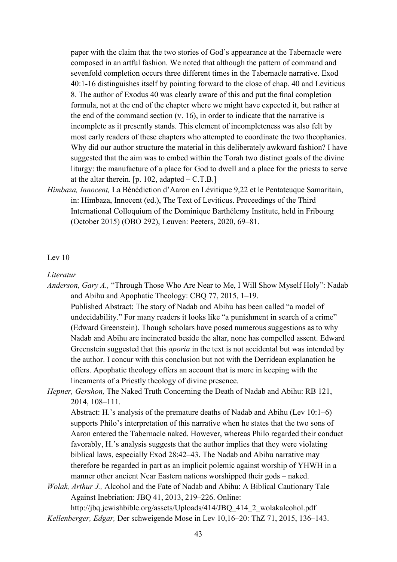paper with the claim that the two stories of God's appearance at the Tabernacle were composed in an artful fashion. We noted that although the pattern of command and sevenfold completion occurs three different times in the Tabernacle narrative. Exod 40:1-16 distinguishes itself by pointing forward to the close of chap. 40 and Leviticus 8. The author of Exodus 40 was clearly aware of this and put the final completion formula, not at the end of the chapter where we might have expected it, but rather at the end of the command section (v. 16), in order to indicate that the narrative is incomplete as it presently stands. This element of incompleteness was also felt by most early readers of these chapters who attempted to coordinate the two theophanies. Why did our author structure the material in this deliberately awkward fashion? I have suggested that the aim was to embed within the Torah two distinct goals of the divine liturgy: the manufacture of a place for God to dwell and a place for the priests to serve at the altar therein. [p. 102, adapted  $- C.T.B.]$ 

*Himbaza, Innocent,* La Bénédiction d'Aaron en Lévitique 9,22 et le Pentateuque Samaritain, in: Himbaza, Innocent (ed.), The Text of Leviticus. Proceedings of the Third International Colloquium of the Dominique Barthélemy Institute, held in Fribourg (October 2015) (OBO 292), Leuven: Peeters, 2020, 69–81.

# Lev 10

### *Literatur*

- *Anderson, Gary A.,* "Through Those Who Are Near to Me, I Will Show Myself Holy": Nadab and Abihu and Apophatic Theology: CBQ 77, 2015, 1–19. Published Abstract: The story of Nadab and Abihu has been called "a model of undecidability." For many readers it looks like "a punishment in search of a crime" (Edward Greenstein). Though scholars have posed numerous suggestions as to why Nadab and Abihu are incinerated beside the altar, none has compelled assent. Edward Greenstein suggested that this *aporia* in the text is not accidental but was intended by the author. I concur with this conclusion but not with the Derridean explanation he offers. Apophatic theology offers an account that is more in keeping with the lineaments of a Priestly theology of divine presence.
- *Hepner, Gershon,* The Naked Truth Concerning the Death of Nadab and Abihu: RB 121, 2014, 108–111.

Abstract: H.'s analysis of the premature deaths of Nadab and Abihu (Lev 10:1–6) supports Philo's interpretation of this narrative when he states that the two sons of Aaron entered the Tabernacle naked. However, whereas Philo regarded their conduct favorably, H.'s analysis suggests that the author implies that they were violating biblical laws, especially Exod 28:42–43. The Nadab and Abihu narrative may therefore be regarded in part as an implicit polemic against worship of YHWH in a manner other ancient Near Eastern nations worshipped their gods – naked.

*Wolak, Arthur J.,* Alcohol and the Fate of Nadab and Abihu: A Biblical Cautionary Tale Against Inebriation: JBQ 41, 2013, 219–226. Online:

http://jbq.jewishbible.org/assets/Uploads/414/JBQ\_414\_2\_wolakalcohol.pdf *Kellenberger, Edgar,* Der schweigende Mose in Lev 10,16–20: ThZ 71, 2015, 136–143.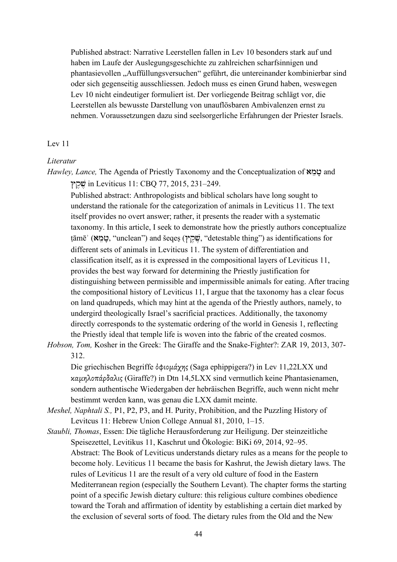Published abstract: Narrative Leerstellen fallen in Lev 10 besonders stark auf und haben im Laufe der Auslegungsgeschichte zu zahlreichen scharfsinnigen und phantasievollen "Auffüllungsversuchen" geführt, die untereinander kombinierbar sind oder sich gegenseitig ausschliessen. Jedoch muss es einen Grund haben, weswegen Lev 10 nicht eindeutiger formuliert ist. Der vorliegende Beitrag schlägt vor, die Leerstellen als bewusste Darstellung von unauflösbaren Ambivalenzen ernst zu nehmen. Voraussetzungen dazu sind seelsorgerliche Erfahrungen der Priester Israels.

# Lev 11

## *Literatur*

*Hawley, Lance,* The Agenda of Priestly Taxonomy and the Conceptualization of אֵמָט and 249.–231 2015, 77, CBQ 11: Leviticus in שֶׁקֶץ

Published abstract: Anthropologists and biblical scholars have long sought to understand the rationale for the categorization of animals in Leviticus 11. The text itself provides no overt answer; rather, it presents the reader with a systematic taxonomy. In this article, I seek to demonstrate how the priestly authors conceptualize ṭāmēʾ (אֵמָט," unclean") and šeqeṣ ( ץֶקֶׁש," detestable thing") as identifications for different sets of animals in Leviticus 11. The system of differentiation and classification itself, as it is expressed in the compositional layers of Leviticus 11, provides the best way forward for determining the Priestly justification for distinguishing between permissible and impermissible animals for eating. After tracing the compositional history of Leviticus 11, I argue that the taxonomy has a clear focus on land quadrupeds, which may hint at the agenda of the Priestly authors, namely, to undergird theologically Israel's sacrificial practices. Additionally, the taxonomy directly corresponds to the systematic ordering of the world in Genesis 1, reflecting the Priestly ideal that temple life is woven into the fabric of the created cosmos.

*Hobson, Tom,* Kosher in the Greek: The Giraffe and the Snake-Fighter?: ZAR 19, 2013, 307- 312.

Die griechischen Begriffe ὀφιομάχης (Saga ephippigera?) in Lev 11,22LXX und καμηλοπάρδαλις (Giraffe?) in Dtn 14,5LXX sind vermutlich keine Phantasienamen, sondern authentische Wiedergaben der hebräischen Begriffe, auch wenn nicht mehr bestimmt werden kann, was genau die LXX damit meinte.

- *Meshel, Naphtali S.,* P1, P2, P3, and H. Purity, Prohibition, and the Puzzling History of Levitcus 11: Hebrew Union College Annual 81, 2010, 1–15.
- *Staubli, Thomas*, Essen: Die tägliche Herausforderung zur Heiligung. Der steinzeitliche Speisezettel, Levitikus 11, Kaschrut und Ökologie: BiKi 69, 2014, 92–95. Abstract: The Book of Leviticus understands dietary rules as a means for the people to become holy. Leviticus 11 became the basis for Kashrut, the Jewish dietary laws. The rules of Leviticus 11 are the result of a very old culture of food in the Eastern Mediterranean region (especially the Southern Levant). The chapter forms the starting point of a specific Jewish dietary culture: this religious culture combines obedience toward the Torah and affirmation of identity by establishing a certain diet marked by the exclusion of several sorts of food. The dietary rules from the Old and the New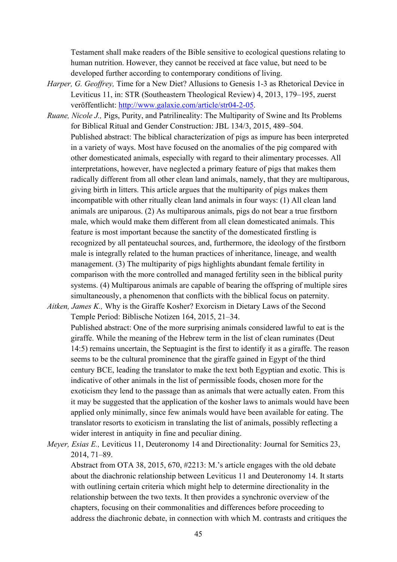Testament shall make readers of the Bible sensitive to ecological questions relating to human nutrition. However, they cannot be received at face value, but need to be developed further according to contemporary conditions of living.

- *Harper, G. Geoffrey, Time for a New Diet? Allusions to Genesis 1-3 as Rhetorical Device in* Leviticus 11, in: STR (Southeastern Theological Review) 4, 2013, 179–195, zuerst veröffentlicht: http://www.galaxie.com/article/str04-2-05.
- *Ruane, Nicole J.,* Pigs, Purity, and Patrilineality: The Multiparity of Swine and Its Problems for Biblical Ritual and Gender Construction: JBL 134/3, 2015, 489–504. Published abstract: The biblical characterization of pigs as impure has been interpreted in a variety of ways. Most have focused on the anomalies of the pig compared with other domesticated animals, especially with regard to their alimentary processes. All interpretations, however, have neglected a primary feature of pigs that makes them radically different from all other clean land animals, namely, that they are multiparous, giving birth in litters. This article argues that the multiparity of pigs makes them incompatible with other ritually clean land animals in four ways: (1) All clean land animals are uniparous. (2) As multiparous animals, pigs do not bear a true firstborn male, which would make them different from all clean domesticated animals. This feature is most important because the sanctity of the domesticated firstling is recognized by all pentateuchal sources, and, furthermore, the ideology of the firstborn male is integrally related to the human practices of inheritance, lineage, and wealth management. (3) The multiparity of pigs highlights abundant female fertility in comparison with the more controlled and managed fertility seen in the biblical purity systems. (4) Multiparous animals are capable of bearing the offspring of multiple sires simultaneously, a phenomenon that conflicts with the biblical focus on paternity.
- *Aitken, James K.,* Why is the Giraffe Kosher? Exorcism in Dietary Laws of the Second Temple Period: Biblische Notizen 164, 2015, 21–34.

 Published abstract: One of the more surprising animals considered lawful to eat is the giraffe. While the meaning of the Hebrew term in the list of clean ruminates (Deut 14:5) remains uncertain, the Septuagint is the first to identify it as a giraffe. The reason seems to be the cultural prominence that the giraffe gained in Egypt of the third century BCE, leading the translator to make the text both Egyptian and exotic. This is indicative of other animals in the list of permissible foods, chosen more for the exoticism they lend to the passage than as animals that were actually eaten. From this it may be suggested that the application of the kosher laws to animals would have been applied only minimally, since few animals would have been available for eating. The translator resorts to exoticism in translating the list of animals, possibly reflecting a wider interest in antiquity in fine and peculiar dining.

*Meyer, Esias E.,* Leviticus 11, Deuteronomy 14 and Directionality: Journal for Semitics 23, 2014, 71–89.

Abstract from OTA 38, 2015, 670, #2213: M.'s article engages with the old debate about the diachronic relationship between Leviticus 11 and Deuteronomy 14. It starts with outlining certain criteria which might help to determine directionality in the relationship between the two texts. It then provides a synchronic overview of the chapters, focusing on their commonalities and differences before proceeding to address the diachronic debate, in connection with which M. contrasts and critiques the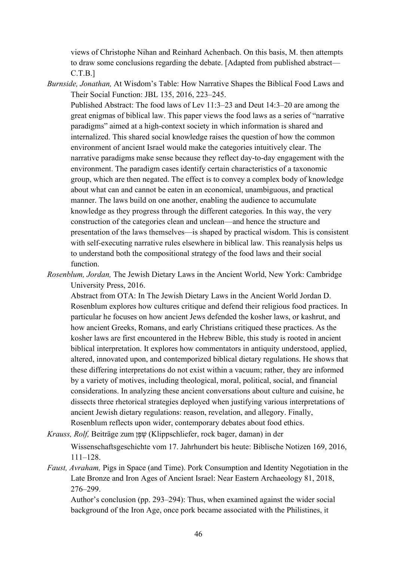views of Christophe Nihan and Reinhard Achenbach. On this basis, M. then attempts to draw some conclusions regarding the debate. [Adapted from published abstract— C.T.B.]

*Burnside, Jonathan,* At Wisdom's Table: How Narrative Shapes the Biblical Food Laws and Their Social Function: JBL 135, 2016, 223–245.

Published Abstract: The food laws of Lev 11:3–23 and Deut 14:3–20 are among the great enigmas of biblical law. This paper views the food laws as a series of "narrative paradigms" aimed at a high-context society in which information is shared and internalized. This shared social knowledge raises the question of how the common environment of ancient Israel would make the categories intuitively clear. The narrative paradigms make sense because they reflect day-to-day engagement with the environment. The paradigm cases identify certain characteristics of a taxonomic group, which are then negated. The effect is to convey a complex body of knowledge about what can and cannot be eaten in an economical, unambiguous, and practical manner. The laws build on one another, enabling the audience to accumulate knowledge as they progress through the different categories. In this way, the very construction of the categories clean and unclean—and hence the structure and presentation of the laws themselves—is shaped by practical wisdom. This is consistent with self-executing narrative rules elsewhere in biblical law. This reanalysis helps us to understand both the compositional strategy of the food laws and their social function.

*Rosenblum, Jordan,* The Jewish Dietary Laws in the Ancient World, New York: Cambridge University Press, 2016.

Abstract from OTA: In The Jewish Dietary Laws in the Ancient World Jordan D. Rosenblum explores how cultures critique and defend their religious food practices. In particular he focuses on how ancient Jews defended the kosher laws, or kashrut, and how ancient Greeks, Romans, and early Christians critiqued these practices. As the kosher laws are first encountered in the Hebrew Bible, this study is rooted in ancient biblical interpretation. It explores how commentators in antiquity understood, applied, altered, innovated upon, and contemporized biblical dietary regulations. He shows that these differing interpretations do not exist within a vacuum; rather, they are informed by a variety of motives, including theological, moral, political, social, and financial considerations. In analyzing these ancient conversations about culture and cuisine, he dissects three rhetorical strategies deployed when justifying various interpretations of ancient Jewish dietary regulations: reason, revelation, and allegory. Finally, Rosenblum reflects upon wider, contemporary debates about food ethics.

*Krauss, Rolf,* Beiträge zum ן ָפ ָשׁ) Klippschliefer, rock bager, daman) in der

Wissenschaftsgeschichte vom 17. Jahrhundert bis heute: Biblische Notizen 169, 2016, 111–128.

*Faust, Avraham,* Pigs in Space (and Time). Pork Consumption and Identity Negotiation in the Late Bronze and Iron Ages of Ancient Israel: Near Eastern Archaeology 81, 2018, 276–299.

Author's conclusion (pp. 293–294): Thus, when examined against the wider social background of the Iron Age, once pork became associated with the Philistines, it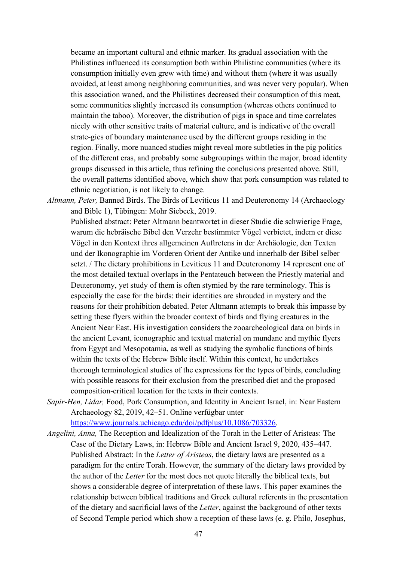became an important cultural and ethnic marker. Its gradual association with the Philistines influenced its consumption both within Philistine communities (where its consumption initially even grew with time) and without them (where it was usually avoided, at least among neighboring communities, and was never very popular). When this association waned, and the Philistines decreased their consumption of this meat, some communities slightly increased its consumption (whereas others continued to maintain the taboo). Moreover, the distribution of pigs in space and time correlates nicely with other sensitive traits of material culture, and is indicative of the overall strate-gies of boundary maintenance used by the different groups residing in the region. Finally, more nuanced studies might reveal more subtleties in the pig politics of the different eras, and probably some subgroupings within the major, broad identity groups discussed in this article, thus refining the conclusions presented above. Still, the overall patterns identified above, which show that pork consumption was related to ethnic negotiation, is not likely to change.

*Altmann, Peter,* Banned Birds. The Birds of Leviticus 11 and Deuteronomy 14 (Archaeology and Bible 1), Tübingen: Mohr Siebeck, 2019.

Published abstract: Peter Altmann beantwortet in dieser Studie die schwierige Frage, warum die hebräische Bibel den Verzehr bestimmter Vögel verbietet, indem er diese Vögel in den Kontext ihres allgemeinen Auftretens in der Archäologie, den Texten und der Ikonographie im Vorderen Orient der Antike und innerhalb der Bibel selber setzt. / The dietary prohibitions in Leviticus 11 and Deuteronomy 14 represent one of the most detailed textual overlaps in the Pentateuch between the Priestly material and Deuteronomy, yet study of them is often stymied by the rare terminology. This is especially the case for the birds: their identities are shrouded in mystery and the reasons for their prohibition debated. Peter Altmann attempts to break this impasse by setting these flyers within the broader context of birds and flying creatures in the Ancient Near East. His investigation considers the zooarcheological data on birds in the ancient Levant, iconographic and textual material on mundane and mythic flyers from Egypt and Mesopotamia, as well as studying the symbolic functions of birds within the texts of the Hebrew Bible itself. Within this context, he undertakes thorough terminological studies of the expressions for the types of birds, concluding with possible reasons for their exclusion from the prescribed diet and the proposed composition-critical location for the texts in their contexts.

*Sapir-Hen, Lidar,* Food, Pork Consumption, and Identity in Ancient Israel, in: Near Eastern Archaeology 82, 2019, 42–51. Online verfügbar unter [https://www.journals.uchicago.edu/doi/pdfplus/10.1086/703326.](https://www.journals.uchicago.edu/doi/pdfplus/10.1086/703326)

*Angelini, Anna,* The Reception and Idealization of the Torah in the Letter of Aristeas: The Case of the Dietary Laws, in: Hebrew Bible and Ancient Israel 9, 2020, 435–447. Published Abstract: In the *Letter of Aristeas*, the dietary laws are presented as a paradigm for the entire Torah. However, the summary of the dietary laws provided by the author of the *Letter* for the most does not quote literally the biblical texts, but shows a considerable degree of interpretation of these laws. This paper examines the relationship between biblical traditions and Greek cultural referents in the presentation of the dietary and sacrificial laws of the *Letter*, against the background of other texts of Second Temple period which show a reception of these laws (e. g. Philo, Josephus,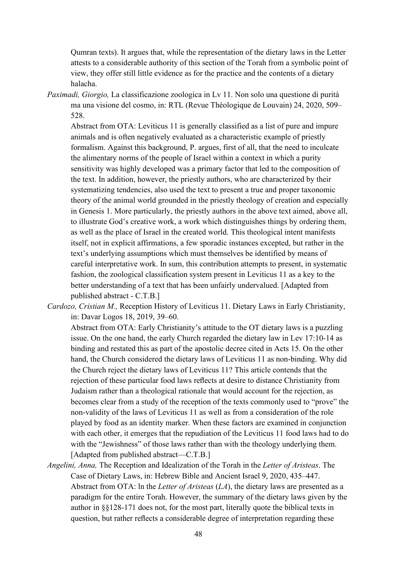Qumran texts). It argues that, while the representation of the dietary laws in the Letter attests to a considerable authority of this section of the Torah from a symbolic point of view, they offer still little evidence as for the practice and the contents of a dietary halacha.

*Paximadi, Giorgio,* La classificazione zoologica in Lv 11. Non solo una questione di purità ma una visione del cosmo, in: RTL (Revue Théologique de Louvain) 24, 2020, 509– 528.

Abstract from OTA: Leviticus 11 is generally classified as a list of pure and impure animals and is often negatively evaluated as a characteristic example of priestly formalism. Against this background, P. argues, first of all, that the need to inculcate the alimentary norms of the people of Israel within a context in which a purity sensitivity was highly developed was a primary factor that led to the composition of the text. In addition, however, the priestly authors, who are characterized by their systematizing tendencies, also used the text to present a true and proper taxonomic theory of the animal world grounded in the priestly theology of creation and especially in Genesis 1. More particularly, the priestly authors in the above text aimed, above all, to illustrate God's creative work, a work which distinguishes things by ordering them, as well as the place of Israel in the created world. This theological intent manifests itself, not in explicit affirmations, a few sporadic instances excepted, but rather in the text's underlying assumptions which must themselves be identified by means of careful interpretative work. In sum, this contribution attempts to present, in systematic fashion, the zoological classification system present in Leviticus 11 as a key to the better understanding of a text that has been unfairly undervalued. [Adapted from published abstract - C.T.B.]

*Cardozo, Cristian M.,* Reception History of Leviticus 11. Dietary Laws in Early Christianity, in: Davar Logos 18, 2019, 39–60.

Abstract from OTA: Early Christianity's attitude to the OT dietary laws is a puzzling issue. On the one hand, the early Church regarded the dietary law in Lev 17:10-14 as binding and restated this as part of the apostolic decree cited in Acts 15. On the other hand, the Church considered the dietary laws of Leviticus 11 as non-binding. Why did the Church reject the dietary laws of Leviticus 11? This article contends that the rejection of these particular food laws reflects at desire to distance Christianity from Judaism rather than a theological rationale that would account for the rejection, as becomes clear from a study of the reception of the texts commonly used to "prove" the non-validity of the laws of Leviticus 11 as well as from a consideration of the role played by food as an identity marker. When these factors are examined in conjunction with each other, it emerges that the repudiation of the Leviticus 11 food laws had to do with the "Jewishness" of those laws rather than with the theology underlying them. [Adapted from published abstract—C.T.B.]

*Angelini, Anna,* The Reception and Idealization of the Torah in the *Letter of Aristeas*. The Case of Dietary Laws, in: Hebrew Bible and Ancient Israel 9, 2020, 435–447. Abstract from OTA: ln the *Letter of Aristeas* (*LA*), the dietary laws are presented as a paradigm for the entire Torah. However, the summary of the dietary laws given by the author in §§128-171 does not, for the most part, literally quote the biblical texts in question, but rather reflects a considerable degree of interpretation regarding these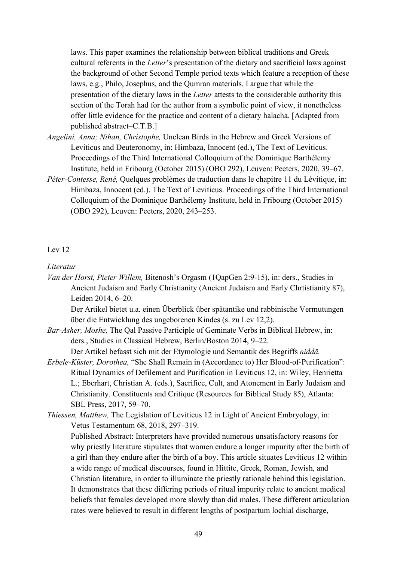laws. This paper examines the relationship between biblical traditions and Greek cultural referents in the *Letter*'s presentation of the dietary and sacrificial laws against the background of other Second Temple period texts which feature a reception of these laws, e.g., Philo, Josephus, and the Qumran materials. I argue that while the presentation of the dietary laws in the *Letter* attests to the considerable authority this section of the Torah had for the author from a symbolic point of view, it nonetheless offer little evidence for the practice and content of a dietary halacha. [Adapted from published abstract–C.T.B.]

- *Angelini, Anna; Nihan, Christophe,* Unclean Birds in the Hebrew and Greek Versions of Leviticus and Deuteronomy, in: Himbaza, Innocent (ed.), The Text of Leviticus. Proceedings of the Third International Colloquium of the Dominique Barthélemy Institute, held in Fribourg (October 2015) (OBO 292), Leuven: Peeters, 2020, 39–67.
- *Péter-Contesse, René,* Quelques problèmes de traduction dans le chapitre 11 du Lévitique, in: Himbaza, Innocent (ed.), The Text of Leviticus. Proceedings of the Third International Colloquium of the Dominique Barthélemy Institute, held in Fribourg (October 2015) (OBO 292), Leuven: Peeters, 2020, 243–253.

### Lev 12

#### *Literatur*

*Van der Horst, Pieter Willem,* Bitenosh's Orgasm (1QapGen 2:9-15), in: ders., Studies in Ancient Judaism and Early Christianity (Ancient Judaism and Early Chrtistianity 87), Leiden 2014, 6–20.

Der Artikel bietet u.a. einen Überblick über spätantike und rabbinische Vermutungen über die Entwicklung des ungeborenen Kindes (s. zu Lev 12,2).

*Bar-Asher, Moshe,* The Qal Passive Participle of Geminate Verbs in Biblical Hebrew, in: ders., Studies in Classical Hebrew, Berlin/Boston 2014, 9–22.

Der Artikel befasst sich mit der Etymologie und Semantik des Begriffs *niddā.*

- *Erbele-Küster, Dorothea,* "She Shall Remain in (Accordance to) Her Blood-of-Purification": Ritual Dynamics of Defilement and Purification in Leviticus 12, in: Wiley, Henrietta L.; Eberhart, Christian A. (eds.), Sacrifice, Cult, and Atonement in Early Judaism and Christianity. Constituents and Critique (Resources for Biblical Study 85), Atlanta: SBL Press, 2017, 59–70.
- *Thiessen, Matthew,* The Legislation of Leviticus 12 in Light of Ancient Embryology, in: Vetus Testamentum 68, 2018, 297–319.

Published Abstract: Interpreters have provided numerous unsatisfactory reasons for why priestly literature stipulates that women endure a longer impurity after the birth of a girl than they endure after the birth of a boy. This article situates Leviticus 12 within a wide range of medical discourses, found in Hittite, Greek, Roman, Jewish, and Christian literature, in order to illuminate the priestly rationale behind this legislation. It demonstrates that these differing periods of ritual impurity relate to ancient medical beliefs that females developed more slowly than did males. These different articulation rates were believed to result in different lengths of postpartum lochial discharge,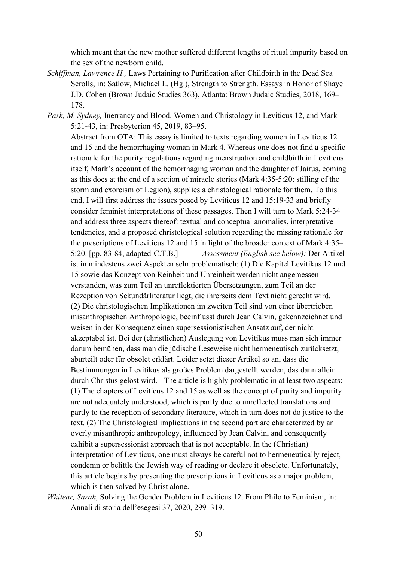which meant that the new mother suffered different lengths of ritual impurity based on the sex of the newborn child.

- *Schiffman, Lawrence H.,* Laws Pertaining to Purification after Childbirth in the Dead Sea Scrolls, in: Satlow, Michael L. (Hg.), Strength to Strength. Essays in Honor of Shaye J.D. Cohen (Brown Judaic Studies 363), Atlanta: Brown Judaic Studies, 2018, 169– 178.
- *Park, M. Sydney,* Inerrancy and Blood. Women and Christology in Leviticus 12, and Mark 5:21-43, in: Presbyterion 45, 2019, 83–95.

Abstract from OTA: This essay is limited to texts regarding women in Leviticus 12 and 15 and the hemorrhaging woman in Mark 4. Whereas one does not find a specific rationale for the purity regulations regarding menstruation and childbirth in Leviticus itself, Mark's account of the hemorrhaging woman and the daughter of Jairus, coming as this does at the end of a section of miracle stories (Mark 4:35-5:20: stilling of the storm and exorcism of Legion), supplies a christological rationale for them. To this end, I will first address the issues posed by Leviticus 12 and 15:19-33 and briefly consider feminist interpretations of these passages. Then I will turn to Mark 5:24-34 and address three aspects thereof: textual and conceptual anomalies, interpretative tendencies, and a proposed christological solution regarding the missing rationale for the prescriptions of Leviticus 12 and 15 in light of the broader context of Mark 4:35– 5:20. [pp. 83-84, adapted-C.T.B.] --- *Assessment (English see below):* Der Artikel ist in mindestens zwei Aspekten sehr problematisch: (1) Die Kapitel Levitikus 12 und 15 sowie das Konzept von Reinheit und Unreinheit werden nicht angemessen verstanden, was zum Teil an unreflektierten Übersetzungen, zum Teil an der Rezeption von Sekundärliteratur liegt, die ihrerseits dem Text nicht gerecht wird. (2) Die christologischen Implikationen im zweiten Teil sind von einer übertrieben misanthropischen Anthropologie, beeinflusst durch Jean Calvin, gekennzeichnet und weisen in der Konsequenz einen supersessionistischen Ansatz auf, der nicht akzeptabel ist. Bei der (christlichen) Auslegung von Levitikus muss man sich immer darum bemühen, dass man die jüdische Leseweise nicht hermeneutisch zurücksetzt, aburteilt oder für obsolet erklärt. Leider setzt dieser Artikel so an, dass die Bestimmungen in Levitikus als großes Problem dargestellt werden, das dann allein durch Christus gelöst wird. - The article is highly problematic in at least two aspects: (1) The chapters of Leviticus 12 and 15 as well as the concept of purity and impurity are not adequately understood, which is partly due to unreflected translations and partly to the reception of secondary literature, which in turn does not do justice to the text. (2) The Christological implications in the second part are characterized by an overly misanthropic anthropology, influenced by Jean Calvin, and consequently exhibit a supersessionist approach that is not acceptable. In the (Christian) interpretation of Leviticus, one must always be careful not to hermeneutically reject, condemn or belittle the Jewish way of reading or declare it obsolete. Unfortunately, this article begins by presenting the prescriptions in Leviticus as a major problem, which is then solved by Christ alone.

*Whitear, Sarah,* Solving the Gender Problem in Leviticus 12. From Philo to Feminism, in: Annali di storia dell'esegesi 37, 2020, 299–319.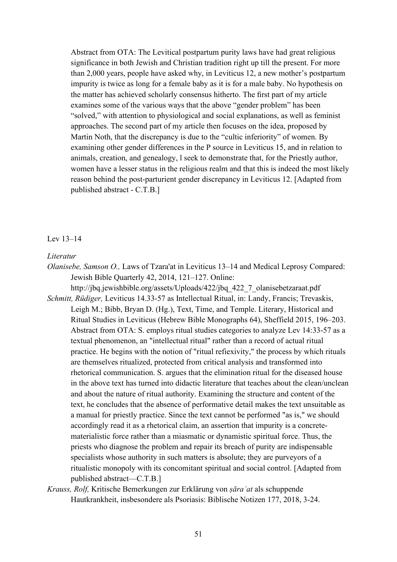Abstract from OTA: The Levitical postpartum purity laws have had great religious significance in both Jewish and Christian tradition right up till the present. For more than 2,000 years, people have asked why, in Leviticus 12, a new mother's postpartum impurity is twice as long for a female baby as it is for a male baby. No hypothesis on the matter has achieved scholarly consensus hitherto. The first part of my article examines some of the various ways that the above "gender problem" has been "solved," with attention to physiological and social explanations, as well as feminist approaches. The second part of my article then focuses on the idea, proposed by Martin Noth, that the discrepancy is due to the "cultic inferiority" of women. By examining other gender differences in the P source in Leviticus 15, and in relation to animals, creation, and genealogy, l seek to demonstrate that, for the Priestly author, women have a lesser status in the religious realm and that this is indeed the most likely reason behind the post-parturient gender discrepancy in Leviticus 12. [Adapted from published abstract - C.T.B.]

#### Lev 13–14

### *Literatur*

- *Olanisebe, Samson O.,* Laws of Tzara'at in Leviticus 13–14 and Medical Leprosy Compared: Jewish Bible Quarterly 42, 2014, 121–127. Online:
- http://jbq.jewishbible.org/assets/Uploads/422/jbq\_422\_7\_olanisebetzaraat.pdf *Schmitt, Rüdiger,* Leviticus 14.33-57 as Intellectual Ritual, in: Landy, Francis; Trevaskis, Leigh M.; Bibb, Bryan D. (Hg.), Text, Time, and Temple. Literary, Historical and Ritual Studies in Leviticus (Hebrew Bible Monographs 64), Sheffield 2015, 196–203. Abstract from OTA: S. employs ritual studies categories to analyze Lev 14:33-57 as a textual phenomenon, an "intellectual ritual" rather than a record of actual ritual practice. He begins with the notion of "ritual refiexivity," the process by which rituals are themselves ritualized, protected from critical analysis and transformed into rhetorical communication. S. argues that the elimination ritual for the diseased house in the above text has turned into didactic literature that teaches about the clean/unclean and about the nature of ritual authority. Examining the structure and content of the text, he concludes that the absence of performative detail makes the text unsuitable as a manual for priestly practice. Since the text cannot be performed "as is," we should accordingly read it as a rhetorical claim, an assertion that impurity is a concretematerialistic force rather than a miasmatic or dynamistic spiritual force. Thus, the priests who diagnose the problem and repair its breach of purity are indispensable specialists whose authority in such matters is absolute; they are purveyors of a ritualistic monopoly with its concomitant spiritual and social control. [Adapted from published abstract—C.T.B.]
- *Krauss, Rolf,* Kritische Bemerkungen zur Erklärung von *ṣāraʿat* als schuppende Hautkrankheit, insbesondere als Psoriasis: Biblische Notizen 177, 2018, 3-24.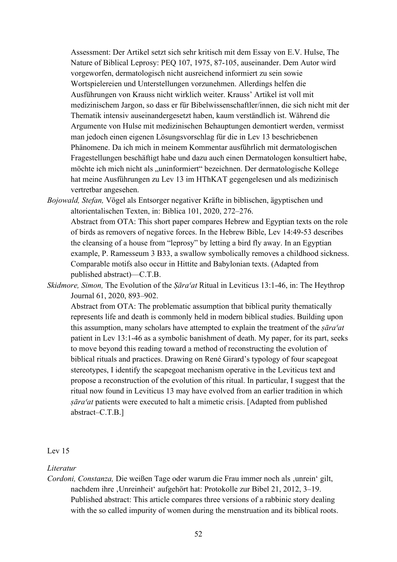Assessment: Der Artikel setzt sich sehr kritisch mit dem Essay von E.V. Hulse, The Nature of Biblical Leprosy: PEQ 107, 1975, 87-105, auseinander. Dem Autor wird vorgeworfen, dermatologisch nicht ausreichend informiert zu sein sowie Wortspielereien und Unterstellungen vorzunehmen. Allerdings helfen die Ausführungen von Krauss nicht wirklich weiter. Krauss' Artikel ist voll mit medizinischem Jargon, so dass er für Bibelwissenschaftler/innen, die sich nicht mit der Thematik intensiv auseinandergesetzt haben, kaum verständlich ist. Während die Argumente von Hulse mit medizinischen Behauptungen demontiert werden, vermisst man jedoch einen eigenen Lösungsvorschlag für die in Lev 13 beschriebenen Phänomene. Da ich mich in meinem Kommentar ausführlich mit dermatologischen Fragestellungen beschäftigt habe und dazu auch einen Dermatologen konsultiert habe, möchte ich mich nicht als "uninformiert" bezeichnen. Der dermatologische Kollege hat meine Ausführungen zu Lev 13 im HThKAT gegengelesen und als medizinisch vertretbar angesehen.

- *Bojowald, Stefan,* Vögel als Entsorger negativer Kräfte in biblischen, ägyptischen und altorientalischen Texten, in: Biblica 101, 2020, 272–276. Abstract from OTA: This short paper compares Hebrew and Egyptian texts on the role of birds as removers of negative forces. In the Hebrew Bible, Lev 14:49-53 describes the cleansing of a house from "leprosy" by letting a bird fly away. In an Egyptian example, P. Ramesseum 3 B33, a swallow symbolically removes a childhood sickness. Comparable motifs also occur in Hittite and Babylonian texts. (Adapted from published abstract)—C.T.B.
- *Skidmore, Simon, The Evolution of the <i>Şāra'at Ritual in Leviticus* 13:1-46, in: The Heythrop Journal 61, 2020, 893–902.

Abstract from OTA: The problematic assumption that biblical purity thematically represents life and death is commonly held in modern biblical studies. Building upon this assumption, many scholars have attempted to explain the treatment of the *ṣāraꜤat*  patient in Lev 13:1-46 as a symbolic banishment of death. My paper, for its part, seeks to move beyond this reading toward a method of reconstructing the evolution of biblical rituals and practices. Drawing on René Girard's typology of four scapegoat stereotypes, I identify the scapegoat mechanism operative in the Leviticus text and propose a reconstruction of the evolution of this ritual. In particular, I suggest that the ritual now found in Leviticus 13 may have evolved from an earlier tradition in which *ṣāraꜤat* patients were executed to halt a mimetic crisis. [Adapted from published abstract–C.T.B.]

## Lev<sub>15</sub>

## *Literatur*

*Cordoni, Constanza, Die weißen Tage oder warum die Frau immer noch als ,unrein' gilt,* nachdem ihre 'Unreinheit' aufgehört hat: Protokolle zur Bibel 21, 2012, 3–19. Published abstract: This article compares three versions of a rabbinic story dealing with the so called impurity of women during the menstruation and its biblical roots.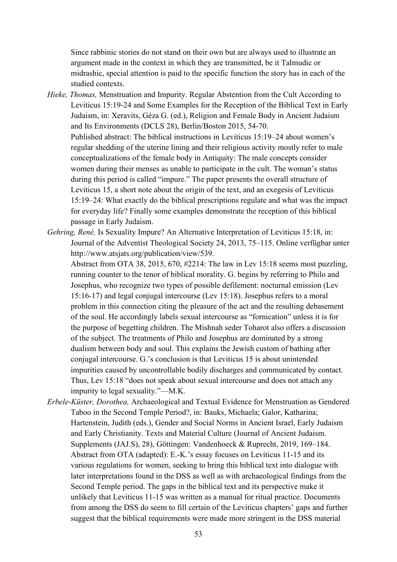Since rabbinic stories do not stand on their own but are always used to illustrate an argument made in the context in which they are transmitted, be it Talmudic or midrashic, special attention is paid to the specific function the story has in each of the studied contexts.

- *Hieke, Thomas,* Menstruation and Impurity. Regular Abstention from the Cult According to Leviticus 15:19-24 and Some Examples for the Reception of the Biblical Text in Early Judaism, in: Xeravits, Géza G. (ed.), Religion and Female Body in Ancient Judaism and Its Environments (DCLS 28), Berlin/Boston 2015, 54-70. Published abstract: The biblical instructions in Leviticus 15:19–24 about women's regular shedding of the uterine lining and their religious activity mostly refer to male conceptualizations of the female body in Antiquity: The male concepts consider women during their menses as unable to participate in the cult. The woman's status during this period is called "impure." The paper presents the overall structure of Leviticus 15, a short note about the origin of the text, and an exegesis of Leviticus 15:19–24: What exactly do the biblical prescriptions regulate and what was the impact for everyday life? Finally some examples demonstrate the reception of this biblical passage in Early Judaism.
- *Gehring, René,* Is Sexuality Impure? An Alternative Interpretation of Leviticus 15:18, in: Journal of the Adventist Theological Society 24, 2013, 75–115. Online verfügbar unter http://www.atsjats.org/publication/view/539.

Abstract from OTA 38, 2015, 670, #2214: The law in Lev 15:18 seems most puzzling, running counter to the tenor of biblical morality. G. begins by referring to Philo and Josephus, who recognize two types of possible defilement: nocturnal emission (Lev 15:16-17) and legal conjugal intercourse (Lev 15:18). Josephus refers to a moral problem in this connection citing the pleasure of the act and the resulting debasement of the soul. He accordingly labels sexual intercourse as "fornication" unless it is for the purpose of begetting children. The Mishnah seder Toharot also offers a discussion of the subject. The treatments of Philo and Josephus are dominated by a strong dualism between body and soul. This explains the Jewish custom of bathing after conjugal intercourse. G.'s conclusion is that Leviticus 15 is about unintended impurities caused by uncontrollable bodily discharges and communicated by contact. Thus, Lev 15:18 "does not speak about sexual intercourse and does not attach any impurity to legal sexuality."—M.K.

*Erbele-Küster, Dorothea,* Archaeological and Textual Evidence for Menstruation as Gendered Taboo in the Second Temple Period?, in: Bauks, Michaela; Galor, Katharina; Hartenstein, Judith (eds.), Gender and Social Norms in Ancient Israel, Early Judaism and Early Christianity. Texts and Material Culture (Journal of Ancient Judaism. Supplements (JAJ.S), 28), Göttingen: Vandenhoeck & Ruprecht, 2019, 169–184. Abstract from OTA (adapted): E.-K.'s essay focuses on Leviticus 11-15 and its various regulations for women, seeking to bring this biblical text into dialogue with later interpretations found in the DSS as well as with archaeological findings from the Second Temple period. The gaps in the biblical text and its perspective make it unlikely that Leviticus 11-15 was written as a manual for ritual practice. Documents from among the DSS do seem to fill certain of the Leviticus chapters' gaps and further suggest that the biblical requirements were made more stringent in the DSS material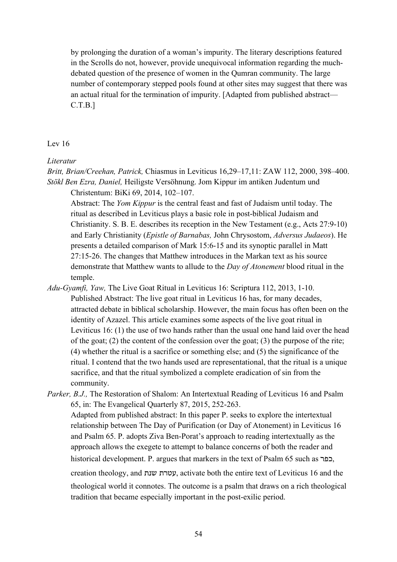by prolonging the duration of a woman's impurity. The literary descriptions featured in the Scrolls do not, however, provide unequivocal information regarding the muchdebated question of the presence of women in the Qumran community. The large number of contemporary stepped pools found at other sites may suggest that there was an actual ritual for the termination of impurity. [Adapted from published abstract— C.T.B.]

# Lev 16

*Literatur*

*Britt, Brian/Creehan, Patrick,* Chiasmus in Leviticus 16,29–17,11: ZAW 112, 2000, 398–400. *Stökl Ben Ezra, Daniel,* Heiligste Versöhnung. Jom Kippur im antiken Judentum und Christentum: BiKi 69, 2014, 102–107.

Abstract: The *Yom Kippur* is the central feast and fast of Judaism until today. The ritual as described in Leviticus plays a basic role in post-biblical Judaism and Christianity. S. B. E. describes its reception in the New Testament (e.g., Acts 27:9-10) and Early Christianity (*Epistle of Barnabas,* John Chrysostom, *Adversus Judaeos*). He presents a detailed comparison of Mark 15:6-15 and its synoptic parallel in Matt 27:15-26. The changes that Matthew introduces in the Markan text as his source demonstrate that Matthew wants to allude to the *Day of Atonement* blood ritual in the temple.

*Adu-Gyamfi, Yaw,* The Live Goat Ritual in Leviticus 16: Scriptura 112, 2013, 1-10. Published Abstract: The live goat ritual in Leviticus 16 has, for many decades, attracted debate in biblical scholarship. However, the main focus has often been on the identity of Azazel. This article examines some aspects of the live goat ritual in Leviticus 16: (1) the use of two hands rather than the usual one hand laid over the head of the goat; (2) the content of the confession over the goat; (3) the purpose of the rite; (4) whether the ritual is a sacrifice or something else; and (5) the significance of the ritual. I contend that the two hands used are representational, that the ritual is a unique sacrifice, and that the ritual symbolized a complete eradication of sin from the community.

*Parker, B.J.,* The Restoration of Shalom: An Intertextual Reading of Leviticus 16 and Psalm 65, in: The Evangelical Quarterly 87, 2015, 252-263. Adapted from published abstract: In this paper P. seeks to explore the intertextual relationship between The Day of Purification (or Day of Atonement) in Leviticus 16 and Psalm 65. P. adopts Ziva Ben-Porat's approach to reading intertextually as the approach allows the exegete to attempt to balance concerns of both the reader and historical development. P. argues that markers in the text of Psalm 65 such as  $\sim$ creation theology, and שנת עטרת, activate both the entire text of Leviticus 16 and the theological world it connotes. The outcome is a psalm that draws on a rich theological tradition that became especially important in the post-exilic period.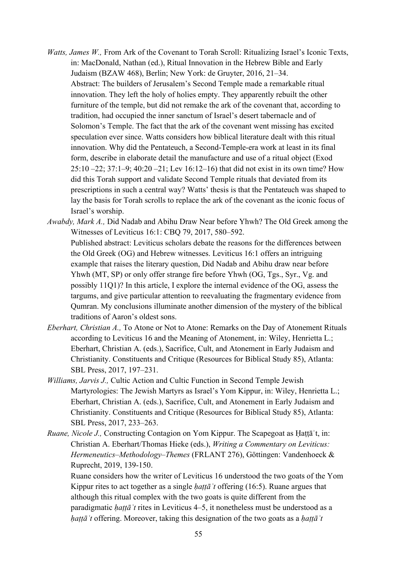- *Watts, James W., From Ark of the Covenant to Torah Scroll: Ritualizing Israel's Iconic Texts,* in: MacDonald, Nathan (ed.), Ritual Innovation in the Hebrew Bible and Early Judaism (BZAW 468), Berlin; New York: de Gruyter, 2016, 21–34. Abstract: The builders of Jerusalem's Second Temple made a remarkable ritual innovation. They left the holy of holies empty. They apparently rebuilt the other furniture of the temple, but did not remake the ark of the covenant that, according to tradition, had occupied the inner sanctum of Israel's desert tabernacle and of Solomon's Temple. The fact that the ark of the covenant went missing has excited speculation ever since. Watts considers how biblical literature dealt with this ritual innovation. Why did the Pentateuch, a Second-Temple-era work at least in its final form, describe in elaborate detail the manufacture and use of a ritual object (Exod 25:10 –22; 37:1–9; 40:20 –21; Lev 16:12–16) that did not exist in its own time? How did this Torah support and validate Second Temple rituals that deviated from its prescriptions in such a central way? Watts' thesis is that the Pentateuch was shaped to lay the basis for Torah scrolls to replace the ark of the covenant as the iconic focus of Israel's worship.
- *Awabdy, Mark A.,* Did Nadab and Abihu Draw Near before Yhwh? The Old Greek among the Witnesses of Leviticus 16:1: CBQ 79, 2017, 580–592. Published abstract: Leviticus scholars debate the reasons for the differences between the Old Greek (OG) and Hebrew witnesses. Leviticus 16:1 offers an intriguing example that raises the literary question, Did Nadab and Abihu draw near before Yhwh (MT, SP) or only offer strange fire before Yhwh (OG, Tgs., Syr., Vg. and possibly 11Q1)? In this article, I explore the internal evidence of the OG, assess the targums, and give particular attention to reevaluating the fragmentary evidence from Qumran. My conclusions illuminate another dimension of the mystery of the biblical traditions of Aaron's oldest sons.
- *Eberhart, Christian A.,* To Atone or Not to Atone: Remarks on the Day of Atonement Rituals according to Leviticus 16 and the Meaning of Atonement, in: Wiley, Henrietta L.; Eberhart, Christian A. (eds.), Sacrifice, Cult, and Atonement in Early Judaism and Christianity. Constituents and Critique (Resources for Biblical Study 85), Atlanta: SBL Press, 2017, 197–231.
- *Williams, Jarvis J.,* Cultic Action and Cultic Function in Second Temple Jewish Martyrologies: The Jewish Martyrs as Israel's Yom Kippur, in: Wiley, Henrietta L.; Eberhart, Christian A. (eds.), Sacrifice, Cult, and Atonement in Early Judaism and Christianity. Constituents and Critique (Resources for Biblical Study 85), Atlanta: SBL Press, 2017, 233–263.
- *Ruane, Nicole J.,* Constructing Contagion on Yom Kippur. The Scapegoat as Ḥaṭṭāʾt, in: Christian A. Eberhart/Thomas Hieke (eds.), *Writing a Commentary on Leviticus: Hermeneutics–Methodology–Themes* (FRLANT 276), Göttingen: Vandenhoeck & Ruprecht, 2019, 139-150.

Ruane considers how the writer of Leviticus 16 understood the two goats of the Yom Kippur rites to act together as a single *hatta t* offering (16:5). Ruane argues that although this ritual complex with the two goats is quite different from the paradigmatic *ḥaṭṭāʾt* rites in Leviticus 4–5, it nonetheless must be understood as a *ḥaṭṭāʾt* offering. Moreover, taking this designation of the two goats as a *ḥaṭṭāʾt*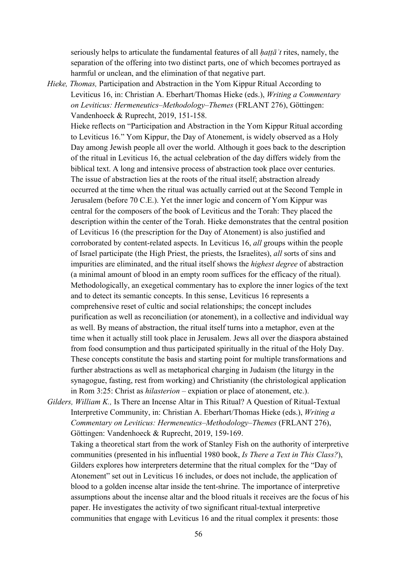seriously helps to articulate the fundamental features of all *hatta<sup>†</sup>t* rites, namely, the separation of the offering into two distinct parts, one of which becomes portrayed as harmful or unclean, and the elimination of that negative part.

*Hieke, Thomas,* Participation and Abstraction in the Yom Kippur Ritual According to Leviticus 16, in: Christian A. Eberhart/Thomas Hieke (eds.), *Writing a Commentary on Leviticus: Hermeneutics–Methodology–Themes* (FRLANT 276), Göttingen: Vandenhoeck & Ruprecht, 2019, 151-158.

Hieke reflects on "Participation and Abstraction in the Yom Kippur Ritual according to Leviticus 16." Yom Kippur, the Day of Atonement, is widely observed as a Holy Day among Jewish people all over the world. Although it goes back to the description of the ritual in Leviticus 16, the actual celebration of the day differs widely from the biblical text. A long and intensive process of abstraction took place over centuries. The issue of abstraction lies at the roots of the ritual itself; abstraction already occurred at the time when the ritual was actually carried out at the Second Temple in Jerusalem (before 70 C.E.). Yet the inner logic and concern of Yom Kippur was central for the composers of the book of Leviticus and the Torah: They placed the description within the center of the Torah. Hieke demonstrates that the central position of Leviticus 16 (the prescription for the Day of Atonement) is also justified and corroborated by content-related aspects. In Leviticus 16, *all* groups within the people of Israel participate (the High Priest, the priests, the Israelites), *all* sorts of sins and impurities are eliminated, and the ritual itself shows the *highest degree* of abstraction (a minimal amount of blood in an empty room suffices for the efficacy of the ritual). Methodologically, an exegetical commentary has to explore the inner logics of the text and to detect its semantic concepts. In this sense, Leviticus 16 represents a comprehensive reset of cultic and social relationships; the concept includes purification as well as reconciliation (or atonement), in a collective and individual way as well. By means of abstraction, the ritual itself turns into a metaphor, even at the time when it actually still took place in Jerusalem. Jews all over the diaspora abstained from food consumption and thus participated spiritually in the ritual of the Holy Day. These concepts constitute the basis and starting point for multiple transformations and further abstractions as well as metaphorical charging in Judaism (the liturgy in the synagogue, fasting, rest from working) and Christianity (the christological application in Rom 3:25: Christ as *hilasterion* – expiation or place of atonement, etc.).

*Gilders, William K.,* Is There an Incense Altar in This Ritual? A Question of Ritual-Textual Interpretive Community, in: Christian A. Eberhart/Thomas Hieke (eds.), *Writing a Commentary on Leviticus: Hermeneutics–Methodology–Themes* (FRLANT 276), Göttingen: Vandenhoeck & Ruprecht, 2019, 159-169.

Taking a theoretical start from the work of Stanley Fish on the authority of interpretive communities (presented in his influential 1980 book, *Is There a Text in This Class?*), Gilders explores how interpreters determine that the ritual complex for the "Day of Atonement" set out in Leviticus 16 includes, or does not include, the application of blood to a golden incense altar inside the tent-shrine. The importance of interpretive assumptions about the incense altar and the blood rituals it receives are the focus of his paper. He investigates the activity of two significant ritual-textual interpretive communities that engage with Leviticus 16 and the ritual complex it presents: those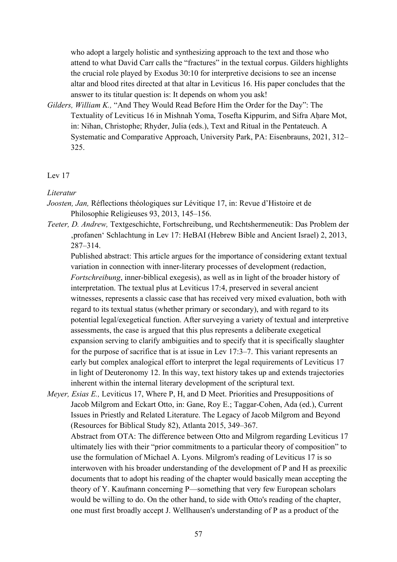who adopt a largely holistic and synthesizing approach to the text and those who attend to what David Carr calls the "fractures" in the textual corpus. Gilders highlights the crucial role played by Exodus 30:10 for interpretive decisions to see an incense altar and blood rites directed at that altar in Leviticus 16. His paper concludes that the answer to its titular question is: It depends on whom you ask!

*Gilders, William K.,* "And They Would Read Before Him the Order for the Day": The Textuality of Leviticus 16 in Mishnah Yoma, Tosefta Kippurim, and Sifra Ahare Mot, in: Nihan, Christophe; Rhyder, Julia (eds.), Text and Ritual in the Pentateuch. A Systematic and Comparative Approach, University Park, PA: Eisenbrauns, 2021, 312– 325.

## Lev 17

*Literatur*

- *Joosten, Jan,* Réflections théologiques sur Lévitique 17, in: Revue d'Histoire et de Philosophie Religieuses 93, 2013, 145–156.
- *Teeter, D. Andrew,* Textgeschichte, Fortschreibung, und Rechtshermeneutik: Das Problem der 'profanen' Schlachtung in Lev 17: HeBAI (Hebrew Bible and Ancient Israel) 2, 2013, 287–314.

Published abstract: This article argues for the importance of considering extant textual variation in connection with inner-literary processes of development (redaction, *Fortschreibung*, inner-biblical exegesis), as well as in light of the broader history of interpretation. The textual plus at Leviticus 17:4, preserved in several ancient witnesses, represents a classic case that has received very mixed evaluation, both with regard to its textual status (whether primary or secondary), and with regard to its potential legal/exegetical function. After surveying a variety of textual and interpretive assessments, the case is argued that this plus represents a deliberate exegetical expansion serving to clarify ambiguities and to specify that it is specifically slaughter for the purpose of sacrifice that is at issue in Lev 17:3–7. This variant represents an early but complex analogical effort to interpret the legal requirements of Leviticus 17 in light of Deuteronomy 12. In this way, text history takes up and extends trajectories inherent within the internal literary development of the scriptural text.

*Meyer, Esias E.,* Leviticus 17, Where P, H, and D Meet. Priorities and Presuppositions of Jacob Milgrom and Eckart Otto, in: Gane, Roy E.; Taggar-Cohen, Ada (ed.), Current Issues in Priestly and Related Literature. The Legacy of Jacob Milgrom and Beyond (Resources for Biblical Study 82), Atlanta 2015, 349–367. Abstract from OTA: The difference between Otto and Milgrom regarding Leviticus 17 ultimately lies with their "prior commitments to a particular theory of composition" to use the formulation of Michael A. Lyons. Milgrom's reading of Leviticus 17 is so interwoven with his broader understanding of the development of P and H as preexilic documents that to adopt his reading of the chapter would basically mean accepting the theory of Y. Kaufmann concerning P—something that very few European scholars would be willing to do. On the other hand, to side with Otto's reading of the chapter, one must first broadly accept J. Wellhausen's understanding of P as a product of the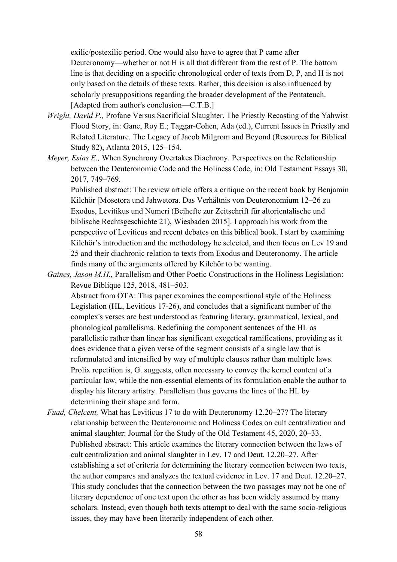exilic/postexilic period. One would also have to agree that P came after Deuteronomy—whether or not H is all that different from the rest of P. The bottom line is that deciding on a specific chronological order of texts from D, P, and H is not only based on the details of these texts. Rather, this decision is also influenced by scholarly presuppositions regarding the broader development of the Pentateuch. [Adapted from author's conclusion—C.T.B.]

- *Wright, David P.,* Profane Versus Sacrificial Slaughter. The Priestly Recasting of the Yahwist Flood Story, in: Gane, Roy E.; Taggar-Cohen, Ada (ed.), Current Issues in Priestly and Related Literature. The Legacy of Jacob Milgrom and Beyond (Resources for Biblical Study 82), Atlanta 2015, 125–154.
- *Meyer, Esias E., When Synchrony Overtakes Diachrony. Perspectives on the Relationship* between the Deuteronomic Code and the Holiness Code, in: Old Testament Essays 30, 2017, 749–769.

Published abstract: The review article offers a critique on the recent book by Benjamin Kilchör [Mosetora und Jahwetora. Das Verhältnis von Deuteronomium 12–26 zu Exodus, Levitikus und Numeri (Beihefte zur Zeitschrift für altorientalische und biblische Rechtsgeschichte 21), Wiesbaden 2015]. I approach his work from the perspective of Leviticus and recent debates on this biblical book. I start by examining Kilchör's introduction and the methodology he selected, and then focus on Lev 19 and 25 and their diachronic relation to texts from Exodus and Deuteronomy. The article finds many of the arguments offered by Kilchör to be wanting.

*Gaines, Jason M.H.,* Parallelism and Other Poetic Constructions in the Holiness Legislation: Revue Biblique 125, 2018, 481–503.

Abstract from OTA: This paper examines the compositional style of the Holiness Legislation (HL, Leviticus 17-26), and concludes that a significant number of the complex's verses are best understood as featuring literary, grammatical, lexical, and phonological parallelisms. Redefining the component sentences of the HL as parallelistic rather than linear has significant exegetical ramifications, providing as it does evidence that a given verse of the segment consists of a single law that is reformulated and intensified by way of multiple clauses rather than multiple laws. Prolix repetition is, G. suggests, often necessary to convey the kernel content of a particular law, while the non-essential elements of its formulation enable the author to display his literary artistry. Parallelism thus governs the lines of the HL by determining their shape and form.

*Fuad, Chelcent,* What has Leviticus 17 to do with Deuteronomy 12.20–27? The literary relationship between the Deuteronomic and Holiness Codes on cult centralization and animal slaughter: Journal for the Study of the Old Testament 45, 2020, 20–33. Published abstract: This article examines the literary connection between the laws of cult centralization and animal slaughter in Lev. 17 and Deut. 12.20–27. After establishing a set of criteria for determining the literary connection between two texts, the author compares and analyzes the textual evidence in Lev. 17 and Deut. 12.20–27. This study concludes that the connection between the two passages may not be one of literary dependence of one text upon the other as has been widely assumed by many scholars. Instead, even though both texts attempt to deal with the same socio-religious issues, they may have been literarily independent of each other.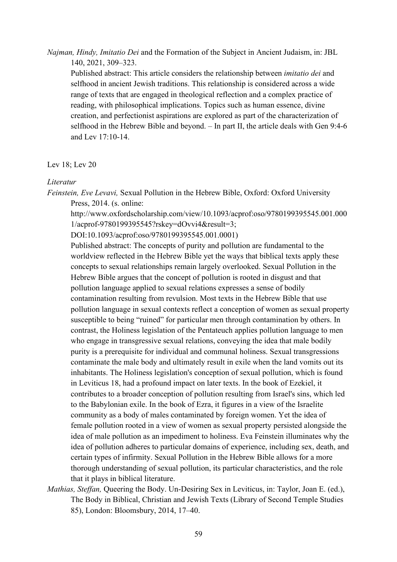*Najman, Hindy, Imitatio Dei* and the Formation of the Subject in Ancient Judaism, in: JBL 140, 2021, 309–323.

Published abstract: This article considers the relationship between *imitatio dei* and selfhood in ancient Jewish traditions. This relationship is considered across a wide range of texts that are engaged in theological reflection and a complex practice of reading, with philosophical implications. Topics such as human essence, divine creation, and perfectionist aspirations are explored as part of the characterization of selfhood in the Hebrew Bible and beyond. – In part II, the article deals with Gen 9:4-6 and Lev 17:10-14.

#### Lev 18; Lev 20

### *Literatur*

*Feinstein, Eve Levavi,* Sexual Pollution in the Hebrew Bible, Oxford: Oxford University Press, 2014. (s. online:

http://www.oxfordscholarship.com/view/10.1093/acprof:oso/9780199395545.001.000 1/acprof-9780199395545?rskey=dOvvi4&result=3;

DOI:10.1093/acprof:oso/9780199395545.001.0001)

Published abstract: The concepts of purity and pollution are fundamental to the worldview reflected in the Hebrew Bible yet the ways that biblical texts apply these concepts to sexual relationships remain largely overlooked. Sexual Pollution in the Hebrew Bible argues that the concept of pollution is rooted in disgust and that pollution language applied to sexual relations expresses a sense of bodily contamination resulting from revulsion. Most texts in the Hebrew Bible that use pollution language in sexual contexts reflect a conception of women as sexual property susceptible to being "ruined" for particular men through contamination by others. In contrast, the Holiness legislation of the Pentateuch applies pollution language to men who engage in transgressive sexual relations, conveying the idea that male bodily purity is a prerequisite for individual and communal holiness. Sexual transgressions contaminate the male body and ultimately result in exile when the land vomits out its inhabitants. The Holiness legislation's conception of sexual pollution, which is found in Leviticus 18, had a profound impact on later texts. In the book of Ezekiel, it contributes to a broader conception of pollution resulting from Israel's sins, which led to the Babylonian exile. In the book of Ezra, it figures in a view of the Israelite community as a body of males contaminated by foreign women. Yet the idea of female pollution rooted in a view of women as sexual property persisted alongside the idea of male pollution as an impediment to holiness. Eva Feinstein illuminates why the idea of pollution adheres to particular domains of experience, including sex, death, and certain types of infirmity. Sexual Pollution in the Hebrew Bible allows for a more thorough understanding of sexual pollution, its particular characteristics, and the role that it plays in biblical literature.

*Mathias, Steffan,* Queering the Body. Un-Desiring Sex in Leviticus, in: Taylor, Joan E. (ed.), The Body in Biblical, Christian and Jewish Texts (Library of Second Temple Studies 85), London: Bloomsbury, 2014, 17–40.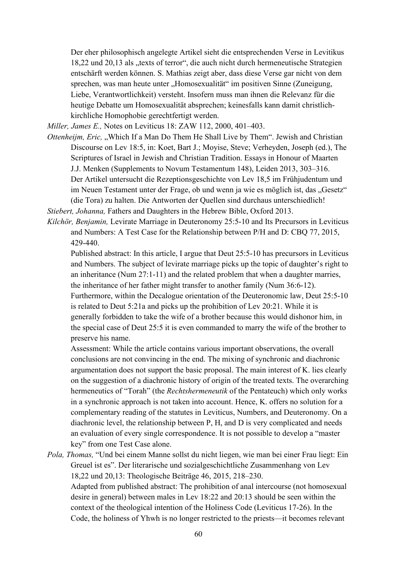Der eher philosophisch angelegte Artikel sieht die entsprechenden Verse in Levitikus 18,22 und 20,13 als "texts of terror", die auch nicht durch hermeneutische Strategien entschärft werden können. S. Mathias zeigt aber, dass diese Verse gar nicht von dem sprechen, was man heute unter "Homosexualität" im positiven Sinne (Zuneigung, Liebe, Verantwortlichkeit) versteht. Insofern muss man ihnen die Relevanz für die heutige Debatte um Homosexualität absprechen; keinesfalls kann damit christlichkirchliche Homophobie gerechtfertigt werden.

*Miller, James E.,* Notes on Leviticus 18: ZAW 112, 2000, 401–403.

*Ottenheijm, Eric, "Which If a Man Do Them He Shall Live by Them". Jewish and Christian* Discourse on Lev 18:5, in: Koet, Bart J.; Moyise, Steve; Verheyden, Joseph (ed.), The Scriptures of Israel in Jewish and Christian Tradition. Essays in Honour of Maarten J.J. Menken (Supplements to Novum Testamentum 148), Leiden 2013, 303–316. Der Artikel untersucht die Rezeptionsgeschichte von Lev 18,5 im Frühjudentum und im Neuen Testament unter der Frage, ob und wenn ja wie es möglich ist, das "Gesetz" (die Tora) zu halten. Die Antworten der Quellen sind durchaus unterschiedlich!

*Stiebert, Johanna,* Fathers and Daughters in the Hebrew Bible, Oxford 2013.

*Kilchör, Benjamin,* Levirate Marriage in Deuteronomy 25:5-10 and Its Precursors in Leviticus and Numbers: A Test Case for the Relationship between P/H and D: CBQ 77, 2015, 429-440.

Published abstract: In this article, I argue that Deut 25:5-10 has precursors in Leviticus and Numbers. The subject of levirate marriage picks up the topic of daughter's right to an inheritance (Num 27:1-11) and the related problem that when a daughter marries, the inheritance of her father might transfer to another family (Num 36:6-12). Furthermore, within the Decalogue orientation of the Deuteronomic law, Deut 25:5-10 is related to Deut 5:21a and picks up the prohibition of Lev 20:21. While it is generally forbidden to take the wife of a brother because this would dishonor him, in the special case of Deut 25:5 it is even commanded to marry the wife of the brother to preserve his name.

Assessment: While the article contains various important observations, the overall conclusions are not convincing in the end. The mixing of synchronic and diachronic argumentation does not support the basic proposal. The main interest of K. lies clearly on the suggestion of a diachronic history of origin of the treated texts. The overarching hermeneutics of "Torah" (the *Rechtshermeneutik* of the Pentateuch) which only works in a synchronic approach is not taken into account. Hence, K. offers no solution for a complementary reading of the statutes in Leviticus, Numbers, and Deuteronomy. On a diachronic level, the relationship between P, H, and D is very complicated and needs an evaluation of every single correspondence. It is not possible to develop a "master key" from one Test Case alone.

*Pola, Thomas,* "Und bei einem Manne sollst du nicht liegen, wie man bei einer Frau liegt: Ein Greuel ist es". Der literarische und sozialgeschichtliche Zusammenhang von Lev 18,22 und 20,13: Theologische Beiträge 46, 2015, 218–230. Adapted from published abstract: The prohibition of anal intercourse (not homosexual desire in general) between males in Lev 18:22 and 20:13 should be seen within the

context of the theological intention of the Holiness Code (Leviticus 17-26). In the Code, the holiness of Yhwh is no longer restricted to the priests—it becomes relevant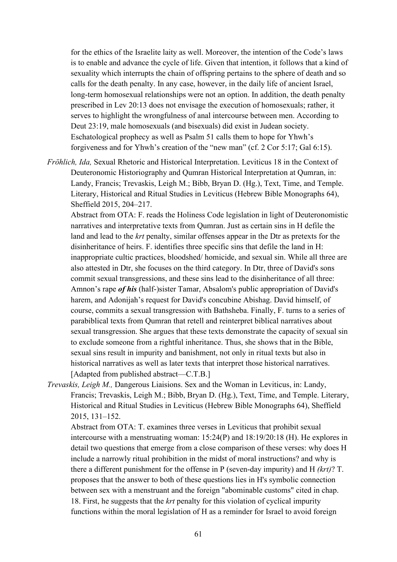for the ethics of the Israelite laity as well. Moreover, the intention of the Code's laws is to enable and advance the cycle of life. Given that intention, it follows that a kind of sexuality which interrupts the chain of offspring pertains to the sphere of death and so calls for the death penalty. In any case, however, in the daily life of ancient Israel, long-term homosexual relationships were not an option. In addition, the death penalty prescribed in Lev 20:13 does not envisage the execution of homosexuals; rather, it serves to highlight the wrongfulness of anal intercourse between men. According to Deut 23:19, male homosexuals (and bisexuals) did exist in Judean society. Eschatological prophecy as well as Psalm 51 calls them to hope for Yhwh's forgiveness and for Yhwh's creation of the "new man" (cf. 2 Cor 5:17; Gal 6:15).

*Fröhlich, Ida,* Sexual Rhetoric and Historical Interpretation. Leviticus 18 in the Context of Deuteronomic Historiography and Qumran Historical Interpretation at Qumran, in: Landy, Francis; Trevaskis, Leigh M.; Bibb, Bryan D. (Hg.), Text, Time, and Temple. Literary, Historical and Ritual Studies in Leviticus (Hebrew Bible Monographs 64), Sheffield 2015, 204–217.

Abstract from OTA: F. reads the Holiness Code legislation in light of Deuteronomistic narratives and interpretative texts from Qumran. Just as certain sins in H defile the land and lead to the *krt* penalty, similar offenses appear in the Dtr as pretexts for the disinheritance of heirs. F. identifies three specific sins that defile the land in H: inappropriate cultic practices, bloodshed/ homicide, and sexual sin. While all three are also attested in Dtr, she focuses on the third category. In Dtr, three of David's sons commit sexual transgressions, and these sins lead to the disinheritance of all three: Amnon's rape *of his* (half-)sister Tamar, Absalom's public appropriation of David's harem, and Adonijah's request for David's concubine Abishag. David himself, of course, commits a sexual transgression with Bathsheba. Finally, F. turns to a series of parabiblical texts from Qumran that retell and reinterpret biblical narratives about sexual transgression. She argues that these texts demonstrate the capacity of sexual sin to exclude someone from a rightful inheritance. Thus, she shows that in the Bible, sexual sins result in impurity and banishment, not only in ritual texts but also in historical narratives as well as later texts that interpret those historical narratives. [Adapted from published abstract—C.T.B.]

*Trevaskis, Leigh M.,* Dangerous Liaisions. Sex and the Woman in Leviticus, in: Landy, Francis; Trevaskis, Leigh M.; Bibb, Bryan D. (Hg.), Text, Time, and Temple. Literary, Historical and Ritual Studies in Leviticus (Hebrew Bible Monographs 64), Sheffield 2015, 131–152.

Abstract from OTA: T. examines three verses in Leviticus that prohibit sexual intercourse with a menstruating woman: 15:24(P) and 18:19/20:18 (H). He explores in detail two questions that emerge from a close comparison of these verses: why does H include a narrowly ritual prohibition in the midst of moral instructions? and why is there a different punishment for the offense in P (seven-day impurity) and H *(krt)*? T. proposes that the answer to both of these questions lies in H's symbolic connection between sex with a menstruant and the foreign "abominable customs" cited in chap. 18. First, he suggests that the *krt* penalty for this violation of cyclical impurity functions within the moral legislation of H as a reminder for Israel to avoid foreign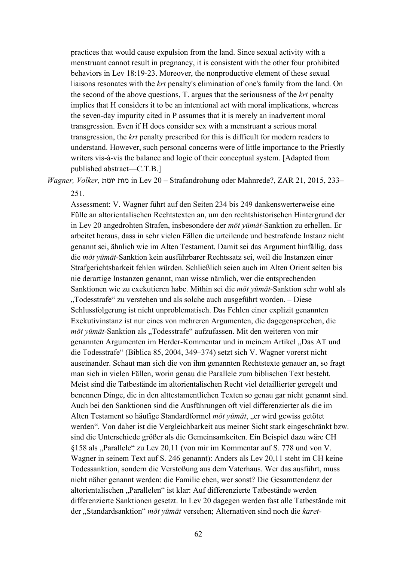practices that would cause expulsion from the land. Since sexual activity with a menstruant cannot result in pregnancy, it is consistent with the other four prohibited behaviors in Lev 18:19-23. Moreover, the nonproductive element of these sexual liaisons resonates with the *krt* penalty's elimination of one's family from the land. On the second of the above questions, T. argues that the seriousness of the *krt* penalty implies that H considers it to be an intentional act with moral implications, whereas the seven-day impurity cited in P assumes that it is merely an inadvertent moral transgression. Even if H does consider sex with a menstruant a serious moral transgression, the *krt* penalty prescribed for this is difficult for modern readers to understand. However, such personal concerns were of little importance to the Priestly writers vis-à-vis the balance and logic of their conceptual system. [Adapted from published abstract—C.T.B.]

*Wagner, Volker,* יומת מות in Lev 20 – Strafandrohung oder Mahnrede?, ZAR 21, 2015, 233– 251.

Assessment: V. Wagner führt auf den Seiten 234 bis 249 dankenswerterweise eine Fülle an altorientalischen Rechtstexten an, um den rechtshistorischen Hintergrund der in Lev 20 angedrohten Strafen, insbesondere der *mōt yūmāt-*Sanktion zu erhellen. Er arbeitet heraus, dass in sehr vielen Fällen die urteilende und bestrafende Instanz nicht genannt sei, ähnlich wie im Alten Testament. Damit sei das Argument hinfällig, dass die *mōt yūmāt-*Sanktion kein ausführbarer Rechtssatz sei, weil die Instanzen einer Strafgerichtsbarkeit fehlen würden. Schließlich seien auch im Alten Orient selten bis nie derartige Instanzen genannt, man wisse nämlich, wer die entsprechenden Sanktionen wie zu exekutieren habe. Mithin sei die *mōt yūmāt-*Sanktion sehr wohl als "Todesstrafe" zu verstehen und als solche auch ausgeführt worden. – Diese Schlussfolgerung ist nicht unproblematisch. Das Fehlen einer explizit genannten Exekutivinstanz ist nur eines von mehreren Argumenten, die dagegensprechen, die *mōt yūmāt*-Sanktion als "Todesstrafe" aufzufassen. Mit den weiteren von mir genannten Argumenten im Herder-Kommentar und in meinem Artikel "Das AT und die Todesstrafe" (Biblica 85, 2004, 349–374) setzt sich V. Wagner vorerst nicht auseinander. Schaut man sich die von ihm genannten Rechtstexte genauer an, so fragt man sich in vielen Fällen, worin genau die Parallele zum biblischen Text besteht. Meist sind die Tatbestände im altorientalischen Recht viel detaillierter geregelt und benennen Dinge, die in den alttestamentlichen Texten so genau gar nicht genannt sind. Auch bei den Sanktionen sind die Ausführungen oft viel differenzierter als die im Alten Testament so häufige Standardformel *mōt yūmāt*, "er wird gewiss getötet werden". Von daher ist die Vergleichbarkeit aus meiner Sicht stark eingeschränkt bzw. sind die Unterschiede größer als die Gemeinsamkeiten. Ein Beispiel dazu wäre CH §158 als "Parallele" zu Lev 20,11 (von mir im Kommentar auf S. 778 und von V. Wagner in seinem Text auf S. 246 genannt): Anders als Lev 20,11 steht im CH keine Todessanktion, sondern die Verstoßung aus dem Vaterhaus. Wer das ausführt, muss nicht näher genannt werden: die Familie eben, wer sonst? Die Gesamttendenz der altorientalischen "Parallelen" ist klar: Auf differenzierte Tatbestände werden differenzierte Sanktionen gesetzt. In Lev 20 dagegen werden fast alle Tatbestände mit der "Standardsanktion" *mōt yūmāt* versehen; Alternativen sind noch die *karet-*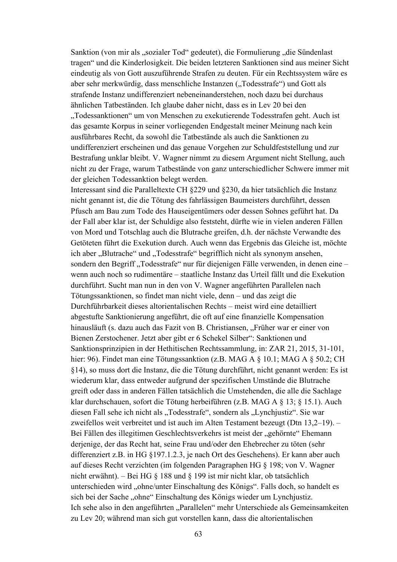Sanktion (von mir als "sozialer Tod" gedeutet), die Formulierung "die Sündenlast tragen" und die Kinderlosigkeit. Die beiden letzteren Sanktionen sind aus meiner Sicht eindeutig als von Gott auszuführende Strafen zu deuten. Für ein Rechtssystem wäre es aber sehr merkwürdig, dass menschliche Instanzen ("Todesstrafe") und Gott als strafende Instanz undifferenziert nebeneinanderstehen, noch dazu bei durchaus ähnlichen Tatbeständen. Ich glaube daher nicht, dass es in Lev 20 bei den "Todessanktionen" um von Menschen zu exekutierende Todesstrafen geht. Auch ist das gesamte Korpus in seiner vorliegenden Endgestalt meiner Meinung nach kein ausführbares Recht, da sowohl die Tatbestände als auch die Sanktionen zu undifferenziert erscheinen und das genaue Vorgehen zur Schuldfeststellung und zur Bestrafung unklar bleibt. V. Wagner nimmt zu diesem Argument nicht Stellung, auch nicht zu der Frage, warum Tatbestände von ganz unterschiedlicher Schwere immer mit der gleichen Todessanktion belegt werden.

Interessant sind die Paralleltexte CH §229 und §230, da hier tatsächlich die Instanz nicht genannt ist, die die Tötung des fahrlässigen Baumeisters durchführt, dessen Pfusch am Bau zum Tode des Hauseigentümers oder dessen Sohnes geführt hat. Da der Fall aber klar ist, der Schuldige also feststeht, dürfte wie in vielen anderen Fällen von Mord und Totschlag auch die Blutrache greifen, d.h. der nächste Verwandte des Getöteten führt die Exekution durch. Auch wenn das Ergebnis das Gleiche ist, möchte ich aber "Blutrache" und "Todesstrafe" begrifflich nicht als synonym ansehen, sondern den Begriff "Todesstrafe" nur für diejenigen Fälle verwenden, in denen eine – wenn auch noch so rudimentäre – staatliche Instanz das Urteil fällt und die Exekution durchführt. Sucht man nun in den von V. Wagner angeführten Parallelen nach Tötungssanktionen, so findet man nicht viele, denn – und das zeigt die Durchführbarkeit dieses altorientalischen Rechts – meist wird eine detailliert abgestufte Sanktionierung angeführt, die oft auf eine finanzielle Kompensation hinausläuft (s. dazu auch das Fazit von B. Christiansen, "Früher war er einer von Bienen Zerstochener. Jetzt aber gibt er 6 Schekel Silber": Sanktionen und Sanktionsprinzipien in der Hethitischen Rechtssammlung, in: ZAR 21, 2015, 31-101, hier: 96). Findet man eine Tötungssanktion (z.B. MAG A § 10.1; MAG A § 50.2; CH §14), so muss dort die Instanz, die die Tötung durchführt, nicht genannt werden: Es ist wiederum klar, dass entweder aufgrund der spezifischen Umstände die Blutrache greift oder dass in anderen Fällen tatsächlich die Umstehenden, die alle die Sachlage klar durchschauen, sofort die Tötung herbeiführen (z.B. MAG A § 13; § 15.1). Auch diesen Fall sehe ich nicht als "Todesstrafe", sondern als "Lynchjustiz". Sie war zweifellos weit verbreitet und ist auch im Alten Testament bezeugt (Dtn 13,2–19). – Bei Fällen des illegitimen Geschlechtsverkehrs ist meist der "gehörnte" Ehemann derjenige, der das Recht hat, seine Frau und/oder den Ehebrecher zu töten (sehr differenziert z.B. in HG §197.1.2.3, je nach Ort des Geschehens). Er kann aber auch auf dieses Recht verzichten (im folgenden Paragraphen HG § 198; von V. Wagner nicht erwähnt). – Bei HG § 188 und § 199 ist mir nicht klar, ob tatsächlich unterschieden wird "ohne/unter Einschaltung des Königs". Falls doch, so handelt es sich bei der Sache "ohne" Einschaltung des Königs wieder um Lynchjustiz. Ich sehe also in den angeführten "Parallelen" mehr Unterschiede als Gemeinsamkeiten zu Lev 20; während man sich gut vorstellen kann, dass die altorientalischen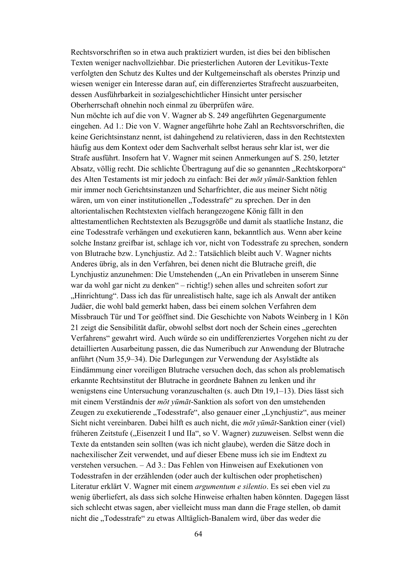Rechtsvorschriften so in etwa auch praktiziert wurden, ist dies bei den biblischen Texten weniger nachvollziehbar. Die priesterlichen Autoren der Levitikus-Texte verfolgten den Schutz des Kultes und der Kultgemeinschaft als oberstes Prinzip und wiesen weniger ein Interesse daran auf, ein differenziertes Strafrecht auszuarbeiten, dessen Ausführbarkeit in sozialgeschichtlicher Hinsicht unter persischer Oberherrschaft ohnehin noch einmal zu überprüfen wäre.

Nun möchte ich auf die von V. Wagner ab S. 249 angeführten Gegenargumente eingehen. Ad 1.: Die von V. Wagner angeführte hohe Zahl an Rechtsvorschriften, die keine Gerichtsinstanz nennt, ist dahingehend zu relativieren, dass in den Rechtstexten häufig aus dem Kontext oder dem Sachverhalt selbst heraus sehr klar ist, wer die Strafe ausführt. Insofern hat V. Wagner mit seinen Anmerkungen auf S. 250, letzter Absatz, völlig recht. Die schlichte Übertragung auf die so genannten "Rechtskorpora" des Alten Testaments ist mir jedoch zu einfach: Bei der *mōt yūmāt*-Sanktion fehlen mir immer noch Gerichtsinstanzen und Scharfrichter, die aus meiner Sicht nötig wären, um von einer institutionellen "Todesstrafe" zu sprechen. Der in den altorientalischen Rechtstexten vielfach herangezogene König fällt in den alttestamentlichen Rechtstexten als Bezugsgröße und damit als staatliche Instanz, die eine Todesstrafe verhängen und exekutieren kann, bekanntlich aus. Wenn aber keine solche Instanz greifbar ist, schlage ich vor, nicht von Todesstrafe zu sprechen, sondern von Blutrache bzw. Lynchjustiz. Ad 2.: Tatsächlich bleibt auch V. Wagner nichts Anderes übrig, als in den Verfahren, bei denen nicht die Blutrache greift, die Lynchjustiz anzunehmen: Die Umstehenden ("An ein Privatleben in unserem Sinne war da wohl gar nicht zu denken" – richtig!) sehen alles und schreiten sofort zur "Hinrichtung". Dass ich das für unrealistisch halte, sage ich als Anwalt der antiken Judäer, die wohl bald gemerkt haben, dass bei einem solchen Verfahren dem Missbrauch Tür und Tor geöffnet sind. Die Geschichte von Nabots Weinberg in 1 Kön 21 zeigt die Sensibilität dafür, obwohl selbst dort noch der Schein eines "gerechten Verfahrens" gewahrt wird. Auch würde so ein undifferenziertes Vorgehen nicht zu der detaillierten Ausarbeitung passen, die das Numeribuch zur Anwendung der Blutrache anführt (Num 35,9–34). Die Darlegungen zur Verwendung der Asylstädte als Eindämmung einer voreiligen Blutrache versuchen doch, das schon als problematisch erkannte Rechtsinstitut der Blutrache in geordnete Bahnen zu lenken und ihr wenigstens eine Untersuchung voranzuschalten (s. auch Dtn 19,1–13). Dies lässt sich mit einem Verständnis der *mōt yūmāt*-Sanktion als sofort von den umstehenden Zeugen zu exekutierende "Todesstrafe", also genauer einer "Lynchjustiz", aus meiner Sicht nicht vereinbaren. Dabei hilft es auch nicht, die *mōt yūmāt*-Sanktion einer (viel) früheren Zeitstufe ("Eisenzeit I und IIa", so V. Wagner) zuzuweisen. Selbst wenn die Texte da entstanden sein sollten (was ich nicht glaube), werden die Sätze doch in nachexilischer Zeit verwendet, und auf dieser Ebene muss ich sie im Endtext zu verstehen versuchen. – Ad 3.: Das Fehlen von Hinweisen auf Exekutionen von Todesstrafen in der erzählenden (oder auch der kultischen oder prophetischen) Literatur erklärt V. Wagner mit einem *argumentum e silentio*. Es sei eben viel zu wenig überliefert, als dass sich solche Hinweise erhalten haben könnten. Dagegen lässt sich schlecht etwas sagen, aber vielleicht muss man dann die Frage stellen, ob damit nicht die "Todesstrafe" zu etwas Alltäglich-Banalem wird, über das weder die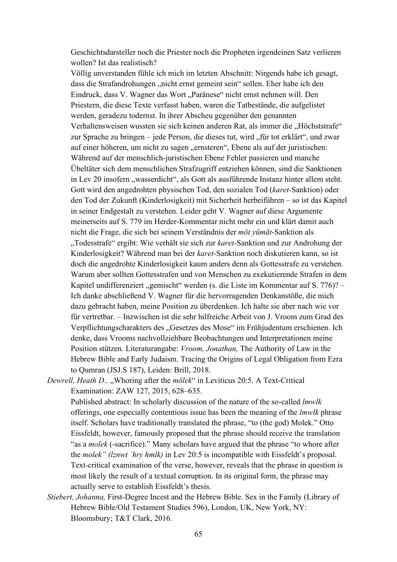Geschichtsdarsteller noch die Priester noch die Propheten irgendeinen Satz verlieren wollen? Ist das realistisch?

Völlig unverstanden fühle ich mich im letzten Abschnitt: Nirgends habe ich gesagt, dass die Strafandrohungen "nicht ernst gemeint sein" sollen. Eher habe ich den Eindruck, dass V. Wagner das Wort "Paränese" nicht ernst nehmen will. Den Priestern, die diese Texte verfasst haben, waren die Tatbestände, die aufgelistet werden, geradezu todernst. In ihrer Abscheu gegenüber den genannten Verhaltensweisen wussten sie sich keinen anderen Rat, als immer die "Höchststrafe" zur Sprache zu bringen – jede Person, die dieses tut, wird "für tot erklärt", und zwar auf einer höheren, um nicht zu sagen "ernsteren", Ebene als auf der juristischen: Während auf der menschlich-juristischen Ebene Fehler passieren und manche Übeltäter sich dem menschlichen Strafzugriff entziehen können, sind die Sanktionen in Lev 20 insofern "wasserdicht", als Gott als ausführende Instanz hinter allem steht. Gott wird den angedrohten physischen Tod, den sozialen Tod (*karet-*Sanktion) oder den Tod der Zukunft (Kinderlosigkeit) mit Sicherheit herbeiführen – so ist das Kapitel in seiner Endgestalt zu verstehen. Leider geht V. Wagner auf diese Argumente meinerseits auf S. 779 im Herder-Kommentar nicht mehr ein und klärt damit auch nicht die Frage, die sich bei seinem Verständnis der *mōt yūmāt*-Sanktion als "Todesstrafe" ergibt: Wie verhält sie sich zur *karet-*Sanktion und zur Androhung der Kinderlosigkeit? Während man bei der *karet-*Sanktion noch diskutieren kann, so ist doch die angedrohte Kinderlosigkeit kaum anders denn als Gottesstrafe zu verstehen. Warum aber sollten Gottesstrafen und von Menschen zu exekutierende Strafen in dem Kapitel undifferenziert "gemischt" werden (s. die Liste im Kommentar auf S. 776)? – Ich danke abschließend V. Wagner für die hervorragenden Denkanstöße, die mich dazu gebracht haben, meine Position zu überdenken. Ich halte sie aber nach wie vor für vertretbar. – Inzwischen ist die sehr hilfreiche Arbeit von J. Vroom zum Grad des Verpflichtungscharakters des "Gesetzes des Mose" im Frühjudentum erschienen. Ich denke, dass Vrooms nachvollziehbare Beobachtungen und Interpretationen meine Position stützen. Literaturangabe: *Vroom, Jonathan,* The Authority of Law in the Hebrew Bible and Early Judaism. Tracing the Origins of Legal Obligation from Ezra to Qumran (JSJ.S 187), Leiden: Brill, 2018.

*Dewrell, Heath D., ,, Whoring after the <i>molek*" in Leviticus 20:5. A Text-Critical Examination: ZAW 127, 2015, 628–635.

Published abstract: In scholarly discussion of the nature of the so-called *lmwlk*  offerings, one especially contentious issue has been the meaning of the *lmwlk* phrase itself. Scholars have traditionally translated the phrase, "to (the god) Molek." Otto Eissfeldt, however, famously proposed that the phrase should receive the translation "as a *molek* (-sacrifice)." Many scholars have argued that the phrase "to whore after the *molek" (lznwt ʾhry hmlk)* in Lev 20:5 is incompatible with Eissfeldt's proposal. Text-critical examination of the verse, however, reveals that the phrase in question is most likely the result of a textual corruption. In its original form, the phrase may actually serve to establish Eissfeldt's thesis.

*Stiebert, Johanna,* First-Degree Incest and the Hebrew Bible. Sex in the Family (Library of Hebrew Bible/Old Testament Studies 596), London, UK, New York, NY: Bloomsbury; T&T Clark, 2016.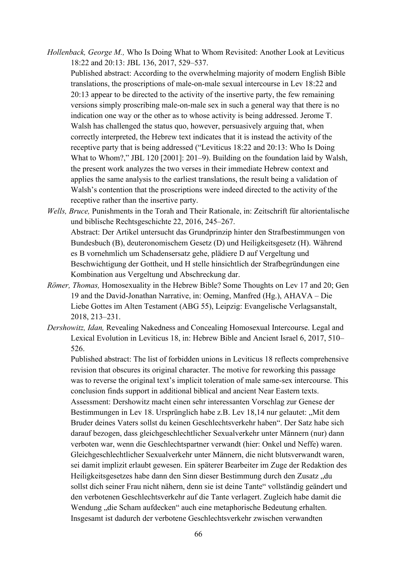*Hollenback, George M.,* Who Is Doing What to Whom Revisited: Another Look at Leviticus 18:22 and 20:13: JBL 136, 2017, 529–537.

Published abstract: According to the overwhelming majority of modern English Bible translations, the proscriptions of male-on-male sexual intercourse in Lev 18:22 and 20:13 appear to be directed to the activity of the insertive party, the few remaining versions simply proscribing male-on-male sex in such a general way that there is no indication one way or the other as to whose activity is being addressed. Jerome T. Walsh has challenged the status quo, however, persuasively arguing that, when correctly interpreted, the Hebrew text indicates that it is instead the activity of the receptive party that is being addressed ("Leviticus 18:22 and 20:13: Who Is Doing What to Whom?," JBL 120 [2001]: 201–9). Building on the foundation laid by Walsh, the present work analyzes the two verses in their immediate Hebrew context and applies the same analysis to the earliest translations, the result being a validation of Walsh's contention that the proscriptions were indeed directed to the activity of the receptive rather than the insertive party.

- *Wells, Bruce,* Punishments in the Torah and Their Rationale, in: Zeitschrift für altorientalische und biblische Rechtsgeschichte 22, 2016, 245–267. Abstract: Der Artikel untersucht das Grundprinzip hinter den Strafbestimmungen von Bundesbuch (B), deuteronomischem Gesetz (D) und Heiligkeitsgesetz (H). Während es B vornehmlich um Schadensersatz gehe, plädiere D auf Vergeltung und Beschwichtigung der Gottheit, und H stelle hinsichtlich der Strafbegründungen eine Kombination aus Vergeltung und Abschreckung dar.
- *Römer, Thomas,* Homosexuality in the Hebrew Bible? Some Thoughts on Lev 17 and 20; Gen 19 and the David-Jonathan Narrative, in: Oeming, Manfred (Hg.), AHAVA – Die Liebe Gottes im Alten Testament (ABG 55), Leipzig: Evangelische Verlagsanstalt, 2018, 213–231.
- *Dershowitz, Idan,* Revealing Nakedness and Concealing Homosexual Intercourse. Legal and Lexical Evolution in Leviticus 18, in: Hebrew Bible and Ancient Israel 6, 2017, 510– 526.

Published abstract: The list of forbidden unions in Leviticus 18 reflects comprehensive revision that obscures its original character. The motive for reworking this passage was to reverse the original text's implicit toleration of male same-sex intercourse. This conclusion finds support in additional biblical and ancient Near Eastern texts. Assessment: Dershowitz macht einen sehr interessanten Vorschlag zur Genese der Bestimmungen in Lev 18. Ursprünglich habe z.B. Lev 18,14 nur gelautet: "Mit dem Bruder deines Vaters sollst du keinen Geschlechtsverkehr haben". Der Satz habe sich darauf bezogen, dass gleichgeschlechtlicher Sexualverkehr unter Männern (nur) dann verboten war, wenn die Geschlechtspartner verwandt (hier: Onkel und Neffe) waren. Gleichgeschlechtlicher Sexualverkehr unter Männern, die nicht blutsverwandt waren, sei damit implizit erlaubt gewesen. Ein späterer Bearbeiter im Zuge der Redaktion des Heiligkeitsgesetzes habe dann den Sinn dieser Bestimmung durch den Zusatz "du sollst dich seiner Frau nicht nähern, denn sie ist deine Tante" vollständig geändert und den verbotenen Geschlechtsverkehr auf die Tante verlagert. Zugleich habe damit die Wendung "die Scham aufdecken" auch eine metaphorische Bedeutung erhalten. Insgesamt ist dadurch der verbotene Geschlechtsverkehr zwischen verwandten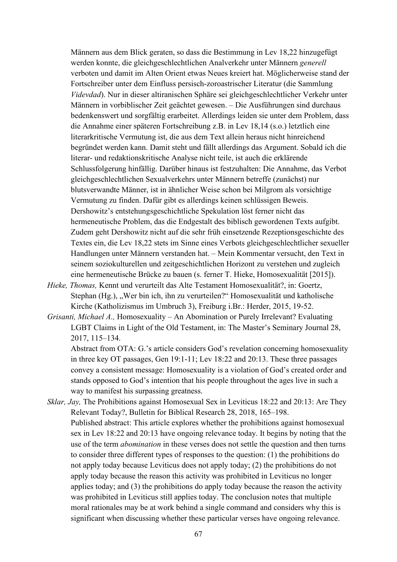Männern aus dem Blick geraten, so dass die Bestimmung in Lev 18,22 hinzugefügt werden konnte, die gleichgeschlechtlichen Analverkehr unter Männern *generell* verboten und damit im Alten Orient etwas Neues kreiert hat. Möglicherweise stand der Fortschreiber unter dem Einfluss persisch-zoroastrischer Literatur (die Sammlung *Videvdad*). Nur in dieser altiranischen Sphäre sei gleichgeschlechtlicher Verkehr unter Männern in vorbiblischer Zeit geächtet gewesen. – Die Ausführungen sind durchaus bedenkenswert und sorgfältig erarbeitet. Allerdings leiden sie unter dem Problem, dass die Annahme einer späteren Fortschreibung z.B. in Lev 18,14 (s.o.) letztlich eine literarkritische Vermutung ist, die aus dem Text allein heraus nicht hinreichend begründet werden kann. Damit steht und fällt allerdings das Argument. Sobald ich die literar- und redaktionskritische Analyse nicht teile, ist auch die erklärende Schlussfolgerung hinfällig. Darüber hinaus ist festzuhalten: Die Annahme, das Verbot gleichgeschlechtlichen Sexualverkehrs unter Männern betreffe (zunächst) nur blutsverwandte Männer, ist in ähnlicher Weise schon bei Milgrom als vorsichtige Vermutung zu finden. Dafür gibt es allerdings keinen schlüssigen Beweis. Dershowitz's entstehungsgeschichtliche Spekulation löst ferner nicht das hermeneutische Problem, das die Endgestalt des biblisch gewordenen Texts aufgibt. Zudem geht Dershowitz nicht auf die sehr früh einsetzende Rezeptionsgeschichte des Textes ein, die Lev 18,22 stets im Sinne eines Verbots gleichgeschlechtlicher sexueller Handlungen unter Männern verstanden hat. – Mein Kommentar versucht, den Text in seinem soziokulturellen und zeitgeschichtlichen Horizont zu verstehen und zugleich eine hermeneutische Brücke zu bauen (s. ferner T. Hieke, Homosexualität [2015]).

- *Hieke, Thomas,* Kennt und verurteilt das Alte Testament Homosexualität?, in: Goertz, Stephan (Hg.), "Wer bin ich, ihn zu verurteilen?" Homosexualität und katholische Kirche (Katholizismus im Umbruch 3), Freiburg i.Br.: Herder, 2015, 19-52.
- *Grisanti, Michael A.,* Homosexuality An Abomination or Purely Irrelevant? Evaluating LGBT Claims in Light of the Old Testament, in: The Master's Seminary Journal 28, 2017, 115–134.

Abstract from OTA: G.'s article considers God's revelation concerning homosexuality in three key OT passages, Gen 19:1-11; Lev 18:22 and 20:13. These three passages convey a consistent message: Homosexuality is a violation of God's created order and stands opposed to God's intention that his people throughout the ages live in such a way to manifest his surpassing greatness.

*Sklar, Jay,* The Prohibitions against Homosexual Sex in Leviticus 18:22 and 20:13: Are They Relevant Today?, Bulletin for Biblical Research 28, 2018, 165–198. Published abstract: This article explores whether the prohibitions against homosexual sex in Lev 18:22 and 20:13 have ongoing relevance today. It begins by noting that the use of the term *abomination* in these verses does not settle the question and then turns to consider three different types of responses to the question: (1) the prohibitions do not apply today because Leviticus does not apply today; (2) the prohibitions do not apply today because the reason this activity was prohibited in Leviticus no longer applies today; and (3) the prohibitions do apply today because the reason the activity was prohibited in Leviticus still applies today. The conclusion notes that multiple moral rationales may be at work behind a single command and considers why this is significant when discussing whether these particular verses have ongoing relevance.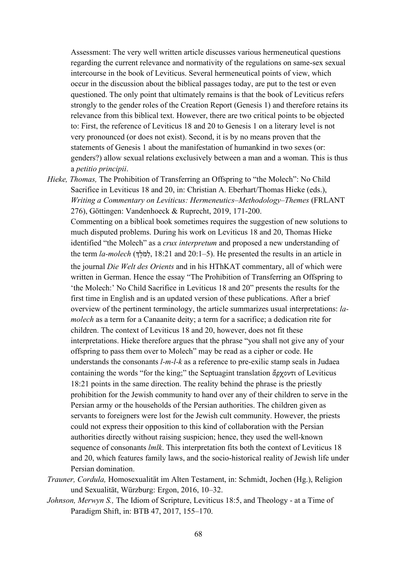Assessment: The very well written article discusses various hermeneutical questions regarding the current relevance and normativity of the regulations on same-sex sexual intercourse in the book of Leviticus. Several hermeneutical points of view, which occur in the discussion about the biblical passages today, are put to the test or even questioned. The only point that ultimately remains is that the book of Leviticus refers strongly to the gender roles of the Creation Report (Genesis 1) and therefore retains its relevance from this biblical text. However, there are two critical points to be objected to: First, the reference of Leviticus 18 and 20 to Genesis 1 on a literary level is not very pronounced (or does not exist). Second, it is by no means proven that the statements of Genesis 1 about the manifestation of humankind in two sexes (or: genders?) allow sexual relations exclusively between a man and a woman. This is thus a *petitio principii*.

*Hieke, Thomas,* The Prohibition of Transferring an Offspring to "the Molech": No Child Sacrifice in Leviticus 18 and 20, in: Christian A. Eberhart/Thomas Hieke (eds.), *Writing a Commentary on Leviticus: Hermeneutics–Methodology–Themes* (FRLANT 276), Göttingen: Vandenhoeck & Ruprecht, 2019, 171-200. Commenting on a biblical book sometimes requires the suggestion of new solutions to much disputed problems. During his work on Leviticus 18 and 20, Thomas Hieke identified "the Molech" as a *crux interpretum* and proposed a new understanding of the term *la-molech* (לָמֹלֵךָ, 18:21 and 20:1–5). He presented the results in an article in the journal *Die Welt des Orients* and in his HThKAT commentary, all of which were written in German. Hence the essay "The Prohibition of Transferring an Offspring to 'the Molech:' No Child Sacrifice in Leviticus 18 and 20" presents the results for the first time in English and is an updated version of these publications. After a brief overview of the pertinent terminology, the article summarizes usual interpretations: *lamolech* as a term for a Canaanite deity; a term for a sacrifice; a dedication rite for children. The context of Leviticus 18 and 20, however, does not fit these interpretations. Hieke therefore argues that the phrase "you shall not give any of your offspring to pass them over to Molech" may be read as a cipher or code. He understands the consonants *l-m-l-k* as a reference to pre-exilic stamp seals in Judaea containing the words "for the king;" the Septuagint translation ἄρχοντι of Leviticus 18:21 points in the same direction. The reality behind the phrase is the priestly prohibition for the Jewish community to hand over any of their children to serve in the Persian army or the households of the Persian authorities. The children given as servants to foreigners were lost for the Jewish cult community. However, the priests could not express their opposition to this kind of collaboration with the Persian authorities directly without raising suspicion; hence, they used the well-known sequence of consonants *lmlk*. This interpretation fits both the context of Leviticus 18 and 20, which features family laws, and the socio-historical reality of Jewish life under Persian domination.

- *Trauner, Cordula,* Homosexualität im Alten Testament, in: Schmidt, Jochen (Hg.), Religion und Sexualität, Würzburg: Ergon, 2016, 10–32.
- *Johnson, Merwyn S.,* The Idiom of Scripture, Leviticus 18:5, and Theology at a Time of Paradigm Shift, in: BTB 47, 2017, 155–170.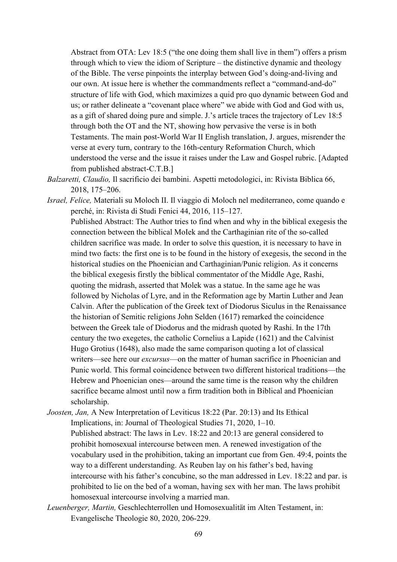Abstract from OTA: Lev 18:5 ("the one doing them shall live in them") offers a prism through which to view the idiom of Scripture – the distinctive dynamic and theology of the Bible. The verse pinpoints the interplay between God's doing-and-living and our own. At issue here is whether the commandments reflect a "command-and-do" structure of life with God, which maximizes a quid pro quo dynamic between God and us; or rather delineate a "covenant place where" we abide with God and God with us, as a gift of shared doing pure and simple. J.'s article traces the trajectory of Lev 18:5 through both the OT and the NT, showing how pervasive the verse is in both Testaments. The main post-World War II English translation, J. argues, misrender the verse at every turn, contrary to the 16th-century Reformation Church, which understood the verse and the issue it raises under the Law and Gospel rubric. [Adapted from published abstract-C.T.B.]

- *Balzaretti, Claudio,* Il sacrificio dei bambini. Aspetti metodologici, in: Rivista Biblica 66, 2018, 175–206.
- *Israel, Felice,* Materiali su Moloch II. Il viaggio di Moloch nel mediterraneo, come quando e perché, in: Rivista di Studi Fenici 44, 2016, 115–127. Published Abstract: The Author tries to find when and why in the biblical exegesis the connection between the biblical MoIek and the Carthaginian rite of the so-called children sacrifice was made. In order to solve this question, it is necessary to have in mind two facts: the first one is to be found in the history of exegesis, the second in the historical studies on the Phoenician and Carthaginian/Punic religion. As it concerns the biblical exegesis firstly the biblical commentator of the Middle Age, Rashi, quoting the midrash, asserted that Molek was a statue. In the same age he was followed by Nicholas of Lyre, and in the Reformation age by Martin Luther and Jean Calvin. After the publication of the Greek text of Diodorus Siculus in the Renaissance the historian of Semitic religions John Selden (1617) remarked the coincidence between the Greek tale of Diodorus and the midrash quoted by Rashi. In the 17th century the two exegetes, the catholic Cornelius a Lapide (1621) and the Calvinist Hugo Grotius (1648), also made the same comparison quoting a lot of classical writers—see here our *excursus*—on the matter of human sacrifice in Phoenician and Punic world. This formal coincidence between two different historical traditions—the Hebrew and Phoenician ones—around the same time is the reason why the children sacrifice became almost until now a firm tradition both in Biblical and Phoenician scholarship.
- *Joosten, Jan,* A New Interpretation of Leviticus 18:22 (Par. 20:13) and Its Ethical Implications, in: Journal of Theological Studies 71, 2020, 1–10. Published abstract: The laws in Lev. 18:22 and 20:13 are general considered to prohibit homosexual intercourse between men. A renewed investigation of the vocabulary used in the prohibition, taking an important cue from Gen. 49:4, points the way to a different understanding. As Reuben lay on his father's bed, having intercourse with his father's concubine, so the man addressed in Lev. 18:22 and par. is prohibited to lie on the bed of a woman, having sex with her man. The laws prohibit homosexual intercourse involving a married man.
- *Leuenberger, Martin,* Geschlechterrollen und Homosexualität im Alten Testament, in: Evangelische Theologie 80, 2020, 206-229.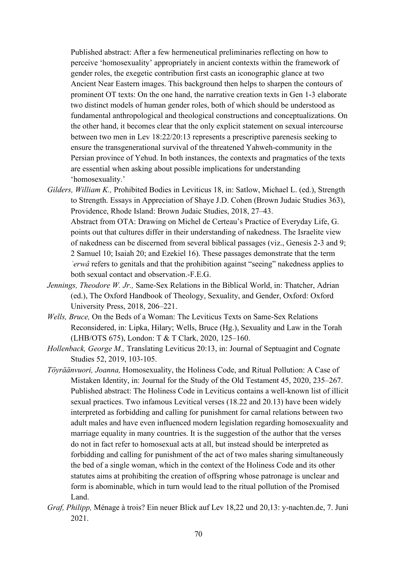Published abstract: After a few hermeneutical preliminaries reflecting on how to perceive 'homosexuality' appropriately in ancient contexts within the framework of gender roles, the exegetic contribution first casts an iconographic glance at two Ancient Near Eastern images. This background then helps to sharpen the contours of prominent OT texts: On the one hand, the narrative creation texts in Gen 1-3 elaborate two distinct models of human gender roles, both of which should be understood as fundamental anthropological and theological constructions and conceptualizations. On the other hand, it becomes clear that the only explicit statement on sexual intercourse between two men in Lev 18:22/20:13 represents a prescriptive parenesis seeking to ensure the transgenerational survival of the threatened Yahweh-community in the Persian province of Yehud. In both instances, the contexts and pragmatics of the texts are essential when asking about possible implications for understanding 'homosexuality.'

- *Gilders, William K.,* Prohibited Bodies in Leviticus 18, in: Satlow, Michael L. (ed.), Strength to Strength. Essays in Appreciation of Shaye J.D. Cohen (Brown Judaic Studies 363), Providence, Rhode Island: Brown Judaic Studies, 2018, 27–43. Abstract from OTA: Drawing on Michel de Certeau's Practice of Everyday Life, G. points out that cultures differ in their understanding of nakedness. The Israelite view of nakedness can be discerned from several biblical passages (viz., Genesis 2-3 and 9; 2 Samuel 10; Isaiah 20; and Ezekiel 16). These passages demonstrate that the term *ʿerwâ* refers to genitals and that the prohibition against "seeing" nakedness applies to both sexual contact and observation.-F.E.G.
- *Jennings, Theodore W. Jr.,* Same-Sex Relations in the Biblical World, in: Thatcher, Adrian (ed.), The Oxford Handbook of Theology, Sexuality, and Gender, Oxford: Oxford University Press, 2018, 206–221.
- *Wells, Bruce,* On the Beds of a Woman: The Leviticus Texts on Same-Sex Relations Reconsidered, in: Lipka, Hilary; Wells, Bruce (Hg.), Sexuality and Law in the Torah (LHB/OTS 675), London: T & T Clark, 2020, 125–160.

*Hollenback, George M.,* Translating Leviticus 20:13, in: Journal of Septuagint and Cognate Studies 52, 2019, 103-105.

- *Töyräänvuori, Joanna,* Homosexuality, the Holiness Code, and Ritual Pollution: A Case of Mistaken Identity, in: Journal for the Study of the Old Testament 45, 2020, 235–267. Published abstract: The Holiness Code in Leviticus contains a well-known list of illicit sexual practices. Two infamous Levitical verses (18.22 and 20.13) have been widely interpreted as forbidding and calling for punishment for carnal relations between two adult males and have even influenced modern legislation regarding homosexuality and marriage equality in many countries. It is the suggestion of the author that the verses do not in fact refer to homosexual acts at all, but instead should be interpreted as forbidding and calling for punishment of the act of two males sharing simultaneously the bed of a single woman, which in the context of the Holiness Code and its other statutes aims at prohibiting the creation of offspring whose patronage is unclear and form is abominable, which in turn would lead to the ritual pollution of the Promised Land.
- *Graf, Philipp,* Ménage à trois? Ein neuer Blick auf Lev 18,22 und 20,13: y-nachten.de, 7. Juni 2021.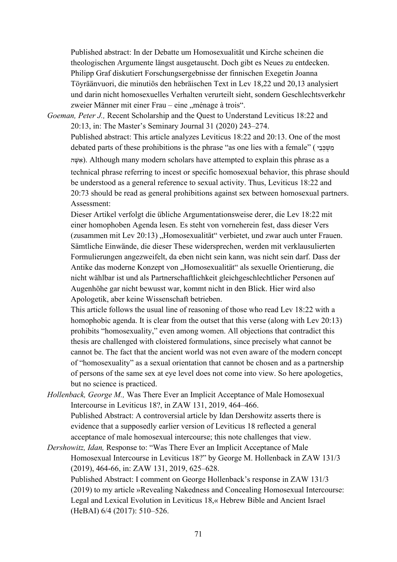Published abstract: In der Debatte um Homosexualität und Kirche scheinen die theologischen Argumente längst ausgetauscht. Doch gibt es Neues zu entdecken. Philipp Graf diskutiert Forschungsergebnisse der finnischen Exegetin Joanna Töyräänvuori, die minutiös den hebräischen Text in Lev 18,22 und 20,13 analysiert und darin nicht homosexuelles Verhalten verurteilt sieht, sondern Geschlechtsverkehr zweier Männer mit einer Frau – eine "ménage à trois".

*Goeman, Peter J.,* Recent Scholarship and the Quest to Understand Leviticus 18:22 and 20:13, in: The Master's Seminary Journal 31 (2020) 243–274. Published abstract: This article analyzes Leviticus 18:22 and 20:13. One of the most debated parts of these prohibitions is the phrase "as one lies with a female" ( מִשְׁכָּבֵי אשה). Although many modern scholars have attempted to explain this phrase as a technical phrase referring to incest or specific homosexual behavior, this phrase should be understood as a general reference to sexual activity. Thus, Leviticus 18:22 and 20:73 should be read as general prohibitions against sex between homosexual partners. Assessment:

Dieser Artikel verfolgt die übliche Argumentationsweise derer, die Lev 18:22 mit einer homophoben Agenda lesen. Es steht von vorneherein fest, dass dieser Vers (zusammen mit Lev  $20:13$ ), Homosexualität" verbietet, und zwar auch unter Frauen. Sämtliche Einwände, die dieser These widersprechen, werden mit verklausulierten Formulierungen angezweifelt, da eben nicht sein kann, was nicht sein darf. Dass der Antike das moderne Konzept von "Homosexualität" als sexuelle Orientierung, die nicht wählbar ist und als Partnerschaftlichkeit gleichgeschlechtlicher Personen auf Augenhöhe gar nicht bewusst war, kommt nicht in den Blick. Hier wird also Apologetik, aber keine Wissenschaft betrieben.

This article follows the usual line of reasoning of those who read Lev 18:22 with a homophobic agenda. It is clear from the outset that this verse (along with Lev 20:13) prohibits "homosexuality," even among women. All objections that contradict this thesis are challenged with cloistered formulations, since precisely what cannot be cannot be. The fact that the ancient world was not even aware of the modern concept of "homosexuality" as a sexual orientation that cannot be chosen and as a partnership of persons of the same sex at eye level does not come into view. So here apologetics, but no science is practiced.

- *Hollenback, George M.,* Was There Ever an Implicit Acceptance of Male Homosexual Intercourse in Leviticus 18?, in ZAW 131, 2019, 464–466. Published Abstract: A controversial article by Idan Dershowitz asserts there is evidence that a supposedly earlier version of Leviticus 18 reflected a general acceptance of male homosexual intercourse; this note challenges that view.
- *Dershowitz, Idan,* Response to: "Was There Ever an Implicit Acceptance of Male Homosexual Intercourse in Leviticus 18?" by George M. Hollenback in ZAW 131/3 (2019), 464-66, in: ZAW 131, 2019, 625–628.

Published Abstract: I comment on George Hollenback's response in ZAW 131/3 (2019) to my article »Revealing Nakedness and Concealing Homosexual Intercourse: Legal and Lexical Evolution in Leviticus 18,« Hebrew Bible and Ancient Israel (HeBAI) 6/4 (2017): 510–526.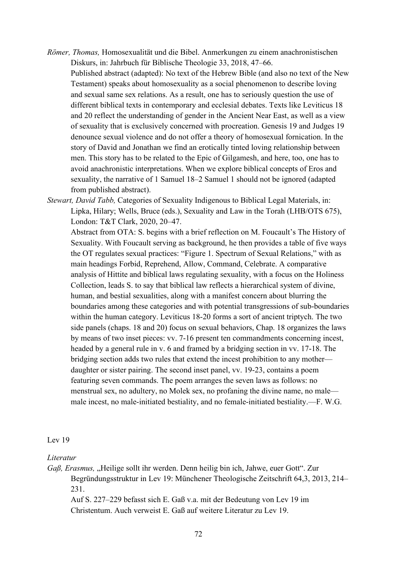*Römer, Thomas,* Homosexualität und die Bibel. Anmerkungen zu einem anachronistischen Diskurs, in: Jahrbuch für Biblische Theologie 33, 2018, 47–66.

Published abstract (adapted): No text of the Hebrew Bible (and also no text of the New Testament) speaks about homosexuality as a social phenomenon to describe loving and sexual same sex relations. As a result, one has to seriously question the use of different biblical texts in contemporary and ecclesial debates. Texts like Leviticus 18 and 20 reflect the understanding of gender in the Ancient Near East, as well as a view of sexuality that is exclusively concerned with procreation. Genesis 19 and Judges 19 denounce sexual violence and do not offer a theory of homosexual fornication. In the story of David and Jonathan we find an erotically tinted loving relationship between men. This story has to be related to the Epic of Gilgamesh, and here, too, one has to avoid anachronistic interpretations. When we explore biblical concepts of Eros and sexuality, the narrative of 1 Samuel 18–2 Samuel 1 should not be ignored (adapted from published abstract).

*Stewart, David Tabb,* Categories of Sexuality Indigenous to Biblical Legal Materials, in: Lipka, Hilary; Wells, Bruce (eds.), Sexuality and Law in the Torah (LHB/OTS 675), London: T&T Clark, 2020, 20–47.

Abstract from OTA: S. begins with a brief reflection on M. Foucault's The History of Sexuality. With Foucault serving as background, he then provides a table of five ways the OT regulates sexual practices: "Figure 1. Spectrum of Sexual Relations," with as main headings Forbid, Reprehend, Allow, Command, Celebrate. A comparative analysis of Hittite and biblical laws regulating sexuality, with a focus on the Holiness Collection, leads S. to say that biblical law reflects a hierarchical system of divine, human, and bestial sexualities, along with a manifest concern about blurring the boundaries among these categories and with potential transgressions of sub-boundaries within the human category. Leviticus 18-20 forms a sort of ancient triptych. The two side panels (chaps. 18 and 20) focus on sexual behaviors, Chap. 18 organizes the laws by means of two inset pieces: vv. 7-16 present ten commandments concerning incest, headed by a general rule in v. 6 and framed by a bridging section in vv. 17-18. The bridging section adds two rules that extend the incest prohibition to any mother daughter or sister pairing. The second inset panel, vv. 19-23, contains a poem featuring seven commands. The poem arranges the seven laws as follows: no menstrual sex, no adultery, no Molek sex, no profaning the divine name, no male male incest, no male-initiated bestiality, and no female-initiated bestiality.—F. W.G.

#### Lev 19

*Literatur*

*Gaß, Erasmus, "Heilige sollt ihr werden. Denn heilig bin ich, Jahwe, euer Gott". Zur* Begründungsstruktur in Lev 19: Münchener Theologische Zeitschrift 64,3, 2013, 214– 231.

Auf S. 227–229 befasst sich E. Gaß v.a. mit der Bedeutung von Lev 19 im Christentum. Auch verweist E. Gaß auf weitere Literatur zu Lev 19.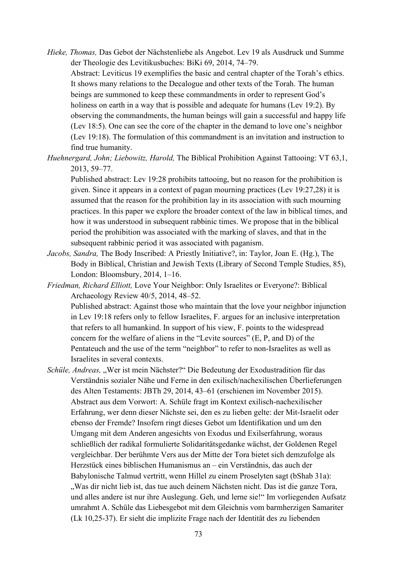*Hieke, Thomas,* Das Gebot der Nächstenliebe als Angebot. Lev 19 als Ausdruck und Summe der Theologie des Levitikusbuches: BiKi 69, 2014, 74–79.

Abstract: Leviticus 19 exemplifies the basic and central chapter of the Torah's ethics. It shows many relations to the Decalogue and other texts of the Torah. The human beings are summoned to keep these commandments in order to represent God's holiness on earth in a way that is possible and adequate for humans (Lev 19:2). By observing the commandments, the human beings will gain a successful and happy life (Lev 18:5). One can see the core of the chapter in the demand to love one's neighbor (Lev 19:18). The formulation of this commandment is an invitation and instruction to find true humanity.

*Huehnergard, John; Liebowitz, Harold,* The Biblical Prohibition Against Tattooing: VT 63,1, 2013, 59–77.

Published abstract: Lev 19:28 prohibits tattooing, but no reason for the prohibition is given. Since it appears in a context of pagan mourning practices (Lev 19:27,28) it is assumed that the reason for the prohibition lay in its association with such mourning practices. In this paper we explore the broader context of the law in biblical times, and how it was understood in subsequent rabbinic times. We propose that in the biblical period the prohibition was associated with the marking of slaves, and that in the subsequent rabbinic period it was associated with paganism.

- *Jacobs, Sandra,* The Body Inscribed: A Priestly Initiative?, in: Taylor, Joan E. (Hg.), The Body in Biblical, Christian and Jewish Texts (Library of Second Temple Studies, 85), London: Bloomsbury, 2014, 1–16.
- *Friedman, Richard Elliott,* Love Your Neighbor: Only Israelites or Everyone?: Biblical Archaeology Review 40/5, 2014, 48–52. Published abstract: Against those who maintain that the love your neighbor injunction

in Lev 19:18 refers only to fellow Israelites, F. argues for an inclusive interpretation that refers to all humankind. In support of his view, F. points to the widespread concern for the welfare of aliens in the "Levite sources" (E, P, and D) of the Pentateuch and the use of the term "neighbor" to refer to non-Israelites as well as Israelites in several contexts.

*Schüle, Andreas, "Wer ist mein Nächster?" Die Bedeutung der Exodustradition für das* Verständnis sozialer Nähe und Ferne in den exilisch/nachexilischen Überlieferungen des Alten Testaments: JBTh 29, 2014, 43–61 (erschienen im November 2015). Abstract aus dem Vorwort: A. Schüle fragt im Kontext exilisch-nachexilischer Erfahrung, wer denn dieser Nächste sei, den es zu lieben gelte: der Mit-Israelit oder ebenso der Fremde? Insofern ringt dieses Gebot um Identifikation und um den Umgang mit dem Anderen angesichts von Exodus und Exilserfahrung, woraus schließlich der radikal formulierte Solidaritätsgedanke wächst, der Goldenen Regel vergleichbar. Der berühmte Vers aus der Mitte der Tora bietet sich demzufolge als Herzstück eines biblischen Humanismus an – ein Verständnis, das auch der Babylonische Talmud vertritt, wenn Hillel zu einem Proselyten sagt (bShab 31a): "Was dir nicht lieb ist, das tue auch deinem Nächsten nicht. Das ist die ganze Tora, und alles andere ist nur ihre Auslegung. Geh, und lerne sie!" Im vorliegenden Aufsatz umrahmt A. Schüle das Liebesgebot mit dem Gleichnis vom barmherzigen Samariter (Lk 10,25-37). Er sieht die implizite Frage nach der Identität des zu liebenden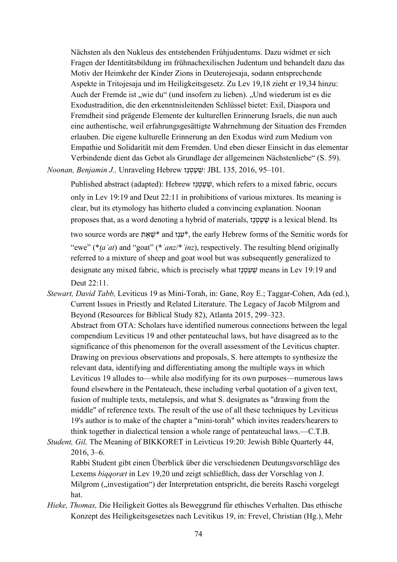Nächsten als den Nukleus des entstehenden Frühjudentums. Dazu widmet er sich Fragen der Identitätsbildung im frühnachexilischen Judentum und behandelt dazu das Motiv der Heimkehr der Kinder Zions in Deuterojesaja, sodann entsprechende Aspekte in Tritojesaja und im Heiligkeitsgesetz. Zu Lev 19,18 zieht er 19,34 hinzu: Auch der Fremde ist "wie du" (und insofern zu lieben). "Und wiederum ist es die Exodustradition, die den erkenntnisleitenden Schlüssel bietet: Exil, Diaspora und Fremdheit sind prägende Elemente der kulturellen Erinnerung Israels, die nun auch eine authentische, weil erfahrungsgesättigte Wahrnehmung der Situation des Fremden erlauben. Die eigene kulturelle Erinnerung an den Exodus wird zum Medium von Empathie und Solidarität mit dem Fremden. Und eben dieser Einsicht in das elementar Verbindende dient das Gebot als Grundlage der allgemeinen Nächstenliebe" (S. 59).

*Noonan, Benjamin J.,* Unraveling Hebrew ז ֵנ ְט ַע ַשׁ: JBL 135, 2016, 95–101.

Published abstract (adapted): Hebrew שעטנז, which refers to a mixed fabric, occurs only in Lev 19:19 and Deut 22:11 in prohibitions of various mixtures. Its meaning is clear, but its etymology has hitherto eluded a convincing explanation. Noonan proposes that, as a word denoting a hybrid of materials, *ו*עטנז is a lexical blend. Its two source words are  $\ddot{v}$ ענז and  $\ddot{v}$ , the early Hebrew forms of the Semitic words for "ewe" (\**taʾat*) and "goat" (\**ʿanz*/\**ʿinz*), respectively. The resulting blend originally referred to a mixture of sheep and goat wool but was subsequently generalized to designate any mixed fabric, which is precisely what שׁעַטְנֵז means in Lev 19:19 and Deut 22:11.

*Stewart, David Tabb,* Leviticus 19 as Mini-Torah, in: Gane, Roy E.; Taggar-Cohen, Ada (ed.), Current Issues in Priestly and Related Literature. The Legacy of Jacob Milgrom and Beyond (Resources for Biblical Study 82), Atlanta 2015, 299–323. Abstract from OTA: Scholars have identified numerous connections between the legal compendium Leviticus 19 and other pentateuchal laws, but have disagreed as to the significance of this phenomenon for the overall assessment of the Leviticus chapter. Drawing on previous observations and proposals, S. here attempts to synthesize the relevant data, identifying and differentiating among the multiple ways in which Leviticus 19 alludes to—while also modifying for its own purposes—numerous laws found elsewhere in the Pentateuch, these including verbal quotation of a given text, fusion of multiple texts, metalepsis, and what S. designates as "drawing from the middle" of reference texts. The result of the use of all these techniques by Leviticus 19's author is to make of the chapter a "mini-torah" which invites readers/hearers to think together in dialectical tension a whole range of pentateuchal laws.—C.T.B.

*Student, Gil,* The Meaning of BIKKORET in Leivticus 19:20: Jewish Bible Quarterly 44, 2016, 3–6.

Rabbi Student gibt einen Überblick über die verschiedenen Deutungsvorschläge des Lexems *biqqoræt* in Lev 19,20 und zeigt schließlich, dass der Vorschlag von J. Milgrom ("investigation") der Interpretation entspricht, die bereits Raschi vorgelegt hat.

*Hieke, Thomas,* Die Heiligkeit Gottes als Beweggrund für ethisches Verhalten. Das ethische Konzept des Heiligkeitsgesetzes nach Levitikus 19, in: Frevel, Christian (Hg.), Mehr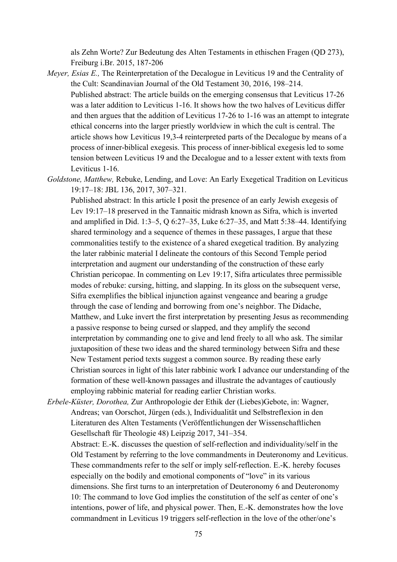als Zehn Worte? Zur Bedeutung des Alten Testaments in ethischen Fragen (QD 273), Freiburg i.Br. 2015, 187-206

- *Meyer, Esias E.,* The Reinterpretation of the Decalogue in Leviticus 19 and the Centrality of the Cult: Scandinavian Journal of the Old Testament 30, 2016, 198–214. Published abstract: The article builds on the emerging consensus that Leviticus 17-26 was a later addition to Leviticus 1-16. It shows how the two halves of Leviticus differ and then argues that the addition of Leviticus 17-26 to 1-16 was an attempt to integrate ethical concerns into the larger priestly worldview in which the cult is central. The article shows how Leviticus 19,3-4 reinterpreted parts of the Decalogue by means of a process of inner-biblical exegesis. This process of inner-biblical exegesis led to some tension between Leviticus 19 and the Decalogue and to a lesser extent with texts from Leviticus 1-16.
- *Goldstone, Matthew,* Rebuke, Lending, and Love: An Early Exegetical Tradition on Leviticus 19:17–18: JBL 136, 2017, 307–321.

Published abstract: In this article I posit the presence of an early Jewish exegesis of Lev 19:17–18 preserved in the Tannaitic midrash known as Sifra, which is inverted and amplified in Did. 1:3–5, Q 6:27–35, Luke 6:27–35, and Matt 5:38–44. Identifying shared terminology and a sequence of themes in these passages, I argue that these commonalities testify to the existence of a shared exegetical tradition. By analyzing the later rabbinic material I delineate the contours of this Second Temple period interpretation and augment our understanding of the construction of these early Christian pericopae. In commenting on Lev 19:17, Sifra articulates three permissible modes of rebuke: cursing, hitting, and slapping. In its gloss on the subsequent verse, Sifra exemplifies the biblical injunction against vengeance and bearing a grudge through the case of lending and borrowing from one's neighbor. The Didache, Matthew, and Luke invert the first interpretation by presenting Jesus as recommending a passive response to being cursed or slapped, and they amplify the second interpretation by commanding one to give and lend freely to all who ask. The similar juxtaposition of these two ideas and the shared terminology between Sifra and these New Testament period texts suggest a common source. By reading these early Christian sources in light of this later rabbinic work I advance our understanding of the formation of these well-known passages and illustrate the advantages of cautiously employing rabbinic material for reading earlier Christian works.

*Erbele-Küster, Dorothea,* Zur Anthropologie der Ethik der (Liebes)Gebote, in: Wagner, Andreas; van Oorschot, Jürgen (eds.), Individualität und Selbstreflexion in den Literaturen des Alten Testaments (Veröffentlichungen der Wissenschaftlichen Gesellschaft für Theologie 48) Leipzig 2017, 341–354.

Abstract: E.-K. discusses the question of self-reflection and individuality/self in the Old Testament by referring to the love commandments in Deuteronomy and Leviticus. These commandments refer to the self or imply self-reflection. E.-K. hereby focuses especially on the bodily and emotional components of "love" in its various dimensions. She first turns to an interpretation of Deuteronomy 6 and Deuteronomy 10: The command to love God implies the constitution of the self as center of one's intentions, power of life, and physical power. Then, E.-K. demonstrates how the love commandment in Leviticus 19 triggers self-reflection in the love of the other/one's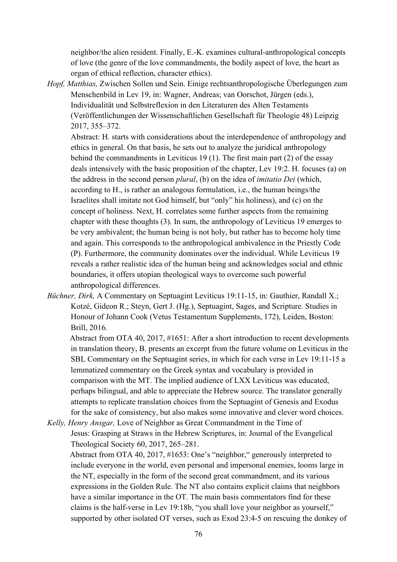neighbor/the alien resident. Finally, E.-K. examines cultural-anthropological concepts of love (the genre of the love commandments, the bodily aspect of love, the heart as organ of ethical reflection, character ethics).

*Hopf, Matthias,* Zwischen Sollen und Sein. Einige rechtsanthropologische Überlegungen zum Menschenbild in Lev 19, in: Wagner, Andreas; van Oorschot, Jürgen (eds.), Individualität und Selbstreflexion in den Literaturen des Alten Testaments (Veröffentlichungen der Wissenschaftlichen Gesellschaft für Theologie 48) Leipzig 2017, 355–372.

Abstract: H. starts with considerations about the interdependence of anthropology and ethics in general. On that basis, he sets out to analyze the juridical anthropology behind the commandments in Leviticus 19 (1). The first main part (2) of the essay deals intensively with the basic proposition of the chapter, Lev 19:2. H. focuses (a) on the address in the second person *plural*, (b) on the idea of *imitatio Dei* (which, according to H., is rather an analogous formulation, i.e., the human beings/the Israelites shall imitate not God himself, but "only" his holiness), and (c) on the concept of holiness. Next, H. correlates some further aspects from the remaining chapter with these thoughts (3). In sum, the anthropology of Leviticus 19 emerges to be very ambivalent; the human being is not holy, but rather has to become holy time and again. This corresponds to the anthropological ambivalence in the Priestly Code (P). Furthermore, the community dominates over the individual. While Leviticus 19 reveals a rather realistic idea of the human being and acknowledges social and ethnic boundaries, it offers utopian theological ways to overcome such powerful anthropological differences.

*Büchner, Dirk,* A Commentary on Septuagint Leviticus 19:11-15, in: Gauthier, Randall X.; Kotzé, Gideon R.; Steyn, Gert J. (Hg.), Septuagint, Sages, and Scripture. Studies in Honour of Johann Cook (Vetus Testamentum Supplements, 172), Leiden, Boston: Brill, 2016.

Abstract from OTA 40, 2017, #1651: After a short introduction to recent developments in translation theory, B. presents an excerpt from the future volume on Leviticus in the SBL Commentary on the Septuagint series, in which for each verse in Lev 19:11-15 a lemmatized commentary on the Greek syntax and vocabulary is provided in comparison with the MT. The implied audience of LXX Leviticus was educated, perhaps bilingual, and able to appreciate the Hebrew source. The translator generally attempts to replicate translation choices from the Septuagint of Genesis and Exodus for the sake of consistency, but also makes some innovative and clever word choices.

*Kelly, Henry Ansgar,* Love of Neighbor as Great Commandment in the Time of Jesus: Grasping at Straws in the Hebrew Scriptures, in: Journal of the Evangelical Theological Society 60, 2017, 265–281.

Abstract from OTA 40, 2017, #1653: One's "neighbor," generously interpreted to include everyone in the world, even personal and impersonal enemies, looms large in the NT, especially in the form of the second great commandment, and its various expressions in the Golden Rule. The NT also contains explicit claims that neighbors have a similar importance in the OT. The main basis commentators find for these claims is the half-verse in Lev 19:18b, "you shall love your neighbor as yourself," supported by other isolated OT verses, such as Exod 23:4-5 on rescuing the donkey of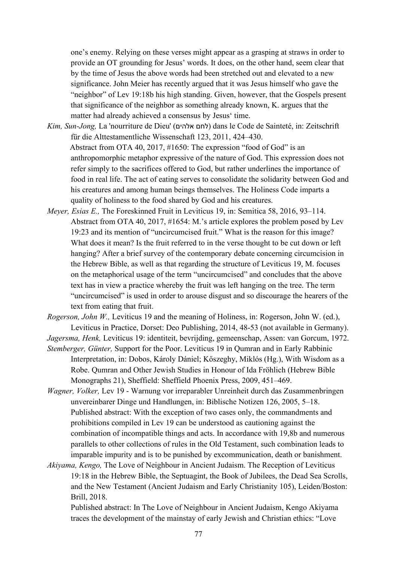one's enemy. Relying on these verses might appear as a grasping at straws in order to provide an OT grounding for Jesus' words. It does, on the other hand, seem clear that by the time of Jesus the above words had been stretched out and elevated to a new significance. John Meier has recently argued that it was Jesus himself who gave the "neighbor" of Lev 19:18b his high standing. Given, however, that the Gospels present that significance of the neighbor as something already known, K. argues that the matter had already achieved a consensus by Jesus' time.

- *Kim, Sun-Jong,* La 'nourriture de Dieu' ( אלהים לחם (dans le Code de Sainteté, in: Zeitschrift für die Alttestamentliche Wissenschaft 123, 2011, 424–430. Abstract from OTA 40, 2017, #1650: The expression "food of God" is an anthropomorphic metaphor expressive of the nature of God. This expression does not refer simply to the sacrifices offered to God, but rather underlines the importance of food in real life. The act of eating serves to consolidate the solidarity between God and his creatures and among human beings themselves. The Holiness Code imparts a quality of holiness to the food shared by God and his creatures.
- *Meyer, Esias E.,* The Foreskinned Fruit in Leviticus 19, in: Semitica 58, 2016, 93–114. Abstract from OTA 40, 2017, #1654: M.'s article explores the problem posed by Lev 19:23 and its mention of "uncircumcised fruit." What is the reason for this image? What does it mean? Is the fruit referred to in the verse thought to be cut down or left hanging? After a brief survey of the contemporary debate concerning circumcision in the Hebrew Bible, as well as that regarding the structure of Leviticus 19, M. focuses on the metaphorical usage of the term "uncircumcised" and concludes that the above text has in view a practice whereby the fruit was left hanging on the tree. The term "uncircumcised" is used in order to arouse disgust and so discourage the hearers of the text from eating that fruit.

*Rogerson, John W.,* Leviticus 19 and the meaning of Holiness, in: Rogerson, John W. (ed.), Leviticus in Practice, Dorset: Deo Publishing, 2014, 48-53 (not available in Germany).

- *Jagersma, Henk,* Leviticus 19: identiteit, bevrijding, gemeenschap, Assen: van Gorcum, 1972. *Stemberger, Günter,* Support for the Poor. Leviticus 19 in Qumran and in Early Rabbinic Interpretation, in: Dobos, Károly Dániel; Kőszeghy, Miklós (Hg.), With Wisdom as a Robe. Qumran and Other Jewish Studies in Honour of Ida Fröhlich (Hebrew Bible Monographs 21), Sheffield: Sheffield Phoenix Press, 2009, 451–469.
- *Wagner, Volker,* Lev 19 Warnung vor irreparabler Unreinheit durch das Zusammenbringen unvereinbarer Dinge und Handlungen, in: Biblische Notizen 126, 2005, 5–18. Published abstract: With the exception of two cases only, the commandments and prohibitions compiled in Lev 19 can be understood as cautioning against the combination of incompatible things and acts. In accordance with 19,8b and numerous parallels to other collections of rules in the Old Testament, such combination leads to imparable impurity and is to be punished by excommunication, death or banishment.
- *Akiyama, Kengo,* The Love of Neighbour in Ancient Judaism. The Reception of Leviticus 19:18 in the Hebrew Bible, the Septuagint, the Book of Jubilees, the Dead Sea Scrolls, and the New Testament (Ancient Judaism and Early Christianity 105), Leiden/Boston: Brill, 2018.

Published abstract: In The Love of Neighbour in Ancient Judaism, Kengo Akiyama traces the development of the mainstay of early Jewish and Christian ethics: "Love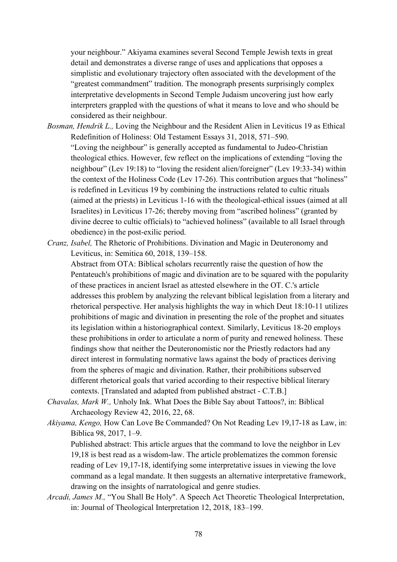your neighbour." Akiyama examines several Second Temple Jewish texts in great detail and demonstrates a diverse range of uses and applications that opposes a simplistic and evolutionary trajectory often associated with the development of the "greatest commandment" tradition. The monograph presents surprisingly complex interpretative developments in Second Temple Judaism uncovering just how early interpreters grappled with the questions of what it means to love and who should be considered as their neighbour.

- *Bosman, Hendrik L.,* Loving the Neighbour and the Resident Alien in Leviticus 19 as Ethical Redefinition of Holiness: Old Testament Essays 31, 2018, 571–590. "Loving the neighbour" is generally accepted as fundamental to Judeo-Christian theological ethics. However, few reflect on the implications of extending "loving the neighbour" (Lev 19:18) to "loving the resident alien/foreigner" (Lev 19:33-34) within the context of the Holiness Code (Lev 17-26). This contribution argues that "holiness" is redefined in Leviticus 19 by combining the instructions related to cultic rituals (aimed at the priests) in Leviticus 1-16 with the theological-ethical issues (aimed at all Israelites) in Leviticus 17-26; thereby moving from "ascribed holiness" (granted by divine decree to cultic officials) to "achieved holiness" (available to all Israel through obedience) in the post-exilic period.
- *Cranz, Isabel,* The Rhetoric of Prohibitions. Divination and Magic in Deuteronomy and Leviticus, in: Semitica 60, 2018, 139–158.

Abstract from OTA: Biblical scholars recurrently raise the question of how the Pentateuch's prohibitions of magic and divination are to be squared with the popularity of these practices in ancient Israel as attested elsewhere in the OT. C.'s article addresses this problem by analyzing the relevant biblical legislation from a literary and rhetorical perspective. Her analysis highlights the way in which Deut 18:10-11 utilizes prohibitions of magic and divination in presenting the role of the prophet and situates its legislation within a historiographical context. Similarly, Leviticus 18-20 employs these prohibitions in order to articulate a norm of purity and renewed holiness. These findings show that neither the Deuteronomistic nor the Priestly redactors had any direct interest in formulating normative laws against the body of practices deriving from the spheres of magic and divination. Rather, their prohibitions subserved different rhetorical goals that varied according to their respective biblical literary contexts. [Translated and adapted from published abstract - C.T.B.]

- *Chavalas, Mark W.,* Unholy Ink. What Does the Bible Say about Tattoos?, in: Biblical Archaeology Review 42, 2016, 22, 68.
- *Akiyama, Kengo,* How Can Love Be Commanded? On Not Reading Lev 19,17-18 as Law, in: Biblica 98, 2017, 1–9.

Published abstract: This article argues that the command to love the neighbor in Lev 19,18 is best read as a wisdom-law. The article problematizes the common forensic reading of Lev 19,17-18, identifying some interpretative issues in viewing the love command as a legal mandate. It then suggests an alternative interpretative framework, drawing on the insights of narratological and genre studies.

*Arcadi, James M.,* "You Shall Be Holy". A Speech Act Theoretic Theological Interpretation, in: Journal of Theological Interpretation 12, 2018, 183–199.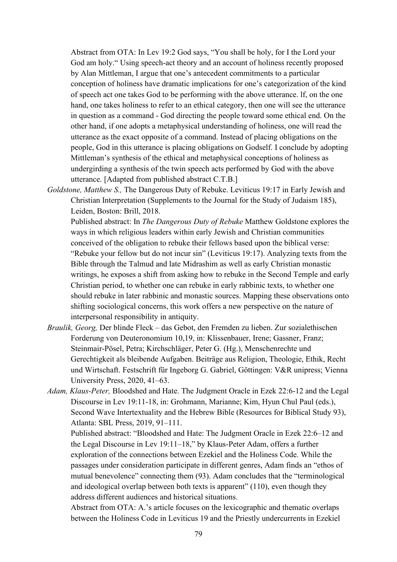Abstract from OTA: In Lev 19:2 God says, "You shall be holy, for I the Lord your God am holy." Using speech-act theory and an account of holiness recently proposed by Alan Mittleman, I argue that one's antecedent commitments to a particular conception of holiness have dramatic implications for one's categorization of the kind of speech act one takes God to be performing with the above utterance. lf, on the one hand, one takes holiness to refer to an ethical category, then one will see the utterance in question as a command - God directing the people toward some ethical end. On the other hand, if one adopts a metaphysical understanding of holiness, one will read the utterance as the exact opposite of a command. Instead of placing obligations on the people, God in this utterance is placing obligations on Godself. I conclude by adopting Mittleman's synthesis of the ethical and metaphysical conceptions of holiness as undergirding a synthesis of the twin speech acts performed by God with the above utterance. [Adapted from published abstract C.T.B.]

*Goldstone, Matthew S.,* The Dangerous Duty of Rebuke. Leviticus 19:17 in Early Jewish and Christian Interpretation (Supplements to the Journal for the Study of Judaism 185), Leiden, Boston: Brill, 2018.

Published abstract: In *The Dangerous Duty of Rebuke* Matthew Goldstone explores the ways in which religious leaders within early Jewish and Christian communities conceived of the obligation to rebuke their fellows based upon the biblical verse: "Rebuke your fellow but do not incur sin" (Leviticus 19:17). Analyzing texts from the Bible through the Talmud and late Midrashim as well as early Christian monastic writings, he exposes a shift from asking how to rebuke in the Second Temple and early Christian period, to whether one can rebuke in early rabbinic texts, to whether one should rebuke in later rabbinic and monastic sources. Mapping these observations onto shifting sociological concerns, this work offers a new perspective on the nature of interpersonal responsibility in antiquity.

- *Braulik, Georg,* Der blinde Fleck das Gebot, den Fremden zu lieben. Zur sozialethischen Forderung von Deuteronomium 10,19, in: Klissenbauer, Irene; Gassner, Franz; Steinmair-Pösel, Petra; Kirchschläger, Peter G. (Hg.), Menschenrechte und Gerechtigkeit als bleibende Aufgaben. Beiträge aus Religion, Theologie, Ethik, Recht und Wirtschaft. Festschrift für Ingeborg G. Gabriel, Göttingen: V&R unipress; Vienna University Press, 2020, 41–63.
- *Adam, Klaus-Peter,* Bloodshed and Hate. The Judgment Oracle in Ezek 22:6-12 and the Legal Discourse in Lev 19:11-18, in: Grohmann, Marianne; Kim, Hyun Chul Paul (eds.), Second Wave Intertextuality and the Hebrew Bible (Resources for Biblical Study 93), Atlanta: SBL Press, 2019, 91–111.

Published abstract: "Bloodshed and Hate: The Judgment Oracle in Ezek 22:6–12 and the Legal Discourse in Lev 19:11–18," by Klaus-Peter Adam, offers a further exploration of the connections between Ezekiel and the Holiness Code. While the passages under consideration participate in different genres, Adam finds an "ethos of mutual benevolence" connecting them (93). Adam concludes that the "terminological and ideological overlap between both texts is apparent" (110), even though they address different audiences and historical situations.

Abstract from OTA: A.'s article focuses on the lexicographic and thematic overlaps between the Holiness Code in Leviticus 19 and the Priestly undercurrents in Ezekiel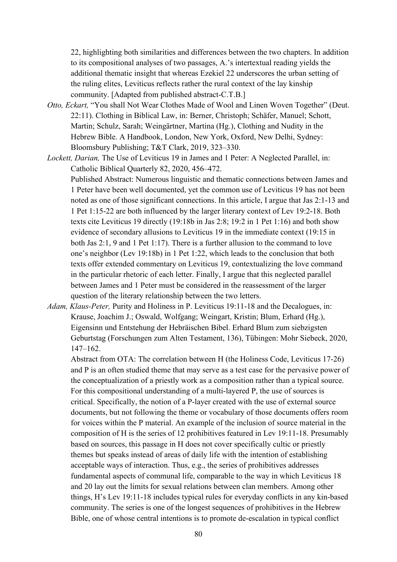22, highlighting both similarities and differences between the two chapters. In addition to its compositional analyses of two passages, A.'s intertextual reading yields the additional thematic insight that whereas Ezekiel 22 underscores the urban setting of the ruling elites, Leviticus reflects rather the rural context of the lay kinship community. [Adapted from published abstract-C.T.B.]

- *Otto, Eckart,* "You shall Not Wear Clothes Made of Wool and Linen Woven Together" (Deut. 22:11). Clothing in Biblical Law, in: Berner, Christoph; Schäfer, Manuel; Schott, Martin; Schulz, Sarah; Weingärtner, Martina (Hg.), Clothing and Nudity in the Hebrew Bible. A Handbook, London, New York, Oxford, New Delhi, Sydney: Bloomsbury Publishing; T&T Clark, 2019, 323–330.
- *Lockett, Darian,* The Use of Leviticus 19 in James and 1 Peter: A Neglected Parallel, in: Catholic Biblical Quarterly 82, 2020, 456–472.

Published Abstract: Numerous linguistic and thematic connections between James and 1 Peter have been well documented, yet the common use of Leviticus 19 has not been noted as one of those significant connections. In this article, I argue that Jas 2:1-13 and 1 Pet 1:15-22 are both influenced by the larger literary context of Lev 19:2-18. Both texts cite Leviticus 19 directly (19:18b in Jas 2:8; 19:2 in 1 Pet 1:16) and both show evidence of secondary allusions to Leviticus 19 in the immediate context (19:15 in both Jas 2:1, 9 and 1 Pet 1:17). There is a further allusion to the command to love one's neighbor (Lev 19:18b) in 1 Pet 1:22, which leads to the conclusion that both texts offer extended commentary on Leviticus 19, contextualizing the love command in the particular rhetoric of each letter. Finally, I argue that this neglected parallel between James and 1 Peter must be considered in the reassessment of the larger question of the literary relationship between the two letters.

*Adam, Klaus-Peter,* Purity and Holiness in P. Leviticus 19:11-18 and the Decalogues, in: Krause, Joachim J.; Oswald, Wolfgang; Weingart, Kristin; Blum, Erhard (Hg.), Eigensinn und Entstehung der Hebräischen Bibel. Erhard Blum zum siebzigsten Geburtstag (Forschungen zum Alten Testament, 136), Tübingen: Mohr Siebeck, 2020, 147–162.

Abstract from OTA: The correlation between H (the Holiness Code, Leviticus 17-26) and P is an often studied theme that may serve as a test case for the pervasive power of the conceptualization of a priestly work as a composition rather than a typical source. For this compositional understanding of a multi-layered P, the use of sources is critical. Specifically, the notion of a P-layer created with the use of external source documents, but not following the theme or vocabulary of those documents offers room for voices within the P material. An example of the inclusion of source material in the composition of H is the series of 12 prohibitives featured in Lev 19:11-18. Presumably based on sources, this passage in H does not cover specifically cultic or priestly themes but speaks instead of areas of daily life with the intention of establishing acceptable ways of interaction. Thus, e.g., the series of prohibitives addresses fundamental aspects of communal life, comparable to the way in which Leviticus 18 and 20 lay out the limits for sexual relations between clan members. Among other things, H's Lev 19:11-18 includes typical rules for everyday conflicts in any kin-based community. The series is one of the longest sequences of prohibitives in the Hebrew Bible, one of whose central intentions is to promote de-escalation in typical conflict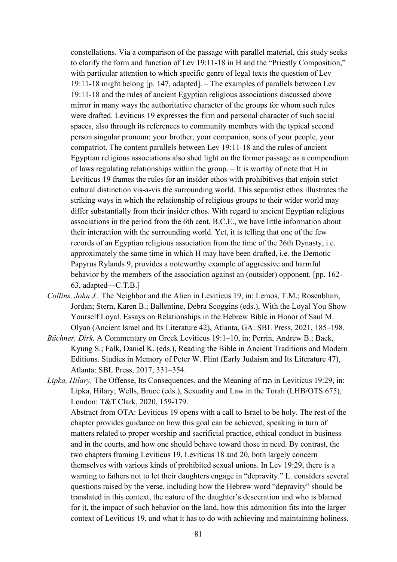constellations. Via a comparison of the passage with parallel material, this study seeks to clarify the form and function of Lev 19:11-18 in H and the "Priestly Composition," with particular attention to which specific genre of legal texts the question of Lev 19:11-18 might belong [p. 147, adapted]. – The examples of parallels between Lev 19:11-18 and the rules of ancient Egyptian religious associations discussed above mirror in many ways the authoritative character of the groups for whom such rules were drafted. Leviticus 19 expresses the firm and personal character of such social spaces, also through its references to community members with the typical second person singular pronoun: your brother, your companion, sons of your people, your compatriot. The content parallels between Lev 19:11-18 and the rules of ancient Egyptian religious associations also shed light on the former passage as a compendium of laws regulating relationships within the group. – It is worthy of note that H in Leviticus 19 frames the rules for an insider ethos with prohibitives that enjoin strict cultural distinction vis-a-vis the surrounding world. This separatist ethos illustrates the striking ways in which the relationship of religious groups to their wider world may differ substantially from their insider ethos. With regard to ancient Egyptian religious associations in the period from the 6th cent. B.C.E., we have little information about their interaction with the surrounding world. Yet, it is telling that one of the few records of an Egyptian religious association from the time of the 26th Dynasty, i.e. approximately the same time in which H may have been drafted, i.e. the Demotic Papyrus Rylands 9, provides a noteworthy example of aggressive and harmful behavior by the members of the association against an (outsider) opponent. [pp. 162- 63, adapted—C.T.B.]

- *Collins, John J.,* The Neighbor and the Alien in Leviticus 19, in: Lemos, T.M.; Rosenblum, Jordan; Stern, Karen B.; Ballentine, Debra Scoggins (eds.), With the Loyal You Show Yourself Loyal. Essays on Relationships in the Hebrew Bible in Honor of Saul M. Olyan (Ancient Israel and Its Literature 42), Atlanta, GA: SBL Press, 2021, 185–198.
- *Büchner, Dirk,* A Commentary on Greek Leviticus 19:1–10, in: Perrin, Andrew B.; Baek, Kyung S.; Falk, Daniel K. (eds.), Reading the Bible in Ancient Traditions and Modern Editions. Studies in Memory of Peter W. Flint (Early Judaism and Its Literature 47), Atlanta: SBL Press, 2017, 331–354.
- *Lipka, Hilary,* The Offense, Its Consequences, and the Meaning of הנז in Leviticus 19:29, in: Lipka, Hilary; Wells, Bruce (eds.), Sexuality and Law in the Torah (LHB/OTS 675), London: T&T Clark, 2020, 159-179.

Abstract from OTA: Leviticus 19 opens with a call to Israel to be holy. The rest of the chapter provides guidance on how this goal can be achieved, speaking in turn of matters related to proper worship and sacrificial practice, ethical conduct in business and in the courts, and how one should behave toward those in need. By contrast, the two chapters framing Leviticus 19, Leviticus 18 and 20, both largely concern themselves with various kinds of prohibited sexual unions. In Lev 19:29, there is a warning to fathers not to let their daughters engage in "depravity." L. considers several questions raised by the verse, including how the Hebrew word "depravity" should be translated in this context, the nature of the daughter's desecration and who is blamed for it, the impact of such behavior on the land, how this admonition fits into the larger context of Leviticus 19, and what it has to do with achieving and maintaining holiness.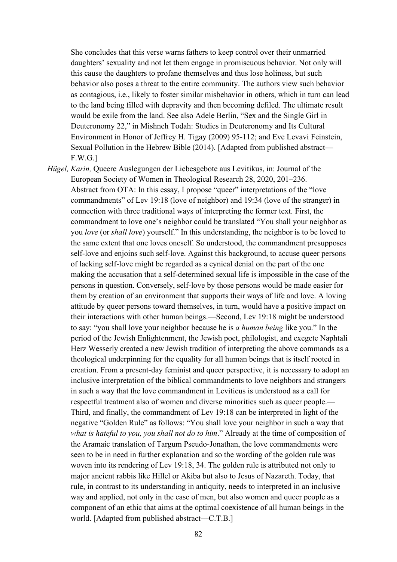She concludes that this verse warns fathers to keep control over their unmarried daughters' sexuality and not let them engage in promiscuous behavior. Not only will this cause the daughters to profane themselves and thus lose holiness, but such behavior also poses a threat to the entire community. The authors view such behavior as contagious, i.e., likely to foster similar misbehavior in others, which in turn can lead to the land being filled with depravity and then becoming defiled. The ultimate result would be exile from the land. See also Adele Berlin, "Sex and the Single Girl in Deuteronomy 22," in Mishneh Todah: Studies in Deuteronomy and Its Cultural Environment in Honor of Jeffrey H. Tigay (2009) 95-112; and Eve Levavi Feinstein, Sexual Pollution in the Hebrew Bible (2014). [Adapted from published abstract— F.W.G.]

*Hügel, Karin,* Queere Auslegungen der Liebesgebote aus Levitikus, in: Journal of the European Society of Women in Theological Research 28, 2020, 201–236. Abstract from OTA: In this essay, I propose "queer" interpretations of the "love commandments" of Lev 19:18 (love of neighbor) and 19:34 (love of the stranger) in connection with three traditional ways of interpreting the former text. First, the commandment to love one's neighbor could be translated "You shall your neighbor as you *love* (or *shall love*) yourself." In this understanding, the neighbor is to be loved to the same extent that one loves oneself. So understood, the commandment presupposes self-love and enjoins such self-love. Against this background, to accuse queer persons of lacking self-love might be regarded as a cynical denial on the part of the one making the accusation that a self-determined sexual life is impossible in the case of the persons in question. Conversely, self-love by those persons would be made easier for them by creation of an environment that supports their ways of life and love. A loving attitude by queer persons toward themselves, in turn, would have a positive impact on their interactions with other human beings.—Second, Lev 19:18 might be understood to say: "you shall love your neighbor because he is *a human being* like you." In the period of the Jewish Enlightenment, the Jewish poet, philologist, and exegete Naphtali Herz Wesserly created a new Jewish tradition of interpreting the above commands as a theological underpinning for the equality for all human beings that is itself rooted in creation. From a present-day feminist and queer perspective, it is necessary to adopt an inclusive interpretation of the biblical commandments to love neighbors and strangers in such a way that the love commandment in Leviticus is understood as a call for respectful treatment also of women and diverse minorities such as queer people.— Third, and finally, the commandment of Lev 19:18 can be interpreted in light of the negative "Golden Rule" as follows: "You shall love your neighbor in such a way that *what is hateful to you, you shall not do to him*." Already at the time of composition of the Aramaic translation of Targum Pseudo-Jonathan, the love commandments were seen to be in need in further explanation and so the wording of the golden rule was woven into its rendering of Lev 19:18, 34. The golden rule is attributed not only to major ancient rabbis like Hillel or Akiba but also to Jesus of Nazareth. Today, that rule, in contrast to its understanding in antiquity, needs to interpreted in an inclusive way and applied, not only in the case of men, but also women and queer people as a component of an ethic that aims at the optimal coexistence of all human beings in the world. [Adapted from published abstract—C.T.B.]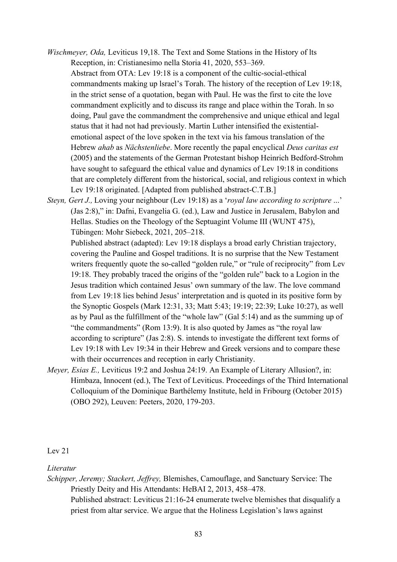*Wischmeyer, Oda,* Leviticus 19,18. The Text and Some Stations in the History of lts Reception, in: Cristianesimo nella Storia 41, 2020, 553–369.

Abstract from OTA: Lev 19:18 is a component of the cultic-social-ethical commandments making up lsrael's Torah. The history of the reception of Lev 19:18, in the strict sense of a quotation, began with Paul. He was the first to cite the love commandment explicitly and to discuss its range and place within the Torah. ln so doing, Paul gave the commandment the comprehensive and unique ethical and legal status that it had not had previously. Martin Luther intensified the existentialemotional aspect of the love spoken in the text via his famous translation of the Hebrew *ahab* as *Nächstenliebe*. More recently the papal encyclical *Deus caritas est* (2005) and the statements of the German Protestant bishop Heinrich Bedford-Strohm have sought to safeguard the ethical value and dynamics of Lev 19:18 in conditions that are completely different from the historical, social, and religious context in which Lev 19:18 originated. [Adapted from published abstract-C.T.B.]

*Steyn, Gert J.,* Loving your neighbour (Lev 19:18) as a '*royal law according to scripture* ...' (Jas 2:8)," in: Dafni, Evangelia G. (ed.), Law and Justice in Jerusalem, Babylon and Hellas. Studies on the Theology of the Septuagint Volume III (WUNT 475), Tübingen: Mohr Siebeck, 2021, 205–218.

Published abstract (adapted): Lev 19:18 displays a broad early Christian trajectory, covering the Pauline and Gospel traditions. It is no surprise that the New Testament writers frequently quote the so-called "golden rule," or "rule of reciprocity" from Lev 19:18. They probably traced the origins of the "golden rule" back to a Logion in the Jesus tradition which contained Jesus' own summary of the law. The love command from Lev 19:18 lies behind Jesus' interpretation and is quoted in its positive form by the Synoptic Gospels (Mark 12:31, 33; Matt 5:43; 19:19; 22:39; Luke 10:27), as well as by Paul as the fulfillment of the "whole law" (Gal 5:14) and as the summing up of "the commandments" (Rom 13:9). It is also quoted by James as "the royal law according to scripture" (Jas 2:8). S. intends to investigate the different text forms of Lev 19:18 with Lev 19:34 in their Hebrew and Greek versions and to compare these with their occurrences and reception in early Christianity.

*Meyer, Esias E.,* Leviticus 19:2 and Joshua 24:19. An Example of Literary Allusion?, in: Himbaza, Innocent (ed.), The Text of Leviticus. Proceedings of the Third International Colloquium of the Dominique Barthélemy Institute, held in Fribourg (October 2015) (OBO 292), Leuven: Peeters, 2020, 179-203.

Lev 21

*Literatur*

*Schipper, Jeremy; Stackert, Jeffrey,* Blemishes, Camouflage, and Sanctuary Service: The Priestly Deity and His Attendants: HeBAI 2, 2013, 458–478.

Published abstract: Leviticus 21:16-24 enumerate twelve blemishes that disqualify a priest from altar service. We argue that the Holiness Legislation's laws against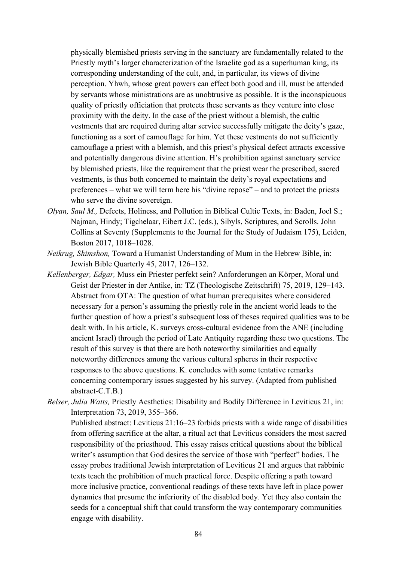physically blemished priests serving in the sanctuary are fundamentally related to the Priestly myth's larger characterization of the Israelite god as a superhuman king, its corresponding understanding of the cult, and, in particular, its views of divine perception. Yhwh, whose great powers can effect both good and ill, must be attended by servants whose ministrations are as unobtrusive as possible. It is the inconspicuous quality of priestly officiation that protects these servants as they venture into close proximity with the deity. In the case of the priest without a blemish, the cultic vestments that are required during altar service successfully mitigate the deity's gaze, functioning as a sort of camouflage for him. Yet these vestments do not sufficiently camouflage a priest with a blemish, and this priest's physical defect attracts excessive and potentially dangerous divine attention. H's prohibition against sanctuary service by blemished priests, like the requirement that the priest wear the prescribed, sacred vestments, is thus both concerned to maintain the deity's royal expectations and preferences – what we will term here his "divine repose" – and to protect the priests who serve the divine sovereign.

- *Olyan, Saul M.,* Defects, Holiness, and Pollution in Biblical Cultic Texts, in: Baden, Joel S.; Najman, Hindy; Tigchelaar, Eibert J.C. (eds.), Sibyls, Scriptures, and Scrolls. John Collins at Seventy (Supplements to the Journal for the Study of Judaism 175), Leiden, Boston 2017, 1018–1028.
- *Neikrug, Shimshon,* Toward a Humanist Understanding of Mum in the Hebrew Bible, in: Jewish Bible Quarterly 45, 2017, 126–132.
- *Kellenberger, Edgar,* Muss ein Priester perfekt sein? Anforderungen an Körper, Moral und Geist der Priester in der Antike, in: TZ (Theologische Zeitschrift) 75, 2019, 129–143. Abstract from OTA: The question of what human prerequisites where considered necessary for a person's assuming the priestly role in the ancient world leads to the further question of how a priest's subsequent loss of theses required qualities was to be dealt with. In his article, K. surveys cross-cultural evidence from the ANE (including ancient Israel) through the period of Late Antiquity regarding these two questions. The result of this survey is that there are both noteworthy similarities and equally noteworthy differences among the various cultural spheres in their respective responses to the above questions. K. concludes with some tentative remarks concerning contemporary issues suggested by his survey. (Adapted from published abstract-C.T.B.)
- *Belser, Julia Watts,* Priestly Aesthetics: Disability and Bodily Difference in Leviticus 21, in: Interpretation 73, 2019, 355–366.

Published abstract: Leviticus 21:16–23 forbids priests with a wide range of disabilities from offering sacrifice at the altar, a ritual act that Leviticus considers the most sacred responsibility of the priesthood. This essay raises critical questions about the biblical writer's assumption that God desires the service of those with "perfect" bodies. The essay probes traditional Jewish interpretation of Leviticus 21 and argues that rabbinic texts teach the prohibition of much practical force. Despite offering a path toward more inclusive practice, conventional readings of these texts have left in place power dynamics that presume the inferiority of the disabled body. Yet they also contain the seeds for a conceptual shift that could transform the way contemporary communities engage with disability.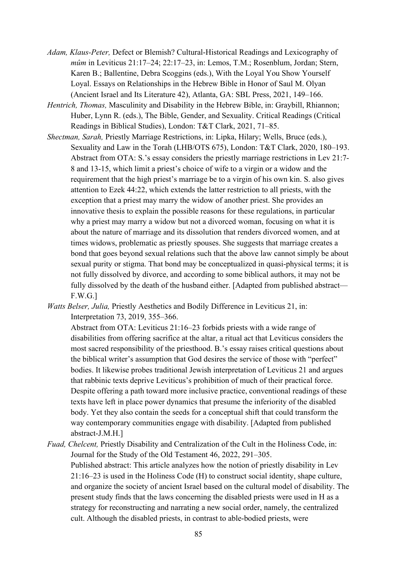*Adam, Klaus-Peter,* Defect or Blemish? Cultural-Historical Readings and Lexicography of *mûm* in Leviticus 21:17–24; 22:17–23, in: Lemos, T.M.; Rosenblum, Jordan; Stern, Karen B.; Ballentine, Debra Scoggins (eds.), With the Loyal You Show Yourself Loyal. Essays on Relationships in the Hebrew Bible in Honor of Saul M. Olyan (Ancient Israel and Its Literature 42), Atlanta, GA: SBL Press, 2021, 149–166.

- *Hentrich, Thomas,* Masculinity and Disability in the Hebrew Bible, in: Graybill, Rhiannon; Huber, Lynn R. (eds.), The Bible, Gender, and Sexuality. Critical Readings (Critical Readings in Biblical Studies), London: T&T Clark, 2021, 71–85.
- *Shectman, Sarah,* Priestly Marriage Restrictions, in: Lipka, Hilary; Wells, Bruce (eds.), Sexuality and Law in the Torah (LHB/OTS 675), London: T&T Clark, 2020, 180–193. Abstract from OTA: S.'s essay considers the priestly marriage restrictions in Lev 21:7- 8 and 13-15, which limit a priest's choice of wife to a virgin or a widow and the requirement that the high priest's marriage be to a virgin of his own kin. S. also gives attention to Ezek 44:22, which extends the latter restriction to all priests, with the exception that a priest may marry the widow of another priest. She provides an innovative thesis to explain the possible reasons for these regulations, in particular why a priest may marry a widow but not a divorced woman, focusing on what it is about the nature of marriage and its dissolution that renders divorced women, and at times widows, problematic as priestly spouses. She suggests that marriage creates a bond that goes beyond sexual relations such that the above law cannot simply be about sexual purity or stigma. That bond may be conceptualized in quasi-physical terms; it is not fully dissolved by divorce, and according to some biblical authors, it may not be fully dissolved by the death of the husband either. [Adapted from published abstract— F.W.G.]

*Watts Belser, Julia,* Priestly Aesthetics and Bodily Difference in Leviticus 21, in: Interpretation 73, 2019, 355–366.

Abstract from OTA: Leviticus 21:16–23 forbids priests with a wide range of disabilities from offering sacrifice at the altar, a ritual act that Leviticus considers the most sacred responsibility of the priesthood. B.'s essay raises critical questions about the biblical writer's assumption that God desires the service of those with "perfect" bodies. It likewise probes traditional Jewish interpretation of Leviticus 21 and argues that rabbinic texts deprive Leviticus's prohibition of much of their practical force. Despite offering a path toward more inclusive practice, conventional readings of these texts have left in place power dynamics that presume the inferiority of the disabled body. Yet they also contain the seeds for a conceptual shift that could transform the way contemporary communities engage with disability. [Adapted from published abstract-J.M.H.]

*Fuad, Chelcent,* Priestly Disability and Centralization of the Cult in the Holiness Code, in: Journal for the Study of the Old Testament 46, 2022, 291–305. Published abstract: This article analyzes how the notion of priestly disability in Lev 21:16–23 is used in the Holiness Code (H) to construct social identity, shape culture, and organize the society of ancient Israel based on the cultural model of disability. The present study finds that the laws concerning the disabled priests were used in H as a strategy for reconstructing and narrating a new social order, namely, the centralized cult. Although the disabled priests, in contrast to able-bodied priests, were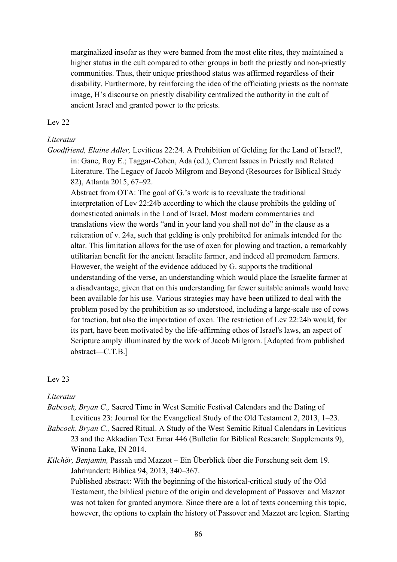marginalized insofar as they were banned from the most elite rites, they maintained a higher status in the cult compared to other groups in both the priestly and non-priestly communities. Thus, their unique priesthood status was affirmed regardless of their disability. Furthermore, by reinforcing the idea of the officiating priests as the normate image, H's discourse on priestly disability centralized the authority in the cult of ancient Israel and granted power to the priests.

### Lev  $22$

# *Literatur*

*Goodfriend, Elaine Adler,* Leviticus 22:24. A Prohibition of Gelding for the Land of Israel?, in: Gane, Roy E.; Taggar-Cohen, Ada (ed.), Current Issues in Priestly and Related Literature. The Legacy of Jacob Milgrom and Beyond (Resources for Biblical Study 82), Atlanta 2015, 67–92.

Abstract from OTA: The goal of G.'s work is to reevaluate the traditional interpretation of Lev 22:24b according to which the clause prohibits the gelding of domesticated animals in the Land of Israel. Most modern commentaries and translations view the words "and in your land you shall not do" in the clause as a reiteration of v. 24a, such that gelding is only prohibited for animals intended for the altar. This limitation allows for the use of oxen for plowing and traction, a remarkably utilitarian benefit for the ancient Israelite farmer, and indeed all premodern farmers. However, the weight of the evidence adduced by G. supports the traditional understanding of the verse, an understanding which would place the Israelite farmer at a disadvantage, given that on this understanding far fewer suitable animals would have been available for his use. Various strategies may have been utilized to deal with the problem posed by the prohibition as so understood, including a large-scale use of cows for traction, but also the importation of oxen. The restriction of Lev 22:24b would, for its part, have been motivated by the life-affirming ethos of Israel's laws, an aspect of Scripture amply illuminated by the work of Jacob Milgrom. [Adapted from published abstract—C.T.B.]

# Lev<sub>23</sub>

### *Literatur*

*Babcock, Bryan C.,* Sacred Time in West Semitic Festival Calendars and the Dating of Leviticus 23: Journal for the Evangelical Study of the Old Testament 2, 2013, 1–23.

- *Babcock, Bryan C.,* Sacred Ritual. A Study of the West Semitic Ritual Calendars in Leviticus 23 and the Akkadian Text Emar 446 (Bulletin for Biblical Research: Supplements 9), Winona Lake, IN 2014.
- *Kilchör, Benjamin,* Passah und Mazzot Ein Überblick über die Forschung seit dem 19. Jahrhundert: Biblica 94, 2013, 340–367.

Published abstract: With the beginning of the historical-critical study of the Old Testament, the biblical picture of the origin and development of Passover and Mazzot was not taken for granted anymore. Since there are a lot of texts concerning this topic, however, the options to explain the history of Passover and Mazzot are legion. Starting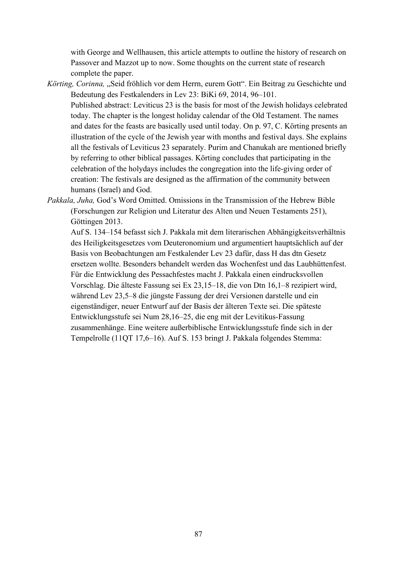with George and Wellhausen, this article attempts to outline the history of research on Passover and Mazzot up to now. Some thoughts on the current state of research complete the paper.

- Körting, Corinna, "Seid fröhlich vor dem Herrn, eurem Gott". Ein Beitrag zu Geschichte und Bedeutung des Festkalenders in Lev 23: BiKi 69, 2014, 96–101. Published abstract: Leviticus 23 is the basis for most of the Jewish holidays celebrated today. The chapter is the longest holiday calendar of the Old Testament. The names and dates for the feasts are basically used until today. On p. 97, C. Körting presents an illustration of the cycle of the Jewish year with months and festival days. She explains all the festivals of Leviticus 23 separately. Purim and Chanukah are mentioned briefly by referring to other biblical passages. Körting concludes that participating in the celebration of the holydays includes the congregation into the life-giving order of creation: The festivals are designed as the affirmation of the community between humans (Israel) and God.
- *Pakkala, Juha,* God's Word Omitted. Omissions in the Transmission of the Hebrew Bible (Forschungen zur Religion und Literatur des Alten und Neuen Testaments 251), Göttingen 2013.

Auf S. 134–154 befasst sich J. Pakkala mit dem literarischen Abhängigkeitsverhältnis des Heiligkeitsgesetzes vom Deuteronomium und argumentiert hauptsächlich auf der Basis von Beobachtungen am Festkalender Lev 23 dafür, dass H das dtn Gesetz ersetzen wollte. Besonders behandelt werden das Wochenfest und das Laubhüttenfest. Für die Entwicklung des Pessachfestes macht J. Pakkala einen eindrucksvollen Vorschlag. Die älteste Fassung sei Ex 23,15–18, die von Dtn 16,1–8 rezipiert wird, während Lev 23,5–8 die jüngste Fassung der drei Versionen darstelle und ein eigenständiger, neuer Entwurf auf der Basis der älteren Texte sei. Die späteste Entwicklungsstufe sei Num 28,16–25, die eng mit der Levitikus-Fassung zusammenhänge. Eine weitere außerbiblische Entwicklungsstufe finde sich in der Tempelrolle (11QT 17,6–16). Auf S. 153 bringt J. Pakkala folgendes Stemma: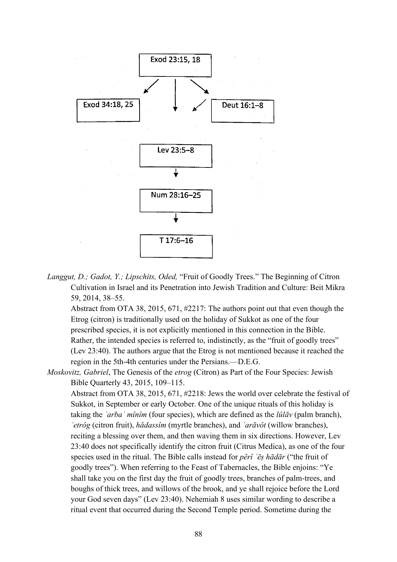

*Langgut, D.; Gadot, Y.; Lipschits, Oded,* "Fruit of Goodly Trees." The Beginning of Citron Cultivation in Israel and its Penetration into Jewish Tradition and Culture: Beit Mikra 59, 2014, 38–55.

Abstract from OTA 38, 2015, 671, #2217: The authors point out that even though the Etrog (citron) is traditionally used on the holiday of Sukkot as one of the four prescribed species, it is not explicitly mentioned in this connection in the Bible. Rather, the intended species is referred to, indistinctly, as the "fruit of goodly trees" (Lev 23:40). The authors argue that the Etrog is not mentioned because it reached the region in the 5th-4th centuries under the Persians.—D.E.G.

*Moskovitz, Gabriel*, The Genesis of the *etrog* (Citron) as Part of the Four Species: Jewish Bible Quarterly 43, 2015, 109–115.

Abstract from OTA 38, 2015, 671, #2218: Jews the world over celebrate the festival of Sukkot, in September or early October. One of the unique rituals of this holiday is taking the *ʾarbaʿ mînîm* (four species), which are defined as the *lûlāv* (palm branch), *ʾetrôg* (citron fruit), *hădassîm* (myrtle branches), and *ʿarāvôt* (willow branches), reciting a blessing over them, and then waving them in six directions. However, Lev 23:40 does not specifically identify the citron fruit (Citrus Medica), as one of the four species used in the ritual. The Bible calls instead for *pĕrî ʿēṣ hādār* ("the fruit of goodly trees"). When referring to the Feast of Tabernacles, the Bible enjoins: "Ye shall take you on the first day the fruit of goodly trees, branches of palm-trees, and boughs of thick trees, and willows of the brook, and ye shall rejoice before the Lord your God seven days" (Lev 23:40). Nehemiah 8 uses similar wording to describe a ritual event that occurred during the Second Temple period. Sometime during the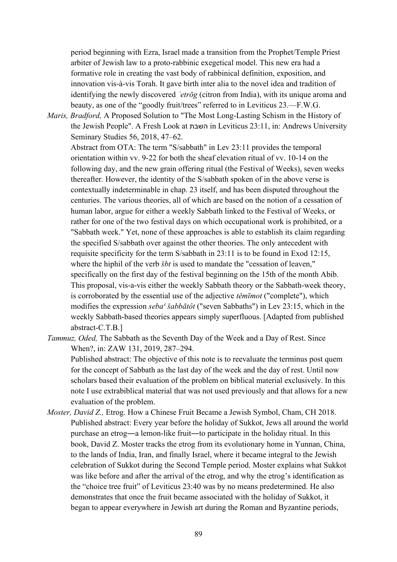period beginning with Ezra, Israel made a transition from the Prophet/Temple Priest arbiter of Jewish law to a proto-rabbinic exegetical model. This new era had a formative role in creating the vast body of rabbinical definition, exposition, and innovation vis-à-vis Torah. It gave birth inter alia to the novel idea and tradition of identifying the newly discovered *ʾetrōg* (citron from India), with its unique aroma and beauty, as one of the "goodly fruit/trees" referred to in Leviticus 23.—F.W.G.

*Maris, Bradford,* A Proposed Solution to "The Most Long-Lasting Schism in the History of the Jewish People". A Fresh Look at השבת in Leviticus 23:11, in: Andrews University Seminary Studies 56, 2018, 47–62.

Abstract from OTA: The term "S/sabbath" in Lev 23:11 provides the temporal orientation within vv. 9-22 for both the sheaf elevation ritual of vv. 10-14 on the following day, and the new grain offering ritual (the Festival of Weeks), seven weeks thereafter. However, the identity of the S/sabbath spoken of in the above verse is contextually indeterminable in chap. 23 itself, and has been disputed throughout the centuries. The various theories, all of which are based on the notion of a cessation of human labor, argue for either a weekly Sabbath linked to the Festival of Weeks, or rather for one of the two festival days on which occupational work is prohibited, or a "Sabbath week." Yet, none of these approaches is able to establish its claim regarding the specified S/sabbath over against the other theories. The only antecedent with requisite specificity for the term S/sabbath in 23:11 is to be found in Exod 12:15, where the hiphil of the verb *šbt* is used to mandate the "cessation of leaven," specifically on the first day of the festival beginning on the 15th of the month Abib. This proposal, vis-a-vis either the weekly Sabbath theory or the Sabbath-week theory, is corroborated by the essential use of the adjective *těmīmot* ("complete"), which modifies the expression *seba<sup>c</sup> šabbātôt* ("seven Sabbaths") in Lev 23:15, which in the weekly Sabbath-based theories appears simply superfluous. [Adapted from published abstract-C.T.B.]

*Tammuz, Oded,* The Sabbath as the Seventh Day of the Week and a Day of Rest. Since When?, in: ZAW 131, 2019, 287–294.

Published abstract: The objective of this note is to reevaluate the terminus post quem for the concept of Sabbath as the last day of the week and the day of rest. Until now scholars based their evaluation of the problem on biblical material exclusively. In this note I use extrabiblical material that was not used previously and that allows for a new evaluation of the problem.

*Moster, David Z.,* Etrog. How a Chinese Fruit Became a Jewish Symbol, Cham, CH 2018. Published abstract: Every year before the holiday of Sukkot, Jews all around the world purchase an etrog―a lemon-like fruit―to participate in the holiday ritual. In this book, David Z. Moster tracks the etrog from its evolutionary home in Yunnan, China, to the lands of India, Iran, and finally Israel, where it became integral to the Jewish celebration of Sukkot during the Second Temple period. Moster explains what Sukkot was like before and after the arrival of the etrog, and why the etrog's identification as the "choice tree fruit" of Leviticus 23:40 was by no means predetermined. He also demonstrates that once the fruit became associated with the holiday of Sukkot, it began to appear everywhere in Jewish art during the Roman and Byzantine periods,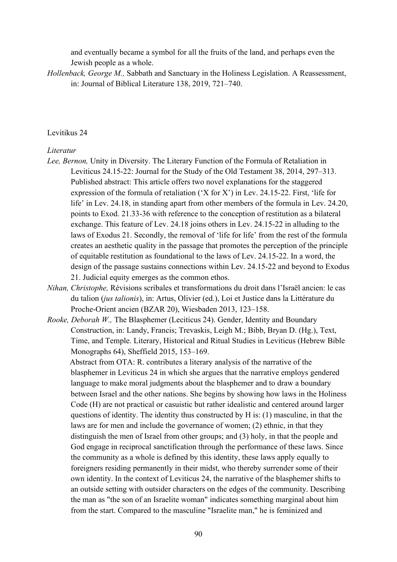and eventually became a symbol for all the fruits of the land, and perhaps even the Jewish people as a whole.

*Hollenback, George M.,* Sabbath and Sanctuary in the Holiness Legislation. A Reassessment, in: Journal of Biblical Literature 138, 2019, 721–740.

### Levitikus 24

### *Literatur*

- *Lee, Bernon,* Unity in Diversity. The Literary Function of the Formula of Retaliation in Leviticus 24.15-22: Journal for the Study of the Old Testament 38, 2014, 297–313. Published abstract: This article offers two novel explanations for the staggered expression of the formula of retaliation ('X for X') in Lev. 24.15-22. First, 'life for life' in Lev. 24.18, in standing apart from other members of the formula in Lev. 24.20, points to Exod. 21.33-36 with reference to the conception of restitution as a bilateral exchange. This feature of Lev. 24.18 joins others in Lev. 24.15-22 in alluding to the laws of Exodus 21. Secondly, the removal of 'life for life' from the rest of the formula creates an aesthetic quality in the passage that promotes the perception of the principle of equitable restitution as foundational to the laws of Lev. 24.15-22. In a word, the design of the passage sustains connections within Lev. 24.15-22 and beyond to Exodus 21. Judicial equity emerges as the common ethos.
- *Nihan, Christophe,* Révisions scribales et transformations du droit dans l'Israël ancien: le cas du talion (*jus talionis*), in: Artus, Olivier (ed.), Loi et Justice dans la Littérature du Proche-Orient ancien (BZAR 20), Wiesbaden 2013, 123–158.
- *Rooke, Deborah W.,* The Blasphemer (Leciticus 24). Gender, Identity and Boundary Construction, in: Landy, Francis; Trevaskis, Leigh M.; Bibb, Bryan D. (Hg.), Text, Time, and Temple. Literary, Historical and Ritual Studies in Leviticus (Hebrew Bible Monographs 64), Sheffield 2015, 153–169.

Abstract from OTA: R. contributes a literary analysis of the narrative of the blasphemer in Leviticus 24 in which she argues that the narrative employs gendered language to make moral judgments about the blasphemer and to draw a boundary between Israel and the other nations. She begins by showing how laws in the Holiness Code (H) are not practical or casuistic but rather idealistic and centered around larger questions of identity. The identity thus constructed by H is: (1) masculine, in that the laws are for men and include the governance of women; (2) ethnic, in that they distinguish the men of Israel from other groups; and (3) holy, in that the people and God engage in reciprocal sanctification through the performance of these laws. Since the community as a whole is defined by this identity, these laws apply equally to foreigners residing permanently in their midst, who thereby surrender some of their own identity. In the context of Leviticus 24, the narrative of the blasphemer shifts to an outside setting with outsider characters on the edges of the community. Describing the man as "the son of an Israelite woman" indicates something marginal about him from the start. Compared to the masculine "Israelite man," he is feminized and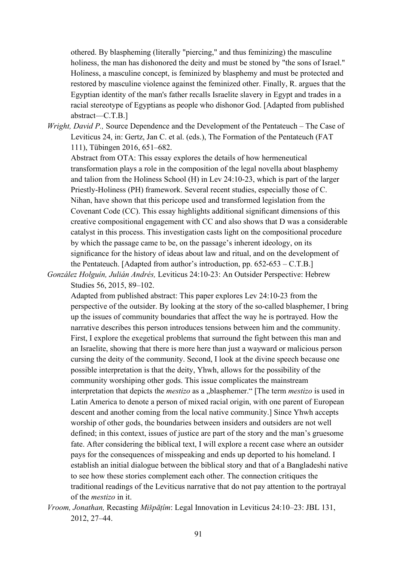othered. By blaspheming (literally "piercing," and thus feminizing) the masculine holiness, the man has dishonored the deity and must be stoned by "the sons of Israel." Holiness, a masculine concept, is feminized by blasphemy and must be protected and restored by masculine violence against the feminized other. Finally, R. argues that the Egyptian identity of the man's father recalls Israelite slavery in Egypt and trades in a racial stereotype of Egyptians as people who dishonor God. [Adapted from published abstract—C.T.B.]

*Wright, David P.,* Source Dependence and the Development of the Pentateuch – The Case of Leviticus 24, in: Gertz, Jan C. et al. (eds.), The Formation of the Pentateuch (FAT 111), Tübingen 2016, 651–682.

Abstract from OTA: This essay explores the details of how hermeneutical transformation plays a role in the composition of the legal novella about blasphemy and talion from the Holiness School (H) in Lev 24:10-23, which is part of the larger Priestly-Holiness (PH) framework. Several recent studies, especially those of C. Nihan, have shown that this pericope used and transformed legislation from the Covenant Code (CC). This essay highlights additional significant dimensions of this creative compositional engagement with CC and also shows that D was a considerable catalyst in this process. This investigation casts light on the compositional procedure by which the passage came to be, on the passage's inherent ideology, on its significance for the history of ideas about law and ritual, and on the development of the Pentateuch. [Adapted from author's introduction, pp. 652-653 – C.T.B.]

*González Holguín, Julián Andrés,* Leviticus 24:10-23: An Outsider Perspective: Hebrew Studies 56, 2015, 89–102.

Adapted from published abstract: This paper explores Lev 24:10-23 from the perspective of the outsider. By looking at the story of the so-called blasphemer, I bring up the issues of community boundaries that affect the way he is portrayed. How the narrative describes this person introduces tensions between him and the community. First, I explore the exegetical problems that surround the fight between this man and an Israelite, showing that there is more here than just a wayward or malicious person cursing the deity of the community. Second, I look at the divine speech because one possible interpretation is that the deity, Yhwh, allows for the possibility of the community worshiping other gods. This issue complicates the mainstream interpretation that depicts the *mestizo* as a "blasphemer." [The term *mestizo* is used in Latin America to denote a person of mixed racial origin, with one parent of European descent and another coming from the local native community.] Since Yhwh accepts worship of other gods, the boundaries between insiders and outsiders are not well defined; in this context, issues of justice are part of the story and the man's gruesome fate. After considering the biblical text, I will explore a recent case where an outsider pays for the consequences of misspeaking and ends up deported to his homeland. I establish an initial dialogue between the biblical story and that of a Bangladeshi native to see how these stories complement each other. The connection critiques the traditional readings of the Leviticus narrative that do not pay attention to the portrayal of the *mestizo* in it.

*Vroom, Jonathan,* Recasting *Mišpāṭîm*: Legal Innovation in Leviticus 24:10–23: JBL 131, 2012, 27–44.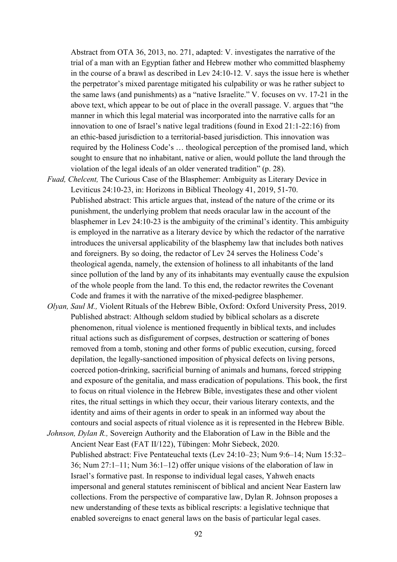Abstract from OTA 36, 2013, no. 271, adapted: V. investigates the narrative of the trial of a man with an Egyptian father and Hebrew mother who committed blasphemy in the course of a brawl as described in Lev 24:10-12. V. says the issue here is whether the perpetrator's mixed parentage mitigated his culpability or was he rather subject to the same laws (and punishments) as a "native Israelite." V. focuses on vv. 17-21 in the above text, which appear to be out of place in the overall passage. V. argues that "the manner in which this legal material was incorporated into the narrative calls for an innovation to one of Israel's native legal traditions (found in Exod 21:1-22:16) from an ethic-based jurisdiction to a territorial-based jurisdiction. This innovation was required by the Holiness Code's … theological perception of the promised land, which sought to ensure that no inhabitant, native or alien, would pollute the land through the violation of the legal ideals of an older venerated tradition" (p. 28).

- *Fuad, Chelcent,* The Curious Case of the Blasphemer: Ambiguity as Literary Device in Leviticus 24:10-23, in: Horizons in Biblical Theology 41, 2019, 51-70. Published abstract: This article argues that, instead of the nature of the crime or its punishment, the underlying problem that needs oracular law in the account of the blasphemer in Lev 24:10-23 is the ambiguity of the criminal's identity. This ambiguity is employed in the narrative as a literary device by which the redactor of the narrative introduces the universal applicability of the blasphemy law that includes both natives and foreigners. By so doing, the redactor of Lev 24 serves the Holiness Code's theological agenda, namely, the extension of holiness to all inhabitants of the land since pollution of the land by any of its inhabitants may eventually cause the expulsion of the whole people from the land. To this end, the redactor rewrites the Covenant Code and frames it with the narrative of the mixed-pedigree blasphemer.
- *Olyan, Saul M.,* Violent Rituals of the Hebrew Bible, Oxford: Oxford University Press, 2019. Published abstract: Although seldom studied by biblical scholars as a discrete phenomenon, ritual violence is mentioned frequently in biblical texts, and includes ritual actions such as disfigurement of corpses, destruction or scattering of bones removed from a tomb, stoning and other forms of public execution, cursing, forced depilation, the legally-sanctioned imposition of physical defects on living persons, coerced potion-drinking, sacrificial burning of animals and humans, forced stripping and exposure of the genitalia, and mass eradication of populations. This book, the first to focus on ritual violence in the Hebrew Bible, investigates these and other violent rites, the ritual settings in which they occur, their various literary contexts, and the identity and aims of their agents in order to speak in an informed way about the contours and social aspects of ritual violence as it is represented in the Hebrew Bible.

*Johnson, Dylan R.,* Sovereign Authority and the Elaboration of Law in the Bible and the Ancient Near East (FAT II/122), Tübingen: Mohr Siebeck, 2020. Published abstract: Five Pentateuchal texts (Lev 24:10–23; Num 9:6–14; Num 15:32– 36; Num 27:1–11; Num 36:1–12) offer unique visions of the elaboration of law in Israel's formative past. In response to individual legal cases, Yahweh enacts impersonal and general statutes reminiscent of biblical and ancient Near Eastern law collections. From the perspective of comparative law, Dylan R. Johnson proposes a new understanding of these texts as biblical rescripts: a legislative technique that enabled sovereigns to enact general laws on the basis of particular legal cases.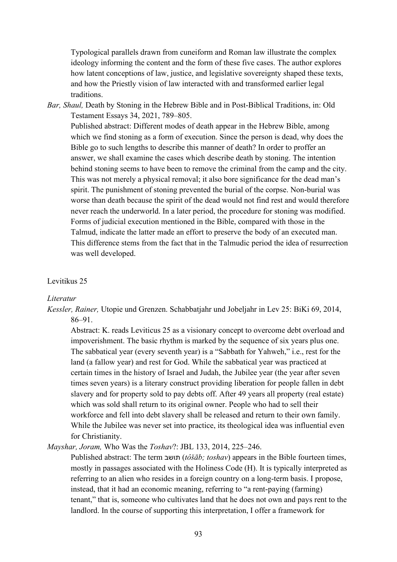Typological parallels drawn from cuneiform and Roman law illustrate the complex ideology informing the content and the form of these five cases. The author explores how latent conceptions of law, justice, and legislative sovereignty shaped these texts, and how the Priestly vision of law interacted with and transformed earlier legal traditions.

*Bar, Shaul,* Death by Stoning in the Hebrew Bible and in Post-Biblical Traditions, in: Old Testament Essays 34, 2021, 789–805.

Published abstract: Different modes of death appear in the Hebrew Bible, among which we find stoning as a form of execution. Since the person is dead, why does the Bible go to such lengths to describe this manner of death? In order to proffer an answer, we shall examine the cases which describe death by stoning. The intention behind stoning seems to have been to remove the criminal from the camp and the city. This was not merely a physical removal; it also bore significance for the dead man's spirit. The punishment of stoning prevented the burial of the corpse. Non-burial was worse than death because the spirit of the dead would not find rest and would therefore never reach the underworld. In a later period, the procedure for stoning was modified. Forms of judicial execution mentioned in the Bible, compared with those in the Talmud, indicate the latter made an effort to preserve the body of an executed man. This difference stems from the fact that in the Talmudic period the idea of resurrection was well developed.

# Levitikus 25

# *Literatur*

*Kessler, Rainer,* Utopie und Grenzen. Schabbatjahr und Jobeljahr in Lev 25: BiKi 69, 2014, 86–91.

Abstract: K. reads Leviticus 25 as a visionary concept to overcome debt overload and impoverishment. The basic rhythm is marked by the sequence of six years plus one. The sabbatical year (every seventh year) is a "Sabbath for Yahweh," i.e., rest for the land (a fallow year) and rest for God. While the sabbatical year was practiced at certain times in the history of Israel and Judah, the Jubilee year (the year after seven times seven years) is a literary construct providing liberation for people fallen in debt slavery and for property sold to pay debts off. After 49 years all property (real estate) which was sold shall return to its original owner. People who had to sell their workforce and fell into debt slavery shall be released and return to their own family. While the Jubilee was never set into practice, its theological idea was influential even for Christianity.

*Mayshar, Joram,* Who Was the *Toshav*?: JBL 133, 2014, 225–246.

Published abstract: The term תושב) *tôšāb; toshav*) appears in the Bible fourteen times, mostly in passages associated with the Holiness Code (H). It is typically interpreted as referring to an alien who resides in a foreign country on a long-term basis. I propose, instead, that it had an economic meaning, referring to "a rent-paying (farming) tenant," that is, someone who cultivates land that he does not own and pays rent to the landlord. In the course of supporting this interpretation, I offer a framework for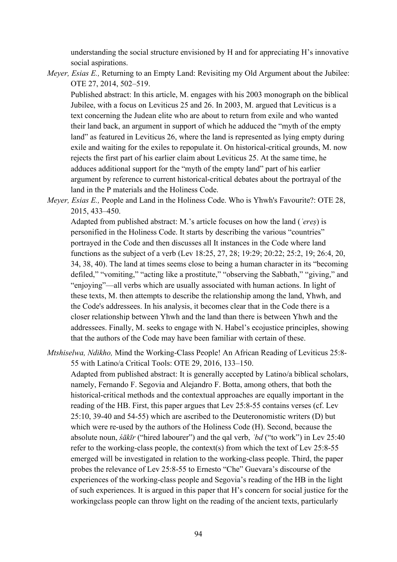understanding the social structure envisioned by H and for appreciating H's innovative social aspirations.

*Meyer, Esias E.,* Returning to an Empty Land: Revisiting my Old Argument about the Jubilee: OTE 27, 2014, 502–519.

Published abstract: In this article, M. engages with his 2003 monograph on the biblical Jubilee, with a focus on Leviticus 25 and 26. In 2003, M. argued that Leviticus is a text concerning the Judean elite who are about to return from exile and who wanted their land back, an argument in support of which he adduced the "myth of the empty land" as featured in Leviticus 26, where the land is represented as lying empty during exile and waiting for the exiles to repopulate it. On historical-critical grounds, M. now rejects the first part of his earlier claim about Leviticus 25. At the same time, he adduces additional support for the "myth of the empty land" part of his earlier argument by reference to current historical-critical debates about the portrayal of the land in the P materials and the Holiness Code.

*Meyer, Esias E.,* People and Land in the Holiness Code. Who is Yhwh's Favourite?: OTE 28, 2015, 433–450.

Adapted from published abstract: M.'s article focuses on how the land (*ʾereṣ*) is personified in the Holiness Code. It starts by describing the various "countries" portrayed in the Code and then discusses all It instances in the Code where land functions as the subject of a verb (Lev 18:25, 27, 28; 19:29; 20:22; 25:2, 19; 26:4, 20, 34, 38, 40). The land at times seems close to being a human character in its "becoming defiled," "vomiting," "acting like a prostitute," "observing the Sabbath," "giving," and "enjoying"—all verbs which are usually associated with human actions. In light of these texts, M. then attempts to describe the relationship among the land, Yhwh, and the Code's addressees. In his analysis, it becomes clear that in the Code there is a closer relationship between Yhwh and the land than there is between Yhwh and the addressees. Finally, M. seeks to engage with N. Habel's ecojustice principles, showing that the authors of the Code may have been familiar with certain of these.

*Mtshiselwa, Ndikho,* Mind the Working-Class People! An African Reading of Leviticus 25:8- 55 with Latino/a Critical Tools: OTE 29, 2016, 133–150.

Adapted from published abstract: It is generally accepted by Latino/a biblical scholars, namely, Fernando F. Segovia and Alejandro F. Botta, among others, that both the historical-critical methods and the contextual approaches are equally important in the reading of the HB. First, this paper argues that Lev 25:8-55 contains verses (cf. Lev 25:10, 39-40 and 54-55) which are ascribed to the Deuteronomistic writers (D) but which were re-used by the authors of the Holiness Code (H). Second, because the absolute noun, *śākīr* ("hired labourer") and the qal verb, *ʿbd* ("to work") in Lev 25:40 refer to the working-class people, the context(s) from which the text of Lev 25:8-55 emerged will be investigated in relation to the working-class people. Third, the paper probes the relevance of Lev 25:8-55 to Ernesto "Che" Guevara's discourse of the experiences of the working-class people and Segovia's reading of the HB in the light of such experiences. It is argued in this paper that H's concern for social justice for the workingclass people can throw light on the reading of the ancient texts, particularly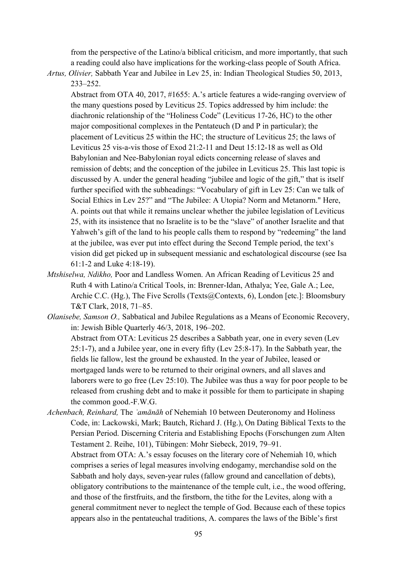from the perspective of the Latino/a biblical criticism, and more importantly, that such a reading could also have implications for the working-class people of South Africa.

*Artus, Olivier,* Sabbath Year and Jubilee in Lev 25, in: Indian Theological Studies 50, 2013, 233–252.

Abstract from OTA 40, 2017, #1655: A.'s article features a wide-ranging overview of the many questions posed by Leviticus 25. Topics addressed by him include: the diachronic relationship of the "Holiness Code" (Leviticus 17-26, HC) to the other major compositional complexes in the Pentateuch (D and P in particular); the placement of Leviticus 25 within the HC; the structure of Leviticus 25; the laws of Leviticus 25 vis-a-vis those of Exod 21:2-11 and Deut 15:12-18 as well as Old Babylonian and Nee-Babylonian royal edicts concerning release of slaves and remission of debts; and the conception of the jubilee in Leviticus 25. This last topic is discussed by A. under the general heading "jubilee and logic of the gift," that is itself further specified with the subheadings: "Vocabulary of gift in Lev 25: Can we talk of Social Ethics in Lev 25?" and "The Jubilee: A Utopia? Norm and Metanorm." Here, A. points out that while it remains unclear whether the jubilee legislation of Leviticus 25, with its insistence that no Israelite is to be the "slave" of another Israelite and that Yahweh's gift of the land to his people calls them to respond by "redeeming" the land at the jubilee, was ever put into effect during the Second Temple period, the text's vision did get picked up in subsequent messianic and eschatological discourse (see Isa 61:1-2 and Luke 4:18-19).

- *Mtshiselwa, Ndikho,* Poor and Landless Women. An African Reading of Leviticus 25 and Ruth 4 with Latino/a Critical Tools, in: Brenner-Idan, Athalya; Yee, Gale A.; Lee, Archie C.C. (Hg.), The Five Scrolls (Texts@Contexts, 6), London [etc.]: Bloomsbury T&T Clark, 2018, 71–85.
- *Olanisebe, Samson O.,* Sabbatical and Jubilee Regulations as a Means of Economic Recovery, in: Jewish Bible Quarterly 46/3, 2018, 196–202.

Abstract from OTA: Leviticus 25 describes a Sabbath year, one in every seven (Lev 25:1-7), and a Jubilee year, one in every fifty (Lev 25:8-17). In the Sabbath year, the fields lie fallow, lest the ground be exhausted. In the year of Jubilee, leased or mortgaged lands were to be returned to their original owners, and all slaves and laborers were to go free (Lev 25:10). The Jubilee was thus a way for poor people to be released from crushing debt and to make it possible for them to participate in shaping the common good.-F.W.G.

*Achenbach, Reinhard,* The *ʾamānāh* of Nehemiah 10 between Deuteronomy and Holiness Code, in: Lackowski, Mark; Bautch, Richard J. (Hg.), On Dating Biblical Texts to the Persian Period. Discerning Criteria and Establishing Epochs (Forschungen zum Alten Testament 2. Reihe, 101), Tübingen: Mohr Siebeck, 2019, 79–91. Abstract from OTA: A.'s essay focuses on the literary core of Nehemiah 10, which comprises a series of legal measures involving endogamy, merchandise sold on the Sabbath and holy days, seven-year rules (fallow ground and cancellation of debts), obligatory contributions to the maintenance of the temple cult, i.e., the wood offering, and those of the firstfruits, and the firstborn, the tithe for the Levites, along with a general commitment never to neglect the temple of God. Because each of these topics appears also in the pentateuchal traditions, A. compares the laws of the Bible's first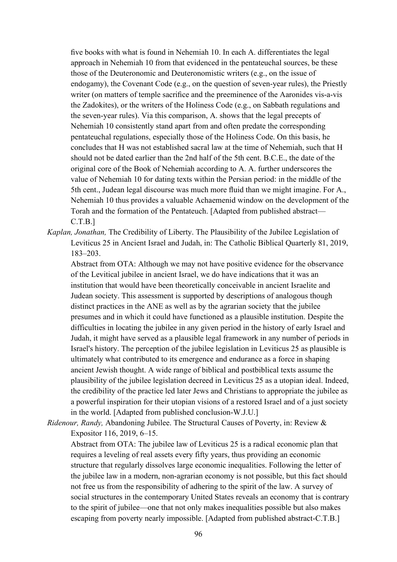five books with what is found in Nehemiah 10. In each A. differentiates the legal approach in Nehemiah 10 from that evidenced in the pentateuchal sources, be these those of the Deuteronomic and Deuteronomistic writers (e.g., on the issue of endogamy), the Covenant Code (e.g., on the question of seven-year rules), the Priestly writer (on matters of temple sacrifice and the preeminence of the Aaronides vis-a-vis the Zadokites), or the writers of the Holiness Code (e.g., on Sabbath regulations and the seven-year rules). Via this comparison, A. shows that the legal precepts of Nehemiah 10 consistently stand apart from and often predate the corresponding pentateuchal regulations, especially those of the Holiness Code. On this basis, he concludes that H was not established sacral law at the time of Nehemiah, such that H should not be dated earlier than the 2nd half of the 5th cent. B.C.E., the date of the original core of the Book of Nehemiah according to A. A. further underscores the value of Nehemiah 10 for dating texts within the Persian period: in the middle of the 5th cent., Judean legal discourse was much more fluid than we might imagine. For A., Nehemiah 10 thus provides a valuable Achaemenid window on the development of the Torah and the formation of the Pentateuch. [Adapted from published abstract— C.T.B.]

*Kaplan, Jonathan,* The Credibility of Liberty. The Plausibility of the Jubilee Legislation of Leviticus 25 in Ancient Israel and Judah, in: The Catholic Biblical Quarterly 81, 2019, 183–203.

Abstract from OTA: Although we may not have positive evidence for the observance of the Levitical jubilee in ancient Israel, we do have indications that it was an institution that would have been theoretically conceivable in ancient Israelite and Judean society. This assessment is supported by descriptions of analogous though distinct practices in the ANE as well as by the agrarian society that the jubilee presumes and in which it could have functioned as a plausible institution. Despite the difficulties in locating the jubilee in any given period in the history of early Israel and Judah, it might have served as a plausible legal framework in any number of periods in Israel's history. The perception of the jubilee legislation in Leviticus 25 as plausible is ultimately what contributed to its emergence and endurance as a force in shaping ancient Jewish thought. A wide range of biblical and postbiblical texts assume the plausibility of the jubilee legislation decreed in Leviticus 25 as a utopian ideal. Indeed, the credibility of the practice led later Jews and Christians to appropriate the jubilee as a powerful inspiration for their utopian visions of a restored Israel and of a just society in the world. [Adapted from published conclusion-W.J.U.]

*Ridenour, Randy,* Abandoning Jubilee. The Structural Causes of Poverty, in: Review & Expositor 116, 2019, 6–15.

Abstract from OTA: The jubilee law of Leviticus 25 is a radical economic plan that requires a leveling of real assets every fifty years, thus providing an economic structure that regularly dissolves large economic inequalities. Following the letter of the jubilee law in a modern, non-agrarian economy is not possible, but this fact should not free us from the responsibility of adhering to the spirit of the law. A survey of social structures in the contemporary United States reveals an economy that is contrary to the spirit of jubilee—one that not only makes inequalities possible but also makes escaping from poverty nearly impossible. [Adapted from published abstract-C.T.B.]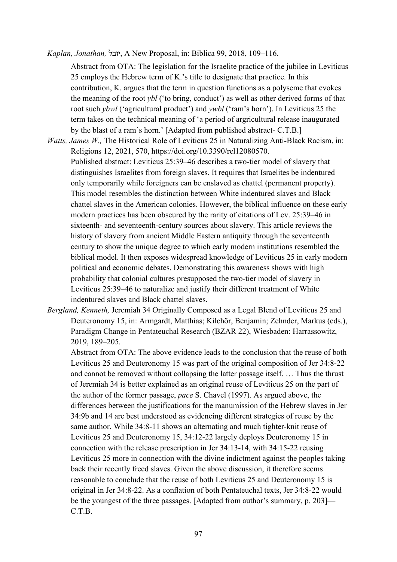*Kaplan, Jonathan,* יובל, A New Proposal, in: Biblica 99, 2018, 109–116.

Abstract from OTA: The legislation for the Israelite practice of the jubilee in Leviticus 25 employs the Hebrew term of K.'s title to designate that practice. In this contribution, K. argues that the term in question functions as a polyseme that evokes the meaning of the root *ybl* ('to bring, conduct') as well as other derived forms of that root such *ybwl* ('agricultural product') and *ywbl* ('ram's horn'). In Leviticus 25 the term takes on the technical meaning of 'a period of argricultural release inaugurated by the blast of a ram's horn.' [Adapted from published abstract- C.T.B.]

- *Watts, James W.,* The Historical Role of Leviticus 25 in Naturalizing Anti-Black Racism, in: Religions 12, 2021, 570, https://doi.org/10.3390/rel12080570. Published abstract: Leviticus 25:39–46 describes a two-tier model of slavery that distinguishes Israelites from foreign slaves. It requires that Israelites be indentured only temporarily while foreigners can be enslaved as chattel (permanent property). This model resembles the distinction between White indentured slaves and Black chattel slaves in the American colonies. However, the biblical influence on these early modern practices has been obscured by the rarity of citations of Lev. 25:39–46 in sixteenth- and seventeenth-century sources about slavery. This article reviews the history of slavery from ancient Middle Eastern antiquity through the seventeenth century to show the unique degree to which early modern institutions resembled the biblical model. It then exposes widespread knowledge of Leviticus 25 in early modern political and economic debates. Demonstrating this awareness shows with high probability that colonial cultures presupposed the two-tier model of slavery in Leviticus 25:39–46 to naturalize and justify their different treatment of White indentured slaves and Black chattel slaves.
- *Bergland, Kenneth,* Jeremiah 34 Originally Composed as a Legal Blend of Leviticus 25 and Deuteronomy 15, in: Armgardt, Matthias; Kilchör, Benjamin; Zehnder, Markus (eds.), Paradigm Change in Pentateuchal Research (BZAR 22), Wiesbaden: Harrassowitz, 2019, 189–205.

Abstract from OTA: The above evidence leads to the conclusion that the reuse of both Leviticus 25 and Deuteronomy 15 was part of the original composition of Jer 34:8-22 and cannot be removed without collapsing the latter passage itself. … Thus the thrust of Jeremiah 34 is better explained as an original reuse of Leviticus 25 on the part of the author of the former passage, *pace* S. Chavel (1997). As argued above, the differences between the justifications for the manumission of the Hebrew slaves in Jer 34:9b and 14 are best understood as evidencing different strategies of reuse by the same author. While 34:8-11 shows an alternating and much tighter-knit reuse of Leviticus 25 and Deuteronomy 15, 34:12-22 largely deploys Deuteronomy 15 in connection with the release prescription in Jer 34:13-14, with 34:15-22 reusing Leviticus 25 more in connection with the divine indictment against the peoples taking back their recently freed slaves. Given the above discussion, it therefore seems reasonable to conclude that the reuse of both Leviticus 25 and Deuteronomy 15 is original in Jer 34:8-22. As a conflation of both Pentateuchal texts, Jer 34:8-22 would be the youngest of the three passages. [Adapted from author's summary, p. 203]— C.T.B.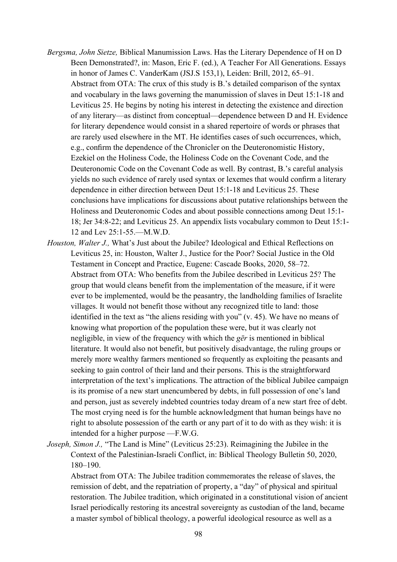- *Bergsma, John Sietze,* Biblical Manumission Laws. Has the Literary Dependence of H on D Been Demonstrated?, in: Mason, Eric F. (ed.), A Teacher For All Generations. Essays in honor of James C. VanderKam (JSJ.S 153,1), Leiden: Brill, 2012, 65–91. Abstract from OTA: The crux of this study is B.'s detailed comparison of the syntax and vocabulary in the laws governing the manumission of slaves in Deut 15:1-18 and Leviticus 25. He begins by noting his interest in detecting the existence and direction of any literary—as distinct from conceptual—dependence between D and H. Evidence for literary dependence would consist in a shared repertoire of words or phrases that are rarely used elsewhere in the MT. He identifies cases of such occurrences, which, e.g., confirm the dependence of the Chronicler on the Deuteronomistic History, Ezekiel on the Holiness Code, the Holiness Code on the Covenant Code, and the Deuteronomic Code on the Covenant Code as well. By contrast, B.'s careful analysis yields no such evidence of rarely used syntax or lexemes that would confirm a literary dependence in either direction between Deut 15:1-18 and Leviticus 25. These conclusions have implications for discussions about putative relationships between the Holiness and Deuteronomic Codes and about possible connections among Deut 15:1- 18; Jer 34:8-22; and Leviticus 25. An appendix lists vocabulary common to Deut 15:1- 12 and Lev 25:1-55.—M.W.D.
- *Houston, Walter J.,* What's Just about the Jubilee? Ideological and Ethical Reflections on Leviticus 25, in: Houston, Walter J., Justice for the Poor? Social Justice in the Old Testament in Concept and Practice, Eugene: Cascade Books, 2020, 58–72. Abstract from OTA: Who benefits from the Jubilee described in Leviticus 25? The group that would cleans benefit from the implementation of the measure, if it were ever to be implemented, would be the peasantry, the landholding families of Israelite villages. It would not benefit those without any recognized title to land: those identified in the text as "the aliens residing with you" (v. 45). We have no means of knowing what proportion of the population these were, but it was clearly not negligible, in view of the frequency with which the *gēr* is mentioned in biblical literature. It would also not benefit, but positively disadvantage, the ruling groups or merely more wealthy farmers mentioned so frequently as exploiting the peasants and seeking to gain control of their land and their persons. This is the straightforward interpretation of the text's implications. The attraction of the biblical Jubilee campaign is its promise of a new start unencumbered by debts, in full possession of one's land and person, just as severely indebted countries today dream of a new start free of debt. The most crying need is for the humble acknowledgment that human beings have no right to absolute possession of the earth or any part of it to do with as they wish: it is intended for a higher purpose —F.W.G.
- *Joseph, Simon J.,* "The Land is Mine" (Leviticus 25:23). Reimagining the Jubilee in the Context of the Palestinian-Israeli Conflict, in: Biblical Theology Bulletin 50, 2020, 180–190.

Abstract from OTA: The Jubilee tradition commemorates the release of slaves, the remission of debt, and the repatriation of property, a "day" of physical and spiritual restoration. The Jubilee tradition, which originated in a constitutional vision of ancient Israel periodically restoring its ancestral sovereignty as custodian of the land, became a master symbol of biblical theology, a powerful ideological resource as well as a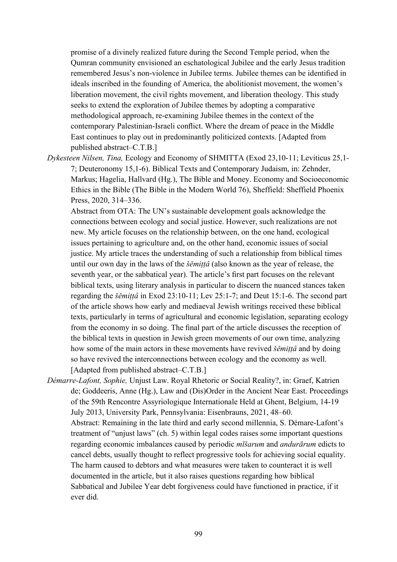promise of a divinely realized future during the Second Temple period, when the Qumran community envisioned an eschatological Jubilee and the early Jesus tradition remembered Jesus's non-violence in Jubilee terms. Jubilee themes can be identified in ideals inscribed in the founding of America, the abolitionist movement, the women's liberation movement, the civil rights movement, and liberation theology. This study seeks to extend the exploration of Jubilee themes by adopting a comparative methodological approach, re-examining Jubilee themes in the context of the contemporary Palestinian-Israeli conflict. Where the dream of peace in the Middle East continues to play out in predominantly politicized contexts. [Adapted from published abstract–C.T.B.]

*Dykesteen Nilsen, Tina,* Ecology and Economy of SHMITTA (Exod 23,10-11; Leviticus 25,1- 7; Deuteronomy 15,1-6). Biblical Texts and Contemporary Judaism, in: Zehnder, Markus; Hagelia, Hallvard (Hg.), The Bible and Money. Economy and Socioeconomic Ethics in the Bible (The Bible in the Modern World 76), Sheffield: Sheffield Phoenix Press, 2020, 314–336.

Abstract from OTA: The UN's sustainable development goals acknowledge the connections between ecology and social justice. However, such realizations are not new. My article focuses on the relationship between, on the one hand, ecological issues pertaining to agriculture and, on the other hand, economic issues of social justice. My article traces the understanding of such a relationship from biblical times until our own day in the laws of the *šěmiṭṭâ* (also known as the year of release, the seventh year, or the sabbatical year). The article's first part focuses on the relevant biblical texts, using literary analysis in particular to discern the nuanced stances taken regarding the *šěmiṭṭâ* in Exod 23:10-11; Lev 25:1-7; and Deut 15:1-6. The second part of the article shows how early and mediaeval Jewish writings received these biblical texts, particularly in terms of agricultural and economic legislation, separating ecology from the economy in so doing. The final part of the article discusses the reception of the biblical texts in question in Jewish green movements of our own time, analyzing how some of the main actors in these movements have revived *šěmiṭṭâ* and by doing so have revived the interconnections between ecology and the economy as well. [Adapted from published abstract–C.T.B.]

*Démarre-Lafont, Sophie,* Unjust Law. Royal Rhetoric or Social Reality?, in: Graef, Katrien de; Goddeeris, Anne (Hg.), Law and (Dis)Order in the Ancient Near East. Proceedings of the 59th Rencontre Assyriologique Internationale Held at Ghent, Belgium, 14-19 July 2013, University Park, Pennsylvania: Eisenbrauns, 2021, 48–60. Abstract: Remaining in the late third and early second millennia, S. Démare-Lafont's treatment of "unjust laws" (ch. 5) within legal codes raises some important questions regarding economic imbalances caused by periodic *mīšarum* and *andurārum* edicts to cancel debts, usually thought to reflect progressive tools for achieving social equality. The harm caused to debtors and what measures were taken to counteract it is well documented in the article, but it also raises questions regarding how biblical Sabbatical and Jubilee Year debt forgiveness could have functioned in practice, if it ever did.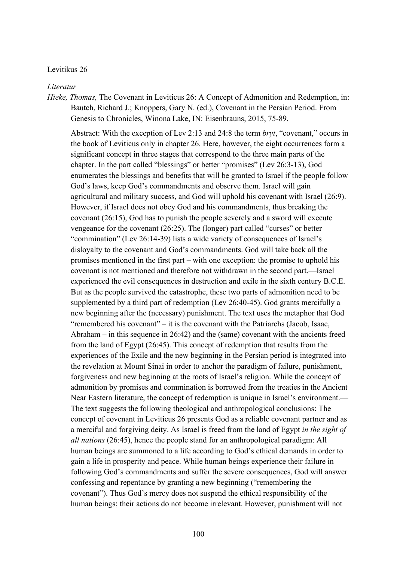#### Levitikus 26

### *Literatur*

*Hieke, Thomas,* The Covenant in Leviticus 26: A Concept of Admonition and Redemption, in: Bautch, Richard J.; Knoppers, Gary N. (ed.), Covenant in the Persian Period. From Genesis to Chronicles, Winona Lake, IN: Eisenbrauns, 2015, 75-89.

Abstract: With the exception of Lev 2:13 and 24:8 the term *bryt*, "covenant," occurs in the book of Leviticus only in chapter 26. Here, however, the eight occurrences form a significant concept in three stages that correspond to the three main parts of the chapter. In the part called "blessings" or better "promises" (Lev 26:3-13), God enumerates the blessings and benefits that will be granted to Israel if the people follow God's laws, keep God's commandments and observe them. Israel will gain agricultural and military success, and God will uphold his covenant with Israel (26:9). However, if Israel does not obey God and his commandments, thus breaking the covenant (26:15), God has to punish the people severely and a sword will execute vengeance for the covenant (26:25). The (longer) part called "curses" or better "commination" (Lev 26:14-39) lists a wide variety of consequences of Israel's disloyalty to the covenant and God's commandments. God will take back all the promises mentioned in the first part – with one exception: the promise to uphold his covenant is not mentioned and therefore not withdrawn in the second part.—Israel experienced the evil consequences in destruction and exile in the sixth century B.C.E. But as the people survived the catastrophe, these two parts of admonition need to be supplemented by a third part of redemption (Lev 26:40-45). God grants mercifully a new beginning after the (necessary) punishment. The text uses the metaphor that God "remembered his covenant" – it is the covenant with the Patriarchs (Jacob, Isaac, Abraham – in this sequence in 26:42) and the (same) covenant with the ancients freed from the land of Egypt (26:45). This concept of redemption that results from the experiences of the Exile and the new beginning in the Persian period is integrated into the revelation at Mount Sinai in order to anchor the paradigm of failure, punishment, forgiveness and new beginning at the roots of Israel's religion. While the concept of admonition by promises and commination is borrowed from the treaties in the Ancient Near Eastern literature, the concept of redemption is unique in Israel's environment.— The text suggests the following theological and anthropological conclusions: The concept of covenant in Leviticus 26 presents God as a reliable covenant partner and as a merciful and forgiving deity. As Israel is freed from the land of Egypt *in the sight of all nations* (26:45), hence the people stand for an anthropological paradigm: All human beings are summoned to a life according to God's ethical demands in order to gain a life in prosperity and peace. While human beings experience their failure in following God's commandments and suffer the severe consequences, God will answer confessing and repentance by granting a new beginning ("remembering the covenant"). Thus God's mercy does not suspend the ethical responsibility of the human beings; their actions do not become irrelevant. However, punishment will not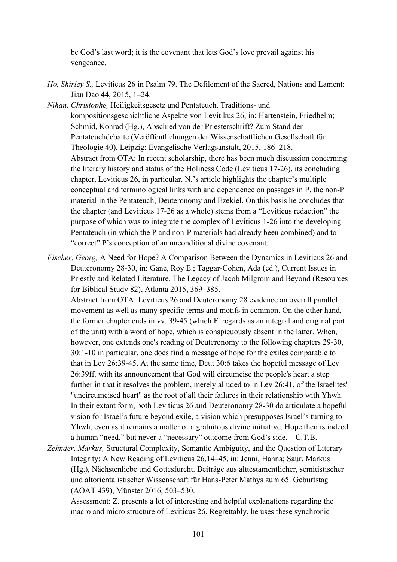be God's last word; it is the covenant that lets God's love prevail against his vengeance.

- *Ho, Shirley S.,* Leviticus 26 in Psalm 79. The Defilement of the Sacred, Nations and Lament: Jian Dao 44, 2015, 1–24.
- *Nihan, Christophe,* Heiligkeitsgesetz und Pentateuch. Traditions- und kompositionsgeschichtliche Aspekte von Levitikus 26, in: Hartenstein, Friedhelm; Schmid, Konrad (Hg.), Abschied von der Priesterschrift? Zum Stand der Pentateuchdebatte (Veröffentlichungen der Wissenschaftlichen Gesellschaft für Theologie 40), Leipzig: Evangelische Verlagsanstalt, 2015, 186–218. Abstract from OTA: In recent scholarship, there has been much discussion concerning the literary history and status of the Holiness Code (Leviticus 17-26), its concluding chapter, Leviticus 26, in particular. N.'s article highlights the chapter's multiple conceptual and terminological links with and dependence on passages in P, the non-P material in the Pentateuch, Deuteronomy and Ezekiel. On this basis he concludes that the chapter (and Leviticus 17-26 as a whole) stems from a "Leviticus redaction" the purpose of which was to integrate the complex of Leviticus 1-26 into the developing Pentateuch (in which the P and non-P materials had already been combined) and to "correct" P's conception of an unconditional divine covenant.
- *Fischer, Georg,* A Need for Hope? A Comparison Between the Dynamics in Leviticus 26 and Deuteronomy 28-30, in: Gane, Roy E.; Taggar-Cohen, Ada (ed.), Current Issues in Priestly and Related Literature. The Legacy of Jacob Milgrom and Beyond (Resources for Biblical Study 82), Atlanta 2015, 369–385.

Abstract from OTA: Leviticus 26 and Deuteronomy 28 evidence an overall parallel movement as well as many specific terms and motifs in common. On the other hand, the former chapter ends in vv. 39-45 (which F. regards as an integral and original part of the unit) with a word of hope, which is conspicuously absent in the latter. When, however, one extends one's reading of Deuteronomy to the following chapters 29-30, 30:1-10 in particular, one does find a message of hope for the exiles comparable to that in Lev 26:39-45. At the same time, Deut 30:6 takes the hopeful message of Lev 26:39ff. with its announcement that God will circumcise the people's heart a step further in that it resolves the problem, merely alluded to in Lev 26:41, of the Israelites' "uncircumcised heart" as the root of all their failures in their relationship with Yhwh. In their extant form, both Leviticus 26 and Deuteronomy 28-30 do articulate a hopeful vision for Israel's future beyond exile, a vision which presupposes Israel's turning to Yhwh, even as it remains a matter of a gratuitous divine initiative. Hope then is indeed a human "need," but never a "necessary" outcome from God's side.—C.T.B.

*Zehnder, Markus,* Structural Complexity, Semantic Ambiguity, and the Question of Literary Integrity: A New Reading of Leviticus 26,14–45, in: Jenni, Hanna; Saur, Markus (Hg.), Nächstenliebe und Gottesfurcht. Beiträge aus alttestamentlicher, semitistischer und altorientalistischer Wissenschaft für Hans-Peter Mathys zum 65. Geburtstag (AOAT 439), Münster 2016, 503–530.

Assessment: Z. presents a lot of interesting and helpful explanations regarding the macro and micro structure of Leviticus 26. Regrettably, he uses these synchronic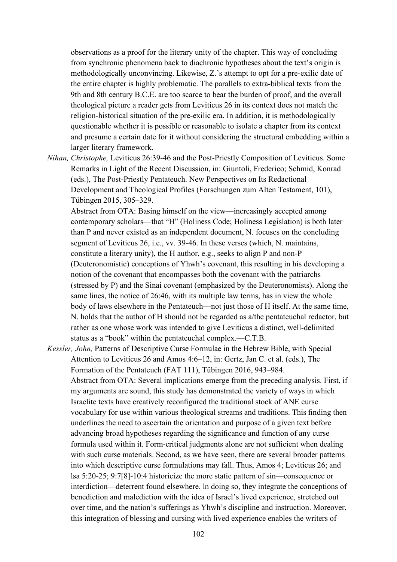observations as a proof for the literary unity of the chapter. This way of concluding from synchronic phenomena back to diachronic hypotheses about the text's origin is methodologically unconvincing. Likewise, Z.'s attempt to opt for a pre-exilic date of the entire chapter is highly problematic. The parallels to extra-biblical texts from the 9th and 8th century B.C.E. are too scarce to bear the burden of proof, and the overall theological picture a reader gets from Leviticus 26 in its context does not match the religion-historical situation of the pre-exilic era. In addition, it is methodologically questionable whether it is possible or reasonable to isolate a chapter from its context and presume a certain date for it without considering the structural embedding within a larger literary framework.

*Nihan, Christophe,* Leviticus 26:39-46 and the Post-Priestly Composition of Leviticus. Some Remarks in Light of the Recent Discussion, in: Giuntoli, Frederico; Schmid, Konrad (eds.), The Post-Priestly Pentateuch. New Perspectives on Its Redactional Development and Theological Profiles (Forschungen zum Alten Testament, 101), Tübingen 2015, 305–329.

Abstract from OTA: Basing himself on the view—increasingly accepted among contemporary scholars—that "H" (Holiness Code; Holiness Legislation) is both later than P and never existed as an independent document, N. focuses on the concluding segment of Leviticus 26, i.e., vv. 39-46. In these verses (which, N. maintains, constitute a literary unity), the H author, e.g., seeks to align P and non-P (Deuteronomistic) conceptions of Yhwh's covenant, this resulting in his developing a notion of the covenant that encompasses both the covenant with the patriarchs (stressed by P) and the Sinai covenant (emphasized by the Deuteronomists). Along the same lines, the notice of 26:46, with its multiple law terms, has in view the whole body of laws elsewhere in the Pentateuch—not just those of H itself. At the same time, N. holds that the author of H should not be regarded as a/the pentateuchal redactor, but rather as one whose work was intended to give Leviticus a distinct, well-delimited status as a "book" within the pentateuchal complex.—C.T.B.

*Kessler, John,* Patterns of Descriptive Curse Formulae in the Hebrew Bible, with Special Attention to Leviticus 26 and Amos 4:6–12, in: Gertz, Jan C. et al. (eds.), The Formation of the Pentateuch (FAT 111), Tübingen 2016, 943–984. Abstract from OTA: Several implications emerge from the preceding analysis. First, if my arguments are sound, this study has demonstrated the variety of ways in which Israelite texts have creatively reconfigured the traditional stock of ANE curse vocabulary for use within various theological streams and traditions. This finding then underlines the need to ascertain the orientation and purpose of a given text before advancing broad hypotheses regarding the significance and function of any curse formula used within it. Form-critical judgments alone are not sufficient when dealing with such curse materials. Second, as we have seen, there are several broader patterns into which descriptive curse formulations may fall. Thus, Amos 4; Leviticus 26; and lsa 5:20-25; 9:7[8]-10:4 historicize the more static pattern of sin—consequence or interdiction—deterrent found elsewhere. ln doing so, they integrate the conceptions of benediction and malediction with the idea of Israel's lived experience, stretched out over time, and the nation's sufferings as Yhwh's discipline and instruction. Moreover, this integration of blessing and cursing with lived experience enables the writers of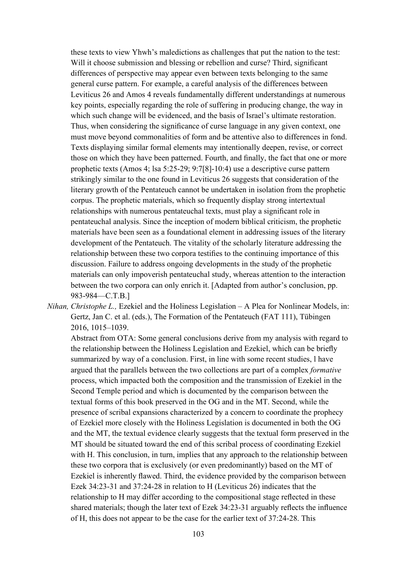these texts to view Yhwh's maledictions as challenges that put the nation to the test: Will it choose submission and blessing or rebellion and curse? Third, significant differences of perspective may appear even between texts belonging to the same general curse pattern. For example, a careful analysis of the differences between Leviticus 26 and Amos 4 reveals fundamentally different understandings at numerous key points, especially regarding the role of suffering in producing change, the way in which such change will be evidenced, and the basis of Israel's ultimate restoration. Thus, when considering the significance of curse language in any given context, one must move beyond commonalities of form and be attentive also to differences in fond. Texts displaying similar formal elements may intentionally deepen, revise, or correct those on which they have been patterned. Fourth, and finally, the fact that one or more prophetic texts (Amos 4; lsa 5:25-29; 9:7[8]-10:4) use a descriptive curse pattern strikingly similar to the one found in Leviticus 26 suggests that consideration of the literary growth of the Pentateuch cannot be undertaken in isolation from the prophetic corpus. The prophetic materials, which so frequently display strong intertextual relationships with numerous pentateuchal texts, must play a significant role in pentateuchal analysis. Since the inception of modern biblical criticism, the prophetic materials have been seen as a foundational element in addressing issues of the literary development of the Pentateuch. The vitality of the scholarly literature addressing the relationship between these two corpora testifies to the continuing importance of this discussion. Failure to address ongoing developments in the study of the prophetic materials can only impoverish pentateuchal study, whereas attention to the interaction between the two corpora can only enrich it. [Adapted from author's conclusion, pp. 983-984—C.T.B.]

*Nihan, Christophe L.,* Ezekiel and the Holiness Legislation – A Plea for Nonlinear Models, in: Gertz, Jan C. et al. (eds.), The Formation of the Pentateuch (FAT 111), Tübingen 2016, 1015–1039.

Abstract from OTA: Some general conclusions derive from my analysis with regard to the relationship between the Holiness Legislation and Ezekiel, which can be briefly summarized by way of a conclusion. First, in line with some recent studies, l have argued that the parallels between the two collections are part of a complex *formative* process, which impacted both the composition and the transmission of Ezekiel in the Second Temple period and which is documented by the comparison between the textual forms of this book preserved in the OG and in the MT. Second, while the presence of scribal expansions characterized by a concern to coordinate the prophecy of Ezekiel more closely with the Holiness Legislation is documented in both the OG and the MT, the textual evidence clearly suggests that the textual form preserved in the MT should be situated toward the end of this scribal process of coordinating Ezekiel with H. This conclusion, in turn, implies that any approach to the relationship between these two corpora that is exclusively (or even predominantly) based on the MT of Ezekiel is inherently flawed. Third, the evidence provided by the comparison between Ezek 34:23-31 and 37:24-28 in relation to H (Leviticus 26) indicates that the relationship to H may differ according to the compositional stage reflected in these shared materials; though the later text of Ezek 34:23-31 arguably reflects the influence of H, this does not appear to be the case for the earlier text of 37:24-28. This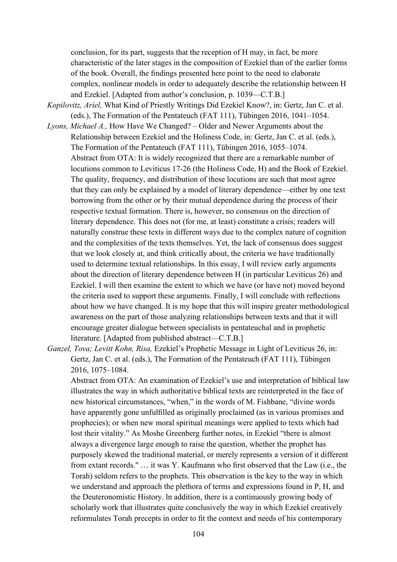conclusion, for its part, suggests that the reception of H may, in fact, be more characteristic of the later stages in the composition of Ezekiel than of the earlier forms of the book. Overall, the findings presented here point to the need to elaborate complex, nonlinear models in order to adequately describe the relationship between H and Ezekiel. [Adapted from author's conclusion, p. 1039—C.T.B.]

- *Kopilovitz, Ariel,* What Kind of Priestly Writings Did Ezekiel Know?, in: Gertz, Jan C. et al. (eds.), The Formation of the Pentateuch (FAT 111), Tübingen 2016, 1041–1054.
- *Lyons, Michael A.,* How Have We Changed? Older and Newer Arguments about the Relationship between Ezekiel and the Holiness Code, in: Gertz, Jan C. et al. (eds.), The Formation of the Pentateuch (FAT 111), Tübingen 2016, 1055–1074. Abstract from OTA: It is widely recognized that there are a remarkable number of locutions common to Leviticus 17-26 (the Holiness Code, H) and the Book of Ezekiel. The quality, frequency, and distribution of these locutions are such that most agree that they can only be explained by a model of literary dependence—either by one text borrowing from the other or by their mutual dependence during the process of their respective textual formation. There is, however, no consensus on the direction of literary dependence. This does not (for me, at least) constitute a crisis; readers will naturally construe these texts in different ways due to the complex nature of cognition and the complexities of the texts themselves. Yet, the lack of consensus does suggest that we look closely at, and think critically about, the criteria we have traditionally used to determine textual relationships. In this essay, I will review early arguments about the direction of literary dependence between H (in particular Leviticus 26) and Ezekiel. I will then examine the extent to which we have (or have not) moved beyond the criteria used to support these arguments. Finally, I will conclude with reflections about how we have changed. It is my hope that this will inspire greater methodological awareness on the part of those analyzing relationships between texts and that it will encourage greater dialogue between specialists in pentateuchal and in prophetic literature. [Adapted from published abstract—C.T.B.]
- *Ganzel, Tova; Levitt Kohn, Risa,* Ezekiel's Prophetic Message in Light of Leviticus 26, in: Gertz, Jan C. et al. (eds.), The Formation of the Pentateuch (FAT 111), Tübingen 2016, 1075–1084.

Abstract from OTA: An examination of Ezekiel's use and interpretation of biblical law illustrates the way in which authoritative biblical texts are reinterpreted in the face of new historical circumstances, "when," in the words of M. Fishbane, "divine words have apparently gone unfulfilled as originally proclaimed (as in various promises and prophecies); or when new moral spiritual meanings were applied to texts which had lost their vitality." As Moshe Greenberg further notes, in Ezekiel "there is almost always a divergence large enough to raise the question, whether the prophet has purposely skewed the traditional material, or merely represents a version of it different from extant records." … it was Y. Kaufmann who first observed that the Law (i.e., the Torah) seldom refers to the prophets. This observation is the key to the way in which we understand and approach the plethora of terms and expressions found in P, H, and the Deuteronomistic History. ln addition, there is a continuously growing body of scholarly work that illustrates quite conclusively the way in which Ezekiel creatively reformulates Torah precepts in order to fit the context and needs of his contemporary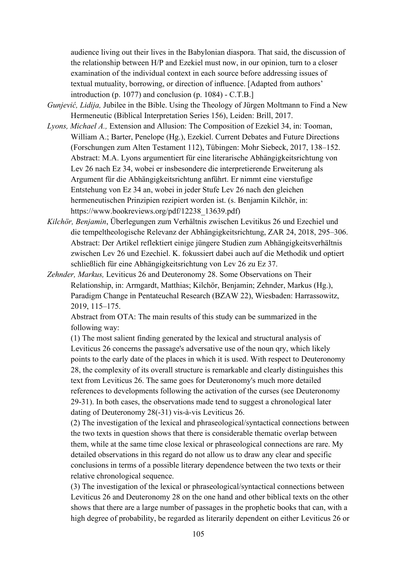audience living out their lives in the Babylonian diaspora. That said, the discussion of the relationship between H/P and Ezekiel must now, in our opinion, turn to a closer examination of the individual context in each source before addressing issues of textual mutuality, borrowing, or direction of influence. [Adapted from authors' introduction (p. 1077) and conclusion (p. 1084) - C.T.B.]

- *Gunjević, Lidija,* Jubilee in the Bible. Using the Theology of Jürgen Moltmann to Find a New Hermeneutic (Biblical Interpretation Series 156), Leiden: Brill, 2017.
- *Lyons, Michael A.,* Extension and Allusion: The Composition of Ezekiel 34, in: Tooman, William A.; Barter, Penelope (Hg.), Ezekiel. Current Debates and Future Directions (Forschungen zum Alten Testament 112), Tübingen: Mohr Siebeck, 2017, 138–152. Abstract: M.A. Lyons argumentiert für eine literarische Abhängigkeitsrichtung von Lev 26 nach Ez 34, wobei er insbesondere die interpretierende Erweiterung als Argument für die Abhängigkeitsrichtung anführt. Er nimmt eine vierstufige Entstehung von Ez 34 an, wobei in jeder Stufe Lev 26 nach den gleichen hermeneutischen Prinzipien rezipiert worden ist. (s. Benjamin Kilchör, in: https://www.bookreviews.org/pdf/12238\_13639.pdf)
- *Kilchör, Benjamin*, Überlegungen zum Verhältnis zwischen Levitikus 26 und Ezechiel und die tempeltheologische Relevanz der Abhängigkeitsrichtung, ZAR 24, 2018, 295–306. Abstract: Der Artikel reflektiert einige jüngere Studien zum Abhängigkeitsverhältnis zwischen Lev 26 und Ezechiel. K. fokussiert dabei auch auf die Methodik und optiert schließlich für eine Abhängigkeitsrichtung von Lev 26 zu Ez 37.
- *Zehnder, Markus,* Leviticus 26 and Deuteronomy 28. Some Observations on Their Relationship, in: Armgardt, Matthias; Kilchör, Benjamin; Zehnder, Markus (Hg.), Paradigm Change in Pentateuchal Research (BZAW 22), Wiesbaden: Harrassowitz, 2019, 115–175.

Abstract from OTA: The main results of this study can be summarized in the following way:

(1) The most salient finding generated by the lexical and structural analysis of Leviticus 26 concerns the passage's adversative use of the noun qry, which likely points to the early date of the places in which it is used. With respect to Deuteronomy 28, the complexity of its overall structure is remarkable and clearly distinguishes this text from Leviticus 26. The same goes for Deuteronomy's much more detailed references to developments following the activation of the curses (see Deuteronomy 29-31). In both cases, the observations made tend to suggest a chronological later dating of Deuteronomy 28(-31) vis-à-vis Leviticus 26.

(2) The investigation of the lexical and phraseological/syntactical connections between the two texts in question shows that there is considerable thematic overlap between them, while at the same time close lexical or phraseological connections are rare. My detailed observations in this regard do not allow us to draw any clear and specific conclusions in terms of a possible literary dependence between the two texts or their relative chronological sequence.

(3) The investigation of the lexical or phraseological/syntactical connections between Leviticus 26 and Deuteronomy 28 on the one hand and other biblical texts on the other shows that there are a large number of passages in the prophetic books that can, with a high degree of probability, be regarded as literarily dependent on either Leviticus 26 or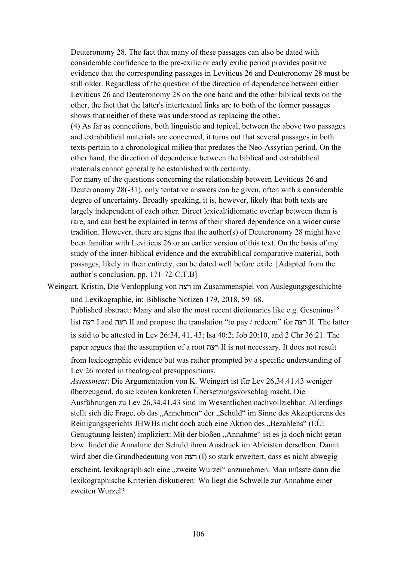Deuteronomy 28. The fact that many of these passages can also be dated with considerable confidence to the pre-exilic or early exilic period provides positive evidence that the corresponding passages in Leviticus 26 and Deuteronomy 28 must be still older. Regardless of the question of the direction of dependence between either Leviticus 26 and Deuteronomy 28 on the one hand and the other biblical texts on the other, the fact that the latter's intertextual links are to both of the former passages shows that neither of these was understood as replacing the other.

(4) As far as connections, both linguistic and topical, between the above two passages and extrabiblical materials are concerned, it turns out that several passages in both texts pertain to a chronological milieu that predates the Neo-Assyrian period. On the other hand, the direction of dependence between the biblical and extrabiblical materials cannot generally be established with certainty.

For many of the questions concerning the relationship between Leviticus 26 and Deuteronomy 28(-31), only tentative answers can be given, often with a considerable degree of uncertainty. Broadly speaking, it is, however, likely that both texts are largely independent of each other. Direct lexical/idiomatic overlap between them is rare, and can best be explained in terms of their shared dependence on a wider curse tradition. However, there are signs that the author(s) of Deuteronomy 28 might have been familiar with Leviticus 26 or an earlier version of this text. On the basis of my study of the inner-biblical evidence and the extrabiblical comparative material, both passages, likely in their entirety, can be dated well before exile. [Adapted from the author's conclusion, pp. 171-72-C.T.B]

Weingart, Kristin, Die Verdopplung von רצה im Zusammenspiel von Auslegungsgeschichte und Lexikographie, in: Biblische Notizen 179, 2018, 59–68. Published abstract: Many and also the most recent dictionaries like e.g. Geseninus<sup>18</sup> list רצה I and רצה II and propose the translation "to pay / redeem" for רצה II. The latter is said to be attested in Lev 26:34, 41, 43; Isa 40:2; Job 20:10, and 2 Chr 36:21. The paper argues that the assumption of a root רצה II is not necessary. It does not result from lexicographic evidence but was rather prompted by a specific understanding of Lev 26 rooted in theological presuppositions. *Assessment*: Die Argumentation von K. Weingart ist für Lev 26,34.41.43 weniger

überzeugend, da sie keinen konkreten Übersetzungsvorschlag macht. Die Ausführungen zu Lev 26,34.41.43 sind im Wesentlichen nachvollziehbar. Allerdings stellt sich die Frage, ob das "Annehmen" der "Schuld" im Sinne des Akzeptierens des Reinigungsgerichts JHWHs nicht doch auch eine Aktion des "Bezahlens" (EÜ: Genugtuung leisten) impliziert: Mit der bloßen "Annahme" ist es ja doch nicht getan bzw. findet die Annahme der Schuld ihren Ausdruck im Ableisten derselben. Damit wird aber die Grundbedeutung von רצה) I) so stark erweitert, dass es nicht abwegig erscheint, lexikographisch eine "zweite Wurzel" anzunehmen. Man müsste dann die lexikographische Kriterien diskutieren: Wo liegt die Schwelle zur Annahme einer zweiten Wurzel?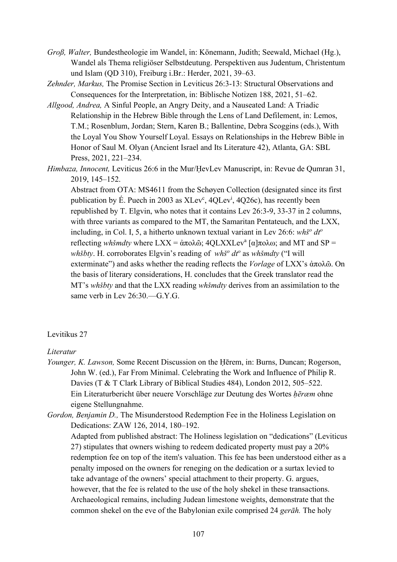- *Groß, Walter,* Bundestheologie im Wandel, in: Könemann, Judith; Seewald, Michael (Hg.), Wandel als Thema religiöser Selbstdeutung. Perspektiven aus Judentum, Christentum und Islam (QD 310), Freiburg i.Br.: Herder, 2021, 39–63.
- *Zehnder, Markus,* The Promise Section in Leviticus 26:3-13: Structural Observations and Consequences for the Interpretation, in: Biblische Notizen 188, 2021, 51–62.
- *Allgood, Andrea,* A Sinful People, an Angry Deity, and a Nauseated Land: A Triadic Relationship in the Hebrew Bible through the Lens of Land Defilement, in: Lemos, T.M.; Rosenblum, Jordan; Stern, Karen B.; Ballentine, Debra Scoggins (eds.), With the Loyal You Show Yourself Loyal. Essays on Relationships in the Hebrew Bible in Honor of Saul M. Olyan (Ancient Israel and Its Literature 42), Atlanta, GA: SBL Press, 2021, 221–234.
- *Himbaza, Innocent,* Leviticus 26:6 in the Mur/ḤevLev Manuscript, in: Revue de Qumran 31, 2019, 145–152.

Abstract from OTA: MS4611 from the Schøyen Collection (designated since its first publication by É. Puech in 2003 as  $XLev^c$ , 4QLev<sup>i</sup>, 4Q26c), has recently been republished by T. Elgvin, who notes that it contains Lev 26:3-9, 33-37 in 2 columns, with three variants as compared to the MT, the Samaritan Pentateuch, and the LXX, including, in Col. I, 5, a hitherto unknown textual variant in Lev 26:6: *whš<sup>o</sup> dto* reflecting *whšmdty* where LXX = ἀπολῶ; 4QLXXLev<sup>a</sup> [α]πολω; and MT and SP = *whšbty*. H. corroborates Elgvin's reading of *whš<sup>o</sup> dt<sup>o</sup>* as *whšmdty* ("I will exterminate") and asks whether the reading reflects the *Vorlage* of LXX's ἀπολῶ. On the basis of literary considerations, H. concludes that the Greek translator read the MT's *whšbty* and that the LXX reading *whšmdty* derives from an assimilation to the same verb in Lev 26:30.—G.Y.G.

# Levitikus 27

# *Literatur*

- *Younger, K. Lawson,* Some Recent Discussion on the Ḥērem, in: Burns, Duncan; Rogerson, John W. (ed.), Far From Minimal. Celebrating the Work and Influence of Philip R. Davies (T & T Clark Library of Biblical Studies 484), London 2012, 505–522. Ein Literaturbericht über neuere Vorschläge zur Deutung des Wortes *ḥēræm* ohne eigene Stellungnahme.
- *Gordon, Benjamin D.,* The Misunderstood Redemption Fee in the Holiness Legislation on Dedications: ZAW 126, 2014, 180–192.

Adapted from published abstract: The Holiness legislation on "dedications" (Leviticus 27) stipulates that owners wishing to redeem dedicated property must pay a 20% redemption fee on top of the item's valuation. This fee has been understood either as a penalty imposed on the owners for reneging on the dedication or a surtax levied to take advantage of the owners' special attachment to their property. G. argues, however, that the fee is related to the use of the holy shekel in these transactions. Archaeological remains, including Judean limestone weights, demonstrate that the common shekel on the eve of the Babylonian exile comprised 24 *gerāh.* The holy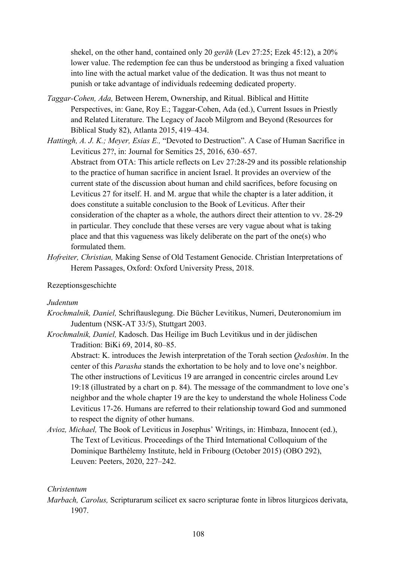shekel, on the other hand, contained only 20 *gerāh* (Lev 27:25; Ezek 45:12), a 20% lower value. The redemption fee can thus be understood as bringing a fixed valuation into line with the actual market value of the dedication. It was thus not meant to punish or take advantage of individuals redeeming dedicated property.

- *Taggar-Cohen, Ada,* Between Herem, Ownership, and Ritual. Biblical and Hittite Perspectives, in: Gane, Roy E.; Taggar-Cohen, Ada (ed.), Current Issues in Priestly and Related Literature. The Legacy of Jacob Milgrom and Beyond (Resources for Biblical Study 82), Atlanta 2015, 419–434.
- *Hattingh, A. J. K.; Meyer, Esias E.,* "Devoted to Destruction". A Case of Human Sacrifice in Leviticus 27?, in: Journal for Semitics 25, 2016, 630–657. Abstract from OTA: This article reflects on Lev 27:28-29 and its possible relationship to the practice of human sacrifice in ancient Israel. It provides an overview of the current state of the discussion about human and child sacrifices, before focusing on Leviticus 27 for itself. H. and M. argue that while the chapter is a later addition, it does constitute a suitable conclusion to the Book of Leviticus. After their consideration of the chapter as a whole, the authors direct their attention to vv. 28-29 in particular. They conclude that these verses are very vague about what is taking place and that this vagueness was likely deliberate on the part of the one(s) who
	- formulated them.
- *Hofreiter, Christian,* Making Sense of Old Testament Genocide. Christian Interpretations of Herem Passages, Oxford: Oxford University Press, 2018.

### Rezeptionsgeschichte

### *Judentum*

- *Krochmalnik, Daniel,* Schriftauslegung. Die Bücher Levitikus, Numeri, Deuteronomium im Judentum (NSK-AT 33/5), Stuttgart 2003.
- *Krochmalnik, Daniel,* Kadosch. Das Heilige im Buch Levitikus und in der jüdischen Tradition: BiKi 69, 2014, 80–85.

Abstract: K. introduces the Jewish interpretation of the Torah section *Qedoshim*. In the center of this *Parasha* stands the exhortation to be holy and to love one's neighbor. The other instructions of Leviticus 19 are arranged in concentric circles around Lev 19:18 (illustrated by a chart on p. 84). The message of the commandment to love one's neighbor and the whole chapter 19 are the key to understand the whole Holiness Code Leviticus 17-26. Humans are referred to their relationship toward God and summoned to respect the dignity of other humans.

*Avioz, Michael,* The Book of Leviticus in Josephus' Writings, in: Himbaza, Innocent (ed.), The Text of Leviticus. Proceedings of the Third International Colloquium of the Dominique Barthélemy Institute, held in Fribourg (October 2015) (OBO 292), Leuven: Peeters, 2020, 227–242.

# *Christentum*

*Marbach, Carolus,* Scripturarum scilicet ex sacro scripturae fonte in libros liturgicos derivata, 1907.